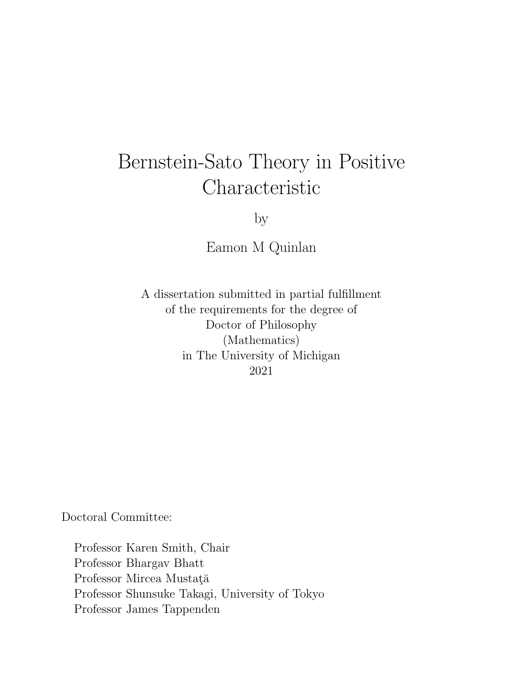# <span id="page-0-0"></span>Bernstein-Sato Theory in Positive Characteristic

by

Eamon M Quinlan

A dissertation submitted in partial fulfillment of the requirements for the degree of Doctor of Philosophy (Mathematics) in The University of Michigan 2021

Doctoral Committee:

Professor Karen Smith, Chair Professor Bhargav Bhatt Professor Mircea Mustață Professor Shunsuke Takagi, University of Tokyo Professor James Tappenden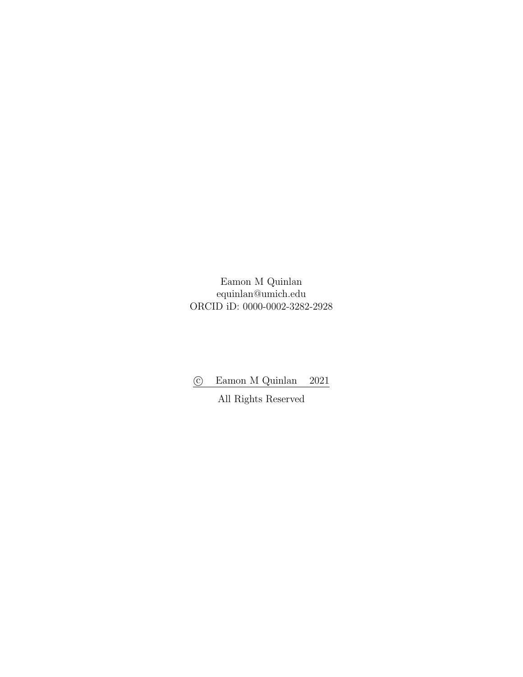Eamon M Quinlan equinlan@umich.edu ORCID iD: 0000-0002-3282-2928

*⃝*c Eamon M Quinlan 2021

All Rights Reserved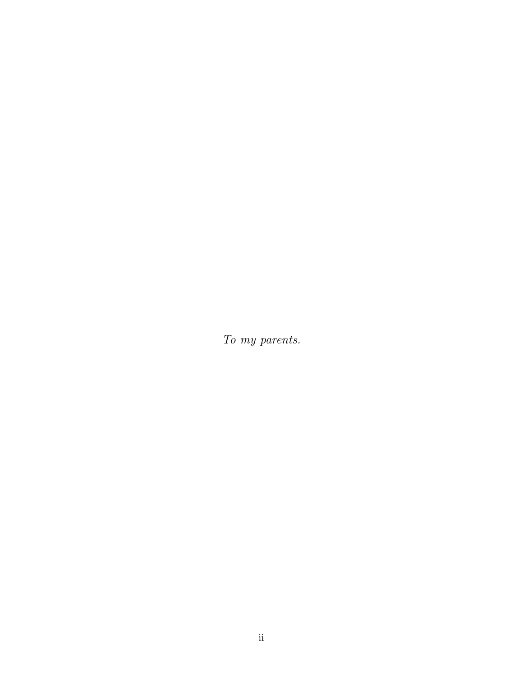*To my parents.*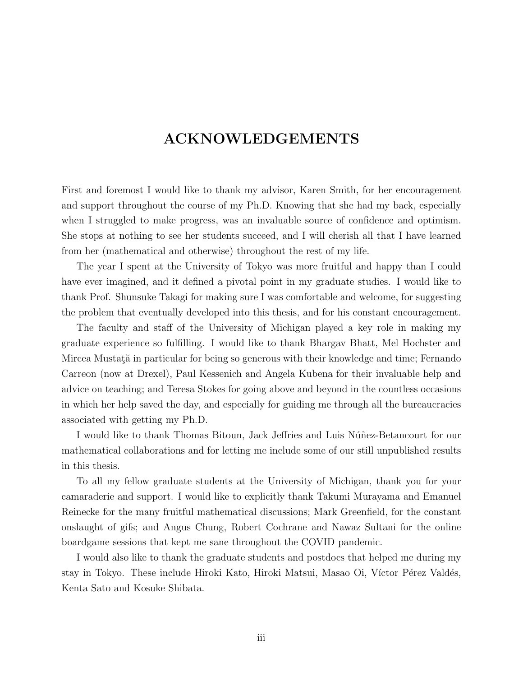### <span id="page-3-0"></span>**ACKNOWLEDGEMENTS**

First and foremost I would like to thank my advisor, Karen Smith, for her encouragement and support throughout the course of my Ph.D. Knowing that she had my back, especially when I struggled to make progress, was an invaluable source of confidence and optimism. She stops at nothing to see her students succeed, and I will cherish all that I have learned from her (mathematical and otherwise) throughout the rest of my life.

The year I spent at the University of Tokyo was more fruitful and happy than I could have ever imagined, and it defined a pivotal point in my graduate studies. I would like to thank Prof. Shunsuke Takagi for making sure I was comfortable and welcome, for suggesting the problem that eventually developed into this thesis, and for his constant encouragement.

The faculty and staff of the University of Michigan played a key role in making my graduate experience so fulfilling. I would like to thank Bhargav Bhatt, Mel Hochster and Mircea Mustată in particular for being so generous with their knowledge and time; Fernando Carreon (now at Drexel), Paul Kessenich and Angela Kubena for their invaluable help and advice on teaching; and Teresa Stokes for going above and beyond in the countless occasions in which her help saved the day, and especially for guiding me through all the bureaucracies associated with getting my Ph.D.

I would like to thank Thomas Bitoun, Jack Jeffries and Luis Núñez-Betancourt for our mathematical collaborations and for letting me include some of our still unpublished results in this thesis.

To all my fellow graduate students at the University of Michigan, thank you for your camaraderie and support. I would like to explicitly thank Takumi Murayama and Emanuel Reinecke for the many fruitful mathematical discussions; Mark Greenfield, for the constant onslaught of gifs; and Angus Chung, Robert Cochrane and Nawaz Sultani for the online boardgame sessions that kept me sane throughout the COVID pandemic.

I would also like to thank the graduate students and postdocs that helped me during my stay in Tokyo. These include Hiroki Kato, Hiroki Matsui, Masao Oi, Víctor Pérez Valdés, Kenta Sato and Kosuke Shibata.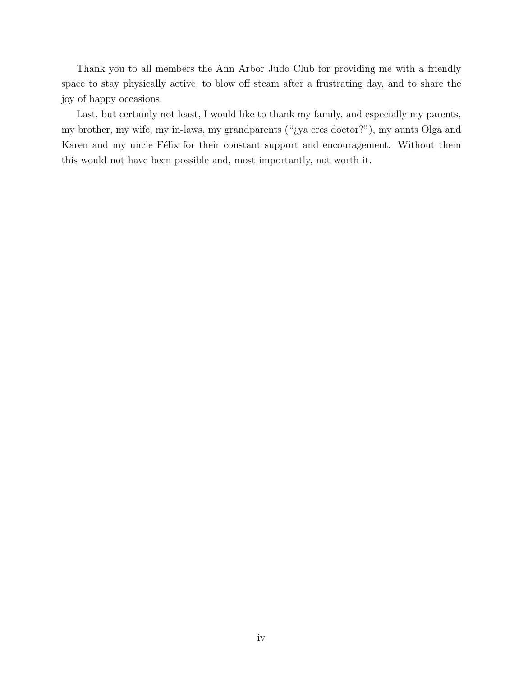Thank you to all members the Ann Arbor Judo Club for providing me with a friendly space to stay physically active, to blow off steam after a frustrating day, and to share the joy of happy occasions.

Last, but certainly not least, I would like to thank my family, and especially my parents, my brother, my wife, my in-laws, my grandparents ("¿ya eres doctor?"), my aunts Olga and Karen and my uncle Félix for their constant support and encouragement. Without them this would not have been possible and, most importantly, not worth it.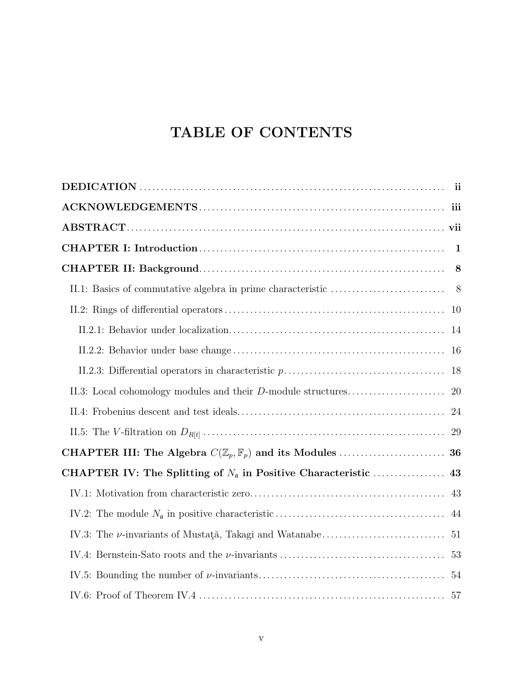### **TABLE OF CONTENTS**

|                                                              | 8         |
|--------------------------------------------------------------|-----------|
|                                                              |           |
|                                                              | 10        |
|                                                              | 14        |
|                                                              |           |
|                                                              |           |
| II.3: Local cohomology modules and their D-module structures | <b>20</b> |
|                                                              | -24       |
|                                                              | 29        |
|                                                              |           |
|                                                              |           |
|                                                              |           |
|                                                              |           |
|                                                              |           |
|                                                              | 53        |
|                                                              |           |
|                                                              |           |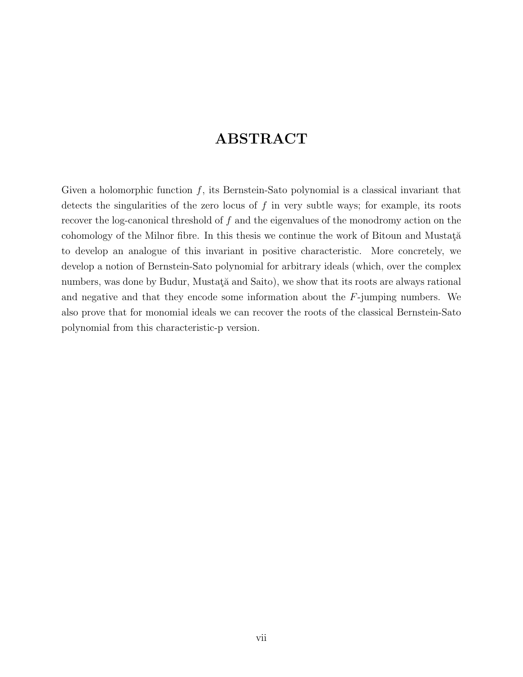### **ABSTRACT**

<span id="page-7-0"></span>Given a holomorphic function *f*, its Bernstein-Sato polynomial is a classical invariant that detects the singularities of the zero locus of *f* in very subtle ways; for example, its roots recover the log-canonical threshold of *f* and the eigenvalues of the monodromy action on the cohomology of the Milnor fibre. In this thesis we continue the work of Bitoun and Mustata<sup> $\check{a}$ </sup> to develop an analogue of this invariant in positive characteristic. More concretely, we develop a notion of Bernstein-Sato polynomial for arbitrary ideals (which, over the complex numbers, was done by Budur, Mustata and Saito), we show that its roots are always rational and negative and that they encode some information about the *F*-jumping numbers. We also prove that for monomial ideals we can recover the roots of the classical Bernstein-Sato polynomial from this characteristic-p version.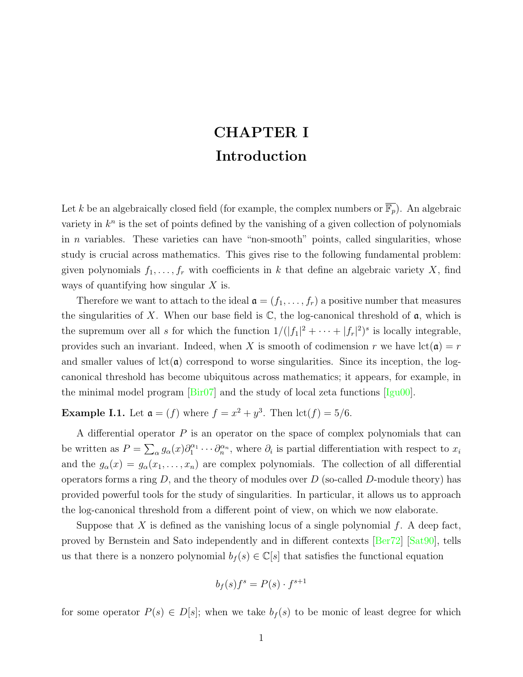## **CHAPTER I Introduction**

Let *k* be an algebraically closed field (for example, the complex numbers or  $\overline{\mathbb{F}_p}$ ). An algebraic variety in  $k^n$  is the set of points defined by the vanishing of a given collection of polynomials in *n* variables. These varieties can have "non-smooth" points, called singularities, whose study is crucial across mathematics. This gives rise to the following fundamental problem: given polynomials  $f_1, \ldots, f_r$  with coefficients in *k* that define an algebraic variety *X*, find ways of quantifying how singular *X* is.

Therefore we want to attach to the ideal  $\mathfrak{a} = (f_1, \ldots, f_r)$  a positive number that measures the singularities of X. When our base field is  $\mathbb{C}$ , the log-canonical threshold of  $\mathfrak{a}$ , which is the supremum over all *s* for which the function  $1/(|f_1|^2 + \cdots + |f_r|^2)^s$  is locally integrable, provides such an invariant. Indeed, when *X* is smooth of codimension *r* we have  $lct(\mathfrak{a}) = r$ and smaller values of  $lct(\mathfrak{a})$  correspond to worse singularities. Since its inception, the logcanonical threshold has become ubiquitous across mathematics; it appears, for example, in theminimal model program  $\left[\text{Bir07}\right]$  $\left[\text{Bir07}\right]$  $\left[\text{Bir07}\right]$  and the study of local zeta functions  $\left[\text{Igu00}\right]$  $\left[\text{Igu00}\right]$  $\left[\text{Igu00}\right]$ .

<span id="page-8-0"></span>**Example I.1.** Let  $a = (f)$  where  $f = x^2 + y^3$ . Then  $\text{lct}(f) = 5/6$ .

A differential operator *P* is an operator on the space of complex polynomials that can be written as  $P = \sum_{\alpha} g_{\alpha}(x) \partial_1^{\alpha_1} \cdots \partial_n^{\alpha_n}$ , where  $\partial_i$  is partial differentiation with respect to  $x_i$ and the  $g_{\alpha}(x) = g_{\alpha}(x_1, \ldots, x_n)$  are complex polynomials. The collection of all differential operators forms a ring *D*, and the theory of modules over *D* (so-called *D*-module theory) has provided powerful tools for the study of singularities. In particular, it allows us to approach the log-canonical threshold from a different point of view, on which we now elaborate.

Suppose that *X* is defined as the vanishing locus of a single polynomial *f*. A deep fact, proved by Bernstein and Sato independently and in different contexts [\[Ber72](#page-87-1)][[Sat90](#page-89-0)], tells us that there is a nonzero polynomial  $b_f(s) \in \mathbb{C}[s]$  that satisfies the functional equation

$$
b_f(s)f^s = P(s) \cdot f^{s+1}
$$

for some operator  $P(s) \in D[s]$ ; when we take  $b_f(s)$  to be monic of least degree for which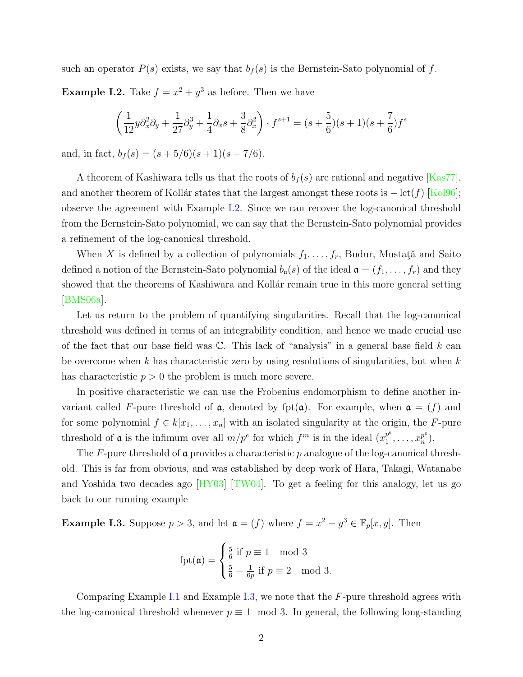<span id="page-9-0"></span>such an operator  $P(s)$  exists, we say that  $b_f(s)$  is the Bernstein-Sato polynomial of  $f$ . **Example I.2.** Take  $f = x^2 + y^3$  as before. Then we have

$$
\left(\frac{1}{12}y\partial_x^2\partial_y + \frac{1}{27}\partial_y^3 + \frac{1}{4}\partial_x s + \frac{3}{8}\partial_x^2\right)\cdot f^{s+1} = (s+\frac{5}{6})(s+1)(s+\frac{7}{6})f^s
$$

and, in fact,  $b_f(s) = (s + 5/6)(s + 1)(s + 7/6)$ .

A theorem of Kashiwara tells us that the roots of  $b_f(s)$  are rational and negative [\[Kas77](#page-89-1)], andanother theorem of Kollár states that the largest amongst these roots is  $-$  lct(*f*) [[Kol96](#page-89-2)]; observe the agreement with Example [I.2.](#page-9-0) Since we can recover the log-canonical threshold from the Bernstein-Sato polynomial, we can say that the Bernstein-Sato polynomial provides a refinement of the log-canonical threshold.

When *X* is defined by a collection of polynomials  $f_1, \ldots, f_r$ , Budur, Mustat<sub>i</sub><sup></sup> and Saito defined a notion of the Bernstein-Sato polynomial  $b_{\mathfrak{a}}(s)$  of the ideal  $\mathfrak{a} = (f_1, \ldots, f_r)$  and they showed that the theorems of Kashiwara and Kollar remain true in this more general setting [\[BMS06a](#page-87-2)].

Let us return to the problem of quantifying singularities. Recall that the log-canonical threshold was defined in terms of an integrability condition, and hence we made crucial use of the fact that our base field was C. This lack of "analysis" in a general base field *k* can be overcome when *k* has characteristic zero by using resolutions of singularities, but when *k* has characteristic  $p > 0$  the problem is much more severe.

In positive characteristic we can use the Frobenius endomorphism to define another invariant called F-pure threshold of  $\alpha$ , denoted by fpt $(\alpha)$ . For example, when  $\alpha = (f)$  and for some polynomial  $f \in k[x_1, \ldots, x_n]$  with an isolated singularity at the origin, the *F*-pure threshold of **a** is the infimum over all  $m/p^e$  for which  $f^m$  is in the ideal  $(x_1^{p^e})$  $x_1^{p^e}, \ldots, x_n^{p^e}$  $_{n}^{p^{e}}).$ 

The *F*-pure threshold of a provides a characteristic *p* analogue of the log-canonical threshold. This is far from obvious, and was established by deep work of Hara, Takagi, Watanabe and Yoshida two decades ago[[HY03](#page-88-1)] [\[TW04](#page-90-0)]. To get a feeling for this analogy, let us go back to our running example

<span id="page-9-1"></span>**Example I.3.** Suppose  $p > 3$ , and let  $\mathfrak{a} = (f)$  where  $f = x^2 + y^3 \in \mathbb{F}_p[x, y]$ . Then

$$
fpt(\mathfrak{a}) = \begin{cases} \frac{5}{6} \text{ if } p \equiv 1 \mod 3\\ \frac{5}{6} - \frac{1}{6p} \text{ if } p \equiv 2 \mod 3. \end{cases}
$$

Comparing Example [I.1](#page-8-0) and Example [I.3](#page-9-1), we note that the *F*-pure threshold agrees with the log-canonical threshold whenever  $p \equiv 1 \mod 3$ . In general, the following long-standing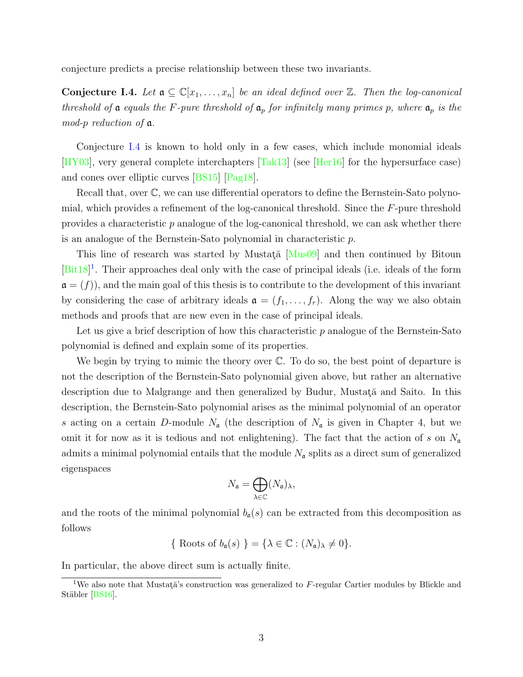conjecture predicts a precise relationship between these two invariants.

<span id="page-10-0"></span>**Conjecture I.4.** *Let*  $\mathfrak{a} \subseteq \mathbb{C}[x_1,\ldots,x_n]$  *be an ideal defined over*  $\mathbb{Z}$ *. Then the log-canonical threshold of*  $\alpha$  *equals the F-pure threshold of*  $\alpha_p$  *for infinitely many primes p, where*  $\alpha_p$  *is the mod-p reduction of* a*.*

Conjecture [I.4](#page-10-0) is known to hold only in a few cases, which include monomial ideals [\[HY03\]](#page-88-1), very general complete interchapters[[Tak13\]](#page-90-1) (see [\[Her16](#page-88-2)] for the hypersurface case) and cones over elliptic curves[[BS15](#page-88-3)] [\[Pag18](#page-89-3)].

Recall that, over C, we can use differential operators to define the Bernstein-Sato polynomial, which provides a refinement of the log-canonical threshold. Since the *F*-pure threshold provides a characteristic *p* analogue of the log-canonical threshold, we can ask whether there is an analogue of the Bernstein-Sato polynomial in characteristic *p*.

Thisline of research was started by Mustata<sup>[[Mus09](#page-89-4)]</sup> and then continued by Bitoun [\[Bit18](#page-87-3)]<sup>1</sup>. Their approaches deal only with the case of principal ideals (i.e. ideals of the form  $\mathfrak{a} = (f)$ , and the main goal of this thesis is to contribute to the development of this invariant by considering the case of arbitrary ideals  $\mathfrak{a} = (f_1, \ldots, f_r)$ . Along the way we also obtain methods and proofs that are new even in the case of principal ideals.

Let us give a brief description of how this characteristic *p* analogue of the Bernstein-Sato polynomial is defined and explain some of its properties.

We begin by trying to mimic the theory over C. To do so, the best point of departure is not the description of the Bernstein-Sato polynomial given above, but rather an alternative description due to Malgrange and then generalized by Budur, Mustata and Saito. In this description, the Bernstein-Sato polynomial arises as the minimal polynomial of an operator s acting on a certain *D*-module  $N_a$  (the description of  $N_a$  is given in Chapter 4, but we omit it for now as it is tedious and not enlightening). The fact that the action of *s* on *N*<sup>a</sup> admits a minimal polynomial entails that the module  $N_a$  splits as a direct sum of generalized eigenspaces

$$
N_{\mathfrak{a}} = \bigoplus_{\lambda \in \mathbb{C}} (N_{\mathfrak{a}})_{\lambda},
$$

and the roots of the minimal polynomial  $b_{\mathfrak{a}}(s)$  can be extracted from this decomposition as follows

{ Roots of 
$$
b_{\mathfrak{a}}(s)
$$
 } = { $\lambda \in \mathbb{C} : (N_{\mathfrak{a}})_{\lambda} \neq 0$  }.

In particular, the above direct sum is actually finite.

<sup>&</sup>lt;sup>1</sup>We also note that Mustat $\breve{\alpha}$ 's construction was generalized to *F*-regular Cartier modules by Blickle and Stäbler [\[BS16\]](#page-88-4).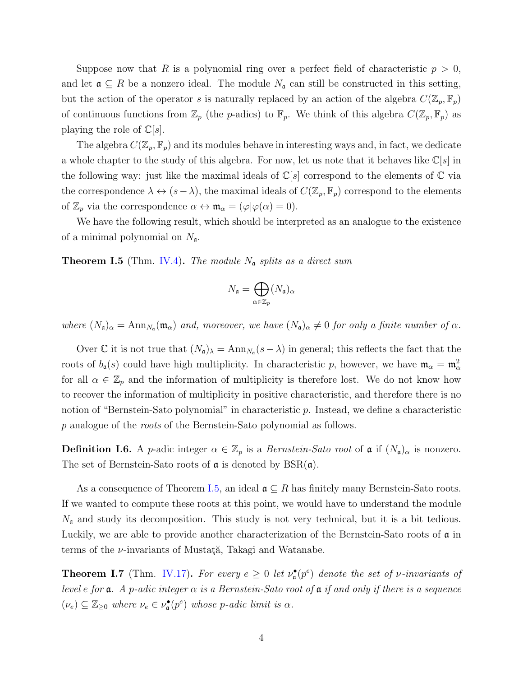Suppose now that *R* is a polynomial ring over a perfect field of characteristic  $p > 0$ , and let  $\mathfrak{a} \subseteq R$  be a nonzero ideal. The module  $N_{\mathfrak{a}}$  can still be constructed in this setting, but the action of the operator *s* is naturally replaced by an action of the algebra  $C(\mathbb{Z}_p, \mathbb{F}_p)$ of continuous functions from  $\mathbb{Z}_p$  (the *p*-adics) to  $\mathbb{F}_p$ . We think of this algebra  $C(\mathbb{Z}_p, \mathbb{F}_p)$  as playing the role of  $\mathbb{C}[s]$ .

The algebra  $C(\mathbb{Z}_p, \mathbb{F}_p)$  and its modules behave in interesting ways and, in fact, we dedicate a whole chapter to the study of this algebra. For now, let us note that it behaves like C[*s*] in the following way: just like the maximal ideals of  $\mathbb{C}[s]$  correspond to the elements of  $\mathbb{C}$  via the correspondence  $\lambda \leftrightarrow (s-\lambda)$ , the maximal ideals of  $C(\mathbb{Z}_p, \mathbb{F}_p)$  correspond to the elements of  $\mathbb{Z}_p$  via the correspondence  $\alpha \leftrightarrow \mathfrak{m}_{\alpha} = (\varphi | \varphi(\alpha) = 0).$ 

We have the following result, which should be interpreted as an analogue to the existence of a minimal polynomial on *N*a.

<span id="page-11-0"></span>**Theorem I.5** (Thm. [IV.4\)](#page-53-0)**.** *The module N*<sup>a</sup> *splits as a direct sum*

$$
N_{\mathfrak{a}} = \bigoplus_{\alpha \in \mathbb{Z}_p} (N_{\mathfrak{a}})_{\alpha}
$$

*where*  $(N_a)_{\alpha} = \text{Ann}_{N_a}(\mathfrak{m}_{\alpha})$  *and, moreover, we have*  $(N_a)_{\alpha} \neq 0$  *for only a finite number of*  $\alpha$ *.* 

Over C it is not true that  $(N_a)_{\lambda} = \text{Ann}_{N_a}(s - \lambda)$  in general; this reflects the fact that the roots of  $b_{\mathfrak{a}}(s)$  could have high multiplicity. In characteristic *p*, however, we have  $\mathfrak{m}_{\alpha} = \mathfrak{m}_{\alpha}^2$ for all  $\alpha \in \mathbb{Z}_p$  and the information of multiplicity is therefore lost. We do not know how to recover the information of multiplicity in positive characteristic, and therefore there is no notion of "Bernstein-Sato polynomial" in characteristic *p*. Instead, we define a characteristic *p* analogue of the *roots* of the Bernstein-Sato polynomial as follows.

**Definition I.6.** A *p*-adic integer  $\alpha \in \mathbb{Z}_p$  is a *Bernstein-Sato root* of  $\alpha$  if  $(N_{\alpha})_{\alpha}$  is nonzero. The set of Bernstein-Sato roots of  $\alpha$  is denoted by  $BSR(\alpha)$ .

As a consequence of Theorem [I.5,](#page-11-0) an ideal  $\mathfrak{a} \subseteq R$  has finitely many Bernstein-Sato roots. If we wanted to compute these roots at this point, we would have to understand the module  $N_a$  and study its decomposition. This study is not very technical, but it is a bit tedious. Luckily, we are able to provide another characterization of the Bernstein-Sato roots of a in terms of the *ν*-invariants of Mustata<sup>"</sup>, Takagi and Watanabe.

<span id="page-11-1"></span>**Theorem I.7** (Thm. [IV.17](#page-60-0)). For every  $e \geq 0$  let  $\nu_{\mathfrak{a}}^{\bullet}(p^e)$  denote the set of *v*-invariants of *level e for*  $\alpha$ *. A p*-adic integer  $\alpha$  *is a Bernstein-Sato root of*  $\alpha$  *if and only if there is a sequence*  $(\nu_e) \subseteq \mathbb{Z}_{\geq 0}$  *where*  $\nu_e \in \nu_{\mathfrak{a}}^{\bullet}(p^e)$  *whose p*-adic limit is  $\alpha$ *.*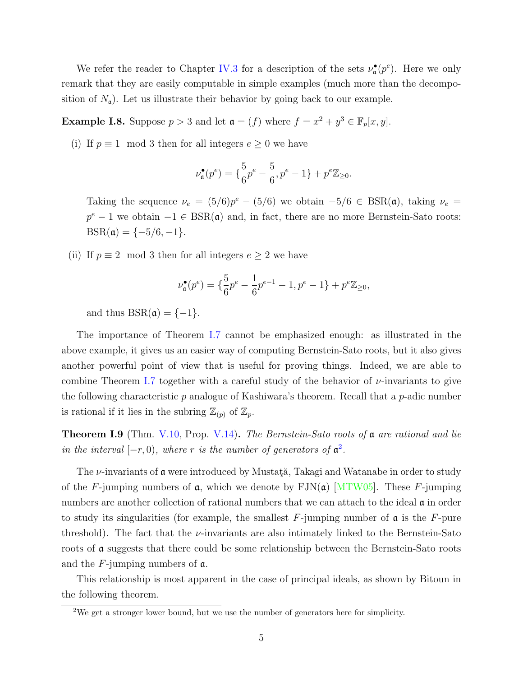We refer the reader to Chapter [IV.3](#page-57-0) for a description of the sets  $\nu_{\mathfrak{a}}^{\bullet}(p^e)$ . Here we only remark that they are easily computable in simple examples (much more than the decomposition of  $N_a$ ). Let us illustrate their behavior by going back to our example.

**Example I.8.** Suppose  $p > 3$  and let  $\mathfrak{a} = (f)$  where  $f = x^2 + y^3 \in \mathbb{F}_p[x, y]$ .

(i) If  $p \equiv 1 \mod 3$  then for all integers  $e \geq 0$  we have

$$
\nu_{\mathfrak a}^\bullet(p^e)=\{\frac56p^e-\frac56,p^e-1\}+p^e\mathbb Z_{\geq 0}.
$$

Taking the sequence  $\nu_e = (5/6)p^e - (5/6)$  we obtain  $-5/6 \in \text{BSR}(\mathfrak{a})$ , taking  $\nu_e =$  $p^e - 1$  we obtain  $-1 \in \text{BSR}(\mathfrak{a})$  and, in fact, there are no more Bernstein-Sato roots:  $BSR(\mathfrak{a}) = \{-5/6, -1\}.$ 

(ii) If  $p \equiv 2 \mod 3$  then for all integers  $e \geq 2$  we have

$$
\nu_{\mathfrak{a}}^{\bullet}(p^e) = \{\frac{5}{6}p^e - \frac{1}{6}p^{e-1} - 1, p^e - 1\} + p^e \mathbb{Z}_{\geq 0},
$$

and thus  $BSR(\mathfrak{a}) = \{-1\}.$ 

The importance of Theorem [I.7](#page-11-1) cannot be emphasized enough: as illustrated in the above example, it gives us an easier way of computing Bernstein-Sato roots, but it also gives another powerful point of view that is useful for proving things. Indeed, we are able to combine Theorem [I.7](#page-11-1) together with a careful study of the behavior of *ν*-invariants to give the following characteristic *p* analogue of Kashiwara's theorem. Recall that a *p*-adic number is rational if it lies in the subring  $\mathbb{Z}_{(p)}$  of  $\mathbb{Z}_p$ .

**Theorem I.9** (Thm. [V.10,](#page-70-0) Prop. [V.14\)](#page-72-1)**.** *The Bernstein-Sato roots of* a *are rational and lie in the interval*  $[-r, 0)$ *, where r is the number of generators of*  $\mathfrak{a}^2$ *.* 

The *ν*-invariants of **α** were introduced by Mustata<sup>\*</sup>, Takagi and Watanabe in order to study of the *F*-jumping numbers of  $\alpha$ , which we denote by  $\text{FIN}(\alpha)$  [\[MTW05](#page-89-5)]. These *F*-jumping numbers are another collection of rational numbers that we can attach to the ideal  $\alpha$  in order to study its singularities (for example, the smallest  $F$ -jumping number of  $\mathfrak a$  is the  $F$ -pure threshold). The fact that the *ν*-invariants are also intimately linked to the Bernstein-Sato roots of a suggests that there could be some relationship between the Bernstein-Sato roots and the *F*-jumping numbers of a.

This relationship is most apparent in the case of principal ideals, as shown by Bitoun in the following theorem.

<sup>2</sup>We get a stronger lower bound, but we use the number of generators here for simplicity.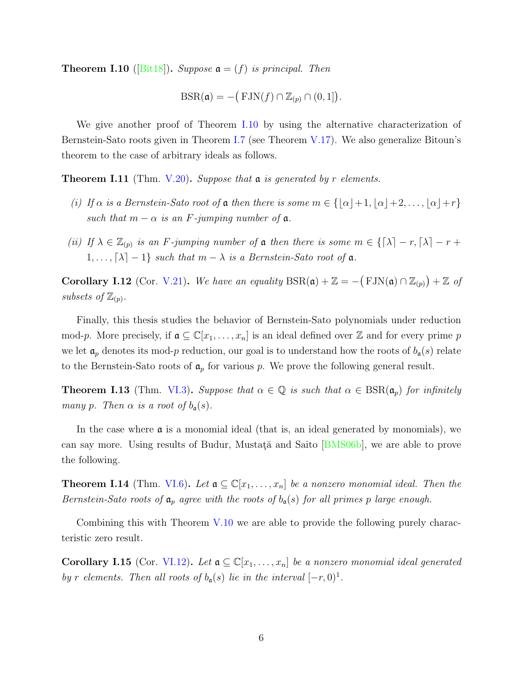<span id="page-13-0"></span>**Theorem I.10** ([\[Bit18](#page-87-3)]). *Suppose*  $\mathfrak{a} = (f)$  *is principal. Then* 

Suppose 
$$
\mathbf{a} = (f)
$$
 is principal. Then  
\n
$$
BSR(\mathbf{a}) = -\big(\text{FIN}(f) \cap \mathbb{Z}_{(p)} \cap (0,1]\big).
$$

We give another proof of Theorem [I.10](#page-13-0) by using the alternative characterization of Bernstein-Sato roots given in Theorem [I.7](#page-11-1) (see Theorem [V.17](#page-74-0)). We also generalize Bitoun's theorem to the case of arbitrary ideals as follows.

**Theorem I.11** (Thm. [V.20](#page-75-0))**.** *Suppose that* a *is generated by r elements.*

- *(i) If*  $\alpha$  *is a Bernstein-Sato root of*  $\alpha$  *then there is some*  $m \in \{[\alpha] + 1, [\alpha] + 2, \ldots, |\alpha| + r\}$ *such that*  $m - \alpha$  *is an F*-*jumping number of*  $\alpha$ *.*
- *(ii) If*  $\lambda \in \mathbb{Z}_{(p)}$  *is an F*-jumping number of  $\alpha$  then there is some  $m \in \{[\lambda] r, [\lambda] r + 1\}$ 1, ...,  $\lceil \lambda \rceil - 1$ *}* such that  $m - \lambda$  is a Bernstein-Sato root of  $\mathfrak a$ .

**Corollary I.12** (Cor. [V.21](#page-76-0)). We have an equality  $BSR(\mathfrak{a}) + \mathbb{Z} = -\left( FJN(\mathfrak{a}) \cap \mathbb{Z}_{(p)} \right) + \mathbb{Z}$  of subsets of  $\mathbb{Z}_{(p)}$ .

Finally, this thesis studies the behavior of Bernstein-Sato polynomials under reduction mod-p. More precisely, if  $\mathfrak{a} \subseteq \mathbb{C}[x_1,\ldots,x_n]$  is an ideal defined over Z and for every prime p we let  $a_p$  denotes its mod-*p* reduction, our goal is to understand how the roots of  $b_a(s)$  relate to the Bernstein-Sato roots of  $a_p$  for various p. We prove the following general result.

**Theorem I.13** (Thm. [VI.3](#page-79-1)). *Suppose that*  $\alpha \in \mathbb{Q}$  *is such that*  $\alpha \in \text{BSR}(\mathfrak{a}_p)$  *for infinitely many p. Then*  $\alpha$  *is a root of*  $b_{\mathfrak{a}}(s)$ *.* 

In the case where  $\alpha$  is a monomial ideal (that is, an ideal generated by monomials), we cansay more. Using results of Budur, Mustata and Saito [[BMS06b](#page-87-4)], we are able to prove the following.

**Theorem I.14** (Thm. [VI.6](#page-80-1)). Let  $\mathfrak{a} \subseteq \mathbb{C}[x_1,\ldots,x_n]$  be a nonzero monomial ideal. Then the *Bernstein-Sato roots of*  $a_p$  *agree with the roots of*  $b_q(s)$  *for all primes p large enough.* 

Combining this with Theorem [V.10](#page-70-0) we are able to provide the following purely characteristic zero result.

**Corollary I.15** (Cor. [VI.12](#page-83-1)). Let  $a \subseteq \mathbb{C}[x_1, \ldots, x_n]$  be a nonzero monomial ideal generated *by r* elements. Then all roots of  $b_a(s)$  lie in the interval  $[-r, 0]^1$ .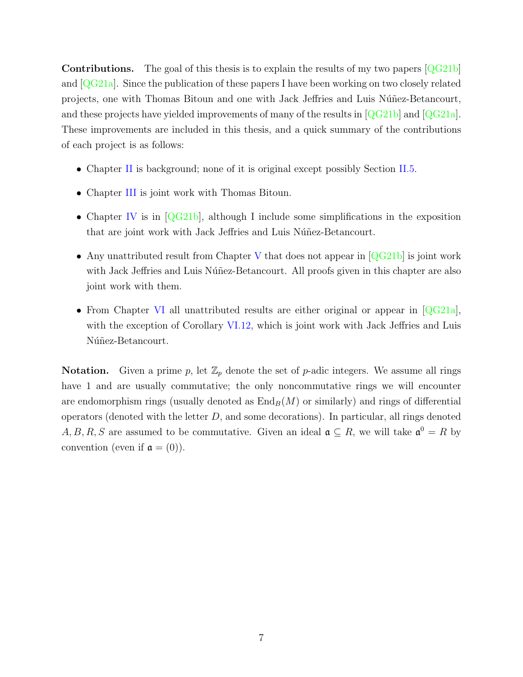**Contributions.** The goal of this thesis is to explain the results of my two papers [\[QG21b\]](#page-89-6) and $[QG21a]$  $[QG21a]$ . Since the publication of these papers I have been working on two closely related projects, one with Thomas Bitoun and one with Jack Jeffries and Luis Núñez-Betancourt, andthese projects have yielded improvements of many of the results in  $\left| \mathbb{Q}G21b \right|$  and  $\left| \mathbb{Q}G21a \right|$ . These improvements are included in this thesis, and a quick summary of the contributions of each project is as follows:

- Chapter [II](#page-7-0) is background; none of it is original except possibly Section [II.5](#page-36-0).
- Chapter [III](#page-43-0) is joint work with Thomas Bitoun.
- Chapter [IV](#page-50-0) is in  $[QG21b]$ , although I include some simplifications in the exposition that are joint work with Jack Jeffries and Luis Núñez-Betancourt.
- Any unattributed result from Chapter [V](#page-65-0)that does not appear in [[QG21b](#page-89-6)] is joint work with Jack Jeffries and Luis Núñez-Betancourt. All proofs given in this chapter are also joint work with them.
- From Chapter [VI](#page-77-0)all unattributed results are either original or appear in [[QG21a](#page-89-7)], with the exception of Corollary [VI.12,](#page-83-1) which is joint work with Jack Jeffries and Luis Núñez-Betancourt.

**Notation.** Given a prime p, let  $\mathbb{Z}_p$  denote the set of p-adic integers. We assume all rings have 1 and are usually commutative; the only noncommutative rings we will encounter are endomorphism rings (usually denoted as  $\text{End}_B(M)$  or similarly) and rings of differential operators (denoted with the letter *D*, and some decorations). In particular, all rings denoted  $A, B, R, S$  are assumed to be commutative. Given an ideal  $\mathfrak{a} \subseteq R$ , we will take  $\mathfrak{a}^0 = R$  by convention (even if  $\mathfrak{a} = (0)$ ).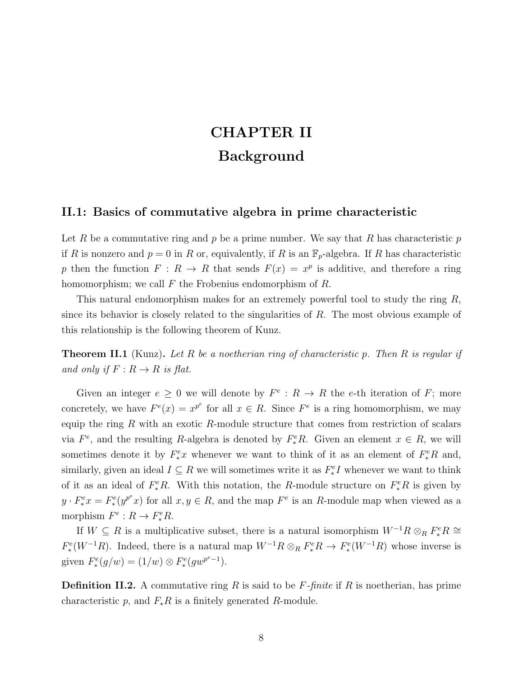## **CHAPTER II Background**

#### <span id="page-15-0"></span>**II.1: Basics of commutative algebra in prime characteristic**

Let *R* be a commutative ring and *p* be a prime number. We say that *R* has characteristic *p* if *R* is nonzero and  $p = 0$  in *R* or, equivalently, if *R* is an  $\mathbb{F}_p$ -algebra. If *R* has characteristic *p* then the function  $F: R \to R$  that sends  $F(x) = x^p$  is additive, and therefore a ring homomorphism; we call *F* the Frobenius endomorphism of *R*.

This natural endomorphism makes for an extremely powerful tool to study the ring *R*, since its behavior is closely related to the singularities of *R*. The most obvious example of this relationship is the following theorem of Kunz.

<span id="page-15-1"></span>**Theorem II.1** (Kunz)**.** *Let R be a noetherian ring of characteristic p. Then R is regular if and only if*  $F: R \to R$  *is flat.* 

Given an integer  $e \geq 0$  we will denote by  $F^e : R \to R$  the *e*-th iteration of *F*; more concretely, we have  $F^e(x) = x^{p^e}$  for all  $x \in R$ . Since  $F^e$  is a ring homomorphism, we may equip the ring *R* with an exotic *R*-module structure that comes from restriction of scalars via  $F^e$ , and the resulting *R*-algebra is denoted by  $F^e_*R$ . Given an element  $x \in R$ , we will sometimes denote it by  $F^e_* x$  whenever we want to think of it as an element of  $F^e_* R$  and, similarly, given an ideal  $I \subseteq R$  we will sometimes write it as  $F_*^eI$  whenever we want to think of it as an ideal of  $F^e_*R$ . With this notation, the *R*-module structure on  $F^e_*R$  is given by  $y \cdot F^e_* x = F^e_*(y^{p^e} x)$  for all  $x, y \in R$ , and the map  $F^e$  is an R-module map when viewed as a morphism  $F^e: R \to F^e_*R$ .

If  $W \subseteq R$  is a multiplicative subset, there is a natural isomorphism  $W^{-1}R \otimes_R F_*^e R \cong$  $F_*^e(W^{-1}R)$ . Indeed, there is a natural map  $W^{-1}R \otimes_R F_*^e R \to F_*^e(W^{-1}R)$  whose inverse is given  $F^e_*(g/w) = (1/w) \otimes F^e_*(gw^{p^e-1}).$ 

**Definition II.2.** A commutative ring *R* is said to be *F-finite* if *R* is noetherian, has prime characteristic  $p$ , and  $F_*R$  is a finitely generated  $R$ -module.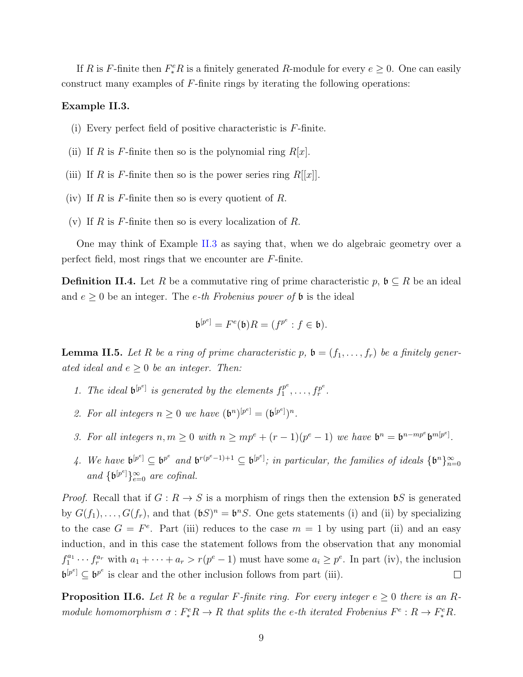If *R* is *F*-finite then  $F_*^eR$  is a finitely generated *R*-module for every  $e \geq 0$ . One can easily construct many examples of *F*-finite rings by iterating the following operations:

#### <span id="page-16-0"></span>**Example II.3.**

- (i) Every perfect field of positive characteristic is *F*-finite.
- (ii) If *R* is *F*-finite then so is the polynomial ring  $R[x]$ .
- (iii) If *R* is *F*-finite then so is the power series ring  $R[[x]]$ .
- (iv) If *R* is *F*-finite then so is every quotient of *R*.
- (v) If *R* is *F*-finite then so is every localization of *R*.

One may think of Example [II.3](#page-16-0) as saying that, when we do algebraic geometry over a perfect field, most rings that we encounter are *F*-finite.

**Definition II.4.** Let *R* be a commutative ring of prime characteristic  $p, \mathfrak{b} \subseteq R$  be an ideal and  $e \geq 0$  be an integer. The *e-th Frobenius power of*  $\mathfrak b$  is the ideal

$$
\mathfrak{b}^{[p^e]} = F^e(\mathfrak{b})R = (f^{p^e} : f \in \mathfrak{b}).
$$

<span id="page-16-2"></span>**Lemma II.5.** Let R be a ring of prime characteristic p,  $\mathfrak{b} = (f_1, \ldots, f_r)$  be a finitely gener*ated ideal and*  $e \geq 0$  *be an integer. Then:* 

- 1. The ideal  $\mathfrak{b}^{[p^e]}$  is generated by the elements  $f_1^{p^e}$  $f_1^{p^e}, \ldots, f_r^{p^e}$  $\frac{r}{r}$ .
- 2. For all integers  $n \geq 0$  we have  $({\bf b}^n)^{[p^e]} = ({\bf b}^{[p^e]})^n$ .
- 3. For all integers  $n, m \ge 0$  with  $n \ge mp^e + (r-1)(p^e-1)$  we have  $\mathfrak{b}^n = \mathfrak{b}^{n-mp^e} \mathfrak{b}^{m[p^e]}$ .
- 4. We have  $\mathfrak{b}^{[p^e]} \subseteq \mathfrak{b}^{p^e}$  and  $\mathfrak{b}^{r(p^e-1)+1} \subseteq \mathfrak{b}^{[p^e]}$ ; in particular, the families of ideals  $\{\mathfrak{b}^n\}_{n=0}^{\infty}$ *and*  ${\mathfrak{b}}^{[p^e]}$ } ${}_{e=0}^{\infty}$  *are cofinal.*

*Proof.* Recall that if  $G: R \to S$  is a morphism of rings then the extension  $\mathfrak{b}S$  is generated by  $G(f_1), \ldots, G(f_r)$ , and that  $(\mathfrak{b}S)^n = \mathfrak{b}^n S$ . One gets statements (i) and (ii) by specializing to the case  $G = F^e$ . Part (iii) reduces to the case  $m = 1$  by using part (ii) and an easy induction, and in this case the statement follows from the observation that any monomial  $f_1^{a_1} \cdots f_r^{a_r}$  with  $a_1 + \cdots + a_r > r(p^e - 1)$  must have some  $a_i \geq p^e$ . In part (iv), the inclusion  $\mathfrak{b}^{[p^e]} \subseteq \mathfrak{b}^{p^e}$  is clear and the other inclusion follows from part (iii).  $\Box$ 

<span id="page-16-1"></span>**Proposition II.6.** Let R be a regular F-finite ring. For every integer  $e \geq 0$  there is an Rmodule homomorphism  $\sigma: F_*^e R \to R$  that splits the e-th iterated Frobenius  $F^e: R \to F_*^e R$ .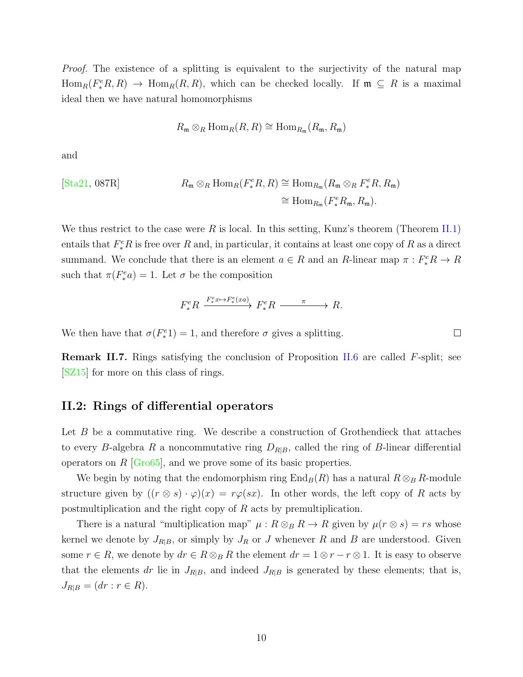*Proof.* The existence of a splitting is equivalent to the surjectivity of the natural map  $Hom_R(F_*^eR, R) \to Hom_R(R, R)$ , which can be checked locally. If  $\mathfrak{m} \subseteq R$  is a maximal ideal then we have natural homomorphisms

$$
R_{\mathfrak{m}} \otimes_R \text{Hom}_R(R, R) \cong \text{Hom}_{R_{\mathfrak{m}}}(R_{\mathfrak{m}}, R_{\mathfrak{m}})
$$

and

$$
\begin{aligned} \text{[Sta21, 087R]}\\ \text{Bianm}\mathbb{R} & \mathbb{R} \otimes_R \text{Hom}_R(F^e_*R, R) \cong \text{Hom}_{R_{\mathfrak{m}}}(R_{\mathfrak{m}} \otimes_R F^e_*R, R_{\mathfrak{m}}) \\ &\cong \text{Hom}_{R_{\mathfrak{m}}}(F^e_*R_{\mathfrak{m}}, R_{\mathfrak{m}}). \end{aligned}
$$

We thus restrict to the case were R is local. In this setting, Kunz's theorem (Theorem [II.1](#page-15-1)) entails that  $F^e_*R$  is free over  $R$  and, in particular, it contains at least one copy of  $R$  as a direct summand. We conclude that there is an element  $a \in R$  and an  $R$ -linear map  $\pi : F_*^e R \to R$ such that  $\pi(F_*^e a) = 1$ . Let  $\sigma$  be the composition

$$
F^e_* R \xrightarrow{F^e_* x \mapsto F^e_*(xa)} F^e_* R \xrightarrow{\pi} R.
$$

 $\Box$ 

We then have that  $\sigma(F_*^e) = 1$ , and therefore  $\sigma$  gives a splitting.

**Remark II.7.** Rings satisfying the conclusion of Proposition [II.6](#page-16-1) are called *F*-split; see [\[SZ15\]](#page-90-3) for more on this class of rings.

#### <span id="page-17-0"></span>**II.2: Rings of differential operators**

Let *B* be a commutative ring. We describe a construction of Grothendieck that attaches to every *B*-algebra *R* a noncommutative ring  $D_{R|B}$ , called the ring of *B*-linear differential operators on *R* [\[Gro65](#page-88-5)], and we prove some of its basic properties.

We begin by noting that the endomorphism ring  $\text{End}_B(R)$  has a natural  $R \otimes_B R$ -module structure given by  $((r \otimes s) \cdot \varphi)(x) = r\varphi(sx)$ . In other words, the left copy of *R* acts by postmultiplication and the right copy of *R* acts by premultiplication.

There is a natural "multiplication map"  $\mu$ :  $R \otimes_B R \to R$  given by  $\mu(r \otimes s) = rs$  whose kernel we denote by  $J_{R|B}$ , or simply by  $J_R$  or  $J$  whenever  $R$  and  $B$  are understood. Given some  $r \in R$ , we denote by  $dr \in R \otimes_B R$  the element  $dr = 1 \otimes r - r \otimes 1$ . It is easy to observe that the elements *dr* lie in  $J_{R|B}$ , and indeed  $J_{R|B}$  is generated by these elements; that is,  $J_{R|B} = (dr : r \in R)$ .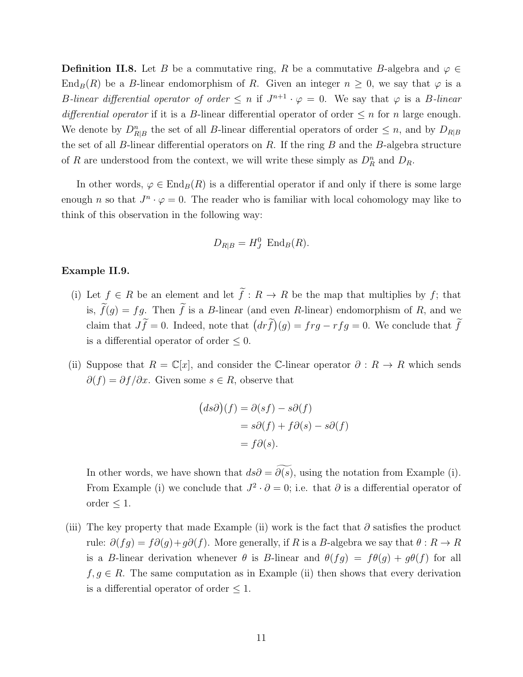**Definition II.8.** Let *B* be a commutative ring, *R* be a commutative *B*-algebra and  $\varphi \in$ End<sub>*B*</sub>(*R*) be a *B*-linear endomorphism of *R*. Given an integer  $n \geq 0$ , we say that  $\varphi$  is a *B-linear differential operator of order*  $\leq n$  if  $J^{n+1} \cdot \varphi = 0$ . We say that  $\varphi$  is a *B-linear differential operator* if it is a *B*-linear differential operator of order  $\leq n$  for *n* large enough. We denote by  $D_{R|B}^n$  the set of all *B*-linear differential operators of order  $\leq n$ , and by  $D_{R|B}$ the set of all *B*-linear differential operators on *R*. If the ring *B* and the *B*-algebra structure of *R* are understood from the context, we will write these simply as  $D_R^n$  and  $D_R$ .

In other words,  $\varphi \in \text{End}_B(R)$  is a differential operator if and only if there is some large enough *n* so that  $J^n \cdot \varphi = 0$ . The reader who is familiar with local cohomology may like to think of this observation in the following way:

$$
D_{R|B} = H_J^0 \operatorname{End}_B(R).
$$

#### <span id="page-18-0"></span>**Example II.9.**

- (i) Let  $f \in R$  be an element and let  $\tilde{f}: R \to R$  be the map that multiplies by  $f$ ; that ightharpoontal **is,** *f*(*g*) = *fg*. Then  $\widetilde{f}$  is a *B*-linear (and even *R*-linear) endomorphism of *R*, and we are *fg*. **i i c** *f* ∈ *R* be an element and let  $\tilde{f}$  :  $R \to R$  be the map that multiplies by  $f$ ; that is,  $\tilde{f}(g) = fg$ . Then  $\tilde{f}$  is a *B*-linear (and even *R*-linear) endomorphism of *R*, and we claim that  $J\tilde{f$ claim that  $J\tilde{f} = 0$ . Indeed, note that  $\left( dr\tilde{f}\right) (g) = frg - rfg = 0$ . We conclude that  $\tilde{f}$ is a differential operator of order  $\leq 0$ .
- (ii) Suppose that  $R = \mathbb{C}[x]$ , and consider the C-linear operator  $\partial : R \to R$  which sends  $∂(f) = ∂f/∂x$ . Given some  $s ∈ R$ , observe that and co<br> **e**  $s \in$ <br>  $(ds∂)$

$$
(ds\partial)(f) = \partial(sf) - s\partial(f)
$$
  
=  $s\partial(f) + f\partial(s) - s\partial(f)$   
=  $f\partial(s)$ .

 $= s\partial(f) + f\partial(s) - s\partial(f)$ <br>=  $f\partial(s)$ .<br>In other words, we have shown that  $ds\partial = \widetilde{\partial(s)}$ , using the notation from Example (i). From Example (i) we conclude that  $J^2 \cdot \partial = 0$ ; i.e. that  $\partial$  is a differential operator of order *≤* 1.

(iii) The key property that made Example (ii) work is the fact that  $\partial$  satisfies the product rule:  $\partial(fg) = f\partial(g) + g\partial(f)$ . More generally, if *R* is a *B*-algebra we say that  $\theta : R \to R$ is a *B*-linear derivation whenever  $\theta$  is *B*-linear and  $\theta(fg) = f\theta(g) + g\theta(f)$  for all  $f, g \in R$ . The same computation as in Example (ii) then shows that every derivation is a differential operator of order *≤* 1.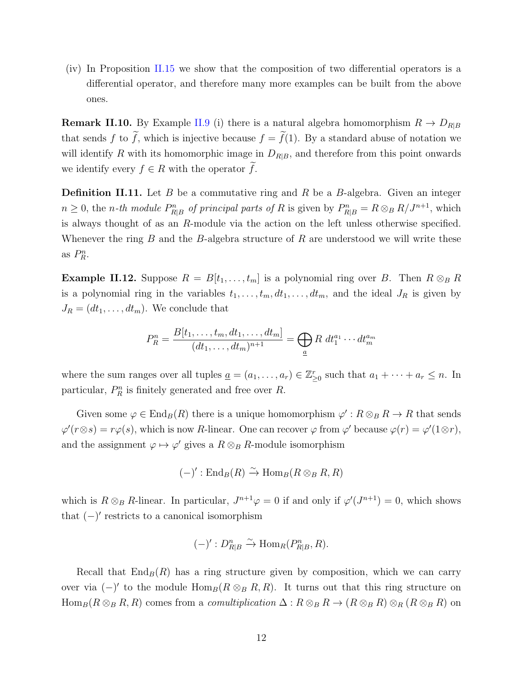(iv) In Proposition [II.15](#page-20-0) we show that the composition of two differential operators is a differential operator, and therefore many more examples can be built from the above ones.

**Remark II.10.** By Example [II.9](#page-18-0) (i) there is a natural algebra homomorphism  $R \rightarrow D_{R|B}$ that sends *f* to  $\tilde{f}$ , which is injective because  $f = \tilde{f}(1)$ . By a standard abuse of notation we have not for  $\tilde{f}$ , which is injective because  $f = \tilde{f}(1)$ . By a standard abuse of notation we will identify *R* with its homomorphic image in  $D_{R|B}$ , and therefore from this point onwards **Remark II.10.** By Example II.9 (i) there is that sends *f* to  $\tilde{f}$ , which is injective because will identify *R* with its homomorphic image is we identify every  $f \in R$  with the operator  $\tilde{f}$ .

**Definition II.11.** Let *B* be a commutative ring and *R* be a *B*-algebra. Given an integer  $n \geq 0$ , the *n*-th module  $P_{R|B}^n$  of principal parts of R is given by  $P_{R|B}^n = R \otimes_B R/J^{n+1}$ , which is always thought of as an *R*-module via the action on the left unless otherwise specified. Whenever the ring *B* and the *B*-algebra structure of *R* are understood we will write these as  $P_R^n$ .

<span id="page-19-0"></span>**Example II.12.** Suppose  $R = B[t_1, \ldots, t_m]$  is a polynomial ring over *B*. Then  $R \otimes_B R$ is a polynomial ring in the variables  $t_1, \ldots, t_m, dt_1, \ldots, dt_m$ , and the ideal  $J_R$  is given by  $J_R = (dt_1, \ldots, dt_m)$ . We conclude that

$$
P_R^n = \frac{B[t_1, \dots, t_m, dt_1, \dots, dt_m]}{(dt_1, \dots, dt_m)^{n+1}} = \bigoplus_a R \ dt_1^{a_1} \cdots dt_m^{a_m}
$$

where the sum ranges over all tuples  $\underline{a} = (a_1, \ldots, a_r) \in \mathbb{Z}_{\geq 0}^r$  such that  $a_1 + \cdots + a_r \leq n$ . In particular,  $P_R^n$  is finitely generated and free over  $R$ .

Given some  $\varphi \in \text{End}_B(R)$  there is a unique homomorphism  $\varphi' : R \otimes_B R \to R$  that sends  $\varphi'(r \otimes s) = r\varphi(s)$ , which is now *R*-linear. One can recover  $\varphi$  from  $\varphi'$  because  $\varphi(r) = \varphi'(1 \otimes r)$ , and the assignment  $\varphi \mapsto \varphi'$  gives a  $R \otimes_B R$ -module isomorphism

$$
(-)' : \mathrm{End}_B(R) \xrightarrow{\sim} \mathrm{Hom}_B(R \otimes_B R, R)
$$

which is  $R \otimes_B R$ -linear. In particular,  $J^{n+1}\varphi = 0$  if and only if  $\varphi'(J^{n+1}) = 0$ , which shows that (*−*) *′* restricts to a canonical isomorphism

$$
(-)' : D_{R|B}^n \xrightarrow{\sim} \text{Hom}_R(P_{R|B}^n, R).
$$

Recall that  $\text{End}_B(R)$  has a ring structure given by composition, which we can carry over via  $(-)'$  to the module  $\text{Hom}_B(R \otimes_B R, R)$ . It turns out that this ring structure on  $\text{Hom}_B(R \otimes_B R, R)$  comes from a *comultiplication*  $\Delta: R \otimes_B R \to (R \otimes_B R) \otimes_R (R \otimes_B R)$  on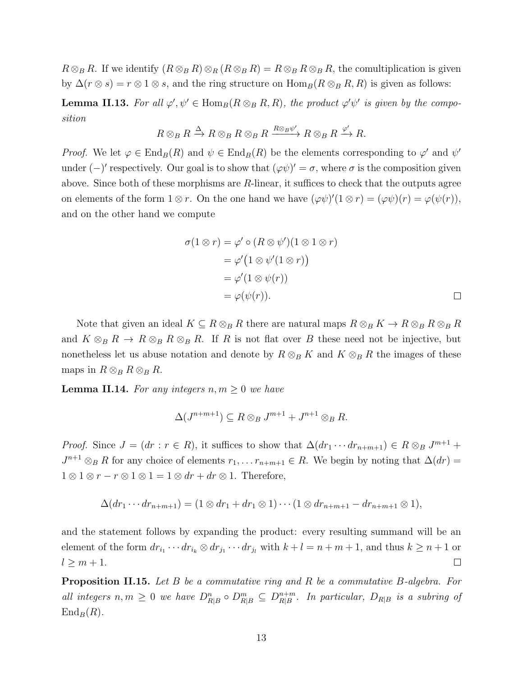$R \otimes_B R$ . If we identify  $(R \otimes_B R) \otimes_R (R \otimes_B R) = R \otimes_B R \otimes_B R$ , the comultiplication is given by  $\Delta(r \otimes s) = r \otimes 1 \otimes s$ , and the ring structure on  $\text{Hom}_B(R \otimes_B R, R)$  is given as follows:

**Lemma II.13.** For all  $\varphi', \psi' \in \text{Hom}_{B}(R \otimes_B R, R)$ , the product  $\varphi' \psi'$  is given by the compo*sition*

$$
R \otimes_B R \xrightarrow{\Delta} R \otimes_B R \otimes_B R \xrightarrow{R \otimes_B \psi'} R \otimes_B R \xrightarrow{\varphi'} R.
$$

*Proof.* We let  $\varphi \in \text{End}_B(R)$  and  $\psi \in \text{End}_B(R)$  be the elements corresponding to  $\varphi'$  and  $\psi'$ under  $(-)'$  respectively. Our goal is to show that  $(\varphi \psi)' = \sigma$ , where  $\sigma$  is the composition given above. Since both of these morphisms are *R*-linear, it suffices to check that the outputs agree on elements of the form  $1 \otimes r$ . On the one hand we have  $(\varphi \psi)'(1 \otimes r) = (\varphi \psi)(r) = \varphi(\psi(r))$ , and on the other hand we compute

$$
\sigma(1 \otimes r) = \varphi' \circ (R \otimes \psi')(1 \otimes 1 \otimes r)
$$
  
= 
$$
\varphi'(1 \otimes \psi'(1 \otimes r))
$$
  
= 
$$
\varphi'(1 \otimes \psi(r))
$$
  
= 
$$
\varphi(\psi(r)).
$$

Note that given an ideal  $K \subseteq R \otimes_B R$  there are natural maps  $R \otimes_B K \to R \otimes_B R \otimes_B R$ and  $K \otimes_B R \to R \otimes_B R \otimes_B R$ . If *R* is not flat over *B* these need not be injective, but nonetheless let us abuse notation and denote by  $R \otimes_B K$  and  $K \otimes_B R$  the images of these maps in  $R \otimes_B R \otimes_B R$ .

<span id="page-20-1"></span>**Lemma II.14.** For any integers  $n, m \geq 0$  we have

$$
\Delta(J^{n+m+1}) \subseteq R \otimes_B J^{m+1} + J^{n+1} \otimes_B R.
$$

*Proof.* Since  $J = (dr : r \in R)$ , it suffices to show that  $\Delta(dr_1 \cdots dr_{n+m+1}) \in R \otimes_B J^{m+1}$  +  $J^{n+1} \otimes_B R$  for any choice of elements  $r_1, \ldots r_{n+m+1} \in R$ . We begin by noting that  $\Delta(dr)$  $1 \otimes 1 \otimes r - r \otimes 1 \otimes 1 = 1 \otimes dr + dr \otimes 1$ . Therefore,

$$
\Delta(dr_1\cdots dr_{n+m+1})=(1\otimes dr_1+dr_1\otimes 1)\cdots(1\otimes dr_{n+m+1}-dr_{n+m+1}\otimes 1),
$$

and the statement follows by expanding the product: every resulting summand will be an element of the form  $dr_{i_1}\cdots dr_{i_k}\otimes dr_{j_1}\cdots dr_{j_l}$  with  $k+l=n+m+1$ , and thus  $k\geq n+1$  or  $l \geq m+1$ .  $\Box$ 

<span id="page-20-0"></span>**Proposition II.15.** *Let B be a commutative ring and R be a commutative B-algebra. For all integers*  $n, m \geq 0$  *we have*  $D_{R|B}^n \circ D_{R|B}^m \subseteq D_{R|B}^{n+m}$  $R|B \overline{B}}$ *. In particular,*  $D_{R|B}$  *is a subring of*  $\text{End}_B(R)$ .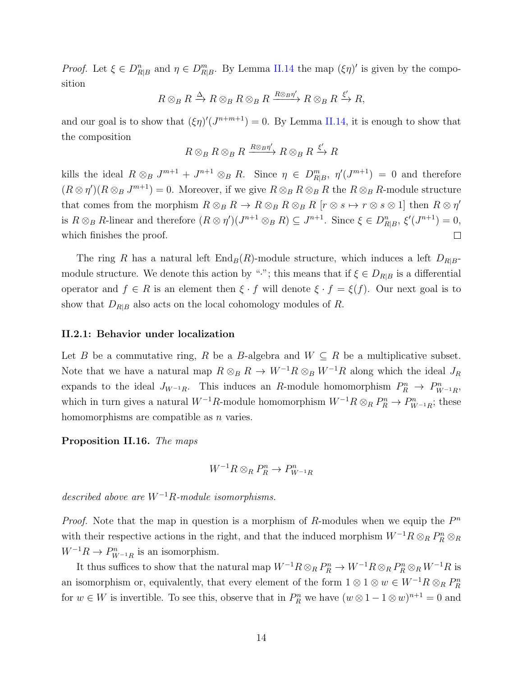*Proof.* Let  $\xi \in D_{R|B}^n$  and  $\eta \in D_{R|B}^m$ . By Lemma [II.14](#page-20-1) the map  $(\xi \eta)'$  is given by the composition

$$
R \otimes_B R \xrightarrow{\Delta} R \otimes_B R \otimes_B R \xrightarrow{R \otimes_B \eta'} R \otimes_B R \xrightarrow{\xi'} R,
$$

and our goal is to show that  $(\xi \eta)'(J^{n+m+1}) = 0$ . By Lemma [II.14,](#page-20-1) it is enough to show that the composition

$$
R \otimes_B R \otimes_B R \xrightarrow{R \otimes_B \eta'} R \otimes_B R \xrightarrow{\xi'} R
$$

kills the ideal  $R \otimes_B J^{m+1} + J^{n+1} \otimes_B R$ . Since  $\eta \in D^m_{R|B}$ ,  $\eta'(J^{m+1}) = 0$  and therefore  $(R \otimes \eta')(R \otimes_B J^{m+1}) = 0$ . Moreover, if we give  $R \otimes_B R \otimes_B R$  the  $R \otimes_B R$ -module structure that comes from the morphism  $R \otimes_B R \to R \otimes_B R \otimes_B R$  [ $r \otimes s \mapsto r \otimes s \otimes 1$ ] then  $R \otimes r'$ is  $R \otimes_B R$ -linear and therefore  $(R \otimes \eta')(J^{n+1} \otimes_B R) \subseteq J^{n+1}$ . Since  $\xi \in D_{R|B}^n$ ,  $\xi'(J^{n+1}) = 0$ , which finishes the proof.  $\Box$ 

The ring *R* has a natural left  $\text{End}_B(R)$ -module structure, which induces a left  $D_{R|B}$ module structure. We denote this action by "<sup>*\**</sup>"; this means that if  $\xi \in D_{R|B}$  is a differential operator and  $f \in R$  is an element then  $\xi \cdot f$  will denote  $\xi \cdot f = \xi(f)$ . Our next goal is to show that  $D_{R|B}$  also acts on the local cohomology modules of  $R$ .

#### <span id="page-21-0"></span>**II.2.1: Behavior under localization**

Let *B* be a commutative ring, *R* be a *B*-algebra and  $W \subseteq R$  be a multiplicative subset. Note that we have a natural map  $R \otimes_B R \to W^{-1}R \otimes_B W^{-1}R$  along which the ideal  $J_R$ expands to the ideal  $J_{W^{-1}R}$ . This induces an *R*-module homomorphism  $P_R^n \to P_{W^{-1}R}^n$ , which in turn gives a natural  $W^{-1}R$ -module homomorphism  $W^{-1}R \otimes_R P_R^n \to P_{W^{-1}R}^n$ ; these homomorphisms are compatible as *n* varies.

<span id="page-21-1"></span>**Proposition II.16.** *The maps*

$$
W^{-1}R\otimes_R P_R^n\to P_{W^{-1}R}^n
$$

*described above are W<sup>−</sup>*<sup>1</sup>*R-module isomorphisms.*

*Proof.* Note that the map in question is a morphism of *R*-modules when we equip the  $P^n$ with their respective actions in the right, and that the induced morphism  $W^{-1}R \otimes_R P_R^n \otimes_R P_R^n$  $W^{-1}R \to P_{W^{-1}R}^n$  is an isomorphism.

It thus suffices to show that the natural map  $W^{-1}R\otimes_R P_R^n \to W^{-1}R\otimes_R P_R^n\otimes_R W^{-1}R$  is an isomorphism or, equivalently, that every element of the form  $1 \otimes 1 \otimes w \in W^{-1}R \otimes_R P_R^n$ for  $w \in W$  is invertible. To see this, observe that in  $P_R^n$  we have  $(w \otimes 1 - 1 \otimes w)^{n+1} = 0$  and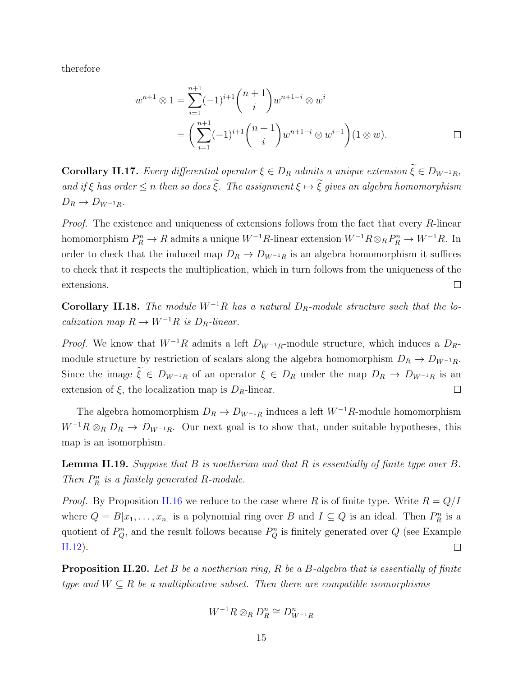therefore

therefore  
\n
$$
w^{n+1} \otimes 1 = \sum_{i=1}^{n+1} (-1)^{i+1} \binom{n+1}{i} w^{n+1-i} \otimes w^i
$$
\n
$$
= \left( \sum_{i=1}^{n+1} (-1)^{i+1} \binom{n+1}{i} w^{n+1-i} \otimes w^{i-1} \right) (1 \otimes w).
$$
\nCorollary II.17. Every differential operator  $\xi \in D_R$  admits a unique extension  $\widetilde{\xi} \in D_{W^{-1}R}$ ,

<span id="page-22-1"></span> $\begin{aligned}\n\mathbf{Corollary II.17.} \quad \text{Every differential operator } \xi \in D_R \text{ admits a unique extension } \widetilde{\xi} \in D_{W^{-1}R}, \\
\text{and if } \xi \text{ has order } \leq n \text{ then so does } \widetilde{\xi}. \text{ The assignment } \xi \mapsto \widetilde{\xi} \text{ gives an algebra homomorphism}\n\end{aligned}$  $D_R \to D_{W^{-1}R}$ *.* 

*Proof.* The existence and uniqueness of extensions follows from the fact that every *R*-linear homomorphism  $P_R^n \to R$  admits a unique  $W^{-1}R$ -linear extension  $W^{-1}R \otimes_R P_R^n \to W^{-1}R$ . In order to check that the induced map  $D_R \to D_{W^{-1}R}$  is an algebra homomorphism it suffices to check that it respects the multiplication, which in turn follows from the uniqueness of the extensions.  $\Box$ 

**Corollary II.18.** *The module*  $W^{-1}R$  *has a natural*  $D_R$ *-module structure such that the localization map*  $R \to W^{-1}R$  *is*  $D_R$ *-linear.* 

*Proof.* We know that  $W^{-1}R$  admits a left  $D_{W^{-1}R}$ -module structure, which induces a  $D_R$ module structure by restriction of scalars along the algebra homomorphism  $D_R \to D_{W^{-1}R}$ . Since the image  $\tilde{\xi} \in D_{W^{-1}R}$  of an operator  $\xi \in D_R$  under the map  $D_R \to D_{W^{-1}R}$  is an extension of  $\xi$ , the localization map is  $D_R$ -linear.  $\Box$ 

The algebra homomorphism  $D_R \to D_{W^{-1}R}$  induces a left  $W^{-1}R$ -module homomorphism  $W^{-1}R \otimes_R D_R \to D_{W^{-1}R}$ . Our next goal is to show that, under suitable hypotheses, this map is an isomorphism.

<span id="page-22-0"></span>**Lemma II.19.** *Suppose that B is noetherian and that R is essentially of finite type over B. Then*  $P_R^n$  *is a finitely generated*  $R$ *-module.* 

*Proof.* By Proposition [II.16](#page-21-1) we reduce to the case where R is of finite type. Write  $R = Q/I$ where  $Q = B[x_1, \ldots, x_n]$  is a polynomial ring over *B* and  $I \subseteq Q$  is an ideal. Then  $P_R^n$  is a quotient of  $P_Q^n$ , and the result follows because  $P_Q^n$  is finitely generated over  $Q$  (see Example  $\Box$ [II.12\)](#page-19-0).

<span id="page-22-2"></span>**Proposition II.20.** *Let B be a noetherian ring, R be a B-algebra that is essentially of finite type and*  $W \subseteq R$  *be a multiplicative subset. Then there are compatible isomorphisms* 

$$
W^{-1}R\otimes_R D_R^n\cong D_{W^{-1}R}^n
$$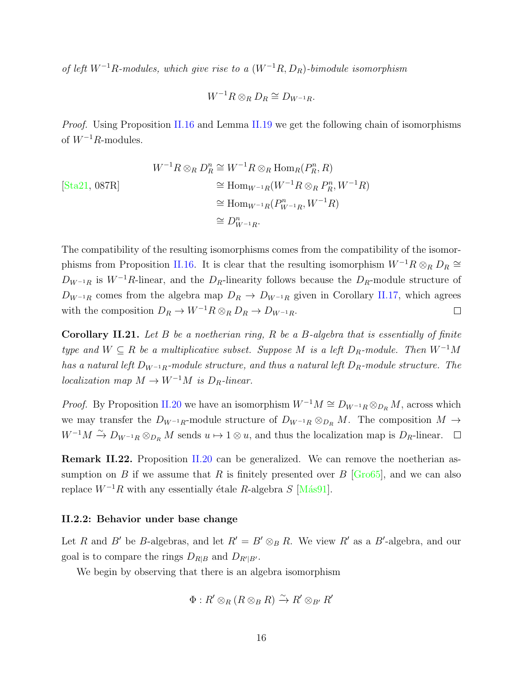*of left W<sup>−</sup>*<sup>1</sup>*R-modules, which give rise to a* (*W<sup>−</sup>*<sup>1</sup>*R, DR*)*-bimodule isomorphism*

$$
W^{-1}R \otimes_R D_R \cong D_{W^{-1}R}.
$$

*Proof.* Using Proposition [II.16](#page-21-1) and Lemma [II.19](#page-22-0) we get the following chain of isomorphisms of *W<sup>−</sup>*<sup>1</sup>*R*-modules.

$$
W^{-1}R \otimes_R D_R^n \cong W^{-1}R \otimes_R \text{Hom}_R(P_R^n, R)
$$
  
\n
$$
\cong \text{Hom}_{W^{-1}R}(W^{-1}R \otimes_R P_R^n, W^{-1}R)
$$
  
\n
$$
\cong \text{Hom}_{W^{-1}R}(P_{W^{-1}R}^n, W^{-1}R)
$$
  
\n
$$
\cong D_{W^{-1}R}^n.
$$

The compatibility of the resulting isomorphisms comes from the compatibility of the isomor-phisms from Proposition [II.16.](#page-21-1) It is clear that the resulting isomorphism  $W^{-1}R \otimes_R D_R \cong$  $D_{W^{-1}R}$  is  $W^{-1}R$ -linear, and the  $D_R$ -linearity follows because the  $D_R$ -module structure of  $D_{W^{-1}R}$  comes from the algebra map  $D_R \to D_{W^{-1}R}$  given in Corollary [II.17](#page-22-1), which agrees with the composition  $D_R \to W^{-1}R \otimes_R D_R \to D_{W^{-1}R}$ .  $\Box$ 

<span id="page-23-1"></span>**Corollary II.21.** *Let B be a noetherian ring, R be a B-algebra that is essentially of finite type and*  $W \subseteq R$  *be a multiplicative subset. Suppose M is a left*  $D_R$ *-module. Then*  $W^{-1}M$ *has a natural left D<sup>W</sup>−*1*R-module structure, and thus a natural left DR-module structure. The localization map*  $M \to W^{-1}M$  *is*  $D_R$ *-linear.* 

*Proof.* By Proposition [II.20](#page-22-2) we have an isomorphism  $W^{-1}M \cong D_{W^{-1}R} \otimes_{D_R} M$ , across which we may transfer the *D<sup>W</sup>−*1*R*-module structure of *D<sup>W</sup>−*1*<sup>R</sup> ⊗<sup>D</sup><sup>R</sup> M*. The composition *M →*  $W^{-1}M \xrightarrow{\sim} D_{W^{-1}R} \otimes_{D_R} M$  sends  $u \mapsto 1 \otimes u$ , and thus the localization map is  $D_R$ -linear.

**Remark II.22.** Proposition [II.20](#page-22-2) can be generalized. We can remove the noetherian assumption on *B* if we assume that *R* is finitely presented over *B* [\[Gro65\]](#page-88-5), and we can also replace  $W^{-1}R$  with any essentially étale  $R$ -algebra  $S$  [Más91].

#### <span id="page-23-0"></span>**II.2.2: Behavior under base change**

Let *R* and *B'* be *B*-algebras, and let  $R' = B' \otimes_B R$ . We view  $R'$  as a *B'*-algebra, and our goal is to compare the rings  $D_{R|B}$  and  $D_{R'|B'}$ .

We begin by observing that there is an algebra isomorphism

$$
\Phi: R' \otimes_R (R \otimes_B R) \xrightarrow{\sim} R' \otimes_{B'} R'
$$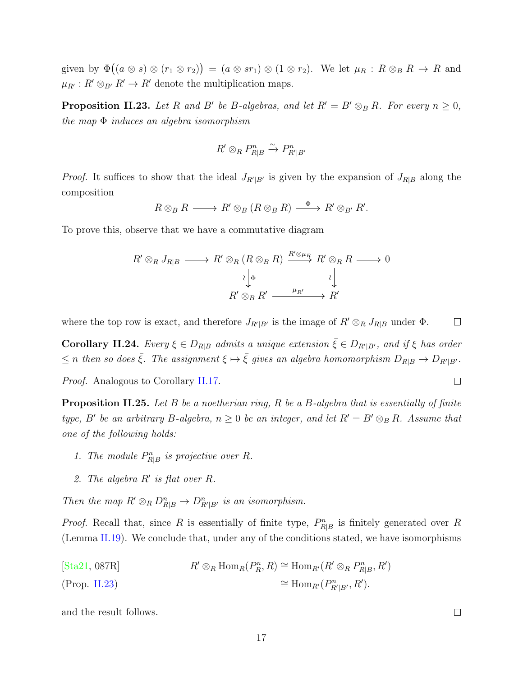given by  $\Phi((a \otimes s) \otimes (r_1 \otimes r_2)) = (a \otimes sr_1) \otimes (1 \otimes r_2)$ . We let  $\mu_R : R \otimes_B R \to R$  and  $\mu_{R'} : R' \otimes_{B'} R' \to R'$  denote the multiplication maps.

<span id="page-24-0"></span>**Proposition II.23.** Let R and B' be B-algebras, and let  $R' = B' \otimes_B R$ . For every  $n \geq 0$ , *the map* Φ *induces an algebra isomorphism*

$$
R' \otimes_R P_{R|B}^n \xrightarrow{\sim} P_{R'|B'}^n
$$

*Proof.* It suffices to show that the ideal  $J_{R'|B'}$  is given by the expansion of  $J_{R|B}$  along the composition

$$
R \otimes_B R \longrightarrow R' \otimes_B (R \otimes_B R) \stackrel{\Phi}{\longrightarrow} R' \otimes_{B'} R'.
$$

To prove this, observe that we have a commutative diagram

$$
R' \otimes_R J_{R|B} \longrightarrow R' \otimes_R (R \otimes_B R) \xrightarrow{R' \otimes_{\mu_R} R'} R' \otimes_R R \longrightarrow 0
$$

$$
\downarrow^{\downarrow} \downarrow^{\downarrow}
$$

$$
R' \otimes_B R' \xrightarrow{\mu_{R'}} R'
$$

where the top row is exact, and therefore  $J_{R'|B'}$  is the image of  $R' \otimes_R J_{R|B}$  under  $\Phi$ .  $\Box$ 

**Corollary II.24.** Every  $\xi \in D_{R|B}$  admits a unique extension  $\bar{\xi} \in D_{R'|B'}$ , and if  $\xi$  has order  $\leq n$  then so does  $\bar{\xi}$ . The assignment  $\xi \mapsto \bar{\xi}$  gives an algebra homomorphism  $D_{R|B} \to D_{R'|B'}$ .

*Proof.* Analogous to Corollary [II.17](#page-22-1).

**Proposition II.25.** *Let B be a noetherian ring, R be a B-algebra that is essentially of finite type, B*<sup>*'*</sup> *be an arbitrary B*-*algebra,*  $n \geq 0$  *be an integer, and let*  $R' = B' \otimes_B R$ *. Assume that one of the following holds:*

- 1. The module  $P_{R|B}^n$  is projective over R.
- *2. The algebra R′ is flat over R.*

*Then the map*  $R' \otimes_R D_{R|B}^n \to D_{R'|B'}^n$  *is an isomorphism.* 

*Proof.* Recall that, since *R* is essentially of finite type,  $P_{R|B}^n$  is finitely generated over *R* (Lemma [II.19](#page-22-0)). We conclude that, under any of the conditions stated, we have isomorphisms

[\[Sta21,](#page-90-2) 087R]  $R' \otimes_R \text{Hom}_R(P_R^n, R) \cong \text{Hom}_{R'}(R' \otimes_R P_{R|B}^n, R')$  $(Prop. \text{ II.23})$   $\cong \text{Hom}_{R'}(P_{R'|B'}^n, R').$ 

and the result follows.

 $\Box$ 

 $\Box$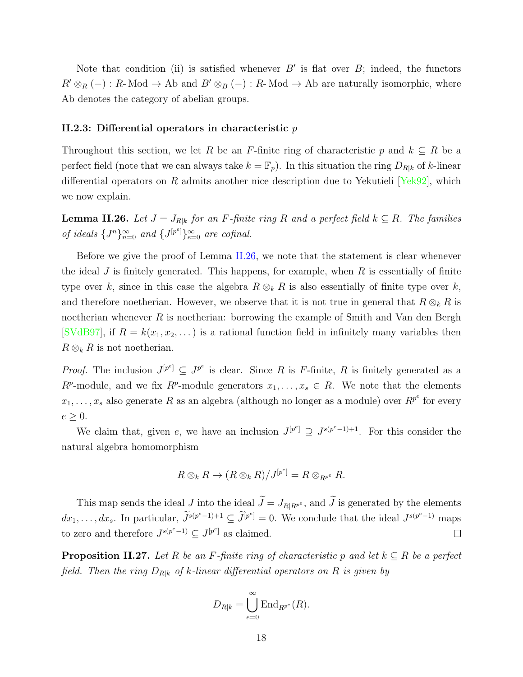Note that condition (ii) is satisfied whenever  $B'$  is flat over  $B$ ; indeed, the functors  $R' \otimes_R (-) : R$ - Mod  $\rightarrow$  Ab and  $B' \otimes_B (-) : R$ - Mod  $\rightarrow$  Ab are naturally isomorphic, where Ab denotes the category of abelian groups.

#### <span id="page-25-0"></span>**II.2.3: Differential operators in characteristic** *p*

Throughout this section, we let *R* be an *F*-finite ring of characteristic *p* and  $k \subseteq R$  be a perfect field (note that we can always take  $k = \mathbb{F}_p$ ). In this situation the ring  $D_{R|k}$  of k-linear differential operators on *R* admits another nice description due to Yekutieli[[Yek92\]](#page-90-4), which we now explain.

<span id="page-25-1"></span>**Lemma II.26.** *Let*  $J = J_{R|k}$  *for an F-finite ring R and a perfect field*  $k \subseteq R$ *. The families of ideals*  $\{J^n\}_{n=0}^{\infty}$  *and*  $\{J^{[p^e]}\}_{e=0}^{\infty}$  *are cofinal.* 

Before we give the proof of Lemma [II.26,](#page-25-1) we note that the statement is clear whenever the ideal *J* is finitely generated. This happens, for example, when *R* is essentially of finite type over *k*, since in this case the algebra  $R \otimes_k R$  is also essentially of finite type over *k*, and therefore noetherian. However, we observe that it is not true in general that  $R \otimes_k R$  is noetherian whenever *R* is noetherian: borrowing the example of Smith and Van den Bergh [\[SVdB97](#page-90-5)], if  $R = k(x_1, x_2, ...)$  is a rational function field in infinitely many variables then  $R \otimes_k R$  is not noetherian.

*Proof.* The inclusion  $J^{[p^e]} \subseteq J^{p^e}$  is clear. Since *R* is *F*-finite, *R* is finitely generated as a  $R^p$ -module, and we fix  $R^p$ -module generators  $x_1, \ldots, x_s \in R$ . We note that the elements  $x_1, \ldots, x_s$  also generate *R* as an algebra (although no longer as a module) over  $R^{p^e}$  for every  $e \geq 0$ .

We claim that, given *e*, we have an inclusion  $J^{[p^e]} \supseteq J^{s(p^e-1)+1}$ . For this consider the natural algebra homomorphism

$$
R \otimes_k R \to (R \otimes_k R)/J^{[p^e]} = R \otimes_{R^{p^e}} R.
$$

 $R \otimes_k R \to (R \otimes_k R)/J^{[p^e]} = R \otimes_{R^{p^e}} R$ .<br>This map sends the ideal *J* into the ideal  $\widetilde{J} = J_{R|R^{p^e}}$ , and  $\widetilde{J}$  is generated by the elements *dx*<sub>1</sub>*,..., dx<sub><i>s*</sub>. In particular,  $\widetilde{J}^{s(p^e-1)+1} \subseteq \widetilde{J}^{[p]}$  $e^{\beta} = 0$ . We conclude that the ideal  $J^{s(p^e-1)}$  maps to zero and therefore  $J^{s(p^e-1)} \subseteq J^{[p^e]}$  as claimed.  $\Box$ 

<span id="page-25-2"></span>**Proposition II.27.** *Let*  $R$  *be an*  $F$ *-finite ring of characteristic*  $p$  *and let*  $k \subseteq R$  *be a perfect field. Then the ring D<sup>R</sup>|<sup>k</sup> of k-linear differential operators on R is given by*

$$
D_{R|k} = \bigcup_{e=0}^{\infty} \text{End}_{R^{p^e}}(R).
$$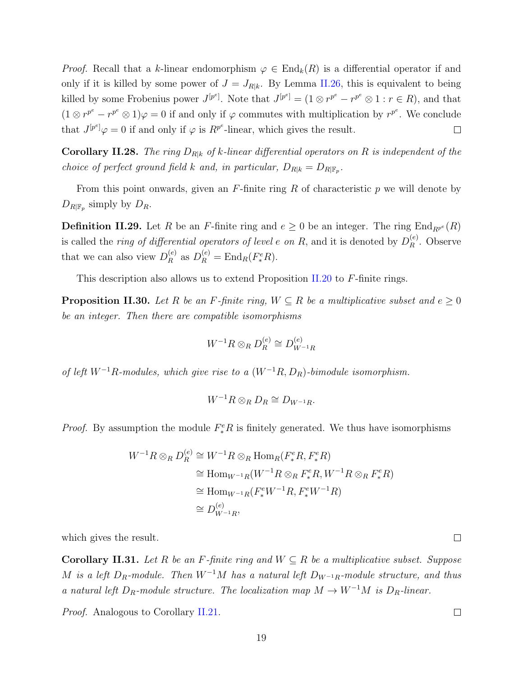*Proof.* Recall that a *k*-linear endomorphism  $\varphi \in \text{End}_k(R)$  is a differential operator if and only if it is killed by some power of  $J = J_{R|k}$ . By Lemma [II.26,](#page-25-1) this is equivalent to being killed by some Frobenius power  $J^{[p^e]}$ . Note that  $J^{[p^e]} = (1 \otimes r^{p^e} - r^{p^e} \otimes 1 : r \in R)$ , and that  $(1 \otimes r^{p^e} - r^{p^e} \otimes 1)\varphi = 0$  if and only if  $\varphi$  commutes with multiplication by  $r^{p^e}$ . We conclude that  $J^{[p^e]} \varphi = 0$  if and only if  $\varphi$  is  $R^{p^e}$ -linear, which gives the result.  $\Box$ 

**Corollary II.28.** *The ring*  $D_{R|k}$  *of k*-linear differential operators on R is independent of the *choice of perfect ground field k and, in particular,*  $D_{R|k} = D_{R|\mathbb{F}_p}$ .

From this point onwards, given an *F*-finite ring *R* of characteristic *p* we will denote by  $D_{R|\mathbb{F}_p}$  simply by  $D_R$ .

**Definition II.29.** Let *R* be an *F*-finite ring and  $e \ge 0$  be an integer. The ring  $\text{End}_{R^{p^e}}(R)$ is called the *ring of differential operators of level*  $e$  *<i>on*  $R$ , and it is denoted by  $D_R^{(e)}$ *R* . Observe that we can also view  $D_R^{(e)}$  $P_R^{(e)}$  as  $D_R^{(e)} = \text{End}_R(F_*^e R)$ .

This description also allows us to extend Proposition [II.20](#page-22-2) to *F*-finite rings.

**Proposition II.30.** *Let R be an F*-finite ring,  $W \subseteq R$  *be a multiplicative subset and*  $e \geq 0$ *be an integer. Then there are compatible isomorphisms*

$$
W^{-1}R \otimes_R D_R^{(e)} \cong D_{W^{-1}R}^{(e)}
$$

*of left W<sup>−</sup>*<sup>1</sup>*R-modules, which give rise to a* (*W<sup>−</sup>*<sup>1</sup>*R, DR*)*-bimodule isomorphism.*

$$
W^{-1}R\otimes_R D_R \cong D_{W^{-1}R}.
$$

*Proof.* By assumption the module  $F_*^eR$  is finitely generated. We thus have isomorphisms

$$
W^{-1}R \otimes_R D_R^{(e)} \cong W^{-1}R \otimes_R \text{Hom}_R(F_*^e R, F_*^e R)
$$
  
\n
$$
\cong \text{Hom}_{W^{-1}R}(W^{-1}R \otimes_R F_*^e R, W^{-1}R \otimes_R F_*^e R)
$$
  
\n
$$
\cong \text{Hom}_{W^{-1}R}(F_*^e W^{-1} R, F_*^e W^{-1} R)
$$
  
\n
$$
\cong D_{W^{-1}R}^{(e)},
$$

which gives the result.

<span id="page-26-0"></span>**Corollary II.31.** *Let*  $R$  *be an*  $F$ *-finite ring and*  $W \subseteq R$  *be a multiplicative subset. Suppose M is a left*  $D_R$ *-module. Then*  $W^{-1}M$  *has a natural left*  $D_{W^{-1}R}$ *-module structure, and thus a* natural left  $D_R$ -module structure. The localization map  $M \to W^{-1}M$  is  $D_R$ -linear.

*Proof.* Analogous to Corollary [II.21](#page-23-1).

 $\Box$ 

 $\Box$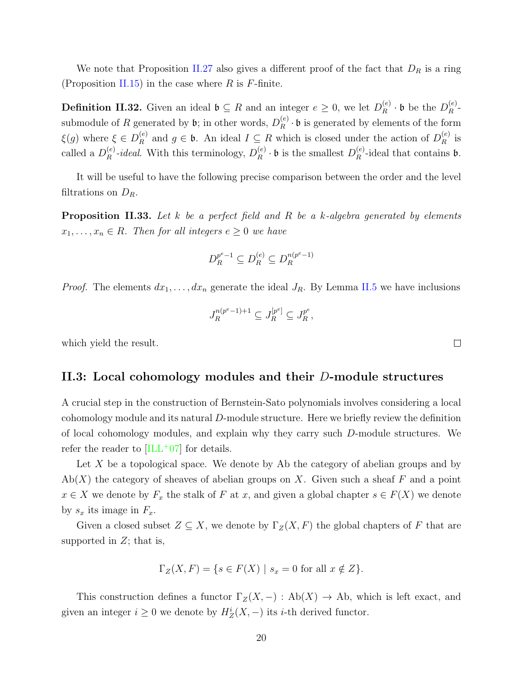We note that Proposition [II.27](#page-25-2) also gives a different proof of the fact that *D<sup>R</sup>* is a ring (Proposition [II.15](#page-20-0)) in the case where *R* is *F*-finite.

**Definition II.32.** Given an ideal  $\mathfrak{b} \subseteq R$  and an integer  $e \geq 0$ , we let  $D_R^{(e)}$  $\frac{(e)}{R} \cdot \mathfrak{b}$  be the  $D_R^{(e)}$  $\frac{(e)}{R}$ submodule of *R* generated by  $\mathfrak{b}$ ; in other words,  $D_R^{(e)}$  $R_R^{(e)} \cdot \mathfrak{b}$  is generated by elements of the form *ξ*(*g*) where  $\xi \in D_R^{(e)}$  $P_R^{(e)}$  and  $g \in \mathfrak{b}$ . An ideal  $I \subseteq R$  which is closed under the action of  $D_R^{(e)}$  $\frac{e}{R}$  is called a  $D_R^{(e)}$  $R^{(e)}$ -*ideal*. With this terminology,  $D_R^{(e)}$  $\binom{e}{R}$  · **b** is the smallest  $D_R^{(e)}$  $R^{(e)}$ -ideal that contains **b**.

It will be useful to have the following precise comparison between the order and the level filtrations on *DR*.

**Proposition II.33.** *Let k be a perfect field and R be a k-algebra generated by elements*  $x_1, \ldots, x_n \in R$ *. Then for all integers*  $e \geq 0$  *we have* 

$$
D_R^{p^e-1} \subseteq D_R^{(e)} \subseteq D_R^{n(p^e-1)}
$$

*Proof.* The elements  $dx_1, \ldots, dx_n$  generate the ideal  $J_R$ . By Lemma [II.5](#page-16-2) we have inclusions

$$
J_R^{n(p^e-1)+1} \subseteq J_R^{[p^e]} \subseteq J_R^{p^e},
$$

<span id="page-27-0"></span>which yield the result.

#### **II.3: Local cohomology modules and their** *D***-module structures**

A crucial step in the construction of Bernstein-Sato polynomials involves considering a local cohomology module and its natural *D*-module structure. Here we briefly review the definition of local cohomology modules, and explain why they carry such *D*-module structures. We refer the reader to  $[\text{ILL}^+07]$  for details.

Let X be a topological space. We denote by Ab the category of abelian groups and by Ab(*X*) the category of sheaves of abelian groups on *X*. Given such a sheaf *F* and a point *x* ∈ *X* we denote by  $F_x$  the stalk of *F* at *x*, and given a global chapter  $s \in F(X)$  we denote by  $s_x$  its image in  $F_x$ .

Given a closed subset  $Z \subseteq X$ , we denote by  $\Gamma_Z(X, F)$  the global chapters of F that are supported in *Z*; that is,

$$
\Gamma_Z(X, F) = \{ s \in F(X) \mid s_x = 0 \text{ for all } x \notin Z \}.
$$

This construction defines a functor  $\Gamma_Z(X, -) : Ab(X) \to Ab$ , which is left exact, and given an integer  $i \geq 0$  we denote by  $H_Z^i(X, -)$  its *i*-th derived functor.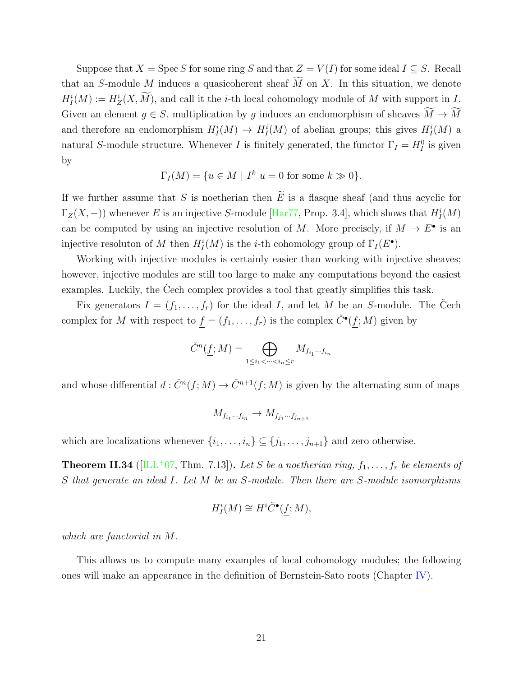Suppose that  $X = \text{Spec } S$  for some ring  $S$  and that  $Z = V(I)$  for some ideal  $I \subseteq S$ . Recall Suppose that  $X = \text{Spec } S$  for some ring  $S$  and that  $Z = V(I)$  for some ideal  $I \subseteq S$ . Recall that an *S*-module *M* induces a quasicoherent sheaf  $\widetilde{M}$  on  $X$ . In this situation, we denote  $H_I^i(M) := H_Z^i$ (*X*) and  $X = \text{Spec } S$  for some ring  $S$  and that  $Z = V(I)$  for some ideal  $I \subseteq S$ . Recall dule  $M$  induces a quasicoherent sheaf  $\widetilde{M}$  on  $X$ . In this situation, we denote  $(X, \widetilde{M})$ , and call it the *i*-th local cohomol Suppose that *X* = Spec *S* for some ring *S* and that  $Z = V(I)$  for some ideal  $I \subseteq S$ . Recall that an *S*-module *M* induces a quasicoherent sheaf  $\widetilde{M}$  on *X*. In this situation, we denote  $H_I^i(M) := H_Z^i(X, \widetilde{M})$ , and and therefore an endomorphism  $H_I^i(M) \to H_I^i(M)$  of abelian groups; this gives  $H_I^i(M)$  a natural *S*-module structure. Whenever *I* is finitely generated, the functor  $\Gamma_I = H_I^0$  is given by

$$
\Gamma_I(M) = \{ u \in M \mid I^k \ u = 0 \text{ for some } k \gg 0 \}.
$$

If we further assume that *S* is noetherian then  $\tilde{E}$  is a flasque sheaf (and thus acyclic for  $\Gamma_Z(X, -)$ ) whenever *E* is an injective *S*-module [\[Har77](#page-88-6), Prop. 3.4], which shows that  $H^i_I(M)$ can be computed by using an injective resolution of *M*. More precisely, if  $M \to E^{\bullet}$  is an injective resoluton of *M* then  $H_I^i(M)$  is the *i*-th cohomology group of  $\Gamma_I(E^{\bullet})$ .

Working with injective modules is certainly easier than working with injective sheaves; however, injective modules are still too large to make any computations beyond the easiest examples. Luckily, the Cech complex provides a tool that greatly simplifies this task.

Fix generators  $I = (f_1, \ldots, f_r)$  for the ideal *I*, and let *M* be an *S*-module. The Cech complex for *M* with respect to  $f = (f_1, \ldots, f_r)$  is the complex  $\check{C}^{\bullet}(f; M)$  given by plex provides a t<br>  $(f_r)$  for the ideal<br>  $(f; M) = \bigoplus$ 

$$
\check{C}^n(\underline{f};M) = \bigoplus_{1 \le i_1 < \dots < i_n \le r} M_{f_{i_1} \dots f_{i_n}}
$$

and whose differential  $d: \check{C}^n(f;M) \to \check{C}^{n+1}(f;M)$  is given by the alternating sum of maps

$$
M_{f_{i_1}\cdots f_{i_n}} \to M_{f_{j_1}\cdots f_{j_{n+1}}}
$$

which are localizations whenever  $\{i_1, \ldots, i_n\} \subseteq \{j_1, \ldots, j_{n+1}\}\$  and zero otherwise.

**Theorem II.34** ([[ILL](#page-89-9)<sup>+</sup>07, Thm. 7.13]). Let *S* be a noetherian ring,  $f_1, \ldots, f_r$  be elements of *S that generate an ideal I. Let M be an S-module. Then there are S-module isomorphisms*

$$
H_I^i(M) \cong H^i \check{C}^\bullet(\underline{f};M),
$$

*which are functorial in M.*

This allows us to compute many examples of local cohomology modules; the following ones will make an appearance in the definition of Bernstein-Sato roots (Chapter [IV\)](#page-50-0).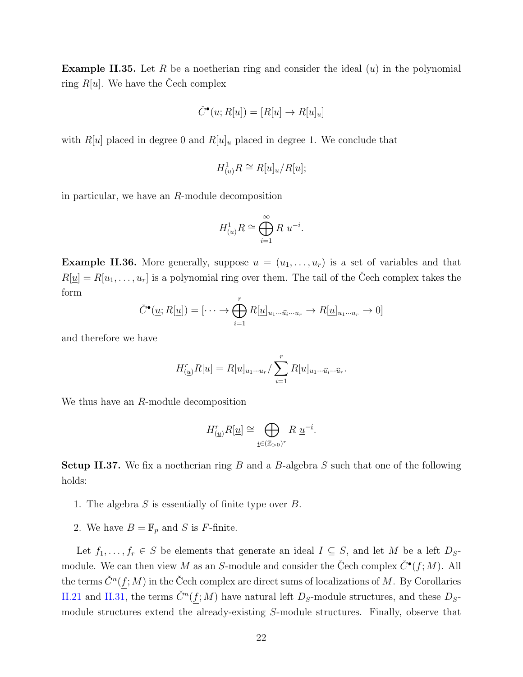**Example II.35.** Let *R* be a noetherian ring and consider the ideal (*u*) in the polynomial ring  $R[u]$ . We have the Cech complex

$$
\check{C}^\bullet(u;R[u]) = [R[u] \to R[u]_u]
$$

with  $R[u]$  placed in degree 0 and  $R[u]_u$  placed in degree 1. We conclude that

$$
H^1_{(u)}R\cong R[u]_u/R[u];
$$

in particular, we have an *R*-module decomposition

$$
H^1_{(u)}R \cong \bigoplus_{i=1}^{\infty} R \ u^{-i}.
$$

**Example II.36.** More generally, suppose  $\underline{u} = (u_1, \ldots, u_r)$  is a set of variables and that  $R[\underline{u}] = R[u_1, \ldots, u_r]$  is a polynomial ring over them. The tail of the Čech complex takes the form for generally, suppose<br>is a polynomial ring of<br> $(\underline{u}; R[\underline{u}]) = [\cdots \rightarrow \bigoplus^{r}$ 

$$
\check{C}^{\bullet}(\underline{u};R[\underline{u}]) = [\cdots \to \bigoplus_{i=1}^{r} R[\underline{u}]_{u_1\cdots \widehat{u_i}\cdots u_r} \to R[\underline{u}]_{u_1\cdots u_r} \to 0]
$$

and therefore we have

$$
H_{(\underline{u})}^r R[\underline{u}] = R[\underline{u}]_{u_1\cdots u_r} / \sum_{i=1}^r R[\underline{u}]_{u_1\cdots \widehat{u}_i\cdots \widehat{u}_r}.
$$

We thus have an *R*-module decomposition

$$
H^r_{(\underline{u})}R[\underline{u}] \cong \bigoplus_{\underline{i} \in (\mathbb{Z}_{>0})^r} R \underline{u}^{-\underline{i}}.
$$

<span id="page-29-0"></span>**Setup II.37.** We fix a noetherian ring *B* and a *B*-algebra *S* such that one of the following holds:

- 1. The algebra *S* is essentially of finite type over *B*.
- 2. We have  $B = \mathbb{F}_p$  and *S* is *F*-finite.

Let  $f_1, \ldots, f_r \in S$  be elements that generate an ideal  $I \subseteq S$ , and let M be a left  $D_S$ module. We can then view *M* as an *S*-module and consider the Čech complex  $\check{C}^{\bullet}(f;M)$ . All the terms  $\check{C}^n(f;M)$  in the Čech complex are direct sums of localizations of M. By Corollaries [II.21](#page-23-1) and [II.31](#page-26-0), the terms  $\check{C}^n(f;M)$  have natural left  $D_s$ -module structures, and these  $D_s$ module structures extend the already-existing *S*-module structures. Finally, observe that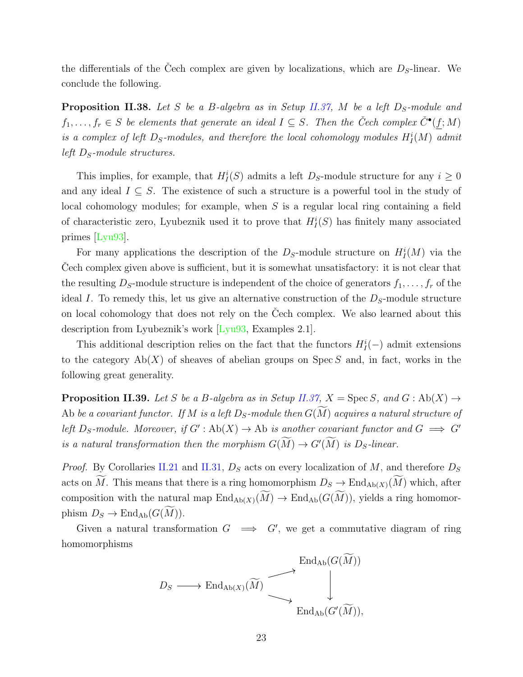the differentials of the Cech complex are given by localizations, which are  $D<sub>S</sub>$ -linear. We conclude the following.

**Proposition II.38.** *Let S be a B-algebra as in Setup [II.37,](#page-29-0) M be a left DS-module and*  $f_1, \ldots, f_r \in S$  *be elements that generate an ideal*  $I \subseteq S$ *. Then the Čech complex*  $\check{C}^{\bullet}(f;M)$ *is a complex of left*  $D_s$ *-modules, and therefore the local cohomology modules*  $H_I^i(M)$  *admit left DS-module structures.*

This implies, for example, that  $H_I^i(S)$  admits a left  $D_S$ -module structure for any  $i \geq 0$ and any ideal  $I \subseteq S$ . The existence of such a structure is a powerful tool in the study of local cohomology modules; for example, when *S* is a regular local ring containing a field of characteristic zero, Lyubeznik used it to prove that  $H_I^i(S)$  has finitely many associated primes [\[Lyu93\]](#page-89-10).

For many applications the description of the  $D<sub>S</sub>$ -module structure on  $H<sub>I</sub><sup>i</sup>(M)$  via the Cech complex given above is sufficient, but it is somewhat unsatisfactory: it is not clear that the resulting  $D_s$ -module structure is independent of the choice of generators  $f_1, \ldots, f_r$  of the ideal *I*. To remedy this, let us give an alternative construction of the *DS*-module structure on local cohomology that does not rely on the Cech complex. We also learned about this description from Lyubeznik's work [\[Lyu93](#page-89-10), Examples 2.1].

This additional description relies on the fact that the functors  $H_I^i(-)$  admit extensions to the category Ab(*X*) of sheaves of abelian groups on Spec *S* and, in fact, works in the following great generality.

**Proposition II.39.** *Let S be a B*-algebra as in Setup *[II.37](#page-29-0)*,  $X = \text{Spec } S$ , and  $G : \text{Ab}(X) \rightarrow$ following great generality.<br> **Proposition II.39.** Let *S* be a *B*-algebra as in Setup II.37,  $X = \text{Spec } S$ , and  $G : \text{Ab}(X) \rightarrow$ <br>
Ab be a covariant functor. If *M* is a left  $D_S$ -module then  $G(\widetilde{M})$  acquires a natural struc *left*  $D_S$ -module. Moreover, if  $G' : Ab(X) \to Ab$  is another covariant functor and  $G \implies G'$ **Proposition II.39.** Let S be a B-algebra as in Setup II.37,  $X = \text{Spec } S$ , and Ab be a covariant functor. If M is a left  $D_S$ -module then  $G(\widetilde{M})$  acquires a natueleft  $D_S$ -module. Moreover, if  $G' : Ab(X) \to Ab$  is another cova

*Proof.* By Corollaries [II.21](#page-23-1) and [II.31,](#page-26-0)  $D<sub>S</sub>$  acts on every localization of *M*, and therefore  $D<sub>S</sub>$ is a natural transformation then the morphism  $G(\widetilde{M}) \to G'(\widetilde{M})$  is  $D_S$ -linear.<br>*Proof.* By Corollaries II.21 and II.31,  $D_S$  acts on every localization of  $M$ , and therefore  $D_S$  acts on  $\widetilde{M}$ . This means that th composition with the natural map  $\overline{L}$  and  $\overline{L}$  and  $\overline{L}$  and  $\overline{L}$  and  $\overline{L}$  and  $\overline{L}$  and  $\overline{L}$  and  $\overline{L}$  and  $\overline{L}$  and  $\overline{L}$  and  $\overline{L}$  and  $\overline{L}$  and  $\overline{L}$  and  $\overline{L}$  and  $\overline{L$ composition with the natural map  $\text{End}_{\text{Ab}(X)}(\widetilde{M}) \to \text{End}_{\text{Ab}}(G(\widetilde{M})),$  yields a ring homomorphism  $D_S \to \text{End}_{\text{Ab}}(G(\widetilde{M})).$ 

Given a natural transformation  $G \implies G'$ , we get a commutative diagram of ring homomorphisms get a commu<br>
End<sub>Ab</sub>( $G(\widetilde{M})$ )

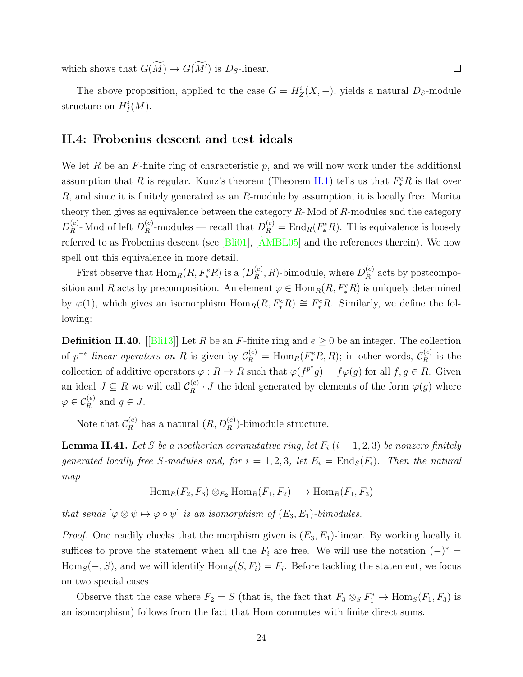which shows that  $G(\widetilde{M}) \to G(\widetilde{M}')$  is  $D_S$ -linear.

The above proposition, applied to the case  $G = H_Z^i(X, -)$ , yields a natural  $D_S$ -module structure on  $H_I^i(M)$ .

 $\Box$ 

#### <span id="page-31-0"></span>**II.4: Frobenius descent and test ideals**

We let *R* be an *F*-finite ring of characteristic *p*, and we will now work under the additional assumption that *R* is regular. Kunz's theorem (Theorem [II.1\)](#page-15-1) tells us that  $F_*^eR$  is flat over *R*, and since it is finitely generated as an *R*-module by assumption, it is locally free. Morita theory then gives as equivalence between the category *R*- Mod of *R*-modules and the category  $D_R^{(e)}$  $\binom{e}{R}$ - Mod of left  $D_R^{(e)}$  $P_R^{(e)}$ -modules — recall that  $D_R^{(e)} = \text{End}_R(F_*^e R)$ . This equivalence is loosely referredto as Frobenius descent (see  $[Bli01]$  $[Bli01]$  $[Bli01]$ ,  $[\hat{A}MBL05]$  and the references therein). We now spell out this equivalence in more detail.

First observe that  $\text{Hom}_R(R, F_*^e R)$  is a  $(D_R^{(e)})$  $R_R^{(e)}$ , *R*)-bimodule, where  $D_R^{(e)}$  $R_R^{(e)}$  acts by postcomposition and *R* acts by precomposition. An element  $\varphi \in \text{Hom}_R(R, F_*^e R)$  is uniquely determined by  $\varphi(1)$ , which gives an isomorphism  $\text{Hom}_R(R, F_*^e R) \cong F_*^e R$ . Similarly, we define the following:

**Definition II.40.** [[\[Bli13\]](#page-87-7)] Let *R* be an *F*-finite ring and  $e \ge 0$  be an integer. The collection of  $p^{-e}$ -linear operators on R is given by  $\mathcal{C}_R^{(e)} = \text{Hom}_R(F_*^eR, R)$ ; in other words,  $\mathcal{C}_R^{(e)}$  $\frac{e}{R}$  is the collection of additive operators  $\varphi : R \to R$  such that  $\varphi(f^{p^e}g) = f\varphi(g)$  for all  $f, g \in R$ . Given an ideal  $J \subseteq R$  we will call  $\mathcal{C}_R^{(e)}$  $R^{(e)}$  *· J* the ideal generated by elements of the form  $\varphi(g)$  where  $\varphi \in C_R^{(e)}$  and  $g \in J$ .

Note that  $\mathcal{C}_R^{(e)}$  has a natural  $(R, D_R^{(e)})$ -bimodule structure.

<span id="page-31-1"></span>**Lemma II.41.** Let *S* be a noetherian commutative ring, let  $F_i$  ( $i = 1, 2, 3$ ) be nonzero finitely *generated locally free S*-modules and, for  $i = 1, 2, 3$ , let  $E_i = \text{End}_S(F_i)$ . Then the natural *map*

$$
\operatorname{Hom}_R(F_2, F_3) \otimes_{E_2} \operatorname{Hom}_R(F_1, F_2) \longrightarrow \operatorname{Hom}_R(F_1, F_3)
$$

*that sends*  $[\varphi \otimes \psi \mapsto \varphi \circ \psi]$  *is an isomorphism of*  $(E_3, E_1)$ *-bimodules.* 

*Proof.* One readily checks that the morphism given is  $(E_3, E_1)$ -linear. By working locally it suffices to prove the statement when all the  $F_i$  are free. We will use the notation  $(-)^* =$  $Hom_S(-, S)$ , and we will identify  $Hom_S(S, F_i) = F_i$ . Before tackling the statement, we focus on two special cases.

Observe that the case where  $F_2 = S$  (that is, the fact that  $F_3 \otimes_S F_1^* \to \text{Hom}_S(F_1, F_3)$  is an isomorphism) follows from the fact that Hom commutes with finite direct sums.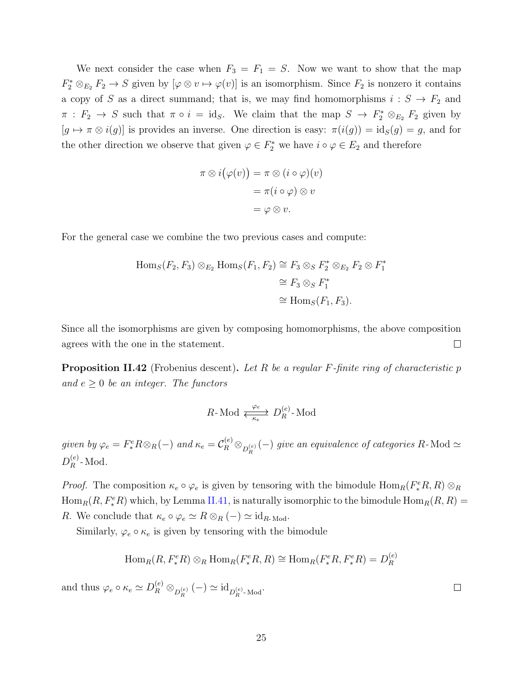We next consider the case when  $F_3 = F_1 = S$ . Now we want to show that the map  $F_2^* \otimes_{E_2} F_2 \to S$  given by  $[\varphi \otimes v \mapsto \varphi(v)]$  is an isomorphism. Since  $F_2$  is nonzero it contains a copy of *S* as a direct summand; that is, we may find homomorphisms  $i: S \rightarrow F_2$  and  $\pi$ :  $F_2 \to S$  such that  $\pi \circ i = \text{id}_S$ . We claim that the map  $S \to F_2^* \otimes_{E_2} F_2$  given by  $[g \mapsto \pi \otimes i(g)]$  is provides an inverse. One direction is easy:  $\pi(i(g)) = id_S(g) = g$ , and for the other direction we observe that given  $\varphi \in F_2^*$  we have  $i \circ \varphi \in E_2$  and therefore

$$
\pi \otimes i(\varphi(v)) = \pi \otimes (i \circ \varphi)(v)
$$

$$
= \pi(i \circ \varphi) \otimes v
$$

$$
= \varphi \otimes v.
$$

For the general case we combine the two previous cases and compute:

$$
\text{Hom}_S(F_2, F_3) \otimes_{E_2} \text{Hom}_S(F_1, F_2) \cong F_3 \otimes_S F_2^* \otimes_{E_2} F_2 \otimes F_1^* \\
\cong F_3 \otimes_S F_1^* \\
\cong \text{Hom}_S(F_1, F_3).
$$

Since all the isomorphisms are given by composing homomorphisms, the above composition  $\Box$ agrees with the one in the statement.

<span id="page-32-0"></span>**Proposition II.42** (Frobenius descent)**.** *Let R be a regular F-finite ring of characteristic p and*  $e \geq 0$  *be an integer. The functors* 

$$
R \text{-Mod} \xleftarrow[\text{Re}]{\varphi_e} D_R^{(e)} \text{-Mod}
$$

given by  $\varphi_e = F_*^e R \otimes_R (-)$  and  $\kappa_e = C_R^{(e)} \otimes_{D_R^{(e)}} (-)$  give an equivalence of categories R-Mod  $\simeq$  $D_R^{(e)}$  $R^{(e)}$ -Mod.

*Proof.* The composition  $\kappa_e \circ \varphi_e$  is given by tensoring with the bimodule  $\text{Hom}_R(F_*^eR, R) \otimes_R$  $\text{Hom}_{R}(R, F_{*}^{e}R)$  which, by Lemma [II.41,](#page-31-1) is naturally isomorphic to the bimodule  $\text{Hom}_{R}(R, R)$  = *R*. We conclude that  $\kappa_e \circ \varphi_e \simeq R \otimes_R (-) \simeq id_{R\text{-Mod}}$ .

Similarly,  $\varphi_e \circ \kappa_e$  is given by tensoring with the bimodule

$$
\text{Hom}_{R}(R, F_{*}^{e}R) \otimes_{R} \text{Hom}_{R}(F_{*}^{e}R, R) \cong \text{Hom}_{R}(F_{*}^{e}R, F_{*}^{e}R) = D_{R}^{(e)}
$$

 $\Box$ 

and thus  $\varphi_e \circ \kappa_e \simeq D_R^{(e)} \otimes_{D_R^{(e)}} (-) \simeq \mathrm{id}_{D_R^{(e)} \text{-Mod}}.$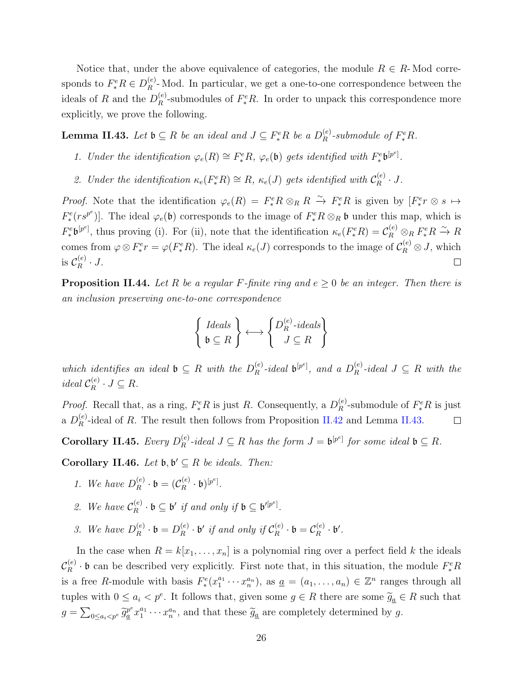Notice that, under the above equivalence of categories, the module  $R \in R$ -Mod corresponds to  $F_*^eR \in D_R^{(e)}$  $R<sup>(e)</sup>$ -Mod. In particular, we get a one-to-one correspondence between the ideals of *R* and the  $D_R^{(e)}$  $R$ <sup>(e)</sup></sup>-submodules of  $F_*^eR$ . In order to unpack this correspondence more explicitly, we prove the following.

<span id="page-33-0"></span>**Lemma II.43.** *Let*  $\mathfrak{b} \subseteq R$  *be an ideal and*  $J \subseteq F_*^eR$  *be a*  $D_R^{(e)}$  $R^{(e)}$ -submodule of  $F_*^eR$ .

- 1. Under the identification  $\varphi_e(R) \cong F_*^e R$ ,  $\varphi_e(\mathfrak{b})$  gets identified with  $F_*^e \mathfrak{b}^{[p^e]}$ .
- *2. Under the identification*  $\kappa_e(F_*^eR) \cong R$ *,*  $\kappa_e(J)$  gets identified with  $C_R^{(e)}$  $\binom{e}{R} \cdot J$ .

*Proof.* Note that the identification  $\varphi_e(R) = F_*^e R \otimes_R R \xrightarrow{\sim} F_*^e R$  is given by  $[F_*^e r \otimes s \mapsto$  $F_*^e(rs^{p^e})$ . The ideal  $\varphi_e(\mathfrak{b})$  corresponds to the image of  $F_*^eR \otimes_R \mathfrak{b}$  under this map, which is  $F_*^e \mathfrak{b}^{[p^e]},$  thus proving (i). For (ii), note that the identification  $\kappa_e(F_*^e R) = C_R^{(e)} \otimes_R F_*^e R \xrightarrow{\sim} R$ comes from  $\varphi \otimes F_*^e r = \varphi(F_*^e R)$ . The ideal  $\kappa_e(J)$  corresponds to the image of  $\mathcal{C}_R^{(e)} \otimes J$ , which is  $\mathcal{C}_R^{(e)}$  $\frac{e}{R} \cdot J$ .  $\Box$ 

<span id="page-33-1"></span>**Proposition II.44.** Let R be a regular F-finite ring and  $e \geq 0$  be an integer. Then there is *an inclusion preserving one-to-one correspondence ←→* {

$$
\left\{\begin{array}{c}\n\text{Ideals} \\
\mathfrak{b} \subseteq R\n\end{array}\right\} \longleftrightarrow \left\{\begin{array}{c}\nD_R^{(e)}\text{-ideals} \\
J \subseteq R\n\end{array}\right\}
$$

*which identifies an ideal*  $\mathfrak{b} \subseteq R$  *with the*  $D_R^{(e)}$  $R^{(e)}$ -*ideal*  $\mathfrak{b}^{[p^e]}$ , and a  $D_R^{(e)}$  $R^{(e)}$ -*ideal*  $J \subseteq R$  *with the ideal*  $C_R^{(e)}$  $\mathcal{L}_R^{(e)} \cdot J \subseteq R$ .

*Proof.* Recall that, as a ring,  $F_*^eR$  is just *R*. Consequently, a  $D_R^{(e)}$  $R^{(e)}$ -submodule of  $F^e_*R$  is just a  $D_R^{(e)}$  $R^{(e)}_R$ -ideal of *R*. The result then follows from Proposition [II.42](#page-32-0) and Lemma [II.43.](#page-33-0)  $\Box$ 

**Corollary II.45.** *Every*  $D_R^{(e)}$  $R^{(e)}$ -ideal  $J \subseteq R$  *has the form*  $J = \mathfrak{b}^{[p^e]}$  *for some ideal*  $\mathfrak{b} \subseteq R$ *.* 

**Corollary II.46.** *Let*  $\mathfrak{b}, \mathfrak{b}' \subseteq R$  *be ideals. Then:* 

- *1.* We have  $D_R^{(e)}$  $\overset{(e)}{R} \cdot \mathfrak{b} = (\mathcal{C}_R^{(e)}$  $\binom{(e)}{R} \cdot \mathfrak{b}$  $\binom{[p^e]}{R}$ .
- 2. We have  $\mathcal{C}_R^{(e)}$  $\mathbf{B}^{(e)}$  ·  $\mathbf{b} \subseteq \mathbf{b}'$  *if and only if*  $\mathbf{b} \subseteq \mathbf{b}'^{[p^e]}$ .
- 3. We have  $D_R^{(e)}$  $\mathfrak{b}_R^{(e)} \cdot \mathfrak{b} = D_R^{(e)}$  $R_R^{(e)} \cdot \mathfrak{b}'$  *if and only if*  $\mathcal{C}_R^{(e)}$  $\mathcal{C}_R^{(e)} \cdot \mathfrak{b} = \mathcal{C}_R^{(e)}$  $\mathfrak{b}'$   $\mathfrak{b}'$   $\mathfrak{b}'$  .

In the case when  $R = k[x_1, \ldots, x_n]$  is a polynomial ring over a perfect field *k* the ideals  $\mathcal{C}_R^{(e)}$  $F_R^{(e)}$  **·** b can be described very explicitly. First note that, in this situation, the module  $F_*^eR$ is a free R-module with basis  $F^e_*(x_1^{a_1}\cdots x_n^{a_n})$ , as  $\underline{a} = (a_1,\ldots,a_n) \in \mathbb{Z}^n$  ranges through all tuples with  $0 \le a_i < p^e$ . It follows that, given some  $g \in R$  there are some  $\widetilde{g}_a \in R$  such that  $E = k[x_1, \ldots, x_n]$  is a polynomial ring over a perfect field  $k$  the ideals<br>d very explicitly. First note that, in this situation, the module  $F_*^e R$ <br>h basis  $F_*^e(x_1^{a_1} \cdots x_n^{a_n})$ , as  $\underline{a} = (a_1, \ldots, a_n) \in \mathbb{Z}^n$  range  $g = \sum$ ∑can be<br>ee  $R$ -moo<br>with  $0 \le$ <br> $0 \le a_i < p^e$   $\widetilde{g}_i$ described very explicitly. First note that, in this situation, the<br>
dule with basis  $F^e_*(x_1^{a_1} \cdots x_n^{a_n})$ , as  $\underline{a} = (a_1, \ldots, a_n) \in \mathbb{Z}^n$  range<br>  $\underline{a} \in a_i < p^e$ . It follows that, given some  $g \in R$  there are some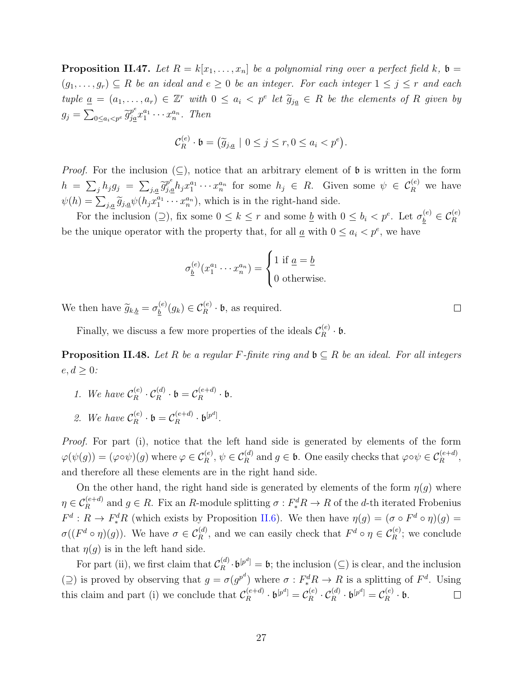<span id="page-34-0"></span>**Proposition II.47.** Let  $R = k[x_1, \ldots, x_n]$  be a polynomial ring over a perfect field  $k$ ,  $\mathfrak{b} =$  $(g_1, \ldots, g_r) \subseteq R$  *be an ideal and*  $e \geq 0$  *be an integer. For each integer*  $1 \leq j \leq r$  *and each* tuple  $\underline{a} = (a_1, ..., a_r) \in \mathbb{Z}^r$  with  $0 \le a_i < p^e$  let  $\widetilde{g}_{j\underline{a}} \in R$  be<br>  $g_j = \sum_{0 \le a_i < p^e} \widetilde{g}_{j\underline{a}}^e x_1^{a_1} \cdots x_n^{a_n}$ . Then<br>  $\mathcal{C}_R^{(e)} \cdot \mathfrak{b} = (\widetilde{g}_{j,\underline{a}} \mid 0 \le j \le r, 0 \le a_i < p^e)$ *let polynomial ring over a perfect field*  $k$ ,  $\mathfrak{b} =$ <br>*leger.* For each integer  $1 \leq j \leq r$  and each<br>*let*  $\widetilde{g}_{ja} \in R$  be the elements of R given by  $g_j = \sum$ ∑ $\begin{aligned} \textbf{g}_r) &\subseteq R\ & = (a_1, \ldots) \ & \sum_{0 \leq a_i < p^e} \widetilde{g}_i \end{aligned}$  $\frac{p^e}{ja^a} x_1^{a_1} \cdots x_n^{a_n}$ . Then

$$
\mathcal{C}_R^{(e)} \cdot \mathfrak{b} = \big(\widetilde{g}_{j,\underline{a}} \mid 0 \le j \le r, 0 \le a_i < p^e\big).
$$

*Proof.* For the inclusion  $(\subseteq)$ , notice that an arbitrary element of b is written in the form  $h = \sum_j h_j g_j = \sum_j$  $\frac{\sin \theta}{\sin \theta}$  $p_e^{e}h_jx_1^{a_1}\cdots x_n^{a_n}$  for some  $h_j \in R$ . Given some  $\psi \in C_R^{(e)}$  we have *Proof.* For the inclusi<br>  $h = \sum_j h_j g_j = \sum_{j,\underline{a}}$ <br>  $\psi(h) = \sum_{j,\underline{a}} \widetilde{g}_{j,\underline{a}} \psi(h_j x)$  $a_1^{a_1} \cdots a_n^{a_n}$ , which is in the right-hand side.

For the inclusion (2), fix some  $0 \leq k \leq r$  and some <u>b</u> with  $0 \leq b_i < p^e$ . Let  $\sigma_b^{(e)} \in \mathcal{C}_R^{(e)}$ be the unique operator with the property that, for all  $\underline{a}$  with  $0 \leq a_i < p^e$ , we have .<br>จท

$$
\sigma_{\underline{b}}^{(e)}(x_1^{a_1}\cdots x_n^{a_n}) = \begin{cases} 1 \text{ if } \underline{a} = \underline{b} \\ 0 \text{ otherwise.} \end{cases}
$$

We then have  $\widetilde{g}_{k,\underline{b}} = \sigma_b^{(e)}$  $\mathcal{L}_{\underline{b}}^{(e)}(g_k) \in \mathcal{C}_R^{(e)} \cdot \mathfrak{b}$ , as required.

Finally, we discuss a few more properties of the ideals  $\mathcal{C}_R^{(e)}$  $\mathfrak{p}_R^{(e)}\cdot \mathfrak{b}.$ 

<span id="page-34-1"></span>**Proposition II.48.** *Let*  $R$  *be a regular*  $F$ *-finite ring and*  $\mathfrak{b} \subseteq R$  *be an ideal. For all integers*  $e, d \geq 0$ *:* 

- *1.* We have  $\mathcal{C}_R^{(e)}$  $\mathcal{C}_R^{(e)} \cdot \mathcal{C}_R^{(d)} \cdot \mathfrak{b} = \mathcal{C}_R^{(e+d)}$  $R^{(e+a)}$   $\cdot$  **b**.
- 2. We have  $\mathcal{C}_R^{(e)}$  $\mathcal{C}_R^{(e)} \cdot \mathfrak{b} = \mathcal{C}_R^{(e+d)}$  $\mathfrak{b}^{(e+d)}$  ·  $\mathfrak{b}^{[p^d]}$ .

*Proof.* For part (i), notice that the left hand side is generated by elements of the form  $\varphi(\psi(g)) = (\varphi \circ \psi)(g)$  where  $\varphi \in \mathcal{C}_R^{(e)}, \psi \in \mathcal{C}_R^{(d)}$  and  $g \in \mathfrak{b}$ . One easily checks that  $\varphi \circ \psi \in \mathcal{C}_R^{(e+d)}$ , and therefore all these elements are in the right hand side.

On the other hand, the right hand side is generated by elements of the form  $\eta(g)$  where  $\eta \in C_R^{(e+d)}$  and  $g \in R$ . Fix an *R*-module splitting  $\sigma: F_*^d R \to R$  of the *d*-th iterated Frobenius  $F^d: R \to F_*^d R$  (which exists by Proposition [II.6](#page-16-1)). We then have  $\eta(g) = (\sigma \circ F^d \circ \eta)(g) =$  $\sigma((F^d \circ \eta)(g))$ . We have  $\sigma \in C_R^{(d)}$ , and we can easily check that  $F^d \circ \eta \in C_R^{(e)}$ ; we conclude that  $\eta(g)$  is in the left hand side.

For part (ii), we first claim that  $\mathcal{C}_R^{(d)}$  $R^{(d)}_R \cdot \mathfrak{b}^{[p^d]} = \mathfrak{b}$ ; the inclusion ( $\subseteq$ ) is clear, and the inclusion  $(2)$  is proved by observing that  $g = \sigma(g^{p^d})$  where  $\sigma$  :  $F_*^d R \to R$  is a splitting of  $F^d$ . Using this claim and part (i) we conclude that  $\mathcal{C}_R^{(e+d)}$  $\mathfrak{b}^{[e+d)}$   $\cdot$   $\mathfrak{b}^{[p^d]} = \mathcal{C}_R^{(e)}$  $\mathcal{C}_R^{(e)} \cdot \mathcal{C}_R^{(d)} \cdot \mathfrak{b}^{[p^d]} = \mathcal{C}_R^{(e)}$  $\mathfrak{p}^{(e)}_R \cdot \mathfrak{b}.$  $\Box$ 

 $\Box$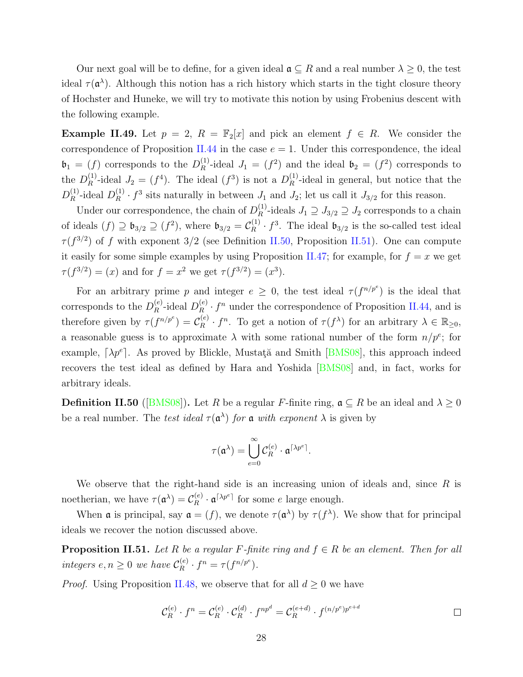Our next goal will be to define, for a given ideal  $\mathfrak{a} \subseteq R$  and a real number  $\lambda \geq 0$ , the test ideal  $\tau(\mathfrak{a}^{\lambda})$ . Although this notion has a rich history which starts in the tight closure theory of Hochster and Huneke, we will try to motivate this notion by using Frobenius descent with the following example.

**Example II.49.** Let  $p = 2$ ,  $R = \mathbb{F}_2[x]$  and pick an element  $f \in R$ . We consider the correspondence of Proposition [II.44](#page-33-1) in the case  $e = 1$ . Under this correspondence, the ideal  $\mathfrak{b}_1 = (f)$  corresponds to the  $D_R^{(1)}$  $R^{(1)}$ -ideal  $J_1 = (f^2)$  and the ideal  $\mathfrak{b}_2 = (f^2)$  corresponds to the  $D_R^{(1)}$  $L_R^{(1)}$ -ideal  $J_2 = (f^4)$ . The ideal  $(f^3)$  is not a  $D_R^{(1)}$  $R^{(1)}$ -ideal in general, but notice that the  $D_R^{(1)}$  $_{R}^{(1)}$ -ideal  $D_{R}^{(1)}$  $L_R^{(1)} \cdot f^3$  sits naturally in between *J*<sub>1</sub> and *J*<sub>2</sub>; let us call it *J*<sub>3/2</sub> for this reason.

Under our correspondence, the chain of  $D_R^{(1)}$  $J_1 \supseteq J_{3/2} \supseteq J_2$  corresponds to a chain of ideals  $(f) \supseteq \mathfrak{b}_{3/2} \supseteq (f^2)$ , where  $\mathfrak{b}_{3/2} = C_R^{(1)}$  $R^{(1)} \cdot f^3$ . The ideal  $\mathfrak{b}_{3/2}$  is the so-called test ideal *τ* (*f* 3*/*2 ) of *f* with exponent 3*/*2 (see Definition [II.50,](#page-35-0) Proposition [II.51\)](#page-35-1). One can compute it easily for some simple examples by using Proposition [II.47;](#page-34-0) for example, for  $f = x$  we get  $\tau(f^{3/2}) = (x)$  and for  $f = x^2$  we get  $\tau(f^{3/2}) = (x^3)$ .

For an arbitrary prime *p* and integer  $e \geq 0$ , the test ideal  $\tau(f^{n/p^e})$  is the ideal that corresponds to the  $D_R^{(e)}$  $_{R}^{(e)}$ -ideal  $D_{R}^{(e)}$  $\binom{e}{R}$  ·  $f^n$  under the correspondence of Proposition [II.44,](#page-33-1) and is therefore given by  $\tau(f^{n/p^e}) = C_B^{(e)}$  $R$ <sup>*e*</sup> *· f*<sup>*n*</sup>. To get a notion of  $\tau(f^{\lambda})$  for an arbitrary  $\lambda \in \mathbb{R}_{\geq 0}$ , a reasonable guess is to approximate  $\lambda$  with some rational number of the form  $n/p^e$ ; for example, $[\lambda p^e]$ . As proved by Blickle, Mustat<sub>i</sub> and Smith  $[BMS08]$  $[BMS08]$  $[BMS08]$ , this approach indeed recovers the test ideal as defined by Hara and Yoshida[[BMS08\]](#page-87-8) and, in fact, works for arbitrary ideals.

<span id="page-35-0"></span>**Definition II.50** ([[BMS08](#page-87-8)]). Let *R* be a regular *F*-finite ring,  $\mathfrak{a} \subseteq R$  be an ideal and  $\lambda \ge 0$ <br>be a real number. The *test ideal*  $\tau(\mathfrak{a}^{\lambda})$  *for*  $\mathfrak{a}$  *with exponent*  $\lambda$  is given by<br> $\tau(\mathfrak{a}^{\lambda}) =$ be a real number. The *test ideal*  $\tau(\mathfrak{a}^{\lambda})$  *for*  $\mathfrak{a}$  *with exponent*  $\lambda$  is given by

$$
\tau(\mathfrak{a}^{\lambda})=\bigcup_{e=0}^{\infty}\mathcal{C}_R^{(e)}\cdot\mathfrak{a}^{\lceil\lambda p^e\rceil}.
$$

We observe that the right-hand side is an increasing union of ideals and, since *R* is noetherian, we have  $\tau(\mathfrak{a}^{\lambda}) = C_R^{(e)}$  $\mathbf{R}^{(e)} \cdot \mathbf{a}^{\lceil \lambda p^e \rceil}$  for some *e* large enough.

When **a** is principal, say  $\mathfrak{a} = (f)$ , we denote  $\tau(\mathfrak{a}^{\lambda})$  by  $\tau(f^{\lambda})$ . We show that for principal ideals we recover the notion discussed above.

<span id="page-35-1"></span>**Proposition II.51.** *Let*  $R$  *be a regular*  $F$ *-finite ring and*  $f \in R$  *be an element. Then for all integers*  $e, n \geq 0$  *we have*  $\mathcal{C}_{R}^{(e)}$  $\frac{(e)}{R} \cdot f^n = \tau(f^{n/p^e}).$ 

*Proof.* Using Proposition [II.48](#page-34-1), we observe that for all  $d \geq 0$  we have

$$
\mathcal{C}_R^{(e)} \cdot f^n = \mathcal{C}_R^{(e)} \cdot \mathcal{C}_R^{(d)} \cdot f^{np^d} = \mathcal{C}_R^{(e+d)} \cdot f^{(n/p^e)p^{e+d}} \qquad \qquad \Box
$$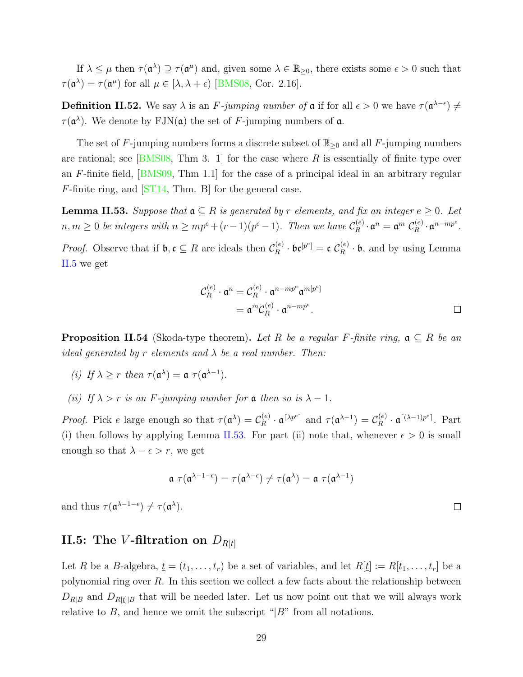If  $\lambda \leq \mu$  then  $\tau(\mathfrak{a}^{\lambda}) \supseteq \tau(\mathfrak{a}^{\mu})$  and, given some  $\lambda \in \mathbb{R}_{\geq 0}$ , there exists some  $\epsilon > 0$  such that  $\tau(\mathfrak{a}^{\lambda}) = \tau(\mathfrak{a}^{\mu})$  for all  $\mu \in [\lambda, \lambda + \epsilon)$  [\[BMS08,](#page-87-0) Cor. 2.16].

<span id="page-36-3"></span>**Definition II.52.** We say  $\lambda$  is an *F*-jumping number of  $\mathfrak{a}$  if for all  $\epsilon > 0$  we have  $\tau(\mathfrak{a}^{\lambda-\epsilon}) \neq 0$  $\tau(\mathfrak{a}^{\lambda})$ . We denote by FJN( $\mathfrak{a}$ ) the set of *F*-jumping numbers of  $\mathfrak{a}$ .

The set of *F*-jumping numbers forms a discrete subset of R*≥*<sup>0</sup> and all *F*-jumping numbers are rational; see [\[BMS08,](#page-87-0) Thm 3. 1] for the case where *R* is essentially of finite type over an *F*-finite field,[[BMS09](#page-87-1), Thm 1.1] for the case of a principal ideal in an arbitrary regular *F*-finite ring, and [\[ST14](#page-90-0), Thm. B] for the general case.

<span id="page-36-0"></span>**Lemma II.53.** *Suppose that*  $a \subseteq R$  *is generated by r elements, and fix an integer*  $e \geq 0$ *. Let*  $n, m \geq 0$  *be integers with*  $n \geq mp^e + (r-1)(p^e-1)$ *. Then we have*  $\mathcal{C}_R^{(e)}$  $\mathfrak{a}^{(e)}_R\cdot\mathfrak{a}^n=\mathfrak{a}^m\;\mathcal{C}^{(e)}_R$  $R^{(e)}$  ·  $\mathfrak{a}^{n - mp^{e}}$ . *Proof.* Observe that if  $\mathfrak{b}, \mathfrak{c} \subseteq R$  are ideals then  $\mathcal{C}_R^{(e)}$  $\mathfrak{c}_R^{(e)} \cdot \mathfrak{b} \mathfrak{c}^{[p^e]} = \mathfrak{c} \; \mathcal{C}_R^{(e)}$  $R_R^{(e)} \cdot \mathfrak{b}$ , and by using Lemma [II.5](#page-16-0) we get

$$
\mathcal{C}_R^{(e)} \cdot \mathfrak{a}^n = \mathcal{C}_R^{(e)} \cdot \mathfrak{a}^{n - mp^e} \mathfrak{a}^{m[p^e]}
$$

$$
= \mathfrak{a}^m \mathcal{C}_R^{(e)} \cdot \mathfrak{a}^{n - mp^e}.
$$

<span id="page-36-2"></span>**Proposition II.54** (Skoda-type theorem). Let R be a regular F-finite ring,  $a \subseteq R$  be an *ideal generated by r elements and λ be a real number. Then:*

- *(i) If*  $\lambda \geq r$  *then*  $\tau(\mathfrak{a}^{\lambda}) = \mathfrak{a} \tau(\mathfrak{a}^{\lambda-1})$ *.*
- *(ii) If*  $\lambda > r$  *is an F*-jumping number for a then so is  $\lambda 1$ *.*

*Proof.* Pick *e* large enough so that  $\tau(\mathfrak{a}^{\lambda}) = C_R^{(e)}$  $\mathcal{L}_R^{(e)} \cdot \mathfrak{a}^{\lceil \lambda p^e \rceil}$  and  $\tau(\mathfrak{a}^{\lambda-1}) = \mathcal{C}_R^{(e)}$  $R^{(e)} \cdot \mathfrak{a}^{[(\lambda-1)p^e]}$ . Part (i) then follows by applying Lemma [II.53](#page-36-0). For part (ii) note that, whenever  $\epsilon > 0$  is small enough so that  $\lambda - \epsilon > r$ , we get

$$
\mathfrak{a}\,\,\tau(\mathfrak{a}^{\lambda-1-\epsilon})=\tau(\mathfrak{a}^{\lambda-\epsilon})\neq\tau(\mathfrak{a}^{\lambda})=\mathfrak{a}\,\,\tau(\mathfrak{a}^{\lambda-1})
$$

and thus  $\tau(\mathfrak{a}^{\lambda-1-\epsilon}) \neq \tau(\mathfrak{a}^{\lambda})$ .

#### <span id="page-36-1"></span>**II.5:** The *V*-filtration on  $D_{R[t]}$

Let *R* be a *B*-algebra,  $\underline{t} = (t_1, \ldots, t_r)$  be a set of variables, and let  $R[\underline{t}] := R[t_1, \ldots, t_r]$  be a polynomial ring over *R*. In this section we collect a few facts about the relationship between  $D_{R|B}$  and  $D_{R|t||B}$  that will be needed later. Let us now point out that we will always work relative to *B*, and hence we omit the subscript " $|B$ " from all notations.

 $\Box$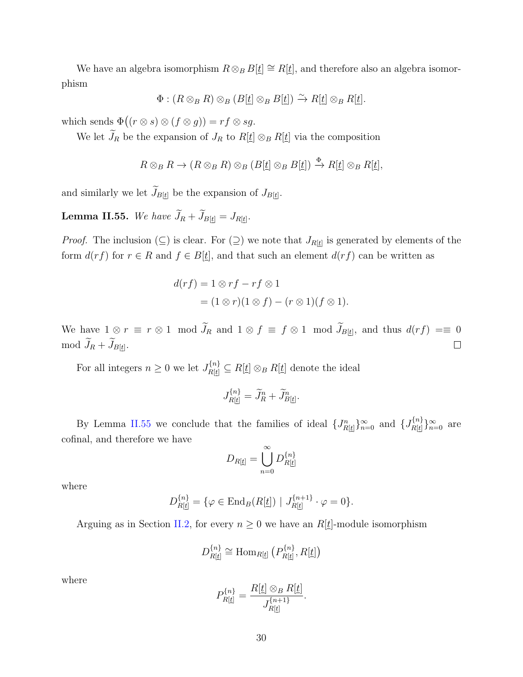We have an algebra isomorphism  $R \otimes_B B[t] \cong R[t]$ , and therefore also an algebra isomorphism We have an algebra isomorphism  $R \otimes_B B$ <br>phism<br> $\Phi : (R \otimes_B R) \otimes_B (B[\underline{t}]$ <br>which sends  $\Phi((r \otimes s) \otimes (f \otimes g)) = rf \otimes sg$ .

$$
\Phi: (R \otimes_B R) \otimes_B (B[\underline{t}] \otimes_B B[\underline{t}]) \xrightarrow{\sim} R[\underline{t}] \otimes_B R[\underline{t}].
$$

We let  $\widetilde{J}_R$  be the expansion of  $J_R$  to  $R[t] \otimes_B R[t]$  via the composition

$$
R \otimes_B R \to (R \otimes_B R) \otimes_B (B[\underline{t}] \otimes_B B[\underline{t}]) \xrightarrow{\Phi} R[\underline{t}] \otimes_B R[\underline{t}],
$$

and similarly we let  $\widetilde{J}_{B[\underline{t}]}$  be the expansion of  $J_{B[\underline{t}]}$ .  $R \otimes_B R \to (R \otimes_B R) \otimes_B R$ <br>and similarly we let  $\widetilde{J}_{B[t]}$  be the expansion<br>**Lemma II.55.** We have  $\widetilde{J}_R + \widetilde{J}_{B[t]} = J_{R[t]}.$ 

<span id="page-37-0"></span>

*Proof.* The inclusion  $(\subseteq)$  is clear. For  $(\supseteq)$  we note that  $J_{R[\underline{t}]}$  is generated by elements of the form  $d(rf)$  for  $r \in R$  and  $f \in B[\underline{t}]$ , and that such an element  $d(rf)$  can be written as

$$
d(rf) = 1 \otimes rf - rf \otimes 1
$$
  
=  $(1 \otimes r)(1 \otimes f) - (r \otimes 1)(f \otimes 1).$ 

 $d(rf) = 1 \otimes rf - rf \otimes 1$ <br>  $= (1 \otimes r)(1 \otimes f) - (r \otimes 1)(f \otimes 1).$ <br>
We have  $1 \otimes r \equiv r \otimes 1 \mod \tilde{J}_R$  and  $1 \otimes f \equiv f \otimes 1 \mod \tilde{J}_{B[t]}$ , and thus  $d(rf) = 0$ We have  $1 \otimes n$ <br>mod  $\widetilde{J}_R + \widetilde{J}_{B[\underline{t}]}$ mod  $\widetilde{J}_R + \widetilde{J}_{B[\underline{t}]}$ .  $\Box$ 

For all integers  $n \geq 0$  we let  $J_{R[\underline{t}]}^{n} \subseteq R[\underline{t}] \otimes_B R[\underline{t}]$  denote the ideal

$$
\subseteq R[\underline{t}] \otimes_B R[\underline{t}] \text{ de}
$$
  

$$
J_{R[\underline{t}]}^{\{n\}} = \widetilde{J}_R^n + \widetilde{J}_{B[\underline{t}]}^n.
$$

By Lemma [II.55](#page-37-0) we conclude that the families of ideal  $\{J_{R[t]}^n\}_{n=0}^\infty$  and  $\{J_{R[t]}^{\{n\}}$  $\{n\}\}_{n=0}$  are cofinal, and therefore we have

$$
D_{R[\underline{t}]} = \bigcup_{n=0}^{\infty} D_{R[\underline{t}]}^{\{n\}}
$$

where

$$
D_{R[\underline{t}]}^{\{n\}} = \{ \varphi \in \text{End}_{B}(R[\underline{t}]) \mid J_{R[\underline{t}]}^{\{n+1\}} \cdot \varphi = 0 \}.
$$

Arguing as in Section [II.2,](#page-17-0) for every  $n \geq 0$  we have an  $R[\underline{t}]$ -module isomorphism

$$
D_{R[\underline{t}]}^{\{n\}} \cong \text{Hom}_{R[\underline{t}]}\left(P_{R[\underline{t}]}^{\{n\}}, R[\underline{t}]\right)
$$

where

$$
P_{R[\underline{t}]}^{\{n\}} = \frac{R[\underline{t}] \otimes_B R[\underline{t}]}{J_{R[\underline{t}]}^{\{n+1\}}}.
$$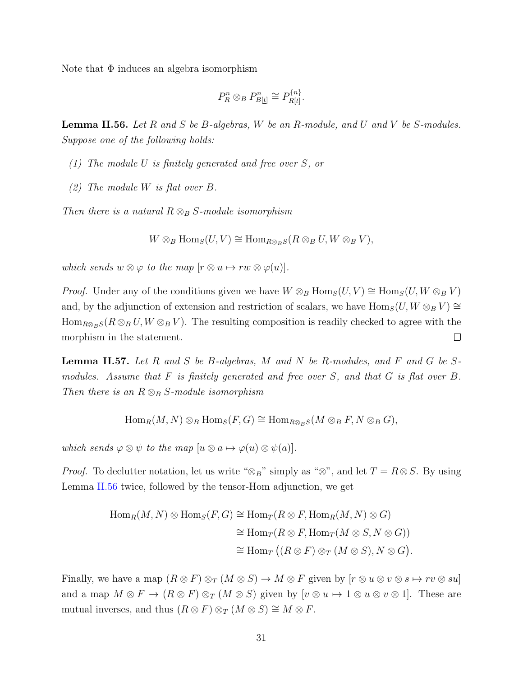Note that  $\Phi$  induces an algebra isomorphism

$$
P_R^n \otimes_B P_{B[\underline{t}]}^n \cong P_{R[\underline{t}]}^{\{n\}}.
$$

<span id="page-38-0"></span>**Lemma II.56.** *Let R and S be B-algebras, W be an R-module, and U and V be S-modules. Suppose one of the following holds:*

- *(1) The module U is finitely generated and free over S, or*
- *(2) The module W is flat over B.*

*Then there is a natural*  $R \otimes_B S$ *-module isomorphism* 

 $W \otimes_B \text{Hom}_S(U, V) \cong \text{Hom}_{R \otimes_B S}(R \otimes_B U, W \otimes_B V)$ 

*which sends*  $w \otimes \varphi$  *to the map*  $[r \otimes u \mapsto rw \otimes \varphi(u)]$ *.* 

*Proof.* Under any of the conditions given we have  $W \otimes_B \text{Hom}_S(U, V) \cong \text{Hom}_S(U, W \otimes_B V)$ and, by the adjunction of extension and restriction of scalars, we have  $\text{Hom}_S(U, W \otimes_B V) \cong$  $\text{Hom}_{R\otimes_B S}(R\otimes_B U, W\otimes_B V)$ . The resulting composition is readily checked to agree with the morphism in the statement.  $\Box$ 

<span id="page-38-1"></span>**Lemma II.57.** *Let R and S be B-algebras, M and N be R-modules, and F and G be Smodules. Assume that F is finitely generated and free over S, and that G is flat over B. Then there is an*  $R \otimes_B S$ *-module isomorphism* 

 $\text{Hom}_R(M, N) \otimes_B \text{Hom}_S(F, G) \cong \text{Hom}_{R \otimes_B S}(M \otimes_B F, N \otimes_B G)$ 

*which sends*  $\varphi \otimes \psi$  *to the map*  $[u \otimes a \mapsto \varphi(u) \otimes \psi(a)]$ *.* 

*Proof.* To declutter notation, let us write " $\otimes_B$ " simply as " $\otimes$ ", and let *T* = *R* $\otimes$ *S*. By using Lemma [II.56](#page-38-0) twice, followed by the tensor-Hom adjunction, we get

$$
\begin{aligned} \text{Hom}_R(M, N) \otimes \text{Hom}_S(F, G) &\cong \text{Hom}_T(R \otimes F, \text{Hom}_R(M, N) \otimes G) \\ &\cong \text{Hom}_T(R \otimes F, \text{Hom}_T(M \otimes S, N \otimes G)) \\ &\cong \text{Hom}_T((R \otimes F) \otimes_T (M \otimes S), N \otimes G). \end{aligned}
$$

Finally, we have a map  $(R \otimes F) \otimes_T (M \otimes S) \to M \otimes F$  given by  $[r \otimes u \otimes v \otimes s \mapsto rv \otimes su]$ and a map  $M \otimes F \to (R \otimes F) \otimes_T (M \otimes S)$  given by  $[v \otimes u \mapsto 1 \otimes u \otimes v \otimes 1]$ . These are mutual inverses, and thus  $(R \otimes F) \otimes_T (M \otimes S) \cong M \otimes F$ .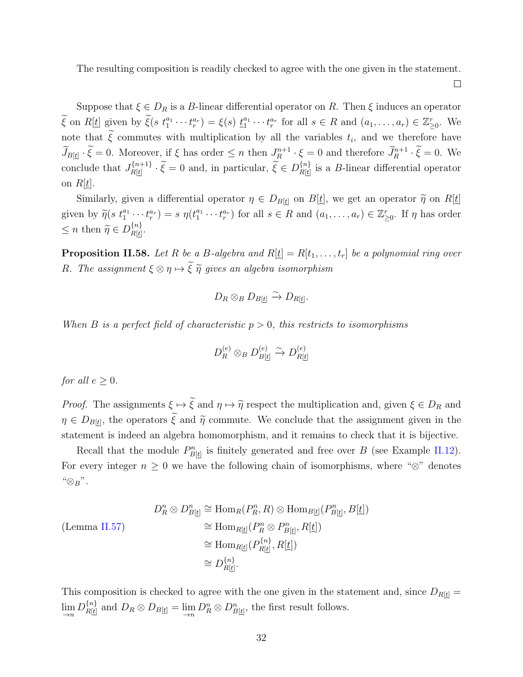The resulting composition is readily checked to agree with the one given in the statement.

 $\Box$ 

Suppose that  $\xi \in D_R$  is a *B*-linear differential operator on *R*. Then  $\xi$  induces an operator Suppose that  $\xi \in D_R$  is a *B*-linear differential operator on *R*. Then  $\xi$  induces an operator<br> $\widetilde{\xi}$  on  $R[\underline{t}]$  given by  $\widetilde{\xi}(s t_1^{a_1} \cdots t_r^{a_r}) = \xi(s) t_1^{a_1} \cdots t_r^{a_r}$  for all  $s \in R$  and  $(a_1, \ldots, a_r) \in \mathbb{Z}_{\geq$ Suppose that  $\xi \in D_R$  is a *B*-linear differential operator on *R*. The  $\widetilde{\xi}$  on  $R[\underline{t}]$  given by  $\widetilde{\xi}(s t_1^{a_1} \cdots t_r^{a_r}) = \xi(s) t_1^{a_1} \cdots t_r^{a_r}$  for all  $s \in R$  and note that  $\widetilde{\xi}$  commutes with multiplication note that  $\tilde{\xi}$  commutes with multiplication by all the variables  $t_i$ , and we therefore have Suppose that  $\xi \in D_R$  is a *B*-linear differential operator on *R*. Then  $\xi$  induces an operator  $\tilde{\xi}$  on  $R[\underline{t}]$  given by  $\tilde{\xi}(s t_1^{a_1} \cdots t_r^{a_r}) = \xi(s) t_1^{a_1} \cdots t_r^{a_r}$  for all  $s \in R$  and  $(a_1, \ldots, a_r) \in \mathbb{Z}_{\geq 0$ *n*+1  $R$   $\cdot$   $\zeta$  –  $\upsilon$  and therefore  $J_R$ conclude that  $J_{R}[i+1]}^{n+1}$  $R[t]$ *s*  $t_1^{a_1} \cdots t_r^{a_r}$  =  $\xi(s) \underline{t_1}^{a_1} \cdots t_r^{a_r}$  for a<br> *r*, if  $\xi$  has order  $\leq n$  then  $J_R^{n+1} \cdot \overline{\xi} = 0$  and, in particular,  $\overline{\xi} \in D$ *{n}*  $R[t]$ <sup>*R*<sub>[t]</sub></sup> is a *B*-linear differential operator on  $R[t]$ .  $S_i \cdot \xi = 0$ . Moreover, if  $\xi$  has order  $\leq n$  then  $J_R^{n+1} \cdot \xi = 0$  and therefore  $J_R^{n+1} \cdot \xi = 0$ . We clude that  $J_{R[\underline{t}]}^{\{n+1\}} \cdot \widetilde{\xi} = 0$  and, in particular,  $\widetilde{\xi} \in D_{R[\underline{t}]}^{\{n\}}$  is a *B*-linear differenti

conclude that  $J_{R[\underline{t}]}^{n+1} \cdot \xi = 0$  and, in particular,  $\xi \in D_{R[\underline{t}]}^{n}$  is a *B*-linear differential operator<br>on  $R[\underline{t}]$ .<br>Similarly, given a differential operator  $\eta \in D_{B[\underline{t}]}$  on  $B[\underline{t}]$ , we get an operator  $\tilde$ *s n*  $R[\underline{t}]$ .<br>*Similarly, gi given by*  $\widetilde{\eta}(s \ t_1^{a_1})$ *<br>*  $\leq n$  *then*  $\widetilde{\eta} \in D$ *{n}*  $\frac{\{n\}}{R[\underline{t}]}.$ 

<span id="page-39-0"></span>**Proposition II.58.** Let R be a B-algebra and  $R[\underline{t}] = R[t_1, \ldots, t_r]$  be a polynomial ring over *R.* The assignment  $\xi \otimes \eta \mapsto \tilde{\xi}$   $\tilde{\eta}$  *gives an algebra isomorphism* 

$$
D_R \otimes_B D_{B[\underline{t}]} \xrightarrow{\sim} D_{R[\underline{t}]}.
$$

*When B is a perfect field of characteristic*  $p > 0$ *, this restricts to isomorphisms* 

$$
D_R^{(e)} \otimes_B D_{B[\underline{t}]}^{(e)} \xrightarrow{\sim} D_{R[\underline{t}]}^{(e)}
$$

*for all*  $e \geq 0$ *.* 

*Proof.* The assignments  $\xi \mapsto \tilde{\xi}$  and  $\eta \mapsto \tilde{\eta}$  respect the multiplication and, given  $\xi \in D_R$  and  $\eta \in D_{B[t]}$ , the operators  $\tilde{\xi}$  and  $\tilde{\eta}$  commute. We conclude that the assignment given in the  $\geq 0.$ <br>ne assignments  $\xi \mapsto \tilde{\xi}$  and  $\eta \mapsto \tilde{\eta}$  respect the multiplication and, given  $\xi \in D_R$  and<br>the operators  $\tilde{\xi}$  and  $\tilde{\eta}$  commute. We conclude that the assignment given in the statement is indeed an algebra homomorphism, and it remains to check that it is bijective.

Recall that the module  $P_{B[\underline{t}]}^n$  is finitely generated and free over *B* (see Example [II.12](#page-19-0)). For every integer  $n \geq 0$  we have the following chain of isomorphisms, where " $\otimes$ " denotes "*⊗B*".

$$
D_R^n \otimes D_{B[\underline{t}]}^n \cong \text{Hom}_R(P_R^n, R) \otimes \text{Hom}_{B[\underline{t}]}(P_{B[\underline{t}]}^n, B[\underline{t}])
$$
  
\n
$$
\cong \text{Hom}_{R[\underline{t}]}(P_R^n \otimes P_{B[\underline{t}]}^n, R[\underline{t}])
$$
  
\n
$$
\cong \text{Hom}_{R[\underline{t}]}(P_{R[\underline{t}]}^{\{n\}}, R[\underline{t}])
$$
  
\n
$$
\cong D_{R[\underline{t}]}^{\{n\}}
$$

This composition is checked to agree with the one given in the statement and, since  $D_{R[t]} =$  $\lim_{n\to\infty}D_{R[\underline{t}]}^{\{n\}}$  $R[t]$  and  $D_R \otimes D_{B[t]} = \lim_{\to n} D_R^n \otimes D_{B[t]}^n$ , the first result follows.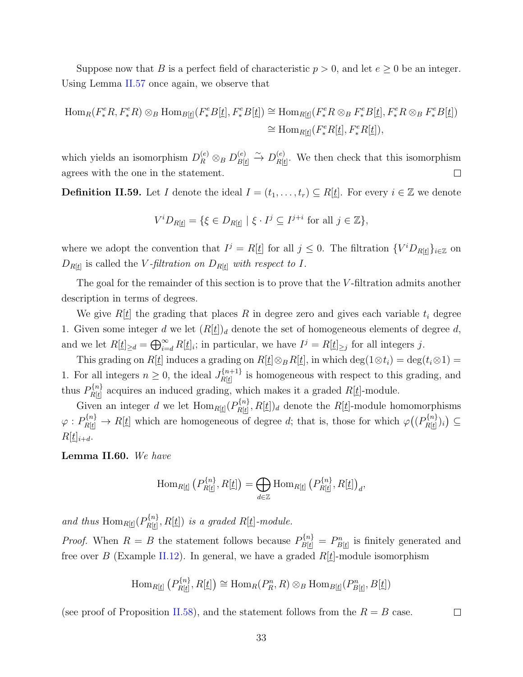Suppose now that *B* is a perfect field of characteristic  $p > 0$ , and let  $e \ge 0$  be an integer. Using Lemma [II.57](#page-38-1) once again, we observe that

$$
\operatorname{Hom}_R(F^e_*R, F^e_*R) \otimes_B \operatorname{Hom}_{B[\underline{t}]}(F^e_*B[\underline{t}], F^e_*B[\underline{t}]) \cong \operatorname{Hom}_{R[\underline{t}]}(F^e_*R \otimes_B F^e_*B[\underline{t}], F^e_*R \otimes_B F^e_*B[\underline{t}])
$$
  

$$
\cong \operatorname{Hom}_{R[\underline{t}]}(F^e_*R[\underline{t}], F^e_*R[\underline{t}]),
$$

 $\stackrel{(e)}{B[t]}\stackrel{\sim}{\rightarrow}D_{R[t]}^{(e)}$ which yields an isomorphism  $D_R^{(e)} \otimes_B D_{B|t}^{(e)}$  $R[t]$ . We then check that this isomorphism agrees with the one in the statement.  $\Box$ 

**Definition II.59.** Let *I* denote the ideal  $I = (t_1, \ldots, t_r) \subseteq R[\underline{t}]$ . For every  $i \in \mathbb{Z}$  we denote

$$
V^i D_{R[\underline{t}]} = \{ \xi \in D_{R[\underline{t}]} \mid \xi \cdot I^j \subseteq I^{j+i} \text{ for all } j \in \mathbb{Z} \},
$$

where we adopt the convention that  $I^j = R[\underline{t}]$  for all  $j \leq 0$ . The filtration  $\{V^i D_{R[\underline{t}]}\}_{i \in \mathbb{Z}}$  on  $D_{R[t]}$  is called the *V -filtration on*  $D_{R[t]}$  *with respect to I*.

The goal for the remainder of this section is to prove that the *V* -filtration admits another description in terms of degrees. ⊕

We give  $R[\underline{t}]$  the grading that places  $R$  in degree zero and gives each variable  $t_i$  degree 1. Given some integer *d* we let  $(R[\underline{t}])_d$  denote the set of homogeneous elements of degree *d*, and we let  $R[\underline{t}]_{\geq d} = \bigoplus_{i=d}^{\infty} R[\underline{t}]_i$ ; in particular, we have  $I^j = R[\underline{t}]_{\geq j}$  for all integers *j*.

This grading on  $R[\underline{t}]$  induces a grading on  $R[\underline{t}]\otimes_B R[\underline{t}]$ , in which deg(1 $\otimes t_i$ ) = deg( $t_i \otimes 1$ ) = 1. For all integers  $n \geq 0$ , the ideal  $J_{R}[n+1]}^{n+1}$  $R[t]$ <sup>{n+1}</sup> is homogeneous with respect to this grading, and thus  $P_{R[i]}^{\{n\}}$  $R[t]$  acquires an induced grading, which makes it a graded  $R[t]$ -module.  $\frac{1}{1}$ 

Given an integer *d* we let  $\text{Hom}_{R[\underline{t}]}(P_{R[\underline{t}]}^{\{n\}})$  $R[t]$ ,  $R[t]$ )<sup>*d*</sup> denote the *R*[<u>*t*]</u>-module homomorphisms  $\varphi: P_{R[t]}^{n} \to R[t]$  which are homogeneous of degree *d*; that is, those for which  $\varphi((P_{R[t]}^{n})$  $\left(\frac{R[t]}{R[t]}\right)_i$ ) ⊆  $R[t]_{i+d}$ .  $(e^{(-1/2)(n-1)}e^{(-1/2n-1)})$ 

**Lemma II.60.** *We have*

$$
\operatorname{Hom}_{R[\underline{t}]}\left(P_{R[\underline{t}]}^{\{n\}},R[\underline{t}]\right)=\bigoplus_{d\in\mathbb{Z}}\operatorname{Hom}_{R[\underline{t}]}\left(P_{R[\underline{t}]}^{\{n\}},R[\underline{t}]\right)_d,
$$

and thus  $\text{Hom}_{R[\underline{t}]}(P_{R[t]}^{\{n\}})$  $R[\underline{t}]$ ,  $R[\underline{t}]$ ) *is a graded*  $R[\underline{t}]$ -module.  $\overline{a}$ 

*Proof.* When  $R = B$  the statement follows because  $P_{B[t]}^{\{n\}} = P_{B[t]}^n$  is finitely generated and free over *B* (Example [II.12\)](#page-19-0). In general, we have a graded  $R[\underline{t}]$ -module isomorphism

$$
\operatorname{Hom}_{R[\underline{t}]} \left( P_{R[\underline{t}]}^{\{n\}}, R[\underline{t}]\right) \cong \operatorname{Hom}_R(P_R^n, R) \otimes_B \operatorname{Hom}_{B[\underline{t}]} (P_{B[\underline{t}]}^n, B[\underline{t}])
$$

(see proof of Proposition [II.58](#page-39-0)), and the statement follows from the  $R = B$  case.

 $\Box$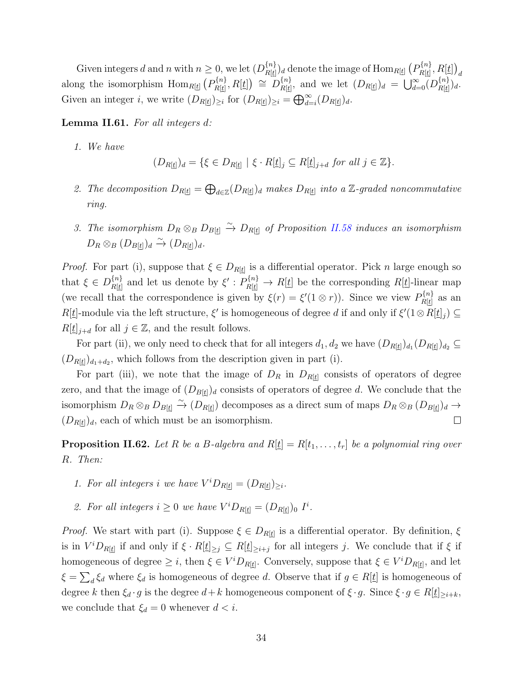Given integers *d* and *n* with  $n \geq 0$ , we let  $(D_{R}[i]$  $\binom{\{n\}}{R[\underline{t}]}\{d}$  denote the image of  $\mathrm{Hom}_{R[\underline{t}]}\left(P_{R[\underline{t}]}^{\{n\}}\right)$  $R[\underline{t}]$ <sup>, *R*[<u>t]</u>)<sub></sub></sup> *d* along the isomorphism  $\text{Hom}_{R[\underline{t}]} (P_{R[t]}^{\{n\}})$  $D^{\{n\}}_{R[\underline{t}]}\,,R[\underline{t}]\bigr)\;\cong\; D^{\{n\}}_{R[\underline{t}]}\,.$  $R[t]$ , and we let  $(D_{R[t]})_d = \bigcup_{d=0}^{\infty} (D_{R[t]}^{\{n\}})$  $\frac{\{n\}}{R[\underline{t}]}\bigg) d\cdot$ Given an integer *i*, we write  $(D_{R[t]})_{\geq i}$  for  $(D_{R[t]})_{\geq i} = \bigoplus_{d=1}^{\infty}$  $\sum_{d=i}^{\infty} (D_{R[\underline{t}]})_d$ .

<span id="page-41-0"></span>**Lemma II.61.** *For all integers d:*

*1. We have*

$$
(D_{R[\underline{t}]})_d = \{ \xi \in D_{R[\underline{t}]} \mid \xi \cdot R[\underline{t}]_j \subseteq R[\underline{t}]_{j+d} \text{ for all } j \in \mathbb{Z} \}.
$$

- 2. *The decomposition*  $D_{R[\underline{t}]} = \bigoplus_{d \in \mathbb{Z}} (D_{R[\underline{t}]})_d$  *makes*  $D_{R[\underline{t}]}$  *into a* Z-graded noncommutative *ring.*
- *3. The isomorphism*  $D_R ⊗_B D_{B[t]} ⊕ D_{R[t]}$  *of Proposition [II.58](#page-39-0) induces an isomorphism*  $D_R \otimes_B (D_{B[\underline{t}]})_d \xrightarrow{\sim} (D_{R[\underline{t}]})_d$ .

*Proof.* For part (i), suppose that  $\xi \in D_{R[t]}$  is a differential operator. Pick *n* large enough so that  $\xi \in D_{R[t]}^{\{n\}}$  $R[t]$  and let us denote by  $\xi'$  :  $P_{R[t]}^{\{n\}} \to R[t]$  be the corresponding  $R[t]$ -linear map (we recall that the correspondence is given by  $\xi(r) = \xi'(1 \otimes r)$ ). Since we view  $P_{R}[n]$  $\frac{R[t]}{R[t]}$  as an *R*[*t*]-module via the left structure, *ξ*' is homogeneous of degree *d* if and only if  $\xi'(1 \otimes R[\underline{t}]_j) \subseteq$  $R[\underline{t}]_{j+d}$  for all  $j \in \mathbb{Z}$ , and the result follows.

For part (ii), we only need to check that for all integers  $d_1, d_2$  we have  $(D_{R[\underline{t}]})_{d_1}(D_{R[\underline{t}]})_{d_2} \subseteq$  $(D_{R[\underline{t}]})_{d_1+d_2}$ , which follows from the description given in part (i).

For part (iii), we note that the image of *D<sup>R</sup>* in *DR*[*t*] consists of operators of degree zero, and that the image of  $(D_{B[t]})_d$  consists of operators of degree *d*. We conclude that the isomorphism  $D_R \otimes_B D_{B[\underline{t}]} \stackrel{\sim}{\to} (D_{R[\underline{t}]} )$  decomposes as a direct sum of maps  $D_R \otimes_B (D_{B[\underline{t}]})_d \to$  $(D_{R[t]})_d$ , each of which must be an isomorphism.  $\Box$ 

<span id="page-41-1"></span>**Proposition II.62.** Let R be a B-algebra and  $R[\underline{t}] = R[t_1, \ldots, t_r]$  be a polynomial ring over *R. Then:*

- *1. For all integers i we have*  $V^iD_{R[\underline{t}]} = (D_{R[\underline{t}]})_{\geq i}$ *.*
- 2. For all integers  $i \geq 0$  we have  $V^i D_{R[\underline{t}]} = (D_{R[\underline{t}]})_0$   $I^i$ .

*Proof.* We start with part (i). Suppose  $\xi \in D_{R[\underline{t}]}$  is a differential operator. By definition,  $\xi$ is in  $V^iD_{R[\underline{t}]}$  if and only if  $\xi \cdot R[\underline{t}]_{\geq j} \subseteq R[\underline{t}]_{\geq i+j}$  for all integers j. We conclude that if  $\xi$  if homogeneous of degree  $\geq i$ , then  $\xi \in V^iD_{R[\underline{t}]}$ . Conversely, suppose that  $\xi \in V^iD_{R[\underline{t}]}$ , and let  $\xi = \sum_{d} \xi_d$  where  $\xi_d$  is homogeneous of degree *d*. Observe that if  $g \in R[\underline{t}]$  is homogeneous of degree k then  $\xi_d \cdot g$  is the degree  $d+k$  homogeneous component of  $\xi \cdot g$ . Since  $\xi \cdot g \in R[\underline{t}]_{\geq i+k}$ , we conclude that  $\xi_d = 0$  whenever  $d < i$ .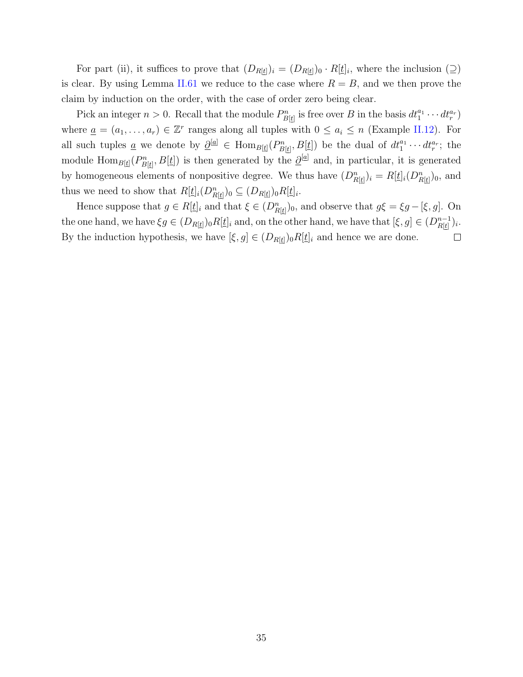For part (ii), it suffices to prove that  $(D_{R[t]})_i = (D_{R[t]})_0 \cdot R[t]_i$ , where the inclusion  $(2)$ is clear. By using Lemma [II.61](#page-41-0) we reduce to the case where  $R = B$ , and we then prove the claim by induction on the order, with the case of order zero being clear.

Pick an integer  $n > 0$ . Recall that the module  $P_{B[t]}^n$  is free over *B* in the basis  $dt_1^{a_1} \cdots dt_r^{a_r}$ where  $\underline{a} = (a_1, \ldots, a_r) \in \mathbb{Z}^r$  ranges along all tuples with  $0 \leq a_i \leq n$  (Example [II.12](#page-19-0)). For all such tuples <u>a</u> we denote by  $\underline{\partial}^{[\underline{a}]} \in \text{Hom}_{B[\underline{t}]}(P_{B[\underline{t}]}^n, B[\underline{t}])$  be the dual of  $dt_1^{a_1} \cdots dt_r^{a_r}$ ; the module  $\text{Hom}_{B[\underline{t}]}(P_{B[\underline{t}]}^n, B[\underline{t}])$  is then generated by the  $\underline{\partial}^{[\underline{a}]}$  and, in particular, it is generated by homogeneous elements of nonpositive degree. We thus have  $(D_{R[\underline{t}]}^n)_i = R[\underline{t}]_i(D_{R[\underline{t}]}^n)_0$ , and thus we need to show that  $R[\underline{t}]_i(D_{R[\underline{t}]}^n)_0 \subseteq (D_{R[\underline{t}]})_0R[\underline{t}]_i$ .

Hence suppose that  $g \in R[\underline{t}]_i$  and that  $\xi \in (D_{R[\underline{t}]}^n)_0$ , and observe that  $g\xi = \xi g - [\xi, g]$ . On the one hand, we have  $\xi g \in (D_{R[\underline{t}]})_0 R[\underline{t}]_i$  and, on the other hand, we have that  $[\xi, g] \in (D_{R[\underline{t}]}^{n-1})_0$  $\frac{n-1}{R[\underline{t}]}$ )<sub>*i*</sub>. By the induction hypothesis, we have  $[\xi, g] \in (D_{R[\underline{t}]})_0 R[\underline{t}]_i$  and hence we are done.  $\Box$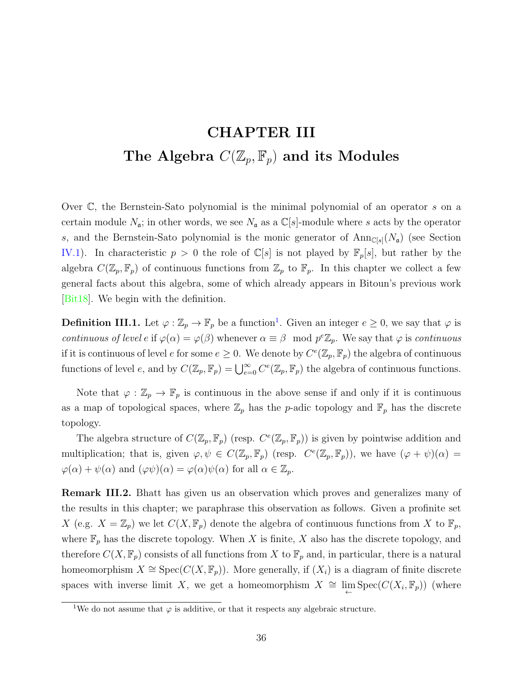# <span id="page-43-1"></span>**CHAPTER III** The Algebra  $C(\mathbb{Z}_p, \mathbb{F}_p)$  and its Modules

Over C, the Bernstein-Sato polynomial is the minimal polynomial of an operator *s* on a certain module  $N_a$ ; in other words, we see  $N_a$  as a  $\mathbb{C}[s]$ -module where *s* acts by the operator *s*, and the Bernstein-Sato polynomial is the monic generator of  $Ann_{\mathbb{C}[s]}(N_a)$  (see Section [IV.1](#page-50-0)). In characteristic  $p > 0$  the role of  $\mathbb{C}[s]$  is not played by  $\mathbb{F}_p[s]$ , but rather by the algebra  $C(\mathbb{Z}_p, \mathbb{F}_p)$  of continuous functions from  $\mathbb{Z}_p$  to  $\mathbb{F}_p$ . In this chapter we collect a few general facts about this algebra, some of which already appears in Bitoun's previous work [\[Bit18](#page-87-2)]. We begin with the definition.

**Definition III.1.** Let  $\varphi : \mathbb{Z}_p \to \mathbb{F}_p$  be a function<sup>1</sup>. Given an integer  $e \geq 0$ , we say that  $\varphi$  is *continuous of level e* if  $\varphi(\alpha) = \varphi(\beta)$  whenever  $\alpha \equiv \beta \mod p^e \mathbb{Z}_p$ . We say that  $\varphi$  is *continuous* if it is continuous of level *e* for some  $e \geq 0$ . We denote by  $C^e(\mathbb{Z}_p, \mathbb{F}_p)$  the algebra of continuous **Definition III.1.** Let  $\varphi : \mathbb{Z}_p \to \mathbb{F}_p$  be a function<sup>1</sup>. Given an integer  $e \ge 0$ , we say that  $\varphi$  is *continuous of level e* if  $\varphi(\alpha) = \varphi(\beta)$  whenever  $\alpha \equiv \beta \mod p^e \mathbb{Z}_p$ . We say that  $\varphi$  is *continuous* i

Note that  $\varphi : \mathbb{Z}_p \to \mathbb{F}_p$  is continuous in the above sense if and only if it is continuous as a map of topological spaces, where  $\mathbb{Z}_p$  has the *p*-adic topology and  $\mathbb{F}_p$  has the discrete topology.

The algebra structure of  $C(\mathbb{Z}_p, \mathbb{F}_p)$  (resp.  $C^e(\mathbb{Z}_p, \mathbb{F}_p)$ ) is given by pointwise addition and multiplication; that is, given  $\varphi, \psi \in C(\mathbb{Z}_p, \mathbb{F}_p)$  (resp.  $C^e(\mathbb{Z}_p, \mathbb{F}_p)$ ), we have  $(\varphi + \psi)(\alpha) =$  $\varphi(\alpha) + \psi(\alpha)$  and  $(\varphi\psi)(\alpha) = \varphi(\alpha)\psi(\alpha)$  for all  $\alpha \in \mathbb{Z}_p$ .

<span id="page-43-0"></span>**Remark III.2.** Bhatt has given us an observation which proves and generalizes many of the results in this chapter; we paraphrase this observation as follows. Given a profinite set *X* (e.g.  $X = \mathbb{Z}_p$ ) we let  $C(X, \mathbb{F}_p)$  denote the algebra of continuous functions from *X* to  $\mathbb{F}_p$ , where  $\mathbb{F}_p$  has the discrete topology. When *X* is finite, *X* also has the discrete topology, and therefore  $C(X, \mathbb{F}_p)$  consists of all functions from X to  $\mathbb{F}_p$  and, in particular, there is a natural homeomorphism  $X \cong Spec(C(X, \mathbb{F}_p))$ . More generally, if  $(X_i)$  is a diagram of finite discrete spaces with inverse limit *X*, we get a homeomorphism  $X \cong \lim_{\leftarrow} \text{Spec}(C(X_i, \mathbb{F}_p))$  (where

<sup>&</sup>lt;sup>1</sup>We do not assume that  $\varphi$  is additive, or that it respects any algebraic structure.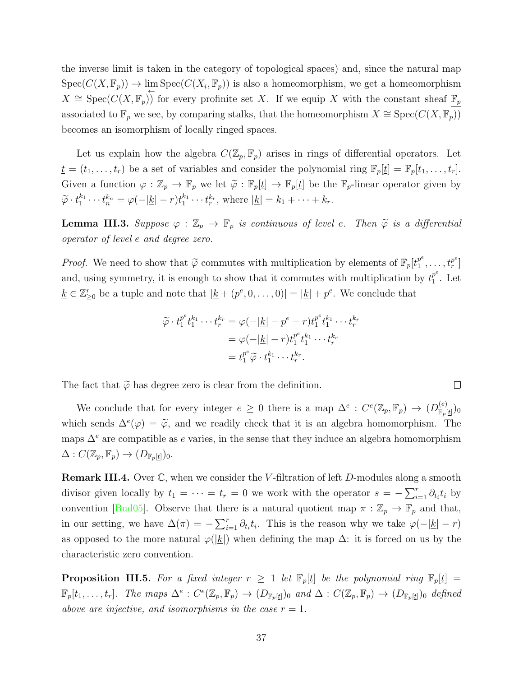the inverse limit is taken in the category of topological spaces) and, since the natural map  $Spec(C(X, \mathbb{F}_p)) \to \lim_{\leftarrow} Spec(C(X_i, \mathbb{F}_p))$  is also a homeomorphism, we get a homeomorphism *X*  $\cong$  Spec(*C*(*X,*  $\mathbb{F}_p$ )) for every profinite set *X*. If we equip *X* with the constant sheaf  $\mathbb{F}_p$ associated to  $\mathbb{F}_p$  we see, by comparing stalks, that the homeomorphism  $X \cong \operatorname{Spec}(C(X, \mathbb{F}_p))$ becomes an isomorphism of locally ringed spaces.

Let us explain how the algebra  $C(\mathbb{Z}_p, \mathbb{F}_p)$  arises in rings of differential operators. Let  $\underline{t} = (t_1, \ldots, t_r)$  be a set of variables and consider the polynomial ring  $\mathbb{F}_p[\underline{t}] = \mathbb{F}_p[t_1, \ldots, t_r].$ Let us explain how the algebra  $C(\mathbb{Z}_p, \mathbb{F}_p)$  arises in rings of differential operators. Let  $\underline{t} = (t_1, \ldots, t_r)$  be a set of variables and consider the polynomial ring  $\mathbb{F}_p[\underline{t}] = \mathbb{F}_p[t_1, \ldots, t_r]$ .<br>Given a fun Let us explain how the algebra  $C(\mathbb{Z}_p, \mathbb{F}_p)$  arises in rings  $\underline{t} = (t_1, \ldots, t_r)$  be a set of variables and consider the polynom<br>Given a function  $\varphi : \mathbb{Z}_p \to \mathbb{F}_p$  we let  $\widetilde{\varphi} : \mathbb{F}_p[\underline{t}] \to \mathbb{F}_p[\underline{t}]$  Given a function  $\varphi : \mathbb{Z}_p \to \mathbb{F}_p$  we let  $\widetilde{\varphi} : \mathbb{F}_p[\underline{t}] \to \mathbb{F}_p[\underline{t}]$  be the  $\mathbb{F}_p$ -linear operator given by  $\widetilde{\varphi} \cdot t_1^{k_1} \cdots t_n^{k_n} = \varphi(-|\underline{k}|-r)t_1^{k_1} \cdots t_r^{k_r}$ , where  $|\underline{k}| = k_1 + \cdots + k_r$ .<br>**Lemma III** 

*operator of level e and degree zero.* **Lemma III.3.** Suppose  $\varphi : \mathbb{Z}_p \to \mathbb{F}_p$  is continuous of level e. Then  $\tilde{\varphi}$  is a dijoperator of level e and degree zero.<br>*Proof.* We need to show that  $\tilde{\varphi}$  commutes with multiplication by elements of  $\mathbb{$ 

 $t_1^{p^e}, \ldots, t_r^{p^e}$  $\binom{p^e}{r}$ and, using symmetry, it is enough to show that it commutes with multiplication by  $t_1^{p^e}$ is enough to show that it commutes with multiplication by  $t_1^{p^e}$ . Let<br>
note that  $|\underline{k} + (p^e, 0, \dots, 0)| = |\underline{k}| + p^e$ . We conclude that<br>  $\widetilde{\varphi} \cdot t_1^{p^e} t_1^{k_1} \cdots t_r^{k_r} = \varphi(-|\underline{k}| - p^e - r) t_1^{p^e} t_1^{k_1} \cdots t_r^{k_r}$  $k \in \mathbb{Z}_{\geq 0}^r$  be a tuple and note that  $|k \nvert (p^e, 0, \ldots, 0)| = |k| + p^e$ . We conclude that

$$
\widetilde{\varphi} \cdot t_1^{p^e} t_1^{k_1} \cdots t_r^{k_r} = \varphi(-|\underline{k}| - p^e - r) t_1^{p^e} t_1^{k_1} \cdots t_r^{k_r}
$$

$$
= \varphi(-|\underline{k}| - r) t_1^{p^e} t_1^{k_1} \cdots t_r^{k_r}
$$

$$
= t_1^{p^e} \widetilde{\varphi} \cdot t_1^{k_1} \cdots t_r^{k_r}.
$$

The fact that  $\tilde{\varphi}$  has degree zero is clear from the definition.

We conclude that for every integer  $e \geq 0$  there is a map  $\Delta^e$ :  $C^e(\mathbb{Z}_p, \mathbb{F}_p) \rightarrow (D^{(e)}_{\mathbb{F}_p})$  $\frac{(e)}{\mathbb{F}_p[\underline{t}]}\big)_0$ which sends  $\Delta^e(\varphi) = \tilde{\varphi}$ , and we readily check that it is an algebra homomorphism. The has degree zero is clear from the definition.<br>
<sup>*φ*</sup> that for every integer  $e \ge 0$  there is a map  $\Delta^e : C^e(\mathbb{Z}_p, \mathbb{F}_p) \to (D_{\mathbb{F}_p[\underline{t}]}^{(e)})_0$ <br>  $(\varphi) = \widetilde{\varphi}$ , and we readily check that it is an algebra homomorphi maps  $\Delta^e$  are compatible as *e* varies, in the sense that they induce an algebra homomorphism  $\Delta: C(\mathbb{Z}_p, \mathbb{F}_p) \to (D_{\mathbb{F}_p}[\underline{t}])_0.$ 

**Remark III.4.** Over C, when we consider the *V* -filtration of left *D*-modules along a smooth ∑divisor given locally by  $t_1 = \cdots = t_r = 0$  we work with the operator  $s = -\sum_{i=1}^r \partial_{t_i} t_i$  by convention [\[Bud05](#page-88-0)]. Observe that there is a natural quotient map  $\pi : \mathbb{Z}_p \to \mathbb{F}_p$  and that, in our setting, we have  $\Delta(\pi) = -\sum_{i=1}^{r} \partial_{t_i} t_i$ . This is the reason why we take  $\varphi(-|\underline{k}| - r)$ as opposed to the more natural  $\varphi(|\underline{k}|)$  when defining the map  $\Delta$ : it is forced on us by the characteristic zero convention.

<span id="page-44-0"></span>**Proposition III.5.** For a fixed integer  $r \geq 1$  let  $\mathbb{F}_p[t]$  be the polynomial ring  $\mathbb{F}_p[t] =$  $\mathbb{F}_p[t_1,\ldots,t_r]$ . The maps  $\Delta^e: C^e(\mathbb{Z}_p,\mathbb{F}_p) \to (D_{\mathbb{F}_p[t]})_0$  and  $\Delta: C(\mathbb{Z}_p,\mathbb{F}_p) \to (D_{\mathbb{F}_p[t]})_0$  defined *above are injective, and isomorphisms in the case*  $r = 1$ *.*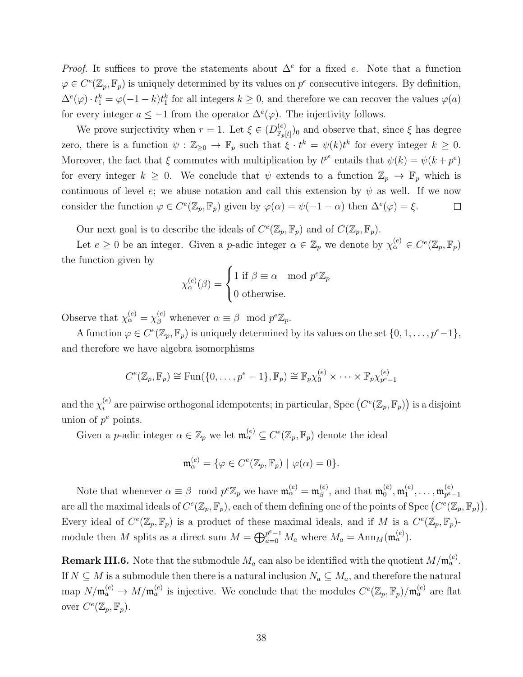*Proof.* It suffices to prove the statements about  $\Delta^e$  for a fixed *e*. Note that a function  $\varphi \in C^e(\mathbb{Z}_p, \mathbb{F}_p)$  is uniquely determined by its values on  $p^e$  consecutive integers. By definition,  $\Delta^e(\varphi) \cdot t_1^k = \varphi(-1-k)t_1^k$  for all integers  $k \geq 0$ , and therefore we can recover the values  $\varphi(a)$ for every integer  $a \leq -1$  from the operator  $\Delta^e(\varphi)$ . The injectivity follows.

We prove surjectivity when  $r = 1$ . Let  $\xi \in (D_{\mathbb{R}_+}^{(e)})$  $\binom{e}{\mathbb{F}_p[t]}$  and observe that, since  $\xi$  has degree zero, there is a function  $\psi : \mathbb{Z}_{\geq 0} \to \mathbb{F}_p$  such that  $\xi \cdot t^k = \psi(k)t^k$  for every integer  $k \geq 0$ . Moreover, the fact that  $\xi$  commutes with multiplication by  $t^{p^e}$  entails that  $\psi(k) = \psi(k + p^e)$ for every integer  $k \geq 0$ . We conclude that  $\psi$  extends to a function  $\mathbb{Z}_p \to \mathbb{F}_p$  which is continuous of level *e*; we abuse notation and call this extension by  $\psi$  as well. If we now consider the function  $\varphi \in C^e(\mathbb{Z}_p, \mathbb{F}_p)$  given by  $\varphi(\alpha) = \psi(-1 - \alpha)$  then  $\Delta^e(\varphi) = \xi$ .  $\Box$ 

Our next goal is to describe the ideals of  $C^e(\mathbb{Z}_p, \mathbb{F}_p)$  and of  $C(\mathbb{Z}_p, \mathbb{F}_p)$ .

Let  $e \geq 0$  be an integer. Given a *p*-adic integer  $\alpha \in \mathbb{Z}_p$  we denote by  $\chi_{\alpha}^{(e)} \in C^e(\mathbb{Z}_p, \mathbb{F}_p)$ the function given by

$$
\chi_{\alpha}^{(e)}(\beta) = \begin{cases} 1 \text{ if } \beta \equiv \alpha \mod p^e \mathbb{Z}_p \\ 0 \text{ otherwise.} \end{cases}
$$

Observe that  $\chi_{\alpha}^{(e)} = \chi_{\beta}^{(e)}$  whenever  $\alpha \equiv \beta \mod p^e \mathbb{Z}_p$ .

A function  $\varphi \in C^e(\mathbb{Z}_p, \mathbb{F}_p)$  is uniquely determined by its values on the set  $\{0, 1, \ldots, p^e-1\},$ and therefore we have algebra isomorphisms

there we have algebra isomorphisms

\n
$$
C^e(\mathbb{Z}_p, \mathbb{F}_p) \cong \text{Fun}(\{0, \ldots, p^e - 1\}, \mathbb{F}_p) \cong \mathbb{F}_p \chi_0^{(e)} \times \cdots \times \mathbb{F}_p \chi_{p^e - 1}^{(e)}
$$
\n(e) are pairwise orthogonal idempotents; in particular, Spec  $(C^e(\mathbb{Z}_p, \mathbb{F}_p))$  is a disjoint.

and the  $\chi_i^{(e)}$ union of  $p^e$  points.

Given a *p*-adic integer  $\alpha \in \mathbb{Z}_p$  we let  $\mathfrak{m}_{\alpha}^{(e)} \subseteq C^e(\mathbb{Z}_p, \mathbb{F}_p)$  denote the ideal

$$
\mathfrak{m}_{\alpha}^{(e)} = \{ \varphi \in C^{e}(\mathbb{Z}_p, \mathbb{F}_p) \mid \varphi(\alpha) = 0 \}.
$$

Note that whenever  $\alpha \equiv \beta \mod p^e \mathbb{Z}_p$  we have  $\mathfrak{m}_{\alpha}^{(e)} = \mathfrak{m}_{\beta}^{(e)}$  $\binom{e}{\beta}$ , and that  $\mathfrak{m}_0^{(e)}$  $_0^{(e)},$   $\mathfrak{m}_1^{(e)}$  $\mathfrak{m}_{1}^{(e)},\ldots,\mathfrak{m}_{p^{e}}^{(e)}$ *p <sup>e</sup>−*1 are all the maximal ideals of  $C^e(\mathbb{Z}_p, \mathbb{F}_p)$ , each of them defining one of the points of Spec  $(C^e(\mathbb{Z}_p, \mathbb{F}_p))$ .  $\begin{aligned} \mathcal{L}^{(e)}_k &= \{ \varphi \in C^e(\mathbb{Z}_p, \mathbb{F}_p) \mid \varphi(\alpha) = 0 \}. \\ & \mod p^e \mathbb{Z}_p \text{ we have } \mathfrak{m}_{\alpha}^{(e)} = \mathfrak{m}_{\beta}^{(e)}, \text{ and that } \mathfrak{m}_{0}^{(e)}, \mathfrak{m}_{1}^{(e)}, \dots, \\ (\mathbb{Z}_p, \mathbb{F}_p), \text{ each of them defining one of the points of Spec } \{ \varphi \} \end{aligned}$ Every ideal of  $C^e(\mathbb{Z}_p, \mathbb{F}_p)$  is a product of these maximal ideals, and if *M* is a  $C^e(\mathbb{Z}_p, \mathbb{F}_p)$ module then *M* splits as a direct sum  $M = \bigoplus_{a=0}^{p^e-1} M_a$  where  $M_a = \text{Ann}_M(\mathfrak{m}_a^{(e)})$ . ⊕

<span id="page-45-0"></span>**Remark III.6.** Note that the submodule  $M_a$  can also be identified with the quotient  $M/\mathfrak{m}_a^{(e)}$ . If  $N \subseteq M$  is a submodule then there is a natural inclusion  $N_a \subseteq M_a$ , and therefore the natural  $\lim_{a \to a} N/\mathfrak{m}_a^{(e)} \to M/\mathfrak{m}_a^{(e)}$  is injective. We conclude that the modules  $C^e(\mathbb{Z}_p, \mathbb{F}_p)/\mathfrak{m}_a^{(e)}$  are flat over  $C^e(\mathbb{Z}_p, \mathbb{F}_p)$ .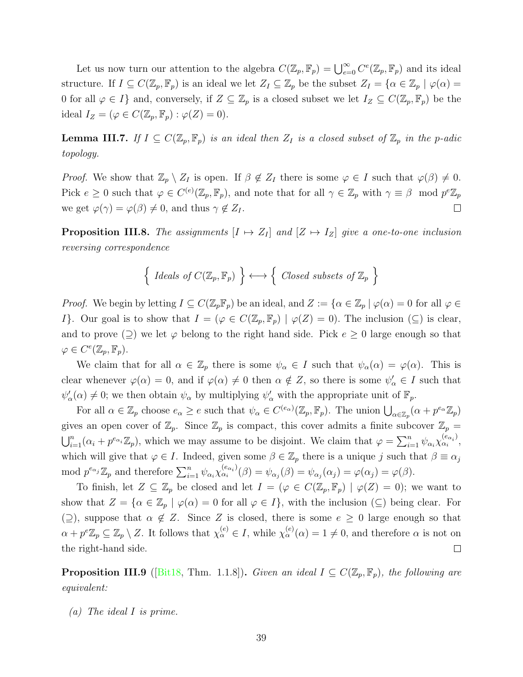Let us now turn our attention to the algebra  $C(\mathbb{Z}_p, \mathbb{F}_p) = \bigcup_{e=0}^{\infty} C^e(\mathbb{Z}_p, \mathbb{F}_p)$  and its ideal structure. If  $I \subseteq C(\mathbb{Z}_p, \mathbb{F}_p)$  is an ideal we let  $Z_I \subseteq \mathbb{Z}_p$  be the subset  $Z_I = \{ \alpha \in \mathbb{Z}_p \mid \varphi(\alpha) =$ 0 for all  $\varphi \in I$ *f* and, conversely, if  $Z \subseteq \mathbb{Z}_p$  is a closed subset we let  $I_Z \subseteq C(\mathbb{Z}_p, \mathbb{F}_p)$  be the ideal  $I_Z = (\varphi \in C(\mathbb{Z}_p, \mathbb{F}_p) : \varphi(Z) = 0).$ 

**Lemma III.7.** *If*  $I \subseteq C(\mathbb{Z}_p, \mathbb{F}_p)$  *is an ideal then*  $Z_I$  *is a closed subset of*  $\mathbb{Z}_p$  *in the p*-adic *topology.*

*Proof.* We show that  $\mathbb{Z}_p \setminus Z_I$  is open. If  $\beta \notin Z_I$  there is some  $\varphi \in I$  such that  $\varphi(\beta) \neq 0$ . Pick  $e \geq 0$  such that  $\varphi \in C^{(e)}(\mathbb{Z}_p, \mathbb{F}_p)$ , and note that for all  $\gamma \in \mathbb{Z}_p$  with  $\gamma \equiv \beta \mod p^e \mathbb{Z}_p$ we get  $\varphi(\gamma) = \varphi(\beta) \neq 0$ , and thus  $\gamma \notin Z_I$ .  $\Box$ 

<span id="page-46-0"></span>**Proposition III.8.** The assignments  $[I \mapsto Z_I]$  and  $[Z \mapsto I_Z]$  give a one-to-one inclusion *reversing correspondence ←→* {

$$
\left\{ \text{ \tIdeals of } C(\mathbb{Z}_p, \mathbb{F}_p) \right\} \longleftrightarrow \left\{ \text{ \t Closed subsets of } \mathbb{Z}_p \right\}
$$

*Proof.* We begin by letting  $I \subseteq C(\mathbb{Z}_p \mathbb{F}_p)$  be an ideal, and  $Z := {\alpha \in \mathbb{Z}_p \mid \varphi(\alpha) = 0$  for all  $\varphi \in \mathbb{Z}_p$ *I*<sup>}</sup>. Our goal is to show that  $I = (\varphi \in C(\mathbb{Z}_p, \mathbb{F}_p) | \varphi(Z) = 0)$ . The inclusion ( $\subseteq$ ) is clear, and to prove  $(2)$  we let  $\varphi$  belong to the right hand side. Pick  $e \geq 0$  large enough so that  $\varphi \in C^e(\mathbb{Z}_p, \mathbb{F}_p).$ 

We claim that for all  $\alpha \in \mathbb{Z}_p$  there is some  $\psi_{\alpha} \in I$  such that  $\psi_{\alpha}(\alpha) = \varphi(\alpha)$ . This is<br>  $\alpha$  whenever  $\varphi(\alpha) = 0$ , and if  $\varphi(\alpha) \neq 0$  then  $\alpha \notin Z$ , so there is some  $\psi_{\alpha}' \in I$  such that<br>  $\alpha$ )  $\neq 0$ ; we clear whenever  $\varphi(\alpha) = 0$ , and if  $\varphi(\alpha) \neq 0$  then  $\alpha \notin Z$ , so there is some  $\psi_{\alpha}' \in I$  such that  $\psi'_{\alpha}(\alpha) \neq 0$ ; we then obtain  $\psi_{\alpha}$  by multiplying  $\psi'_{\alpha}$  with the appropriate unit of  $\mathbb{F}_p$ .

For all  $\alpha \in \mathbb{Z}_p$  choose  $e_\alpha \geq e$  such that  $\psi_\alpha \in C^{(e_\alpha)}(\mathbb{Z}_p, \mathbb{F}_p)$ . The union  $\bigcup_{\alpha \in \mathbb{Z}_p} (\alpha + p^{e_\alpha} \mathbb{Z}_p)$ gives an open cover of  $\mathbb{Z}_p$ . Since  $\mathbb{Z}_p$  is compact, this cover admits a finite subcover  $\mathbb{Z}_p$  =  $\sum_{i=1}^{n} (\alpha_i + p^{e_{\alpha_i}} \mathbb{Z}_p)$ , which we may assume to be disjoint. We claim that  $\varphi = \sum_{i=1}^{n} \psi_{\alpha_i} \chi_{\alpha_i}^{(e_{\alpha_i})}$  $\alpha_i^{\epsilon\alpha_i}$ <sup>,</sup> which will give that  $\varphi \in I$ . Indeed, given some  $\beta \in \mathbb{Z}_p$  there is a unique *j* such that  $\beta \equiv \alpha_j$ mod  $p^{e_{\alpha_j}}\mathbb{Z}_p$  and therefore  $\sum_{i=1}^n \psi_{\alpha_i} \chi_{\alpha_i}^{(e_{\alpha_i})}$ an open cover of  $\mathbb{Z}_p$ . S<br>  $\alpha_i + p^{e_{\alpha_i}} \mathbb{Z}_p$ , which we r<br>
will give that  $\varphi \in I$ . In<br>  $e_{\alpha_j} \mathbb{Z}_p$  and therefore  $\sum_{i=1}^n a_i$  $\psi_{\alpha_i}^{(e_{\alpha_i})}(\beta) = \psi_{\alpha_j}(\beta) = \psi_{\alpha_j}(\alpha_j) = \varphi(\alpha_j) = \varphi(\beta).$ 

To finish, let  $Z \subseteq \mathbb{Z}_p$  be closed and let  $I = (\varphi \in C(\mathbb{Z}_p, \mathbb{F}_p) \mid \varphi(Z) = 0)$ ; we want to show that  $Z = \{ \alpha \in \mathbb{Z}_p \mid \varphi(\alpha) = 0 \text{ for all } \varphi \in I \}$ , with the inclusion  $(\subseteq)$  being clear. For (2), suppose that  $\alpha \notin \mathbb{Z}$ . Since  $\mathbb Z$  is closed, there is some  $e \geq 0$  large enough so that  $\alpha + p^e \mathbb{Z}_p \subseteq \mathbb{Z}_p \setminus Z$ . It follows that  $\chi_\alpha^{(e)} \in I$ , while  $\chi_\alpha^{(e)}(\alpha) = 1 \neq 0$ , and therefore  $\alpha$  is not on the right-hand side.  $\Box$ 

<span id="page-46-1"></span>**Proposition III.9** ([\[Bit18,](#page-87-2) Thm. 1.1.8]). *Given an ideal*  $I \subseteq C(\mathbb{Z}_p, \mathbb{F}_p)$ *, the following are equivalent:*

*(a) The ideal I is prime.*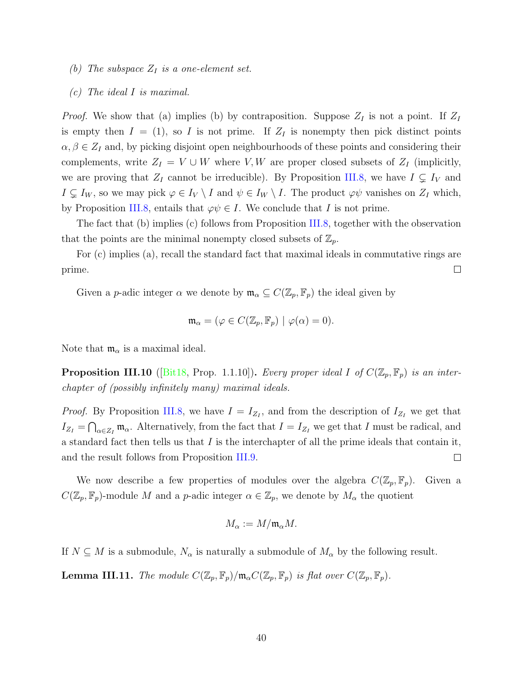- *(b) The subspace Z<sup>I</sup> is a one-element set.*
- *(c) The ideal I is maximal.*

*Proof.* We show that (a) implies (b) by contraposition. Suppose  $Z_I$  is not a point. If  $Z_I$ is empty then  $I = (1)$ , so *I* is not prime. If  $Z_I$  is nonempty then pick distinct points  $\alpha, \beta \in \mathbb{Z}_I$  and, by picking disjoint open neighbourhoods of these points and considering their complements, write  $Z_I = V \cup W$  where *V, W* are proper closed subsets of  $Z_I$  (implicitly, we are proving that  $Z_I$  cannot be irreducible). By Proposition [III.8](#page-46-0), we have  $I \subsetneq I_V$  and  $I \subsetneq I_W$ , so we may pick  $\varphi \in I_V \setminus I$  and  $\psi \in I_W \setminus I$ . The product  $\varphi \psi$  vanishes on  $Z_I$  which, by Proposition [III.8,](#page-46-0) entails that  $\varphi \psi \in I$ . We conclude that *I* is not prime.

The fact that (b) implies (c) follows from Proposition [III.8](#page-46-0), together with the observation that the points are the minimal nonempty closed subsets of  $\mathbb{Z}_p$ .

For (c) implies (a), recall the standard fact that maximal ideals in commutative rings are prime.  $\Box$ 

Given a *p*-adic integer  $\alpha$  we denote by  $\mathfrak{m}_{\alpha} \subseteq C(\mathbb{Z}_p, \mathbb{F}_p)$  the ideal given by

$$
\mathfrak{m}_{\alpha} = (\varphi \in C(\mathbb{Z}_p, \mathbb{F}_p) \mid \varphi(\alpha) = 0).
$$

Note that  $m_{\alpha}$  is a maximal ideal.

**Proposition III.10** ([[Bit18](#page-87-2), Prop. 1.1.10]). *Every proper ideal I* of  $C(\mathbb{Z}_p, \mathbb{F}_p)$  *is an interchapter of (possibly infinitely many) maximal ideals.*

*Proof.* By Proposition [III.8,](#page-46-0) we have  $I = I_{Z_I}$ , and from the description of  $I_{Z_I}$  we get that  $I_{Z_I} = \bigcap_{\alpha \in Z_I} \mathfrak{m}_{\alpha}$ . Alternatively, from the fact that  $I = I_{Z_I}$  we get that *I* must be radical, and a standard fact then tells us that *I* is the interchapter of all the prime ideals that contain it,  $\Box$ and the result follows from Proposition [III.9.](#page-46-1)

We now describe a few properties of modules over the algebra  $C(\mathbb{Z}_p, \mathbb{F}_p)$ . Given a  $C(\mathbb{Z}_p, \mathbb{F}_p)$ -module *M* and a *p*-adic integer  $\alpha \in \mathbb{Z}_p$ , we denote by  $M_\alpha$  the quotient

$$
M_{\alpha}:=M/\mathfrak{m}_{\alpha}M.
$$

If  $N \subseteq M$  is a submodule,  $N_{\alpha}$  is naturally a submodule of  $M_{\alpha}$  by the following result.

<span id="page-47-0"></span>**Lemma III.11.** *The module*  $C(\mathbb{Z}_p, \mathbb{F}_p)/\mathfrak{m}_\alpha C(\mathbb{Z}_p, \mathbb{F}_p)$  *is flat over*  $C(\mathbb{Z}_p, \mathbb{F}_p)$ *.*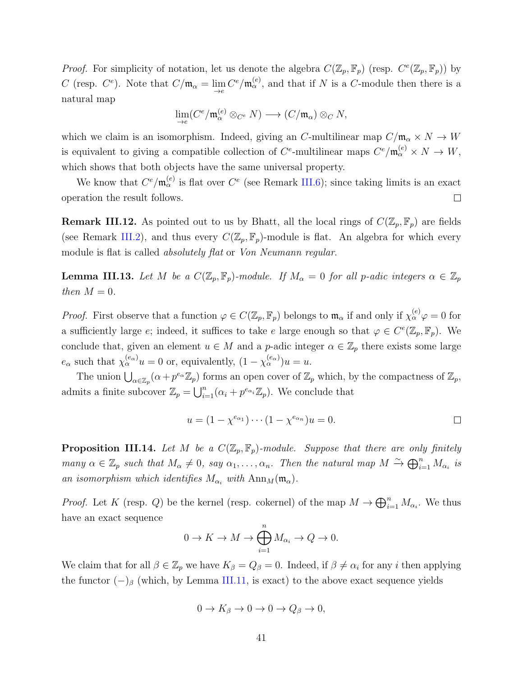*Proof.* For simplicity of notation, let us denote the algebra  $C(\mathbb{Z}_p, \mathbb{F}_p)$  (resp.  $C^e(\mathbb{Z}_p, \mathbb{F}_p)$ ) by *C* (resp. *C*<sup>*e*</sup>). Note that  $C/\mathfrak{m}_{\alpha} = \lim_{\to e} C^e / \mathfrak{m}_{\alpha}^{(e)}$ , and that if *N* is a *C*-module then there is a natural map

$$
\lim_{\to e} (C^e / \mathfrak{m}_{\alpha}^{(e)} \otimes_{C^e} N) \longrightarrow (C / \mathfrak{m}_{\alpha}) \otimes_C N,
$$

which we claim is an isomorphism. Indeed, giving an *C*-multilinear map  $C/\mathfrak{m}_{\alpha} \times N \to W$ is equivalent to giving a compatible collection of  $C^e$ -multilinear maps  $C^e/\mathfrak{m}_{\alpha}^{(e)} \times N \to W$ , which shows that both objects have the same universal property.

We know that  $C^e/\mathfrak{m}_{\alpha}^{(e)}$  is flat over  $C^e$  (see Remark [III.6](#page-45-0)); since taking limits is an exact operation the result follows.  $\Box$ 

**Remark III.12.** As pointed out to us by Bhatt, all the local rings of  $C(\mathbb{Z}_p, \mathbb{F}_p)$  are fields (see Remark [III.2](#page-43-0)), and thus every  $C(\mathbb{Z}_p, \mathbb{F}_p)$ -module is flat. An algebra for which every module is flat is called *absolutely flat* or *Von Neumann regular*.

<span id="page-48-0"></span>**Lemma III.13.** Let *M* be a  $C(\mathbb{Z}_p, \mathbb{F}_p)$ *-module. If*  $M_\alpha = 0$  *for all p-adic integers*  $\alpha \in \mathbb{Z}_p$ *then*  $M = 0$ *.* 

*Proof.* First observe that a function  $\varphi \in C(\mathbb{Z}_p, \mathbb{F}_p)$  belongs to  $\mathfrak{m}_{\alpha}$  if and only if  $\chi_{\alpha}^{(e)}\varphi = 0$  for a sufficiently large *e*; indeed, it suffices to take *e* large enough so that  $\varphi \in C^e(\mathbb{Z}_p, \mathbb{F}_p)$ . We conclude that, given an element  $u \in M$  and a *p*-adic integer  $\alpha \in \mathbb{Z}_p$  there exists some large  $e_{\alpha}$  such that  $\chi_{\alpha}^{(e_{\alpha})}u = 0$  or, equivalently,  $(1 - \chi_{\alpha}^{(e_{\alpha})})u = u$ . The union ∪<br>The union ∪<br>The union ∪

 $a \in \mathbb{Z}_p$  ( $\alpha + p^{e_\alpha} \mathbb{Z}_p$ ) forms an open cover of  $\mathbb{Z}_p$  which, by the compactness of  $\mathbb{Z}_p$ , admits a finite subcover  $\mathbb{Z}_p = \bigcup_{i=1}^n (\alpha_i + p^{e_{\alpha_i}} \mathbb{Z}_p)$ . We conclude that

$$
u = (1 - \chi^{e_{\alpha_1}}) \cdots (1 - \chi^{e_{\alpha_n}})u = 0.
$$

<span id="page-48-1"></span>**Proposition III.14.** Let M be a  $C(\mathbb{Z}_p, \mathbb{F}_p)$ -module. Suppose that there are only finitely *many*  $\alpha \in \mathbb{Z}_p$  *such that*  $M_{\alpha} \neq 0$ *, say*  $\alpha_1, \ldots, \alpha_n$ *. Then the natural map*  $M \stackrel{\sim}{\rightarrow} \bigoplus_{i=1}^n M_{\alpha_i}$  *is ∗• ∞nl*<br>
→ ⊕ *an isomorphism which identifies*  $M_{\alpha_i}$  *with*  $\text{Ann}_M(\mathfrak{m}_{\alpha})$ *.* ⊕

*Proof.* Let *K* (resp. *Q*) be the kernel (resp. cokernel) of the map  $M \to \bigoplus_{i=1}^{n} M_{\alpha_i}$ . We thus have an exact sequence

$$
0 \to K \to M \to \bigoplus_{i=1}^{n} M_{\alpha_i} \to Q \to 0.
$$

We claim that for all  $\beta \in \mathbb{Z}_p$  we have  $K_\beta = Q_\beta = 0$ . Indeed, if  $\beta \neq \alpha_i$  for any *i* then applying the functor  $(-)$ <sup>β</sup> (which, by Lemma [III.11](#page-47-0), is exact) to the above exact sequence yields

$$
0 \to K_{\beta} \to 0 \to 0 \to Q_{\beta} \to 0,
$$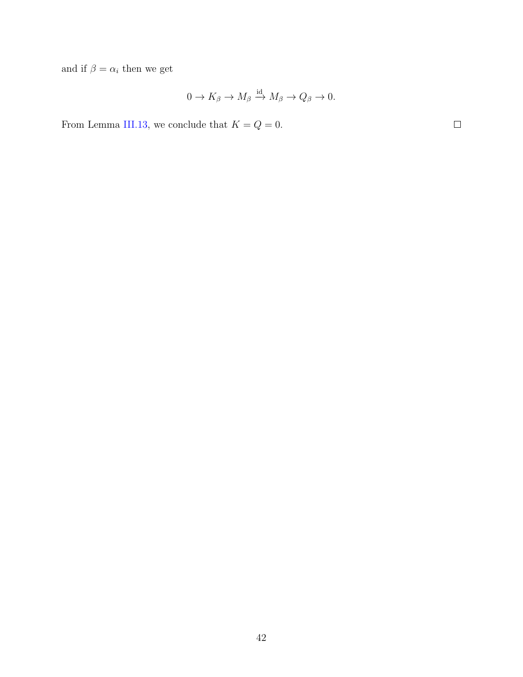and if  $\beta = \alpha_i$  then we get

$$
0 \to K_{\beta} \to M_{\beta} \xrightarrow{\mathrm{id}} M_{\beta} \to Q_{\beta} \to 0.
$$

From Lemma [III.13,](#page-48-0) we conclude that  $K = Q = 0$ .

 $\Box$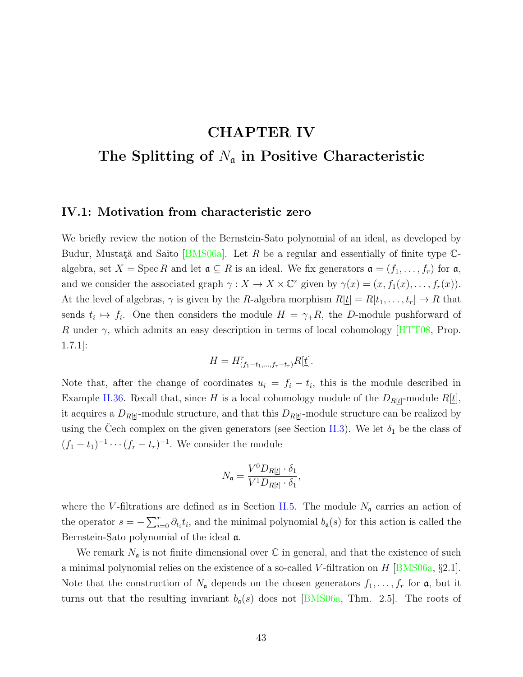### **CHAPTER IV**

### **The Splitting of** *N*<sup>a</sup> **in Positive Characteristic**

#### <span id="page-50-0"></span>**IV.1: Motivation from characteristic zero**

We briefly review the notion of the Bernstein-Sato polynomial of an ideal, as developed by Budur,Mustată and Saito [[BMS06a\]](#page-87-3). Let *R* be a regular and essentially of finite type Calgebra, set  $X = \text{Spec } R$  and let  $\mathfrak{a} \subseteq R$  is an ideal. We fix generators  $\mathfrak{a} = (f_1, \ldots, f_r)$  for  $\mathfrak{a}$ , and we consider the associated graph  $\gamma : X \to X \times \mathbb{C}^r$  given by  $\gamma(x) = (x, f_1(x), \ldots, f_r(x))$ . At the level of algebras,  $\gamma$  is given by the *R*-algebra morphism  $R[\underline{t}] = R[t_1, \ldots, t_r] \rightarrow R$  that sends  $t_i \mapsto f_i$ . One then considers the module  $H = \gamma_+ R$ , the *D*-module pushforward of *R* under *γ*, which admits an easy description in terms of local cohomology[[HTT08](#page-88-1), Prop. 1.7.1]:

$$
H = H^r_{(f_1 - t_1, \dots, f_r - t_r)} R[\underline{t}].
$$

Note that, after the change of coordinates  $u_i = f_i - t_i$ , this is the module described in Example [II.36](#page-29-0). Recall that, since *H* is a local cohomology module of the  $D_{R[\underline{t}]}$ -module  $R[\underline{t}]$ , it acquires a  $D_{R[\underline{t}]}$ -module structure, and that this  $D_{R[\underline{t}]}$ -module structure can be realized by using the Cech complex on the given generators (see Section [II.3](#page-27-0)). We let  $\delta_1$  be the class of  $(f_1 - t_1)^{-1} \cdots (f_r - t_r)^{-1}$ . We consider the module

$$
N_{\mathfrak{a}} = \frac{V^0 D_{R[\underline{t}]} \cdot \delta_1}{V^1 D_{R[\underline{t}]} \cdot \delta_1},
$$

where the *V*-filtrations are defined as in Section [II.5.](#page-36-1) The module  $N_a$  carries an action of the operator  $s = -\sum_{i=0}^{r} \partial_{t_i} t_i$ , and the minimal polynomial  $b_{\mathfrak{a}}(s)$  for this action is called the Bernstein-Sato polynomial of the ideal a.

We remark  $N_a$  is not finite dimensional over  $\mathbb C$  in general, and that the existence of such a minimal polynomial relies on the existence of a so-called *V* -filtration on *H* [\[BMS06a,](#page-87-3) *§*2.1]. Note that the construction of  $N_a$  depends on the chosen generators  $f_1, \ldots, f_r$  for  $\mathfrak{a}$ , but it turnsout that the resulting invariant  $b_{\mathfrak{a}}(s)$  does not [[BMS06a,](#page-87-3) Thm. 2.5]. The roots of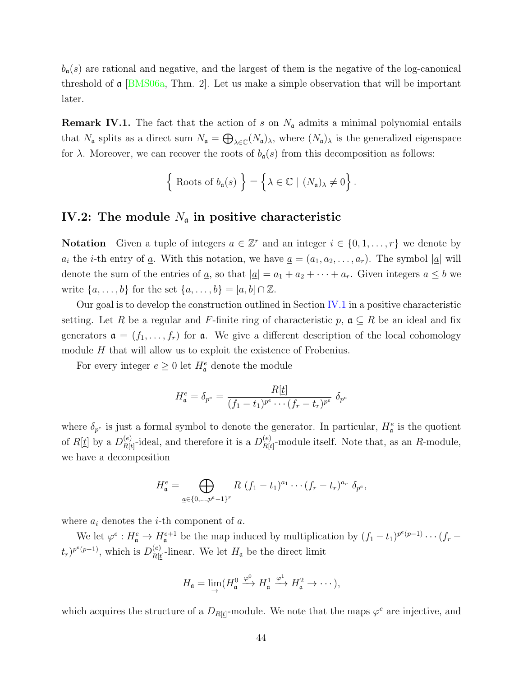$b_{\mathfrak{a}}(s)$  are rational and negative, and the largest of them is the negative of the log-canonical threshold of  $\alpha$  [[BMS06a,](#page-87-3) Thm. 2]. Let us make a simple observation that will be important later.

<span id="page-51-0"></span>**Remark IV.1.** The fact that the action of *s* on  $N_a$  admits a minimal polynomial entails that  $N_a$  splits as a direct sum  $N_a = \bigoplus_{\lambda \in \mathbb{C}} (N_a)_{\lambda}$ , where  $(N_a)_{\lambda}$  is the generalized eigenspace for  $\lambda$ . Moreover, we can recover the roots of  $b_{\mathfrak{a}}(s)$  from this decomposition as follows: *λ*, where  $(N_a)$  *λ* is then  $(λ_a)$  *λ* is the  $(s)$  from this decom  $λ ∈ \mathbb{C} | (N_a)$   $\not= 0$ 

$$
\left\{\text{ Roots of } b_{\mathfrak{a}}(s) \right\} = \left\{\lambda \in \mathbb{C} \mid (N_{\mathfrak{a}})_{\lambda} \neq 0 \right\}.
$$

#### <span id="page-51-1"></span>**IV.2:** The module  $N_a$  in positive characteristic

**Notation** Given a tuple of integers  $\underline{a} \in \mathbb{Z}^r$  and an integer  $i \in \{0, 1, \ldots, r\}$  we denote by *a<sub>i</sub>* the *i*-th entry of <u>*a*</u>. With this notation, we have  $\underline{a} = (a_1, a_2, \ldots, a_r)$ . The symbol  $|\underline{a}|$  will denote the sum of the entries of <u>*a*</u>, so that  $|\underline{a}| = a_1 + a_2 + \cdots + a_r$ . Given integers  $a \leq b$  we write  $\{a, \ldots, b\}$  for the set  $\{a, \ldots, b\} = [a, b] \cap \mathbb{Z}$ .

Our goal is to develop the construction outlined in Section [IV.1](#page-50-0) in a positive characteristic setting. Let *R* be a regular and *F*-finite ring of characteristic  $p$ ,  $\mathfrak{a} \subseteq R$  be an ideal and fix generators  $\mathbf{a} = (f_1, \ldots, f_r)$  for  $\mathbf{a}$ . We give a different description of the local cohomology module *H* that will allow us to exploit the existence of Frobenius.

For every integer  $e \geq 0$  let  $H^e_{\mathfrak{a}}$  denote the module

$$
H_{\mathfrak{a}}^e = \delta_{p^e} = \frac{R[\underline{t}]}{(f_1 - t_1)^{p^e} \cdots (f_r - t_r)^{p^e}} \delta_{p^e}
$$

where  $\delta_{p^e}$  is just a formal symbol to denote the generator. In particular,  $H^e_{\mathfrak{a}}$  is the quotient of  $R[\underline{t}]$  by a  $D_{R[\underline{t}]}^{(e)}$  $P_{R[t]}^{(e)}$ -ideal, and therefore it is a  $D_{R[t]}^{(e)}$  $R[t]$ -module itself. Note that, as an *R*-module, we have a decomposition

$$
H_{\mathfrak{a}}^{e} = \bigoplus_{\underline{a} \in \{0, \ldots, p^{e}-1\}^{r}} R (f_{1} - t_{1})^{a_{1}} \cdots (f_{r} - t_{r})^{a_{r}} \delta_{p^{e}},
$$

where  $a_i$  denotes the *i*-th component of  $\underline{a}$ .

We let  $\varphi^e: H^e_{\mathfrak{a}} \to H^{e+1}_{\mathfrak{a}}$  be the map induced by multiplication by  $(f_1 - t_1)^{p^e(p-1)} \cdots (f_r - t_r)^{p^e(r-1)}$  $(t_r)^{p^e(p-1)}$ , which is  $D_{R[t]}^{(e)}$  $R[t]$ -linear. We let  $H_a$  be the direct limit

$$
H_{\mathfrak{a}} = \lim_{\rightarrow} (H_{\mathfrak{a}}^0 \xrightarrow{\varphi^0} H_{\mathfrak{a}}^1 \xrightarrow{\varphi^1} H_{\mathfrak{a}}^2 \rightarrow \cdots),
$$

which acquires the structure of a  $D_{R[\underline{t}]}$ -module. We note that the maps  $\varphi^e$  are injective, and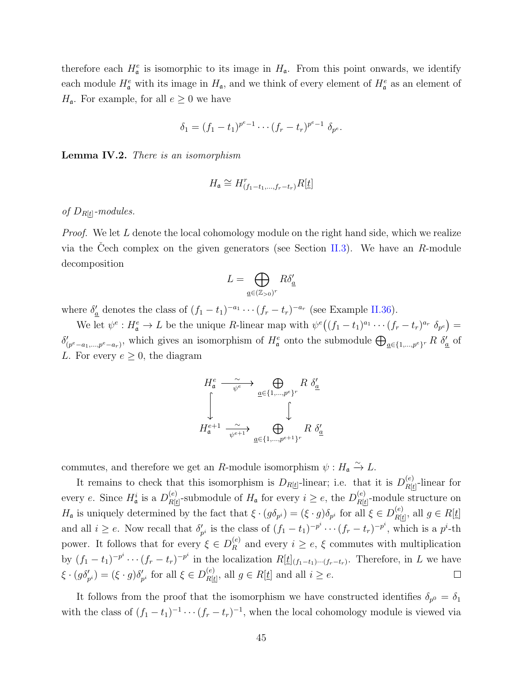therefore each  $H_{\mathfrak{a}}^e$  is isomorphic to its image in  $H_{\mathfrak{a}}$ . From this point onwards, we identify each module  $H_{\mathfrak{a}}^e$  with its image in  $H_{\mathfrak{a}}$ , and we think of every element of  $H_{\mathfrak{a}}^e$  as an element of *H*<sub>a</sub>. For example, for all  $e \geq 0$  we have

$$
\delta_1 = (f_1 - t_1)^{p^e - 1} \cdots (f_r - t_r)^{p^e - 1} \delta_{p^e}.
$$

**Lemma IV.2.** *There is an isomorphism*

$$
H_{\mathfrak{a}} \cong H_{(f_1-t_1,\ldots,f_r-t_r)}^r R[\underline{t}]
$$

#### *of DR*[*t*]*-modules.*

*Proof.* We let *L* denote the local cohomology module on the right hand side, which we realize via the Cech complex on the given generators (see Section  $II.3$ ). We have an *R*-module decomposition

$$
L=\bigoplus_{\underline{a}\in (\mathbb{Z}_{>0})^r}R\delta'_{\underline{a}}
$$

where  $\delta'_{\underline{a}}$  denotes the class of  $(f_1 - t_1)^{-a_1} \cdots (f_r - t_r)^{-a_r}$  (see Example [II.36](#page-29-0)).

We let  $\psi^e : H^e_{\mathfrak{a}} \to L$  be the unique R-linear map with  $\psi^e((f_1 - t_1)^{a_1} \cdots (f_r - t_r)^{a_r} \delta_{p^e}) =$  $\delta'_{(p^e-a_1,\dots,p^e-a_r)}$ , which gives an isomorphism of  $H^e_{\mathfrak{a}}$  onto the submodule  $\bigoplus_{\underline{a}\in\{1,\dots,p^e\}^r} R \delta'_{\underline{a}}$  of  $\frac{d}{dr}$  (see Example II.3)<br>o with  $\psi^e((f_1 - t_1)^{a_1} \cdots)$  onto the submodule  $\bigoplus$ *L*. For every  $e \geq 0$ , the diagram <sup>ig</sup>ł



commutes, and therefore we get an *R*-module isomorphism  $\psi : H_{\mathfrak{a}} \xrightarrow{\sim} L$ .

It remains to check that this isomorphism is  $D_{R[\underline{t}]}$ -linear; i.e. that it is  $D_{R[\underline{t}]}^{(e)}$  $R[t]$ -linear for every *e*. Since  $H^i_{\mathfrak{a}}$  is a  $D^{(e)}_{R[t]}$  $P_{R[t]}^{(e)}$ -submodule of  $H_{\mathfrak{a}}$  for every  $i \geq e$ , the  $D_{R[t]}^{(e)}$  $R[t]$ -module structure on *H*<sub>a</sub> is uniquely determined by the fact that  $\xi \cdot (g\delta_{p^i}) = (\xi \cdot g)\delta_{p^i}$  for all  $\xi \in D_{R[t]}^{(e)}$  $R[t]$ , all  $g \in R[t]$ and all  $i \geq e$ . Now recall that  $\delta'_{p^i}$  is the class of  $(f_1 - t_1)^{-p^i} \cdots (f_r - t_r)^{-p^i}$ , which is a  $p^i$ -th power. It follows that for every  $\xi \in D_R^{(e)}$  $R_R^{(e)}$  and every  $i \geq e, \xi$  commutes with multiplication by  $(f_1-t_1)^{-p^i}\cdots (f_r-t_r)^{-p^i}$  in the localization  $R[\underline{t}]_{(f_1-t_1)\cdots (f_r-t_r)}$ . Therefore, in L we have *ξ* · (*gδ*<sub>*p*<sup>*i*</sup></sub>) = (*ξ* · *g*)*δ*<sub>*p*<sup>*i*</sup></sup> for all *ξ*  $\in$  *D*<sup>*(e)*</sup><sub>*R*[*t*</sub></sub>  $R[\underline{t}]$ , all  $g \in R[\underline{t}]$  and all  $i \geq e$ .  $\Box$ 

It follows from the proof that the isomorphism we have constructed identifies  $\delta_{p^0} = \delta_1$ with the class of  $(f_1 - t_1)^{-1} \cdots (f_r - t_r)^{-1}$ , when the local cohomology module is viewed via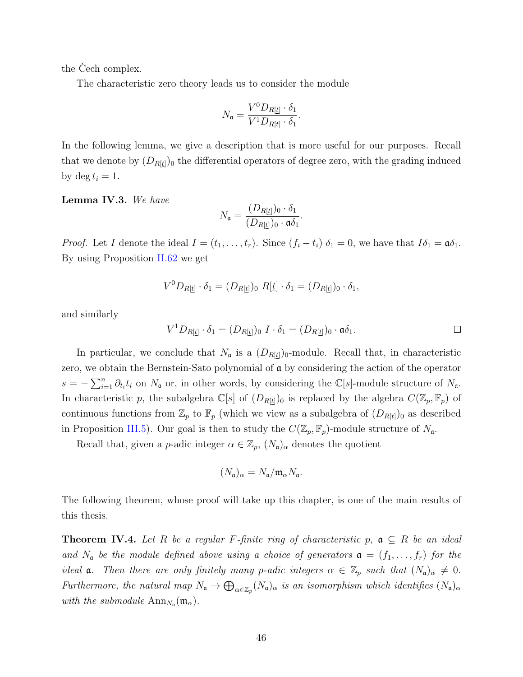the Cech complex.

The characteristic zero theory leads us to consider the module

$$
N_{\mathfrak{a}} = \frac{V^0 D_{R[\underline{t}]} \cdot \delta_1}{V^1 D_{R[\underline{t}]} \cdot \delta_1}.
$$

In the following lemma, we give a description that is more useful for our purposes. Recall that we denote by  $(D_{R[t]})_0$  the differential operators of degree zero, with the grading induced by  $\deg t_i = 1$ .

<span id="page-53-1"></span>**Lemma IV.3.** *We have*

$$
N_{\mathfrak{a}} = \frac{(D_{R[\underline{t}]})_0 \cdot \delta_1}{(D_{R[\underline{t}]})_0 \cdot \mathfrak{a} \delta_1}.
$$

*Proof.* Let *I* denote the ideal  $I = (t_1, \ldots, t_r)$ . Since  $(f_i - t_i) \delta_1 = 0$ , we have that  $I\delta_1 = \mathfrak{a} \delta_1$ . By using Proposition [II.62](#page-41-1) we get

$$
V^{0}D_{R[\underline{t}]}\cdot \delta_{1}=(D_{R[\underline{t}]})_{0} R[\underline{t}]\cdot \delta_{1}=(D_{R[\underline{t}]})_{0}\cdot \delta_{1},
$$

and similarly

$$
V^{1}D_{R[\underline{t}]}\cdot \delta_{1}=(D_{R[\underline{t}]})_{0} I\cdot \delta_{1}=(D_{R[\underline{t}]})_{0}\cdot \mathfrak{a}\delta_{1}.
$$

In particular, we conclude that  $N_a$  is a  $(D_{R[t]})_0$ -module. Recall that, in characteristic zero, we obtain the Bernstein-Sato polynomial of a by considering the action of the operator  $s = -\sum_{i=1}^{n} \partial_{t_i} t_i$  on  $N_a$  or, in other words, by considering the  $\mathbb{C}[s]$ -module structure of  $N_a$ . In characteristic p, the subalgebra  $\mathbb{C}[s]$  of  $(D_{R[\underline{t}]})_0$  is replaced by the algebra  $C(\mathbb{Z}_p, \mathbb{F}_p)$  of continuous functions from  $\mathbb{Z}_p$  to  $\mathbb{F}_p$  (which we view as a subalgebra of  $(D_{R[\underline{t}]})_0$  as described in Proposition [III.5](#page-44-0)). Our goal is then to study the  $C(\mathbb{Z}_p, \mathbb{F}_p)$ -module structure of  $N_a$ .

Recall that, given a *p*-adic integer  $\alpha \in \mathbb{Z}_p$ ,  $(N_{\mathfrak{a}})_{\alpha}$  denotes the quotient

$$
(N_{\mathfrak{a}})_{\alpha}=N_{\mathfrak{a}}/\mathfrak{m}_{\alpha}N_{\mathfrak{a}}.
$$

The following theorem, whose proof will take up this chapter, is one of the main results of this thesis.

<span id="page-53-0"></span>**Theorem IV.4.** Let R be a regular F-finite ring of characteristic  $p$ ,  $\mathfrak{a} \subseteq R$  be an ideal *and*  $N_a$  *be the module defined above using a choice of generators*  $a = (f_1, \ldots, f_r)$  *for the ideal* **a**. Then there are only finitely many *p*-adic integers  $\alpha \in \mathbb{Z}_p$  such that  $(N_a)_{\alpha} \neq 0$ . *Furthermore, the natural map*  $N_a \to \bigoplus_{\alpha \in \mathbb{Z}_p} (N_a)_{\alpha}$  *is an isomorphism which identifies*  $(N_a)_{\alpha}$ *with the submodule*  $\text{Ann}_{N_a}(\mathfrak{m}_{\alpha})$ .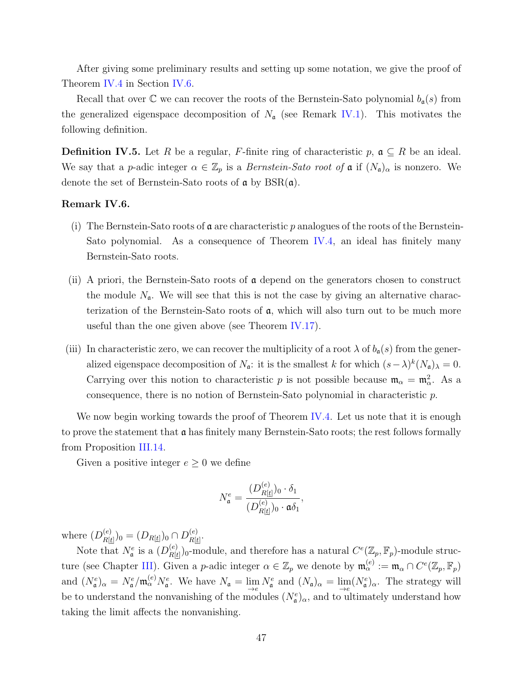After giving some preliminary results and setting up some notation, we give the proof of Theorem [IV.4](#page-53-0) in Section [IV.6](#page-64-0).

Recall that over  $\mathbb C$  we can recover the roots of the Bernstein-Sato polynomial  $b_{\mathfrak{a}}(s)$  from the generalized eigenspace decomposition of  $N_a$  (see Remark [IV.1](#page-51-0)). This motivates the following definition.

**Definition IV.5.** Let *R* be a regular, *F*-finite ring of characteristic  $p$ ,  $\mathfrak{a} \subseteq R$  be an ideal. We say that a *p*-adic integer  $\alpha \in \mathbb{Z}_p$  is a *Bernstein-Sato root of*  $\alpha$  if  $(N_{\alpha})_{\alpha}$  is nonzero. We denote the set of Bernstein-Sato roots of  $\alpha$  by BSR $(\alpha)$ .

#### **Remark IV.6.**

- (i) The Bernstein-Sato roots of a are characteristic *p* analogues of the roots of the Bernstein-Sato polynomial. As a consequence of Theorem [IV.4,](#page-53-0) an ideal has finitely many Bernstein-Sato roots.
- (ii) A priori, the Bernstein-Sato roots of  $\alpha$  depend on the generators chosen to construct the module  $N_a$ . We will see that this is not the case by giving an alternative characterization of the Bernstein-Sato roots of a, which will also turn out to be much more useful than the one given above (see Theorem [IV.17](#page-60-0)).
- (iii) In characteristic zero, we can recover the multiplicity of a root  $\lambda$  of  $b_{\mathfrak{a}}(s)$  from the generalized eigenspace decomposition of  $N_a$ : it is the smallest *k* for which  $(s - \lambda)^k (N_a)_{\lambda} = 0$ . Carrying over this notion to characteristic *p* is not possible because  $\mathfrak{m}_{\alpha} = \mathfrak{m}_{\alpha}^2$ . As a consequence, there is no notion of Bernstein-Sato polynomial in characteristic *p*.

We now begin working towards the proof of Theorem [IV.4](#page-53-0). Let us note that it is enough to prove the statement that  $\alpha$  has finitely many Bernstein-Sato roots; the rest follows formally from Proposition [III.14.](#page-48-1)

Given a positive integer  $e \geq 0$  we define

$$
N_{\mathfrak{a}}^{e} = \frac{(D_{R[\underline{t}]}^{(e)})_0 \cdot \delta_1}{(D_{R[\underline{t}]}^{(e)})_0 \cdot \mathfrak{a} \delta_1},
$$

where  $(D_{R}^{(e)}$  $\frac{P(e)}{P(R[t]})_0 = (D_{R[t]})_0 \cap D_{R[t]}^{(e)}$  $\frac{(e)}{R[\underline{t}]}.$ 

Note that  $N^e_{\mathfrak{a}}$  is a  $(D_{R|t}^{(e)}$  $\mathcal{L}_{R[\underline{t}]}^{(e)}$  )<sub>0</sub>-module, and therefore has a natural  $C^{e}(\mathbb{Z}_p, \mathbb{F}_p)$ -module struc-ture (see Chapter [III](#page-43-1)). Given a *p*-adic integer  $\alpha \in \mathbb{Z}_p$  we denote by  $\mathfrak{m}_{\alpha}^{(e)} := \mathfrak{m}_{\alpha} \cap C^e(\mathbb{Z}_p, \mathbb{F}_p)$ and  $(N_{\mathfrak{a}}^e)_{\alpha} = N_{\mathfrak{a}}^e / \mathfrak{m}_{\alpha}^{(e)} N_{\mathfrak{a}}^e$ . We have  $N_{\mathfrak{a}} = \lim_{\epsilon \to e} N_{\mathfrak{a}}^e$  and  $(N_{\mathfrak{a}})_{\alpha} = \lim_{\epsilon \to e} (N_{\mathfrak{a}}^e)_{\alpha}$ . The strategy will be to understand the nonvanishing of the modules  $(N_{\mathfrak{a}}^e)_{\alpha}$ , and to ultimately understand how taking the limit affects the nonvanishing.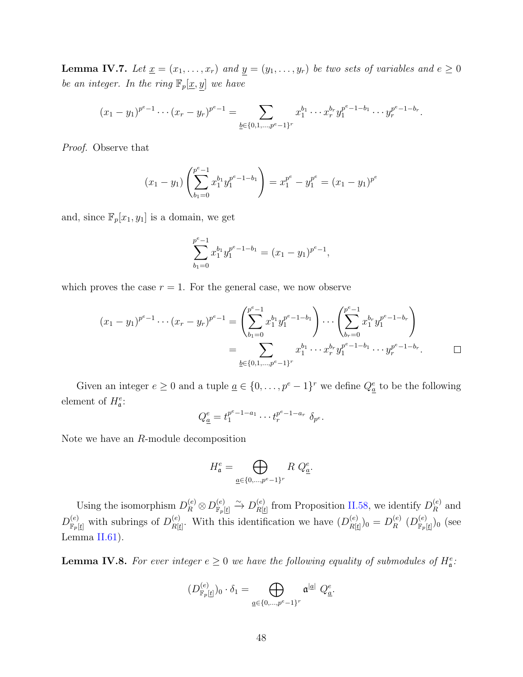<span id="page-55-0"></span>**Lemma IV.7.** Let  $\underline{x} = (x_1, \ldots, x_r)$  and  $\underline{y} = (y_1, \ldots, y_r)$  be two sets of variables and  $e \geq 0$ *be an integer. In the ring*  $\mathbb{F}_p[\underline{x}, \underline{y}]$  *we have* 

$$
(x_1-y_1)^{p^e-1}\cdots (x_r-y_r)^{p^e-1}=\sum_{\underline{b}\in\{0,1,\ldots,p^e-1\}^r}x_1^{b_1}\cdots x_r^{b_r}y_1^{p^e-1-b_1}\cdots y_r^{p^e-1-b_r}.
$$

*Proof.* Observe that

$$
(x_1 - y_1) \left( \sum_{b_1=0}^{p^e-1} x_1^{b_1} y_1^{p^e-1-b_1} \right) = x_1^{p^e} - y_1^{p^e} = (x_1 - y_1)^{p^e}
$$

and, since  $\mathbb{F}_p[x_1, y_1]$  is a domain, we get

$$
\sum_{b_1=0}^{p^e-1} x_1^{b_1} y_1^{p^e-1-b_1} = (x_1 - y_1)^{p^e-1},
$$

which proves the case  $r = 1$ . For the general case, we now observe

$$
\sum_{b_1=0}^{x_1} \sum_{y_1}^{y_1} \cdots \sum_{y_l}^{y_l} \sum_{y_l}^{y_l},
$$
\n
$$
\text{d} \sum_{b_1=0}^{x_1} \sum_{y_1}^{y_1} \cdots \sum_{y_p}^{y_p} \sum_{y_l}^{y_l} \sum_{y_l}^{y_l} \sum_{y_l}^{y_l} \sum_{y_l}^{y_l} \sum_{y_l}^{y_l} \sum_{y_l}^{y_l} \sum_{y_l}^{y_l} \sum_{y_l}^{y_l} \sum_{y_l}^{y_l} \sum_{y_l}^{y_l} \sum_{y_l}^{y_l} \sum_{y_l}^{y_l} \sum_{y_l}^{y_l} \sum_{y_l}^{y_l} \sum_{y_l}^{y_l} \sum_{y_l}^{y_l} \sum_{y_l}^{y_l} \sum_{y_l}^{y_l} \sum_{y_l}^{y_l} \sum_{y_l}^{y_l} \sum_{y_l}^{y_l} \sum_{y_l}^{y_l} \sum_{y_l}^{y_l} \sum_{y_l}^{y_l} \sum_{y_l}^{y_l} \sum_{y_l}^{y_l} \sum_{y_l}^{y_l} \sum_{y_l}^{y_l} \sum_{y_l}^{y_l} \sum_{y_l}^{y_l} \sum_{y_l}^{y_l} \sum_{y_l}^{y_l} \sum_{y_l}^{y_l} \sum_{y_l}^{y_l} \sum_{y_l}^{y_l} \sum_{y_l}^{y_l} \sum_{y_l}^{y_l} \sum_{y_l}^{y_l} \sum_{y_l}^{y_l} \sum_{y_l}^{y_l} \sum_{y_l}^{y_l} \sum_{y_l}^{y_l} \sum_{y_l}^{y_l} \sum_{y_l}^{y_l} \sum_{y_l}^{y_l} \sum_{y_l}^{y_l} \sum_{y_l}^{y_l} \sum_{y_l}^{y_l} \sum_{y_l}^{y_l} \sum_{y_l}^{y_l} \sum_{y_l}^{y_l} \sum_{y_l}^{y_l} \sum_{y_l}^{y_l} \sum_{y_l}^{y_l} \sum_{y_l}^{y_l} \sum_{y_l}^{y_l} \sum_{y_l}^{y_l} \sum_{y_l}^{y_l} \sum_{y_l}^{y_l} \sum_{y_l}^{y_l} \sum_{y_l}^{y_l} \sum_{y_l}^{y_l} \sum_{y_l}^{y_l} \sum_{y_l}^{y_l} \sum_{y_l}^{y_l} \sum_{y_l}^{y
$$

Given an integer  $e \geq 0$  and a tuple  $\underline{a} \in \{0, \ldots, p^e - 1\}^r$  we define  $Q^e_{\underline{a}}$  to be the following element of  $H^e_{\mathfrak{a}}$ :

$$
Q_{\underline{a}}^{e} = t_1^{p^e - 1 - a_1} \cdots t_r^{p^e - 1 - a_r} \delta_{p^e}.
$$

Note we have an *R*-module decomposition

$$
H_{\mathfrak{a}}^{e} = \bigoplus_{\underline{a} \in \{0, \dots, p^{e}-1\}^{r}} R Q_{\underline{a}}^{e}.
$$

Using the isomorphism  $D_R^{(e)} \otimes D_{\mathbb{F}_p}^{(e)}$  $\stackrel{(e)}{\mathbb{F}_p[\underline{t}]} \stackrel{\sim}{\to} D_{R[\underline{t}]}^{(e)}$  $R[t]$  from Proposition [II.58](#page-39-0), we identify  $D_R^{(e)}$  $R^{\left(e\right)}$  and  $D_{\mathbb{F}_p[\underline{t}]}^{(e)}$  with subrings of  $D_{R[\underline{t}]}^{(e)}$  $R[t]$ . With this identification we have  $(D_{R[t]}^{(e)}$  $\frac{(e)}{R[\underline{t}]})_0 = D_R^{(e)}$  $\stackrel{(e)}{R}(D_{\mathbb F_p}^{(e)}$  $_{\mathbb{F}_p[\underline{t}]})_0$  (see Lemma  $II.61$ ).

<span id="page-55-1"></span>**Lemma IV.8.** For ever integer  $e \geq 0$  we have the following equality of submodules of  $H^e_{\mathfrak{a}}$ :

$$
(D_{\mathbb{F}_p[\underline{t}]}^{(e)})_0 \cdot \delta_1 = \bigoplus_{\underline{a} \in \{0,\dots,p^e-1\}^r} \mathfrak{a}^{|\underline{a}|} Q_{\underline{a}}^e.
$$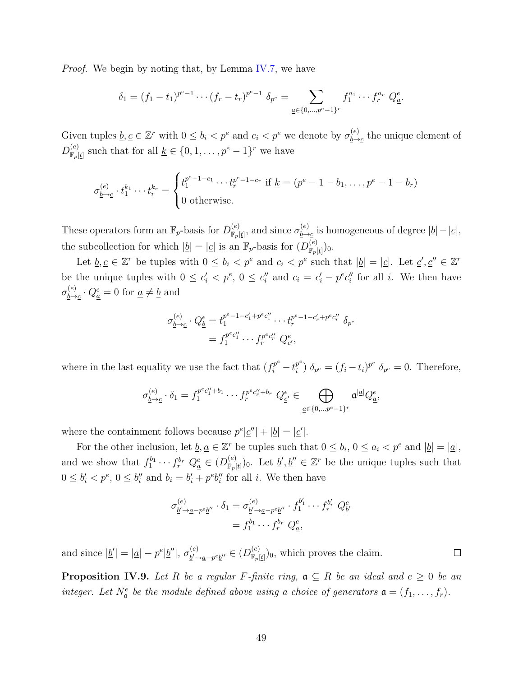*Proof.* We begin by noting that, by Lemma [IV.7,](#page-55-0) we have

$$
\delta_1 = (f_1 - t_1)^{p^e - 1} \cdots (f_r - t_r)^{p^e - 1} \delta_{p^e} = \sum_{\underline{a} \in \{0, \ldots, p^e - 1\}^r} f_1^{a_1} \cdots f_r^{a_r} Q_{\underline{a}}^e.
$$

Given tuples  $\underline{b}, \underline{c} \in \mathbb{Z}^r$  with  $0 \leq b_i < p^e$  and  $c_i < p^e$  we denote by  $\sigma_{b \to b}^{(e)}$  $\frac{b}{b}$  the unique element of  $D_{\mathbb{F}}^{(e)}$  $\mathcal{F}_{\mathcal{F}}[t]$  such that for all  $\underline{k} \in \{0, 1, \ldots, p^e - 1\}^r$  we have  $\mathbf{h}$ 

$$
\sigma_{\underline{b}\to \underline{c}}^{(e)} \cdot t_1^{k_1} \cdots t_r^{k_r} = \begin{cases} t_1^{p^e - 1 - c_1} \cdots t_r^{p^e - 1 - c_r} & \text{if } \underline{k} = (p^e - 1 - b_1, \dots, p^e - 1 - b_r) \\ 0 & \text{otherwise.} \end{cases}
$$

These operators form an  $\mathbb{F}_p$ -basis for  $D_{\mathbb{F}_p}^{(e)}$  $\binom{(e)}{\mathbb{F}_p[\underline{t}]},$  and since  $\sigma_{\underline{b}\rightarrow}^{(e)}$ *b→c* is homogeneous of degree *|b|−|c|*, the subcollection for which  $|\underline{b}| = |\underline{c}|$  is an  $\mathbb{F}_p$ -basis for  $(D_{\mathbb{F}_p}^{(e)})$  $_{\mathbb{F}_p[\underline{t}]})_0.$ 

Let  $\underline{b}, \underline{c} \in \mathbb{Z}^r$  be tuples with  $0 \leq b_i < p^e$  and  $c_i < p^e$  such that  $|\underline{b}| = |\underline{c}|$ . Let  $\underline{c}', \underline{c}'' \in \mathbb{Z}^r$ be the unique tuples with  $0 \leq c'_i < p^e, 0 \leq c''_i$  and  $c_i = c'_i - p^e c''_i$  for all i. We then have  $\sigma _{b\rightarrow}^{\left( e\right) }$  $\frac{a(e)}{b\rightarrow c} \cdot Q_{\underline{a}}^{e} = 0$  for  $\underline{a} \neq \underline{b}$  and

$$
\sigma_{\underline{b}\to \underline{c}}^{(e)} \cdot Q_{\underline{b}}^{e} = t_1^{p^e - 1 - c_1' + p^e c_1''} \cdots t_r^{p^e - 1 - c_r' + p^e c_r''} \delta_{p^e}
$$

$$
= f_1^{p^e c_1''} \cdots f_r^{p^e c_r''} Q_{\underline{c'}}^{e},
$$

where in the last equality we use the fact that  $(f_i^{p^e} - t_i^{p^e})$  $j_i^{p^e}$ )  $\delta_{p^e} = (f_i - t_i)^{p^e} \delta_{p^e} = 0$ . Therefore,

$$
\sigma_{\underline{b}\to \underline{c}}^{(e)} \cdot \delta_1 = f_1^{p^e c_1'' + b_1} \cdots f_r^{p^e c_r'' + b_r} Q_{\underline{c}'}^e \in \bigoplus_{\underline{a} \in \{0, \dots p^e - 1\}^r} \mathfrak{a}^{|\underline{a}|} Q_{\underline{a}}^e,
$$

where the containment follows because  $p^e | \underline{c}'' | + | \underline{b} | = | \underline{c}').$ 

For the other inclusion, let  $\underline{b}, \underline{a} \in \mathbb{Z}^r$  be tuples such that  $0 \leq b_i$ ,  $0 \leq a_i < p^e$  and  $|\underline{b}| = |\underline{a}|$ , and we show that  $f_1^{b_1} \cdots f_r^{b_r}$   $Q_a^e \in (D_{\mathbb{F}_p}^{(e)})$  $\mathcal{F}_{\mathcal{F}_{p}[\underline{t}]}^{(e)}$ , Let  $\underline{b}', \underline{b}'' \in \mathbb{Z}^{r}$  be the unique tuples such that  $0 \leq b'_i < p^e, 0 \leq b''_i$  and  $b_i = b'_i + p^e b''_i$  for all *i*. We then have

$$
\sigma_{\underline{b}' \to \underline{a} - p^e \underline{b}''}^{(e)} \cdot \delta_1 = \sigma_{\underline{b}' \to \underline{a} - p^e \underline{b}''}^{(e)} \cdot f_1^{b'_1} \cdots f_r^{b'_r} Q^e_{\underline{b}'}
$$

$$
= f_1^{b_1} \cdots f_r^{b_r} Q^e_{\underline{a}},
$$

and since  $|\underline{b}'| = |\underline{a}| - p^e |\underline{b}''|, \sigma_{b'}^{(e)}$ *b ′→a−p eb ′′ ∈* (*D* (*e*)  $\binom{e}{\mathbb{F}_p[t]}$ <sub>0</sub>, which proves the claim.

<span id="page-56-0"></span>**Proposition IV.9.** Let R be a regular F-finite ring,  $a \subseteq R$  be an ideal and  $e \geq 0$  be an *integer.* Let  $N_a^e$  be the module defined above using a choice of generators  $\mathfrak{a} = (f_1, \ldots, f_r)$ .

 $\Box$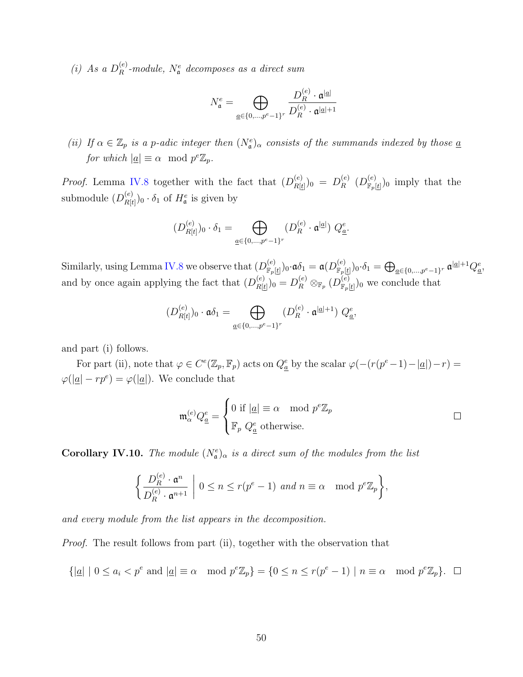*(i) As a*  $D_R^{(e)}$  $R_R^{(e)}$ -module,  $N_a^e$  decomposes as a direct sum

$$
N^e_{{\mathfrak a}}=\bigoplus_{\underline{a}\in\{0,\ldots,p^e-1\}^r}\frac{D_R^{(e)}\cdot {\mathfrak a}^{|\underline{a}|}}{D_R^{(e)}\cdot {\mathfrak a}^{|\underline{a}|+1}}
$$

*(ii) If*  $\alpha \in \mathbb{Z}_p$  *is a p*-adic integer then  $(N_e^e)_{\alpha}$  consists of the summands indexed by those <u>*a*</u> *for which*  $|\underline{a}| \equiv \alpha \mod p^e \mathbb{Z}_p$ *.* 

*Proof.* Lemma [IV.8](#page-55-1) together with the fact that  $(D_{R}^{(e)})$  $\frac{(e)}{R[\underline{t}]})_0 = D_R^{(e)}$  $\stackrel{(e)}{R}$   $(D_{\mathbb{F}_p}^{(e)}$  $\binom{e}{\mathbb{F}_p[t]}$ <sub>0</sub> imply that the submodule  $(D_{R}^{(e)}$  $\binom{(e)}{R[t]}$ <sup>0</sup> ·  $\delta_1$  of  $H^e_{\mathfrak{a}}$  is given by

$$
(D_{R[t]}^{(e)})_0 \cdot \delta_1 = \bigoplus_{\underline{a} \in \{0, \dots, p^e - 1\}^r} (D_R^{(e)} \cdot \mathfrak{a}^{|\underline{a}|}) Q_{\underline{a}}^e.
$$

Similarly, using Lemma [IV.8](#page-55-1) we observe that  $(D_{\mathbb{R}_+}^{(e)})$  $_{\mathbb{F}_p[\underline{t}]})_0$ ·α $\delta_1 =$  α $(D_{\mathbb{F}_p}^{(e)})$  $(\epsilon^e)_{\mathbb{F}_p[\underline{t}]})_0\!\cdot\!\delta_1 = \bigoplus_{\underline{a}\in\{0,...,p^e-1\}^r} \mathfrak{a}^{|\underline{a}|+1}Q^e_{\underline{a}},$ and by once again applying the fact that  $(D_{R}^{(e)})$ *R*[*t*] )<sup>0</sup> = *D* (*e*) *<sup>R</sup> ⊗*<sup>F</sup>*<sup>p</sup>* (*D* (*e*)  $\binom{e}{\mathbb{F}_p[t]}$  we conclude that ⊕

$$
(D_{R[t]}^{(e)})_0 \cdot \mathfrak{a} \delta_1 = \bigoplus_{\underline{a} \in \{0,\ldots,p^e-1\}^r} (D_R^{(e)} \cdot \mathfrak{a}^{|\underline{a}|+1}) Q_{\underline{a}}^e,
$$

and part (i) follows.

For part (ii), note that  $\varphi \in C^e(\mathbb{Z}_p, \mathbb{F}_p)$  acts on  $Q_a^e$  by the scalar  $\varphi(-(r(p^e-1)-|a|)-r)$  $\varphi(|\underline{a}| - rp^e) = \varphi(|\underline{a}|).$  We conclude that

$$
\mathfrak{m}_{\alpha}^{(e)} Q_{\underline{a}}^{e} = \begin{cases} 0 \text{ if } |\underline{a}| \equiv \alpha \mod p^{e} \mathbb{Z}_{p} \\ \mathbb{F}_{p} \ Q_{\underline{a}}^{e} \text{ otherwise.} \end{cases} \square
$$

<span id="page-57-0"></span>**Corollary IV.10.** *The module*  $(N_a^e)_{\alpha}$  *is a direct sum of the modules from the list*  $\overline{a}$ 

$$
\left\{\frac{D_R^{(e)} \cdot \mathfrak{a}^n}{D_R^{(e)} \cdot \mathfrak{a}^{n+1}} \middle| 0 \le n \le r(p^e - 1) \text{ and } n \equiv \alpha \mod p^e \mathbb{Z}_p \right\},\
$$

*and every module from the list appears in the decomposition.*

*Proof.* The result follows from part (ii), together with the observation that

$$
\{|\underline{a}| \mid 0 \le a_i < p^e \text{ and } |\underline{a}| \equiv \alpha \mod p^e \mathbb{Z}_p\} = \{0 \le n \le r(p^e - 1) \mid n \equiv \alpha \mod p^e \mathbb{Z}_p\}.
$$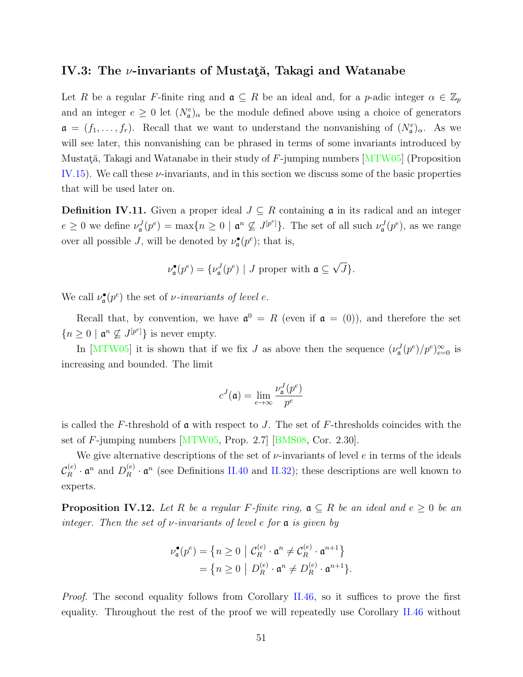#### **IV.3: The** *ν***-invariants of Mustat**a, Takagi and Watanabe

Let *R* be a regular *F*-finite ring and  $\mathfrak{a} \subseteq R$  be an ideal and, for a *p*-adic integer  $\alpha \in \mathbb{Z}_p$ and an integer  $e \geq 0$  let  $(N_e^e)_{\alpha}$  be the module defined above using a choice of generators  $\mathfrak{a} = (f_1, \ldots, f_r)$ . Recall that we want to understand the nonvanishing of  $(N_{\mathfrak{a}}^e)_{\alpha}$ . As we will see later, this nonvanishing can be phrased in terms of some invariants introduced by Mustată, Takagi and Watanabe in their study of F-jumping numbers  $MTW05$  (Proposition [IV.15\)](#page-60-1). We call these *ν*-invariants, and in this section we discuss some of the basic properties that will be used later on.

**Definition IV.11.** Given a proper ideal  $J \subseteq R$  containing  $\mathfrak{a}$  in its radical and an integer  $e \geq 0$  we define  $\nu^J_{\mathfrak{a}}(p^e) = \max\{n \geq 0 \mid \mathfrak{a}^n \nsubseteq J^{[p^e]}\}\.$  The set of all such  $\nu^J_{\mathfrak{a}}(p^e)$ , as we range over all possible *J*, will be denoted by  $\nu_{\mathfrak{a}}^{\bullet}(p^e)$ ; that is,

$$
\nu_{\mathfrak{a}}^{\bullet}(p^e) = \{ \nu_{\mathfrak{a}}^J(p^e) \mid J \text{ proper with } \mathfrak{a} \subseteq \sqrt{J} \}.
$$

We call  $\nu_{\mathfrak{a}}^{\bullet}(p^e)$  the set of *ν-invariants of level e.* 

Recall that, by convention, we have  $\mathfrak{a}^0 = R$  (even if  $\mathfrak{a} = (0)$ ), and therefore the set  ${n \geq 0 \mid \mathfrak{a}^n \nsubseteq J^{[p^e]} }$  is never empty.

In [\[MTW05](#page-89-0)] it is shown that if we fix *J* as above then the sequence  $(\nu_a^J(p^e)/p^e)_{e=0}^{\infty}$  is increasing and bounded. The limit

$$
c^{J}(\mathfrak{a}) = \lim_{e \to \infty} \frac{\nu_{\mathfrak{a}}^{J}(p^e)}{p^e}
$$

is called the *F*-threshold of a with respect to *J*. The set of *F*-thresholds coincides with the set of *F*-jumping numbers[[MTW05,](#page-89-0) Prop. 2.7][[BMS08](#page-87-0), Cor. 2.30].

We give alternative descriptions of the set of *ν*-invariants of level *e* in terms of the ideals  $\mathcal{C}_R^{(e)}$  $D_R^{(e)} \cdot \mathfrak{a}^n$  and  $D_R^{(e)}$  $R^{(e)}$   $\cdot$   $\mathfrak{a}^n$  (see Definitions [II.40](#page-31-0) and [II.32](#page-27-1)); these descriptions are well known to experts.

<span id="page-58-0"></span>**Proposition IV.12.** Let R be a regular F-finite ring,  $a \subseteq R$  be an ideal and  $e \ge 0$  be an *integer. Then the set of ν-invariants of level e for* a *is given by e* a regular *F*-finite ring,  $\mathfrak{a} \subseteq R$  be<br>ariants of level e for  $\mathfrak{a}$  is given by<br> $\mathfrak{b} = \{n \geq 0 \mid C_R^{(e)} \cdot \mathfrak{a}^n \neq C_R^{(e)} \cdot \mathfrak{a}^{n+1}\}$  ${\it mts}$  of lev Î

$$
\nu_{\mathfrak{a}}^{\bullet}(p^{e}) = \left\{ n \ge 0 \mid \mathcal{C}_{R}^{(e)} \cdot \mathfrak{a}^{n} \ne \mathcal{C}_{R}^{(e)} \cdot \mathfrak{a}^{n+1} \right\}
$$

$$
= \left\{ n \ge 0 \mid D_{R}^{(e)} \cdot \mathfrak{a}^{n} \ne D_{R}^{(e)} \cdot \mathfrak{a}^{n+1} \right\}.
$$

*Proof.* The second equality follows from Corollary [II.46,](#page-33-0) so it suffices to prove the first equality. Throughout the rest of the proof we will repeatedly use Corollary [II.46](#page-33-0) without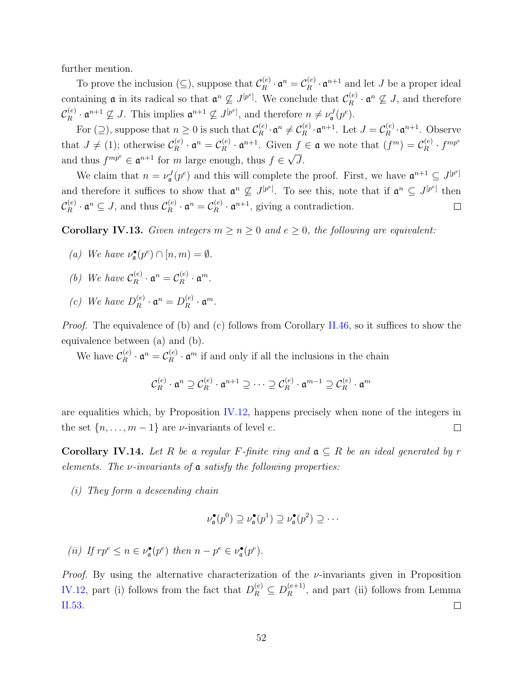further mention.

To prove the inclusion ( $\subseteq$ ), suppose that  $\mathcal{C}_R^{(e)}$  $\mathfrak{c}_R^{(e)} \cdot \mathfrak{a}^n = \mathcal{C}_R^{(e)}$  $R^{(e)}$   $\cdot$   $\mathfrak{a}^{n+1}$  and let *J* be a proper ideal containing **a** in its radical so that  $\mathfrak{a}^n \nsubseteq J^{[p^e]}$ . We conclude that  $\mathcal{C}_R^{(e)}$  $\mathbf{R}^{(e)} \cdot \mathbf{a}^n \nsubseteq J$ , and therefore  $\mathcal{C}_R^{(e)}$  $R^{(e)}$  ·  $\mathfrak{a}^{n+1} \nsubseteq J$ . This implies  $\mathfrak{a}^{n+1} \nsubseteq J^{[p^e]}$ , and therefore  $n \neq \nu_{\mathfrak{a}}^J(p^e)$ .

For  $(\supseteq)$ , suppose that  $n \geq 0$  is such that  $\mathcal{C}_R^{(e)}$  $\mathfrak{C}_R^{(e)}\cdot \mathfrak{a}^n \neq \mathcal{C}_R^{(e)}$  $L_R^{(e)} \cdot \mathfrak{a}^{n+1}$ . Let  $J = \mathcal{C}_R^{(e)}$  $R^{(e)}$ **·** $\mathfrak{a}^{n+1}$ . Observe that  $J \neq (1)$ ; otherwise  $\mathcal{C}_{R}^{(e)}$  $\mathfrak{c}_R^{(e)} \cdot \mathfrak{a}^n = \mathcal{C}_R^{(e)}$  $\mathcal{L}_R^{(e)} \cdot \mathfrak{a}^{n+1}$ . Given  $f \in \mathfrak{a}$  we note that  $(f^m) = \mathcal{C}_R^{(e)}$  $\chi^{(e)}_R \cdot f^{mp^e}$ and thus  $f^{mp^e} \in \mathfrak{a}^{n+1}$  for *m* large enough, thus  $f \in \sqrt{J}$ . *√*

We claim that  $n = \nu_a^J(p^e)$  and this will complete the proof. First, we have  $\mathfrak{a}^{n+1} \subseteq J^{[p^e]}$ and therefore it suffices to show that  $\mathfrak{a}^n \nsubseteq J^{[p^e]}$ . To see this, note that if  $\mathfrak{a}^n \subseteq J^{[p^e]}$  then  $\mathcal{C}_R^{(e)}$  $R_R^{(e)} \cdot \mathfrak{a}^n \subseteq J$ , and thus  $\mathcal{C}_R^{(e)}$  $\mathfrak{c}_R^{\cdot (e)} \cdot \mathfrak{a}^n = \mathcal{C}_R^{(e)}$  $R_R^{(e)} \cdot \mathfrak{a}^{n+1}$ , giving a contradiction.  $\Box$ 

<span id="page-59-1"></span>**Corollary IV.13.** *Given integers*  $m \geq n \geq 0$  *and*  $e \geq 0$ *, the following are equivalent:* 

- *(a) We have*  $\nu_a^{\bullet}(p^e) \cap [n,m) = \emptyset$ *.*
- *(b) We have*  $C_R^{(e)}$  $\mathfrak{c}_R^{(e)} \cdot \mathfrak{a}^n = \mathcal{C}_R^{(e)}$  $R^{(e)}$  ·  $\mathfrak{a}^m$ .
- *(c) We have*  $D_R^{(e)}$  $\mathbf{a}^{(e)}_R \cdot \mathbf{a}^n = D_R^{(e)}$  $\mathfrak{a}^{(e)}_R \cdot \mathfrak{a}^m$ .

*Proof.* The equivalence of (b) and (c) follows from Corollary [II.46](#page-33-0), so it suffices to show the equivalence between (a) and (b).

We have  $\mathcal{C}_R^{(e)}$  $\overset{(e)}{R}\cdot \mathfrak{a}^n=\mathcal{C}_R^{(e)}$  $\mathbb{R}^{(e)}$   $\cdot$   $\mathfrak{a}^m$  if and only if all the inclusions in the chain

$$
\mathcal{C}_R^{(e)} \cdot \mathfrak{a}^n \supseteq \mathcal{C}_R^{(e)} \cdot \mathfrak{a}^{n+1} \supseteq \cdots \supseteq \mathcal{C}_R^{(e)} \cdot \mathfrak{a}^{m-1} \supseteq \mathcal{C}_R^{(e)} \cdot \mathfrak{a}^m
$$

are equalities which, by Proposition [IV.12,](#page-58-0) happens precisely when none of the integers in the set  $\{n, \ldots, m-1\}$  are *v*-invariants of level *e*.  $\Box$ 

<span id="page-59-0"></span>**Corollary IV.14.** Let R be a regular F-finite ring and  $a \subseteq R$  be an ideal generated by r *elements. The ν-invariants of* a *satisfy the following properties:*

*(i) They form a descending chain*

$$
\nu_{\mathfrak{a}}^{\bullet}(p^0) \supseteq \nu_{\mathfrak{a}}^{\bullet}(p^1) \supseteq \nu_{\mathfrak{a}}^{\bullet}(p^2) \supseteq \cdots
$$

(ii) If 
$$
rp^e \leq n \in \nu_{\mathfrak{a}}^{\bullet}(p^e)
$$
 then  $n - p^e \in \nu_{\mathfrak{a}}^{\bullet}(p^e)$ .

*Proof.* By using the alternative characterization of the *ν*-invariants given in Proposition [IV.12,](#page-58-0) part (i) follows from the fact that  $D_R^{(e)} \subseteq D_R^{(e+1)}$  $R_R^{(e+1)}$ , and part (ii) follows from Lemma [II.53.](#page-36-0)  $\Box$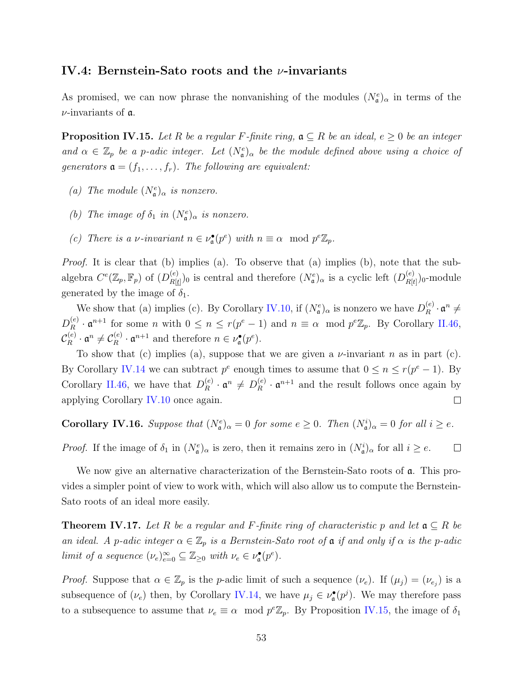#### **IV.4: Bernstein-Sato roots and the** *ν***-invariants**

As promised, we can now phrase the nonvanishing of the modules  $(N_e^e)_{\alpha}$  in terms of the *ν*-invariants of a.

<span id="page-60-1"></span>**Proposition IV.15.** *Let*  $R$  *be a regular*  $F$ *-finite ring,*  $a \subseteq R$  *be an ideal,*  $e \geq 0$  *be an integer and*  $\alpha \in \mathbb{Z}_p$  *be a p-adic integer. Let*  $(N_e^e)_{\alpha}$  *be the module defined above using a choice of generators*  $\mathfrak{a} = (f_1, \ldots, f_r)$ *. The following are equivalent:* 

- *(a) The module*  $(N_a^e)_{\alpha}$  *is nonzero.*
- *(b) The image of*  $\delta_1$  *in*  $(N_e^e)_{\alpha}$  *is nonzero.*
- *(c) There is a <i>ν-invariant*  $n \in \nu_a^{\bullet}(p^e)$  *with*  $n \equiv \alpha \mod p^e \mathbb{Z}_p$ .

*Proof.* It is clear that (b) implies (a). To observe that (a) implies (b), note that the subalgebra  $C^e(\mathbb{Z}_p, \mathbb{F}_p)$  of  $(D_{R[t]}^{(e)}$  $R[t]$ )<sub>0</sub> is central and therefore  $(N_{\mathfrak{a}}^e)_{\alpha}$  is a cyclic left  $(D_{R[t]}^{(e)})_{\alpha}$  $\binom{(e)}{R[t]}$ <sub>0</sub>-module generated by the image of  $\delta_1$ .

We show that (a) implies (c). By Corollary [IV.10,](#page-57-0) if  $(N_a^e)_{\alpha}$  is nonzero we have  $D_R^{(e)}$  $\mathfrak{a}^{(e)}_R\cdot \mathfrak{a}^n\neq$  $D_R^{(e)}$  $P_R^{(e)} \cdot \mathfrak{a}^{n+1}$  for some *n* with  $0 \le n \le r(p^e - 1)$  and  $n \equiv \alpha \mod p^e \mathbb{Z}_p$ . By Corollary [II.46,](#page-33-0)  $\mathcal{C}_R^{(e)}$  $\mathfrak{C}_R^{(e)} \cdot \mathfrak{a}^n \neq \mathcal{C}_R^{(e)}$  $\mathbf{a}^{(e)} \cdot \mathbf{a}^{n+1}$  and therefore  $n \in \nu_{\mathbf{a}}^{\bullet}(p^e)$ .

To show that (c) implies (a), suppose that we are given a *ν*-invariant *n* as in part (c). By Corollary [IV.14](#page-59-0) we can subtract  $p^e$  enough times to assume that  $0 \le n \le r(p^e - 1)$ . By Corollary [II.46](#page-33-0), we have that  $D_R^{(e)}$  $\mathbf{a}^{(e)}$  ·  $\mathfrak{a}^n \neq D_R^{(e)}$  $\mathbf{R}^{(e)}$   $\cdot$   $\mathfrak{a}^{n+1}$  and the result follows once again by applying Corollary [IV.10](#page-57-0) once again.  $\Box$ 

<span id="page-60-2"></span>**Corollary IV.16.** Suppose that  $(N_a^e)_{\alpha} = 0$  for some  $e \geq 0$ . Then  $(N_a^i)_{\alpha} = 0$  for all  $i \geq e$ .

*Proof.* If the image of  $\delta_1$  in  $(N_e^e)_{\alpha}$  is zero, then it remains zero in  $(N_a^i)_{\alpha}$  for all  $i \geq e$ .  $\Box$ 

We now give an alternative characterization of the Bernstein-Sato roots of  $\alpha$ . This provides a simpler point of view to work with, which will also allow us to compute the Bernstein-Sato roots of an ideal more easily.

<span id="page-60-0"></span>**Theorem IV.17.** Let R be a regular and F-finite ring of characteristic p and let  $a \subseteq R$  be *an ideal.* A *p*-adic integer  $\alpha \in \mathbb{Z}_p$  *is a Bernstein-Sato root of*  $\alpha$  *if and only if*  $\alpha$  *is the p*-adic *limit of a sequence*  $(\nu_e)_{e=0}^{\infty} \subseteq \mathbb{Z}_{\geq 0}$  *with*  $\nu_e \in \nu_{\mathfrak{a}}^{\bullet}(p^e)$ *.* 

*Proof.* Suppose that  $\alpha \in \mathbb{Z}_p$  is the *p*-adic limit of such a sequence  $(\nu_e)$ . If  $(\mu_j) = (\nu_{e_j})$  is a subsequence of  $(\nu_e)$  then, by Corollary [IV.14,](#page-59-0) we have  $\mu_j \in \nu_{\mathfrak{a}}^{\bullet}(p^j)$ . We may therefore pass to a subsequence to assume that  $\nu_e \equiv \alpha \mod p^e \mathbb{Z}_p$ . By Proposition [IV.15,](#page-60-1) the image of  $\delta_1$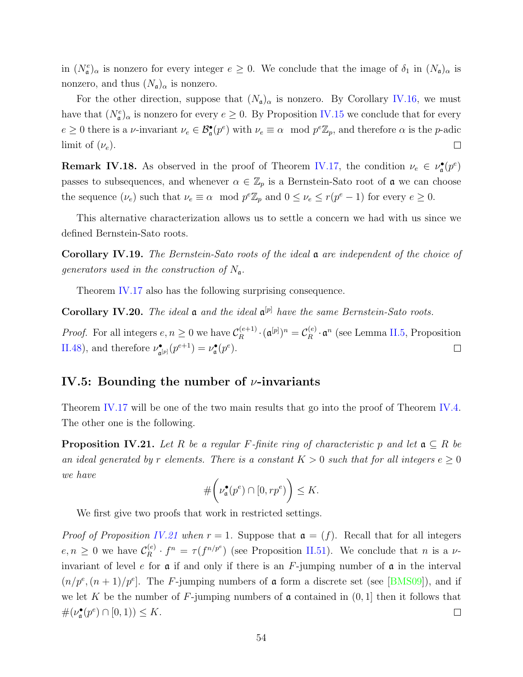in  $(N_{\mathfrak{a}}^e)_{\alpha}$  is nonzero for every integer  $e \geq 0$ . We conclude that the image of  $\delta_1$  in  $(N_{\mathfrak{a}})_{\alpha}$  is nonzero, and thus  $(N_{\mathfrak{a}})_{\alpha}$  is nonzero.

For the other direction, suppose that  $(N_a)_{\alpha}$  is nonzero. By Corollary [IV.16](#page-60-2), we must have that  $(N_e^e)_{\alpha}$  is nonzero for every  $e \geq 0$ . By Proposition [IV.15](#page-60-1) we conclude that for every  $e \geq 0$  there is a *ν*-invariant  $\nu_e \in \mathcal{B}_{\mathfrak{a}}^{\bullet}(p^e)$  with  $\nu_e \equiv \alpha \mod p^e \mathbb{Z}_p$ , and therefore  $\alpha$  is the *p*-adic limit of  $(\nu_e)$ .  $\Box$ 

<span id="page-61-1"></span>**Remark IV.18.** As observed in the proof of Theorem [IV.17,](#page-60-0) the condition  $\nu_e \in \nu_a^{\bullet}(p^e)$ passes to subsequences, and whenever  $\alpha \in \mathbb{Z}_p$  is a Bernstein-Sato root of  $\mathfrak a$  we can choose the sequence  $(\nu_e)$  such that  $\nu_e \equiv \alpha \mod p^e \mathbb{Z}_p$  and  $0 \leq \nu_e \leq r(p^e - 1)$  for every  $e \geq 0$ .

This alternative characterization allows us to settle a concern we had with us since we defined Bernstein-Sato roots.

**Corollary IV.19.** *The Bernstein-Sato roots of the ideal* a *are independent of the choice of generators used in the construction of N*a*.*

Theorem [IV.17](#page-60-0) also has the following surprising consequence.

**Corollary IV.20.** *The ideal* a *and the ideal* a [*p*] *have the same Bernstein-Sato roots.*

*Proof.* For all integers  $e, n \geq 0$  we have  $C_R^{(e+1)}$  $\mathcal{C}_R^{(e+1)} \cdot (\mathfrak{a}^{[p]})^n = \mathcal{C}_R^{(e)}$  $R_R^{(e)} \cdot \mathfrak{a}^n$  (see Lemma [II.5](#page-16-0), Proposition [II.48\)](#page-34-0), and therefore  $\nu_a^{\bullet}$  $\mathcal{L}_{\mathfrak{a}^{[p]}}(\boldsymbol{p}^{e+1}) = \nu_{\mathfrak{a}}^{\bullet}(\boldsymbol{p}^{e}).$  $\Box$ 

#### **IV.5: Bounding the number of** *ν***-invariants**

Theorem [IV.17](#page-60-0) will be one of the two main results that go into the proof of Theorem [IV.4.](#page-53-0) The other one is the following.

<span id="page-61-0"></span>**Proposition IV.21.** *Let*  $R$  *be a regular*  $F$ *-finite ring of characteristic*  $p$  *and let*  $\mathfrak{a} \subseteq R$  *be an ideal generated by r elements. There is a constant*  $K > 0$  *such that for all integers*  $e \geq 0$ *we have*

$$
\#\bigg(\nu_{\mathfrak{a}}^{\bullet}(p^e) \cap [0, rp^e)\bigg) \leq K.
$$

We first give two proofs that work in restricted settings.

*Proof of Proposition [IV.21](#page-61-0) when*  $r = 1$ . Suppose that  $\mathfrak{a} = (f)$ . Recall that for all integers  $e, n \geq 0$  we have  $\mathcal{C}_R^{(e)}$  $f_R^{(e)} \cdot f^n = \tau(f^{n/p^e})$  (see Proposition [II.51](#page-35-0)). We conclude that *n* is a *ν*invariant of level *e* for a if and only if there is an *F*-jumping number of a in the interval  $(n/p^e, (n+1)/p^e]$  $(n/p^e, (n+1)/p^e]$  $(n/p^e, (n+1)/p^e]$ . The *F*-jumping numbers of  $\alpha$  form a discrete set (see [[BMS09](#page-87-1)]), and if we let K be the number of F-jumping numbers of  $\alpha$  contained in  $(0, 1]$  then it follows that  $\#(\nu_{\mathfrak{a}}^{\bullet}(p^e) \cap [0,1)) \leq K.$  $\Box$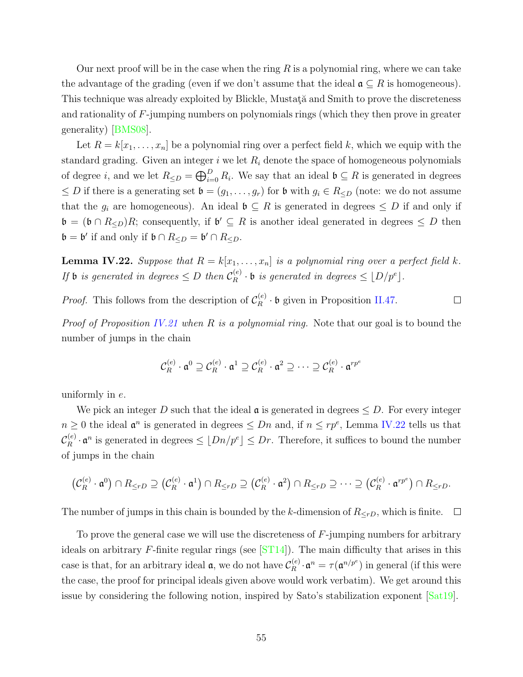Our next proof will be in the case when the ring *R* is a polynomial ring, where we can take the advantage of the grading (even if we don't assume that the ideal  $\mathfrak{a} \subseteq R$  is homogeneous). This technique was already exploited by Blickle, Mustata and Smith to prove the discreteness and rationality of *F*-jumping numbers on polynomials rings (which they then prove in greater generality)[[BMS08](#page-87-0)].

Let  $R = k[x_1, \ldots, x_n]$  be a polynomial ring over a perfect field k, which we equip with the standard grading. Given an integer  $i$  we let  $R_i$  denote the space of homogeneous polynomials of degree *i*, and we let  $R_{\leq D} = \bigoplus_{i=0}^{D} R_i$ . We say that an ideal  $\mathfrak{b} \subseteq R$  is generated in degrees  $≤$  *D* if there is a generating set  $\mathfrak{b} = (g_1, \ldots, g_r)$  for  $\mathfrak{b}$  with  $g_i ∈ R_{≤D}$  (note: we do not assume that the  $g_i$  are homogeneous). An ideal  $\mathfrak{b} \subseteq R$  is generated in degrees  $\leq D$  if and only if  $\mathfrak{b} = (\mathfrak{b} \cap R_{\leq D})R$ ; consequently, if  $\mathfrak{b}' \subseteq R$  is another ideal generated in degrees  $\leq D$  then  $\mathfrak{b} = \mathfrak{b}'$  if and only if  $\mathfrak{b} \cap R_{\leq D} = \mathfrak{b}' \cap R_{\leq D}$ .

<span id="page-62-0"></span>**Lemma IV.22.** *Suppose that*  $R = k[x_1, \ldots, x_n]$  *is a polynomial ring over a perfect field*  $k$ *. If* **b** *is generated in degrees*  $\leq D$  *then*  $\mathcal{C}_R^{(e)}$  $\binom{e}{R}$  · **b** *is generated in degrees*  $\leq \lfloor D/p^e \rfloor$ .

*Proof.* This follows from the description of 
$$
\mathcal{C}_R^{(e)}
$$
 · **b** given in Proposition II.47.

*Proof of Proposition [IV.21](#page-61-0) when R is a polynomial ring.* Note that our goal is to bound the number of jumps in the chain

$$
\mathcal{C}_R^{(e)} \cdot \mathfrak{a}^0 \supseteq \mathcal{C}_R^{(e)} \cdot \mathfrak{a}^1 \supseteq \mathcal{C}_R^{(e)} \cdot \mathfrak{a}^2 \supseteq \cdots \supseteq \mathcal{C}_R^{(e)} \cdot \mathfrak{a}^{rp^e}
$$

uniformly in *e*.

We pick an integer *D* such that the ideal  $\mathfrak{a}$  is generated in degrees  $\leq D$ . For every integer *n* ≥ 0 the ideal  $\mathfrak{a}^n$  is generated in degrees  $\leq Dn$  and, if  $n \leq rp^e$ , Lemma [IV.22](#page-62-0) tells us that  $\mathcal{C}_R^{(e)}$  $\int_R^{(e)} \cdot \mathfrak{a}^n$  is generated in degrees  $\leq \lfloor Dn/p^e \rfloor \leq Dr$ . Therefore, it suffices to bound the number of jumps in the chain *n n* ≤ *rp* , Definite 1 v.22 *d*<br> *refore, it suffices to bound t*<br>  $\cap R_{\le rD} \supseteq \cdots \supseteq (\mathcal{C}_R^{(e)} \cdot \mathfrak{a}^{r p^e})$ 

$$
\left(\mathcal{C}_{R}^{(e)} \cdot \mathfrak{a}^0\right) \cap R_{\leq rD} \supseteq \left(\mathcal{C}_{R}^{(e)} \cdot \mathfrak{a}^1\right) \cap R_{\leq rD} \supseteq \left(\mathcal{C}_{R}^{(e)} \cdot \mathfrak{a}^2\right) \cap R_{\leq rD} \supseteq \cdots \supseteq \left(\mathcal{C}_{R}^{(e)} \cdot \mathfrak{a}^{rp^e}\right) \cap R_{\leq rD}.
$$

The number of jumps in this chain is bounded by the *k*-dimension of  $R_{\le rD}$ , which is finite.  $\Box$ 

To prove the general case we will use the discreteness of *F*-jumping numbers for arbitrary ideals on arbitrary *F*-finite regular rings (see[[ST14](#page-90-0)]). The main difficulty that arises in this case is that, for an arbitrary ideal  $\mathfrak{a}$ , we do not have  $\mathcal{C}_R^{(e)}$  $R_R^{(e)} \cdot \mathfrak{a}^n = \tau(\mathfrak{a}^{n/p^e})$  in general (if this were the case, the proof for principal ideals given above would work verbatim). We get around this issue by considering the following notion, inspired by Sato's stabilization exponent[[Sat19\]](#page-89-1).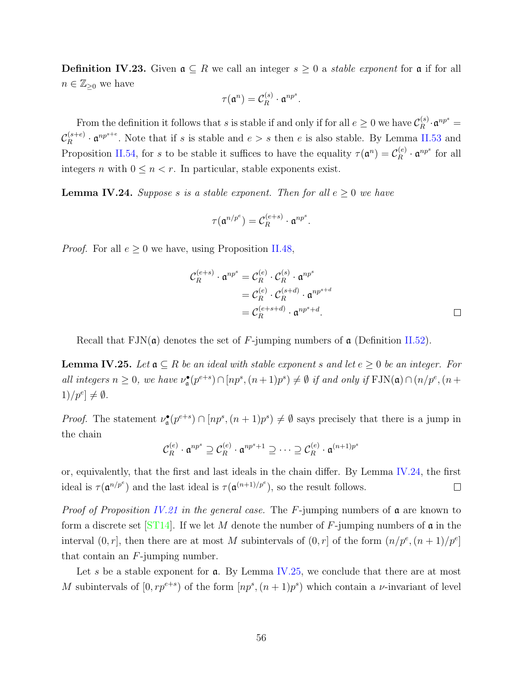**Definition IV.23.** Given  $\mathfrak{a} \subseteq R$  we call an integer  $s \geq 0$  a *stable exponent* for  $\mathfrak{a}$  if for all  $n \in \mathbb{Z}_{\geq 0}$  we have

$$
\tau(\mathfrak{a}^n) = \mathcal{C}_R^{(s)} \cdot \mathfrak{a}^{np^s}.
$$

From the definition it follows that *s* is stable if and only if for all  $e \geq 0$  we have  $\mathcal{C}_{R}^{(s)}$  $\mathfrak{a}^{(s)}_R \cdot \mathfrak{a}^{np^s} =$  $\mathcal{C}_R^{(s+e)}$  $R_R^{(s+e)}$  ·  $\mathfrak{a}^{np^{s+e}}$ . Note that if *s* is stable and  $e > s$  then *e* is also stable. By Lemma [II.53](#page-36-0) and Proposition [II.54,](#page-36-2) for *s* to be stable it suffices to have the equality  $\tau(\mathfrak{a}^n) = C_R^{(e)}$  $\int_R$ <sup>(e)</sup>  $\cdot$  **a**<sup>*np<sup>s</sup>*</sup> for all integers *n* with  $0 \leq n < r$ . In particular, stable exponents exist.

<span id="page-63-0"></span>**Lemma IV.24.** *Suppose s is a stable exponent. Then for all*  $e \geq 0$  *we have* 

$$
\tau(\mathfrak{a}^{n/p^e}) = \mathcal{C}_R^{(e+s)} \cdot \mathfrak{a}^{np^s}.
$$

*Proof.* For all  $e \geq 0$  we have, using Proposition [II.48,](#page-34-0)

$$
\mathcal{C}_R^{(e+s)} \cdot \mathfrak{a}^{np^s} = \mathcal{C}_R^{(e)} \cdot \mathcal{C}_R^{(s)} \cdot \mathfrak{a}^{np^s}
$$
  
= 
$$
\mathcal{C}_R^{(e)} \cdot \mathcal{C}_R^{(s+d)} \cdot \mathfrak{a}^{np^{s+d}}
$$
  
= 
$$
\mathcal{C}_R^{(e+s+d)} \cdot \mathfrak{a}^{np^s+d}.
$$

Recall that  $\text{FIN}(\mathfrak{a})$  denotes the set of F-jumping numbers of  $\mathfrak{a}$  (Definition [II.52\)](#page-36-3).

<span id="page-63-1"></span>**Lemma IV.25.** *Let*  $a \subseteq R$  *be an ideal with stable exponent s* and let  $e \geq 0$  *be an integer. For* all integers  $n \geq 0$ , we have  $\nu^{\bullet}_{\mathfrak{a}}(p^{e+s}) \cap [np^s, (n+1)p^s) \neq \emptyset$  if and only if  $\text{FIN}(\mathfrak{a}) \cap (n/p^e, (n+1)p^s)$  $1)/p^e$   $\neq \emptyset$ *.* 

*Proof.* The statement  $\nu_a^{\bullet}(p^{e+s}) \cap [np^s, (n+1)p^s) \neq \emptyset$  says precisely that there is a jump in the chain

$$
\mathcal{C}_R^{(e)} \cdot \mathfrak{a}^{np^s} \supseteq \mathcal{C}_R^{(e)} \cdot \mathfrak{a}^{np^s+1} \supseteq \cdots \supseteq \mathcal{C}_R^{(e)} \cdot \mathfrak{a}^{(n+1)p^s}
$$

or, equivalently, that the first and last ideals in the chain differ. By Lemma [IV.24](#page-63-0), the first ideal is  $\tau(\mathfrak{a}^{n/p^e})$  and the last ideal is  $\tau(\mathfrak{a}^{(n+1)/p^e})$ , so the result follows.  $\Box$ 

*Proof of Proposition [IV.21](#page-61-0) in the general case.* The *F*-jumping numbers of a are known to form a discrete set [\[ST14\]](#page-90-0). If we let *M* denote the number of *F*-jumping numbers of a in the interval  $(0, r]$ , then there are at most *M* subintervals of  $(0, r]$  of the form  $(n/p^e, (n+1)/p^e)$ that contain an *F*-jumping number.

Let *s* be a stable exponent for **a**. By Lemma [IV.25](#page-63-1), we conclude that there are at most *M* subintervals of  $[0, rp^{e+s})$  of the form  $[np^s, (n+1)p^s)$  which contain a *v*-invariant of level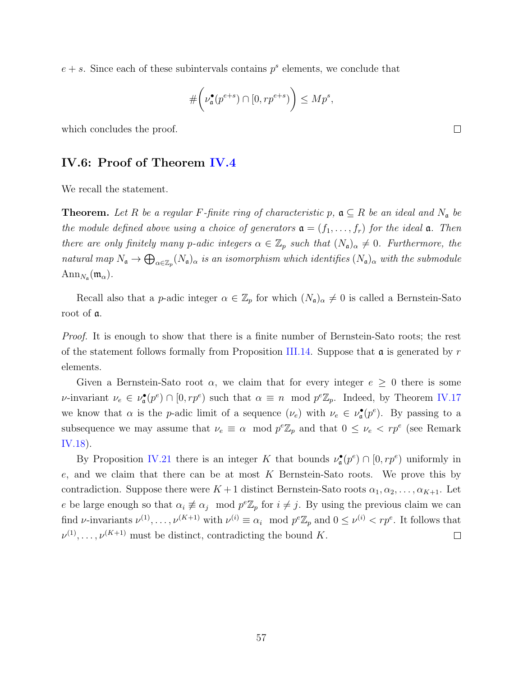$e + s$ . Since each of these subintervals contains  $p<sup>s</sup>$  elements, we conclude that

$$
\#\bigg(\nu_{\mathfrak{a}}^{\bullet}(p^{e+s})\cap[0,rp^{e+s})\bigg)\leq Mp^s,
$$

<span id="page-64-0"></span>which concludes the proof.

#### **IV.6: Proof of Theorem [IV.4](#page-53-0)**

We recall the statement.

**Theorem.** Let R be a regular F-finite ring of characteristic p,  $a \subseteq R$  be an ideal and  $N_a$  be *the module defined above using a choice of generators*  $\mathfrak{a} = (f_1, \ldots, f_r)$  *for the ideal*  $\mathfrak{a}$ *. Then there are only finitely many p*-adic integers  $\alpha \in \mathbb{Z}_p$  *such that*  $(N_a)_{\alpha} \neq 0$ *. Furthermore, the natural map*  $N_a \to \bigoplus_{\alpha \in \mathbb{Z}_p} (N_a)_{\alpha}$  *is an isomorphism which identifies*  $(N_a)_{\alpha}$  *with the submodule*  $\text{Ann}_{N_{\mathfrak{a}}}(\mathfrak{m}_{\alpha}).$ 

Recall also that a *p*-adic integer  $\alpha \in \mathbb{Z}_p$  for which  $(N_a)_{\alpha} \neq 0$  is called a Bernstein-Sato root of a.

*Proof.* It is enough to show that there is a finite number of Bernstein-Sato roots; the rest of the statement follows formally from Proposition [III.14](#page-48-1). Suppose that a is generated by *r* elements.

Given a Bernstein-Sato root  $\alpha$ , we claim that for every integer  $e \geq 0$  there is some *ν*-invariant  $\nu_e \in \nu_a^{\bullet}(p^e) \cap [0, rp^e)$  such that  $\alpha \equiv n \mod p^e \mathbb{Z}_p$ . Indeed, by Theorem [IV.17](#page-60-0) we know that  $\alpha$  is the *p*-adic limit of a sequence  $(\nu_e)$  with  $\nu_e \in \nu_{\mathfrak{a}}^{\bullet}(p^e)$ . By passing to a subsequence we may assume that  $\nu_e \equiv \alpha \mod p^e \mathbb{Z}_p$  and that  $0 \leq \nu_e \lt rp^e$  (see Remark [IV.18\)](#page-61-1).

By Proposition [IV.21](#page-61-0) there is an integer *K* that bounds  $\nu_{\mathfrak{a}}^{\bullet}(p^e) \cap [0, rp^e)$  uniformly in *e*, and we claim that there can be at most *K* Bernstein-Sato roots. We prove this by contradiction. Suppose there were  $K+1$  distinct Bernstein-Sato roots  $\alpha_1, \alpha_2, \ldots, \alpha_{K+1}$ . Let *e* be large enough so that  $\alpha_i \neq \alpha_j \mod p^e \mathbb{Z}_p$  for  $i \neq j$ . By using the previous claim we can find *ν*-invariants  $\nu^{(1)}, \ldots, \nu^{(K+1)}$  with  $\nu^{(i)} \equiv \alpha_i \mod p^e \mathbb{Z}_p$  and  $0 \leq \nu^{(i)} < rp^e$ . It follows that  $\nu^{(1)}, \ldots, \nu^{(K+1)}$  must be distinct, contradicting the bound *K*.  $\Box$ 

 $\Box$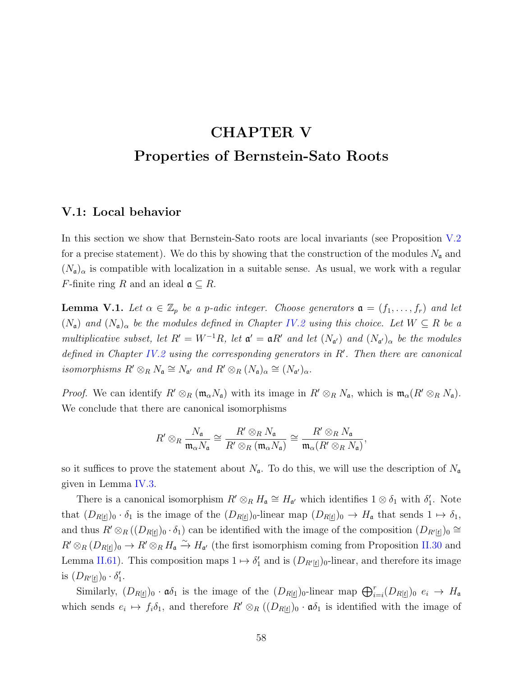## **CHAPTER V Properties of Bernstein-Sato Roots**

#### **V.1: Local behavior**

In this section we show that Bernstein-Sato roots are local invariants (see Proposition [V.2](#page-66-0) for a precise statement). We do this by showing that the construction of the modules  $N_a$  and  $(N_{\mathfrak{a}})_{\alpha}$  is compatible with localization in a suitable sense. As usual, we work with a regular *F*-finite ring *R* and an ideal  $\mathfrak{a} \subseteq R$ .

<span id="page-65-0"></span>**Lemma V.1.** *Let*  $\alpha \in \mathbb{Z}_p$  *be a p-adic integer. Choose generators*  $\mathfrak{a} = (f_1, \ldots, f_r)$  *and let*  $(N_a)$  *and*  $(N_a)$ <sup>*α*</sup> *be the modules defined in Chapter [IV.2](#page-51-1) <i>using this choice. Let*  $W \subseteq R$  *be a multiplicative subset, let*  $R' = W^{-1}R$ *, let*  $\mathfrak{a}' = \mathfrak{a}R'$  *and let*  $(N_{\mathfrak{a}'})$  *and*  $(N_{\mathfrak{a}'})_{\alpha}$  *be the modules defined in Chapter [IV.2](#page-51-1) using the corresponding generators in R′ . Then there are canonical isomorphisms*  $R' \otimes_R N_a \cong N_{a'}$  *and*  $R' \otimes_R (N_a)_{\alpha} \cong (N_{a'})_{\alpha}$ *.* 

*Proof.* We can identify  $R' \otimes_R (\mathfrak{m}_{\alpha} N_{\mathfrak{a}})$  with its image in  $R' \otimes_R N_{\mathfrak{a}}$ , which is  $\mathfrak{m}_{\alpha}(R' \otimes_R N_{\mathfrak{a}})$ . We conclude that there are canonical isomorphisms

$$
R' \otimes_R \frac{N_{\mathfrak{a}}}{\mathfrak{m}_{\alpha} N_{\mathfrak{a}}} \cong \frac{R' \otimes_R N_{\mathfrak{a}}}{R' \otimes_R (\mathfrak{m}_{\alpha} N_{\mathfrak{a}})} \cong \frac{R' \otimes_R N_{\mathfrak{a}}}{\mathfrak{m}_{\alpha} (R' \otimes_R N_{\mathfrak{a}})},
$$

so it suffices to prove the statement about  $N_a$ . To do this, we will use the description of  $N_a$ given in Lemma [IV.3](#page-53-1).

There is a canonical isomorphism  $R' \otimes_R H_{\mathfrak{a}} \cong H_{\mathfrak{a}'}$  which identifies  $1 \otimes \delta_1$  with  $\delta'_1$ . Note that  $(D_{R[t]})_0 \cdot \delta_1$  is the image of the  $(D_{R[t]})_0$ -linear map  $(D_{R[t]})_0 \to H_a$  that sends  $1 \mapsto \delta_1$ , and thus  $R' \otimes_R ((D_{R[t]})_0 \cdot \delta_1)$  can be identified with the image of the composition  $(D_{R'[t]})_0 \cong$  $R' \otimes_R (D_{R[\underline{t}]})_0 \to R' \otimes_R H_{\mathfrak{a}} \xrightarrow{\sim} H_{\mathfrak{a}'}$  (the first isomorphism coming from Proposition [II.30](#page-26-0) and Lemma [II.61](#page-41-0)). This composition maps  $1 \mapsto \delta'_1$  and is  $(D_{R'[t]})_0$ -linear, and therefore its image is  $(D_{R'[t]})_0 \cdot \delta'_1$ .  $\partial_R (D_{R[\underline{t}]})_0 \to R' \otimes_R H_{\mathfrak{a}} \xrightarrow{\sim} H_{\mathfrak{a}'}$  (the first isomorphism coming from Proposition II.30 and arma II.61). This composition maps  $1 \mapsto \delta'_1$  and is  $(D_{R'[t]})_0$ -linear, and therefore its image  $D_{R'[t]})_0 \cdot \delta'_1$ 

which sends  $e_i \mapsto f_i \delta_1$ , and therefore  $R' \otimes_R ((D_{R[\underline{t}]})_0 \cdot \mathfrak{a} \delta_1$  is identified with the image of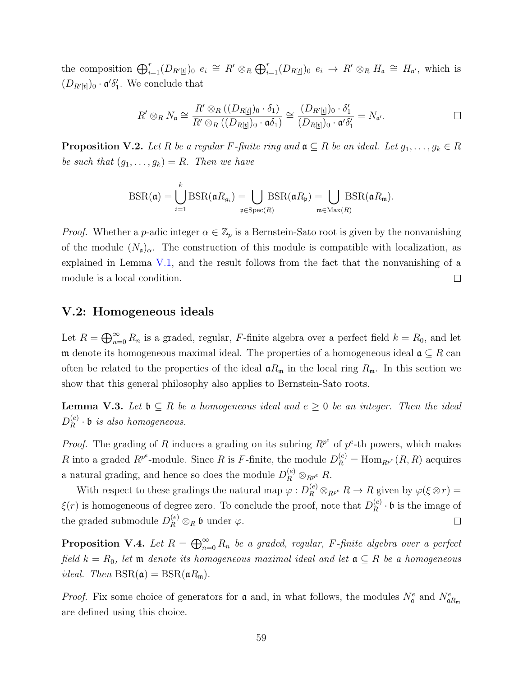the composition  $\bigoplus_{i=1}^r (D_{R'[t]})_0 \ e_i \cong R' \otimes_R \bigoplus_{i=1}^r (D_{R[t]})_0 \ e_i \to R' \otimes_R H_{\mathfrak{a}} \cong H_{\mathfrak{a}'},$  which is  $(D_{R'[t]})_0 \cdot \mathfrak{a}' \delta'_1$ . We conclude that

$$
R' \otimes_R N_{\mathfrak{a}} \cong \frac{R' \otimes_R ((D_{R[\underline{t}]})_0 \cdot \delta_1)}{R' \otimes_R ((D_{R[\underline{t}]})_0 \cdot \mathfrak{a} \delta_1)} \cong \frac{(D_{R'[\underline{t}]})_0 \cdot \delta_1'}{(D_{R[\underline{t}]})_0 \cdot \mathfrak{a}' \delta_1'} = N_{\mathfrak{a}'}.
$$

<span id="page-66-0"></span>**Proposition V.2.** Let R be a regular F-finite ring and  $\mathfrak{a} \subseteq R$  be an ideal. Let  $g_1, ..., g_k \in R$ <br>be such that  $(g_1, ..., g_k) = R$ . Then we have<br> $BSR(\mathfrak{a}) = \bigcup_{k=1}^{k} BSR(\mathfrak{a}R_{g_i}) = \bigcup_{k=1}^{k} BSR(\mathfrak{a}R_{g_k}) = \bigcup_{k=1}^{k} BSR(\mathfrak{a$ *be such that*  $(g_1, \ldots, g_k) = R$ *. Then we have* 

$$
\text{BSR}(\mathfrak{a}) = \bigcup_{i=1}^k \text{BSR}(\mathfrak{a}R_{g_i}) = \bigcup_{\mathfrak{p} \in \text{Spec}(R)} \text{BSR}(\mathfrak{a}R_{\mathfrak{p}}) = \bigcup_{\mathfrak{m} \in \text{Max}(R)} \text{BSR}(\mathfrak{a}R_{\mathfrak{m}}).
$$

*Proof.* Whether a *p*-adic integer  $\alpha \in \mathbb{Z}_p$  is a Bernstein-Sato root is given by the nonvanishing of the module  $(N_a)_{\alpha}$ . The construction of this module is compatible with localization, as explained in Lemma  $V.1$ , and the result follows from the fact that the nonvanishing of a module is a local condition.  $\Box$ ⊕

#### **V.2: Homogeneous ideals**

Let  $R = \bigoplus_{n=0}^{\infty} R_n$  is a graded, regular, *F*-finite algebra over a perfect field  $k = R_0$ , and let m denote its homogeneous maximal ideal. The properties of a homogeneous ideal a *⊆ R* can often be related to the properties of the ideal  $\mathfrak{a}R_{\mathfrak{m}}$  in the local ring  $R_{\mathfrak{m}}$ . In this section we show that this general philosophy also applies to Bernstein-Sato roots.

<span id="page-66-1"></span>**Lemma V.3.** Let  $\mathfrak{b} \subseteq R$  *be a homogeneous ideal and*  $e ≥ 0$  *be an integer. Then the ideal*  $D_R^{(e)}$  $R_R^{(e)} \cdot \mathfrak{b}$  *is also homogeneous.* 

*Proof.* The grading of *R* induces a grading on its subring  $R^{p^e}$  of  $p^e$ -th powers, which makes *R* into a graded  $R^{p^e}$ -module. Since *R* is *F*-finite, the module  $D_R^{(e)} = \text{Hom}_{R^{p^e}}(R, R)$  acquires a natural grading, and hence so does the module  $D_R^{(e)} \otimes_{R^{p^e}} R$ .

With respect to these gradings the natural map  $\varphi: D_R^{(e)} \otimes_{R^{p^e}} R \to R$  given by  $\varphi(\xi \otimes r) =$  $\xi(r)$  is homogeneous of degree zero. To conclude the proof, note that  $D_R^{(e)}$  $R^{(e)}$  · **b** is the image of the graded submodule  $D_R^{(e)} \otimes_R \mathfrak{b}$  under  $\varphi$ .  $\Box$ 

**Proposition V.4.** Let  $R = \bigoplus_{n=0}^{\infty} R_n$  be a graded, regular, F-finite algebra over a perfect *field*  $k = R_0$ , let **m** *denote* its homogeneous maximal ideal and let  $\mathfrak{a} \subseteq R$  be a homogeneous *ideal.* Then  $BSR(\mathfrak{a}) = BSR(\mathfrak{a}R_{\mathfrak{m}})$ .

*Proof.* Fix some choice of generators for  $\mathfrak{a}$  and, in what follows, the modules  $N_{\mathfrak{a}}^e$  and  $N_{\mathfrak{a}R_{\mathfrak{m}}}^e$ are defined using this choice.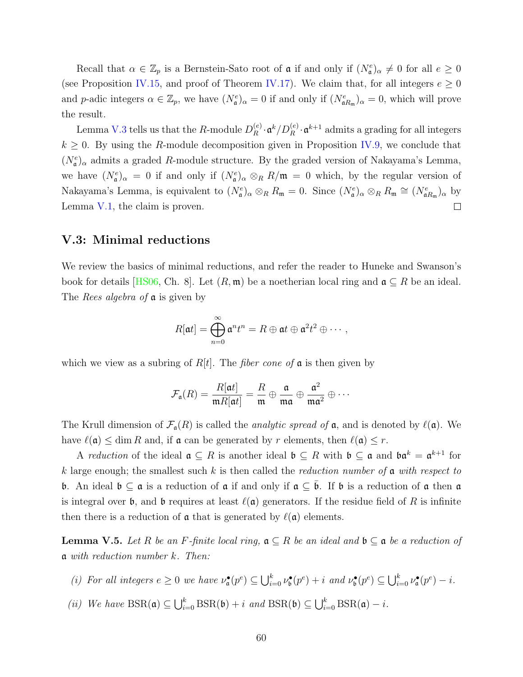Recall that  $\alpha \in \mathbb{Z}_p$  is a Bernstein-Sato root of  $\mathfrak{a}$  if and only if  $(N_{\mathfrak{a}}^e)_{\alpha} \neq 0$  for all  $e \geq 0$ (see Proposition [IV.15,](#page-60-1) and proof of Theorem [IV.17](#page-60-0)). We claim that, for all integers  $e \geq 0$ and *p*-adic integers  $\alpha \in \mathbb{Z}_p$ , we have  $(N_e^e)_{\alpha} = 0$  if and only if  $(N_{\mathfrak{a}R_{\mathfrak{m}}})_{\alpha} = 0$ , which will prove the result.

Lemma [V.3](#page-66-1) tells us that the *R*-module  $D_R^{(e)}$  $R_R^{(e)} \cdot \mathfrak{a}^k / D_R^{(e)} \cdot \mathfrak{a}^{k+1}$  admits a grading for all integers  $k \geq 0$ . By using the *R*-module decomposition given in Proposition [IV.9,](#page-56-0) we conclude that  $(N_e^e)$ <sub>α</sub> admits a graded *R*-module structure. By the graded version of Nakayama's Lemma, we have  $(N_a^e)_{\alpha} = 0$  if and only if  $(N_a^e)_{\alpha} \otimes_R R/\mathfrak{m} = 0$  which, by the regular version of Nakayama's Lemma, is equivalent to  $(N_a^e)_{\alpha} \otimes_R R_{\mathfrak{m}} = 0$ . Since  $(N_a^e)_{\alpha} \otimes_R R_{\mathfrak{m}} \cong (N_{\mathfrak{a}R_{\mathfrak{m}}})_{\alpha}$  by Lemma [V.1,](#page-65-0) the claim is proven.  $\Box$ 

#### **V.3: Minimal reductions**

We review the basics of minimal reductions, and refer the reader to Huneke and Swanson's book for details [\[HS06](#page-88-2), Ch. 8]. Let  $(R, \mathfrak{m})$  be a noetherian local ring and  $\mathfrak{a} \subseteq R$  be an ideal. The *Rees algebra of* a is given by *R*[a*t*] =  $\bigoplus_{n=0}^{\infty} R[n] = 0$ 

$$
R[\mathfrak{a}t]=\bigoplus_{n=0}^\infty \mathfrak{a}^n t^n=R\oplus \mathfrak{a}t\oplus \mathfrak{a}^2 t^2\oplus \cdots,
$$

which we view as a subring of *R*[*t*]. The *fiber cone of* a is then given by

$$
\mathcal{F}_{\mathfrak{a}}(R) = \frac{R[\mathfrak{a}t]}{\mathfrak{m}R[\mathfrak{a}t]} = \frac{R}{\mathfrak{m}} \oplus \frac{\mathfrak{a}}{\mathfrak{m}\mathfrak{a}} \oplus \frac{\mathfrak{a}^2}{\mathfrak{m}\mathfrak{a}^2} \oplus \cdots
$$

The Krull dimension of  $\mathcal{F}_{a}(R)$  is called the *analytic spread of*  $a$ , and is denoted by  $\ell(a)$ . We have  $\ell(\mathfrak{a}) \leq \dim R$  and, if  $\mathfrak{a}$  can be generated by *r* elements, then  $\ell(\mathfrak{a}) \leq r$ .

A *reduction* of the ideal  $\mathfrak{a} \subseteq R$  is another ideal  $\mathfrak{b} \subseteq R$  with  $\mathfrak{b} \subseteq \mathfrak{a}$  and  $\mathfrak{b} \mathfrak{a}^k = \mathfrak{a}^{k+1}$  for *k* large enough; the smallest such *k* is then called the *reduction number of* a *with respect to* b. An ideal  $\mathfrak{b} \subseteq \mathfrak{a}$  is a reduction of  $\mathfrak{a}$  if and only if  $\mathfrak{a} \subseteq \bar{\mathfrak{b}}$ . If  $\mathfrak{b}$  is a reduction of  $\mathfrak{a}$  then  $\mathfrak{a}$ is integral over **b**, and **b** requires at least  $\ell(\mathfrak{a})$  generators. If the residue field of R is infinite then there is a reduction of  $\alpha$  that is generated by  $\ell(\alpha)$  elements.

<span id="page-67-0"></span>**Lemma V.5.** *Let R be an F*<sup>*-finite local ring,*  $\mathfrak{a} \subseteq R$  *be an ideal and*  $\mathfrak{b} \subseteq \mathfrak{a}$  *be a reduction of*</sup> a *with reduction number k. Then:* ∪

- (i) For all integers  $e \geq 0$  we have  $\nu_a^{\bullet}(p^e) \subseteq \bigcup_{i=0}^k \nu_b^{\bullet}(p^e) + i$  and  $\nu_b^{\bullet}(p^e) \subseteq \bigcup_{i=0}^k \nu_a^{\bullet}(p^e) i$ .
- $(iii)$  *We have*  $BSR(\mathfrak{a}) \subseteq \bigcup_{i=0}^{k} BSR(\mathfrak{b}) + i$  *and*  $BSR(\mathfrak{b}) \subseteq \bigcup_{i=0}^{k} BSR(\mathfrak{a}) i$ .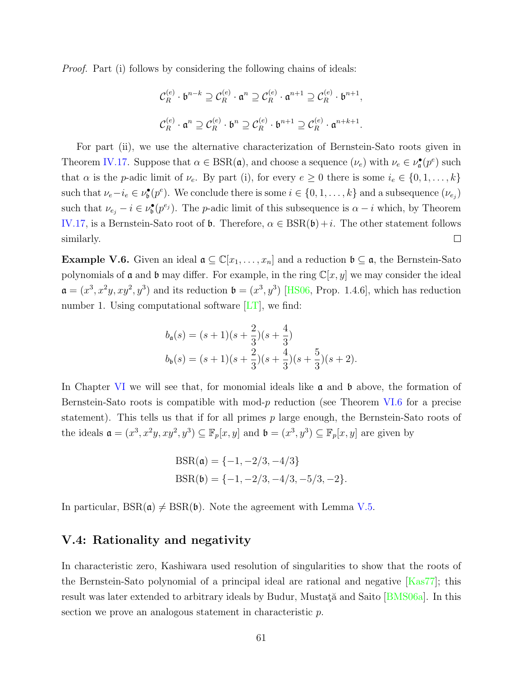*Proof.* Part (i) follows by considering the following chains of ideals:

$$
\mathcal{C}_R^{(e)} \cdot \mathfrak{b}^{n-k} \supseteq \mathcal{C}_R^{(e)} \cdot \mathfrak{a}^n \supseteq \mathcal{C}_R^{(e)} \cdot \mathfrak{a}^{n+1} \supseteq \mathcal{C}_R^{(e)} \cdot \mathfrak{b}^{n+1},
$$
  

$$
\mathcal{C}_R^{(e)} \cdot \mathfrak{a}^n \supseteq \mathcal{C}_R^{(e)} \cdot \mathfrak{b}^n \supseteq \mathcal{C}_R^{(e)} \cdot \mathfrak{b}^{n+1} \supseteq \mathcal{C}_R^{(e)} \cdot \mathfrak{a}^{n+k+1}.
$$

For part (ii), we use the alternative characterization of Bernstein-Sato roots given in Theorem [IV.17.](#page-60-0) Suppose that  $\alpha \in \text{BSR}(\mathfrak{a})$ , and choose a sequence  $(\nu_e)$  with  $\nu_e \in \nu_{\mathfrak{a}}^{\bullet}(p^e)$  such that *α* is the *p*-adic limit of  $\nu_e$ . By part (i), for every  $e \geq 0$  there is some  $i_e \in \{0, 1, \ldots, k\}$ such that  $\nu_e - i_e \in \nu_{\mathfrak{b}}^{\bullet}(p^e)$ . We conclude there is some  $i \in \{0, 1, ..., k\}$  and a subsequence  $(\nu_{e_j})$ such that  $\nu_{e_j} - i \in \nu_{\mathfrak{b}}^{\bullet}(p^{e_j})$ . The *p*-adic limit of this subsequence is  $\alpha - i$  which, by Theorem [IV.17,](#page-60-0) is a Bernstein-Sato root of  $\mathfrak{b}$ . Therefore,  $\alpha \in \text{BSR}(\mathfrak{b}) + i$ . The other statement follows  $\Box$ similarly.

**Example V.6.** Given an ideal  $\mathfrak{a} \subseteq \mathbb{C}[x_1,\ldots,x_n]$  and a reduction  $\mathfrak{b} \subseteq \mathfrak{a}$ , the Bernstein-Sato polynomials of  $\mathfrak a$  and  $\mathfrak b$  may differ. For example, in the ring  $\mathbb C[x,y]$  we may consider the ideal  $\mathfrak{a} = (x^3, x^2y, xy^2, y^3)$  $\mathfrak{a} = (x^3, x^2y, xy^2, y^3)$  $\mathfrak{a} = (x^3, x^2y, xy^2, y^3)$  and its reduction  $\mathfrak{b} = (x^3, y^3)$  [[HS06,](#page-88-2) Prop. 1.4.6], which has reduction number 1. Using computational software  $[LT]$ , we find:

$$
b_{\mathfrak{a}}(s) = (s+1)(s+\frac{2}{3})(s+\frac{4}{3})
$$
  

$$
b_{\mathfrak{b}}(s) = (s+1)(s+\frac{2}{3})(s+\frac{4}{3})(s+\frac{5}{3})(s+2).
$$

In Chapter [VI](#page-77-0) we will see that, for monomial ideals like  $\alpha$  and  $\beta$  above, the formation of Bernstein-Sato roots is compatible with mod-*p* reduction (see Theorem [VI.6](#page-80-0) for a precise statement). This tells us that if for all primes *p* large enough, the Bernstein-Sato roots of the ideals  $\mathfrak{a} = (x^3, x^2y, xy^2, y^3) \subseteq \mathbb{F}_p[x, y]$  and  $\mathfrak{b} = (x^3, y^3) \subseteq \mathbb{F}_p[x, y]$  are given by

$$
BSR(\mathfrak{a}) = \{-1, -2/3, -4/3\}
$$

$$
BSR(\mathfrak{b}) = \{-1, -2/3, -4/3, -5/3, -2\}.
$$

In particular,  $BSR(\mathfrak{a}) \neq BSR(\mathfrak{b})$ . Note the agreement with Lemma [V.5](#page-67-0).

#### **V.4: Rationality and negativity**

In characteristic zero, Kashiwara used resolution of singularities to show that the roots of theBernstein-Sato polynomial of a principal ideal are rational and negative  $|Kas77|$  $|Kas77|$  $|Kas77|$ ; this result was later extended to arbitrary ideals by Budur, Mustata and Saito [\[BMS06a](#page-87-3)]. In this section we prove an analogous statement in characteristic *p*.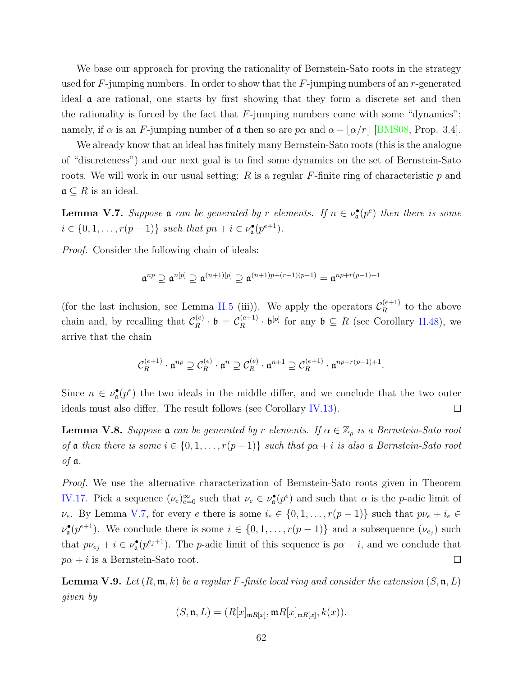We base our approach for proving the rationality of Bernstein-Sato roots in the strategy used for *F*-jumping numbers. In order to show that the *F*-jumping numbers of an *r*-generated ideal a are rational, one starts by first showing that they form a discrete set and then the rationality is forced by the fact that *F*-jumping numbers come with some "dynamics"; namely, if  $\alpha$  is an *F*-jumping number of  $\alpha$  then so are  $p\alpha$  and  $\alpha - \lfloor \alpha/r \rfloor$  [\[BMS08,](#page-87-0) Prop. 3.4].

We already know that an ideal has finitely many Bernstein-Sato roots (this is the analogue of "discreteness") and our next goal is to find some dynamics on the set of Bernstein-Sato roots. We will work in our usual setting: *R* is a regular *F*-finite ring of characteristic *p* and  $\mathfrak{a} \subseteq R$  is an ideal.

<span id="page-69-0"></span>**Lemma V.7.** *Suppose* **a** *can be generated by r elements.* If  $n \in \nu_a^{\bullet}(p^e)$  *then there is some*  $i \in \{0, 1, \ldots, r(p-1)\}$  *such that*  $pn + i \in \nu_{\mathfrak{a}}^{\bullet}(p^{e+1})$ *.* 

*Proof.* Consider the following chain of ideals:

$$
\mathfrak{a}^{np} \supseteq \mathfrak{a}^{n[p]} \supseteq \mathfrak{a}^{(n+1)[p]} \supseteq \mathfrak{a}^{(n+1)p + (r-1)(p-1)} = \mathfrak{a}^{np+r(p-1)+1}
$$

(for the last inclusion, see Lemma [II.5](#page-16-0) (iii)). We apply the operators  $\mathcal{C}_R^{(e+1)}$  $R^{(e+1)}$  to the above chain and, by recalling that  $\mathcal{C}_R^{(e)}$  $\mathcal{C}_R^{(e)} \cdot \mathfrak{b} = \mathcal{C}_R^{(e+1)}$  $R_R^{(e+1)} \cdot \mathfrak{b}^{[p]}$  for any  $\mathfrak{b} \subseteq R$  (see Corollary [II.48\)](#page-34-0), we arrive that the chain

$$
\mathcal{C}_R^{(e+1)} \cdot \mathfrak{a}^{np} \supseteq \mathcal{C}_R^{(e)} \cdot \mathfrak{a}^n \supseteq \mathcal{C}_R^{(e)} \cdot \mathfrak{a}^{n+1} \supseteq \mathcal{C}_R^{(e+1)} \cdot \mathfrak{a}^{np+r(p-1)+1}.
$$

Since  $n \in \nu_{\mathfrak{a}}^{\bullet}(p^e)$  the two ideals in the middle differ, and we conclude that the two outer ideals must also differ. The result follows (see Corollary [IV.13](#page-59-1)).  $\Box$ 

<span id="page-69-1"></span>**Lemma V.8.** *Suppose*  $\mathfrak{a}$  *can be generated by r elements.* If  $\alpha \in \mathbb{Z}_p$  *is a Bernstein-Sato root of* a *then there is some*  $i \in \{0, 1, \ldots, r(p-1)\}$  *such that*  $p\alpha + i$  *is also a Bernstein-Sato root of* a*.*

*Proof.* We use the alternative characterization of Bernstein-Sato roots given in Theorem [IV.17.](#page-60-0) Pick a sequence  $(\nu_e)_{e=0}^{\infty}$  such that  $\nu_e \in \nu_{\mathfrak{a}}^{\bullet}(p^e)$  and such that  $\alpha$  is the *p*-adic limit of *v*<sub>*e*</sub>. By Lemma [V.7,](#page-69-0) for every *e* there is some  $i_e \in \{0, 1, \ldots, r(p-1)\}$  such that  $p\nu_e + i_e \in$  $\nu_{\mathfrak{a}}^{\bullet}(p^{e+1})$ . We conclude there is some  $i \in \{0, 1, \ldots, r(p-1)\}$  and a subsequence  $(\nu_{e_j})$  such that  $p\nu_{e_j} + i \in \nu_{\mathfrak{a}}^{\bullet}(p^{e_j+1})$ . The *p*-adic limit of this sequence is  $p\alpha + i$ , and we conclude that  $p\alpha + i$  is a Bernstein-Sato root.  $\Box$ 

<span id="page-69-2"></span>**Lemma V.9.** *Let*  $(R, \mathfrak{m}, k)$  *be a regular*  $F$ *-finite local ring and consider the extension*  $(S, \mathfrak{n}, L)$ *given by*

$$
(S, \mathfrak{n}, L) = (R[x]_{\mathfrak{m}R[x]}, \mathfrak{m}R[x]_{\mathfrak{m}R[x]}, k(x)).
$$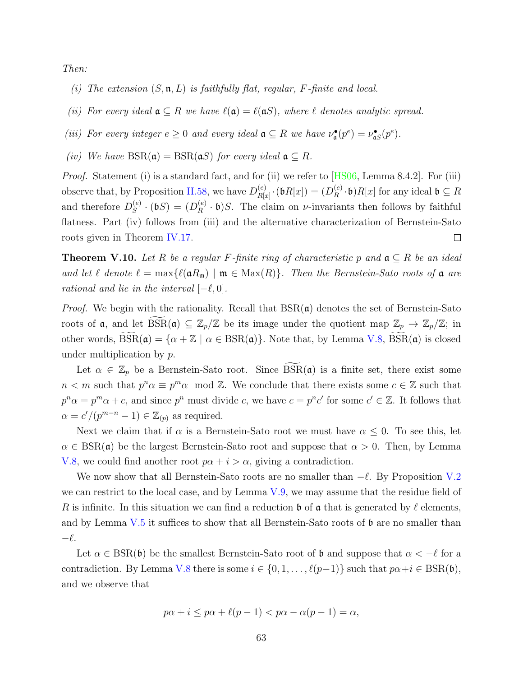*Then:*

- *(i) The extension* (*S,* n*, L*) *is faithfully flat, regular, F-finite and local.*
- *(ii)* For every ideal  $\mathfrak{a} \subseteq R$  *we have*  $\ell(\mathfrak{a}) = \ell(\mathfrak{a} S)$ *, where*  $\ell$  *denotes analytic spread.*
- *(iii) For every integer*  $e \geq 0$  *and every ideal*  $\mathfrak{a} \subseteq R$  *we have*  $\nu_{\mathfrak{a}}^{\bullet}(p^e) = \nu_{\mathfrak{a}S}^{\bullet}(p^e)$ *.*
- *(iv) We have*  $BSR(\mathfrak{a}) = BSR(\mathfrak{a}S)$  *for every ideal*  $\mathfrak{a} \subseteq R$ *.*

*Proof.*Statement (i) is a standard fact, and for (ii) we refer to [[HS06,](#page-88-2) Lemma 8.4.2]. For (iii) observe that, by Proposition [II.58](#page-39-0), we have  $D_{R}^{(e)}$  $\mathcal{L}_{R[x]}^{(e)}\cdot(\mathfrak{b}R[x])=(D_R^{(e)})$  $R_R^{(e)} \cdot \mathfrak{b}$ ) $R[x]$  for any ideal  $\mathfrak{b} \subseteq R$ and therefore  $D_S^{(e)}$  $S^{(e)}$  · (**b***S*) = (*D*<sup>*(e*)</sup>*R*  $R^{(e)}$  **· b**)*S*. The claim on *ν*-invariants then follows by faithful flatness. Part (iv) follows from (iii) and the alternative characterization of Bernstein-Sato  $\Box$ roots given in Theorem [IV.17](#page-60-0).

**Theorem V.10.** *Let*  $R$  *be a regular*  $F$ *-finite ring of characteristic*  $p$  *and*  $\mathfrak{a} \subseteq R$  *be an ideal and let*  $\ell$  *denote*  $\ell = \max{\ell(\mathfrak{a}R_{\mathfrak{m}}) \mid \mathfrak{m} \in \text{Max}(R)}$ *. Then the Bernstein-Sato roots of*  $\mathfrak{a}$  *are rational and lie in the interval*  $[-\ell, 0]$ *.* 

*Proof.* We begin with the rationality. Recall that  $BSR(\mathfrak{a})$  denotes the set of Bernstein-Sato and let  $\ell$  denote  $\ell = \max{\ell(\mathfrak{a}R_m) \mid \mathfrak{m} \in \text{Max}(R)}$ . Then the Bernstein-Sato roots of  $\mathfrak{a}$  are rational and lie in the interval  $[-\ell, 0]$ .<br>*Proof.* We begin with the rationality. Recall that  $BSR(\mathfrak{a})$  denotes *Proof.* We begin with the rationality. Recall that  $BSR(\mathfrak{a})$  denotes the set of Bernstein-Sato roots of  $\mathfrak{a}$ , and let  $\widehat{BSR}(\mathfrak{a}) \subseteq \mathbb{Z}_p/\mathbb{Z}$  be its image under the quotient map  $\mathbb{Z}_p \to \mathbb{Z}_p/\mathbb{Z}$ ; i under multiplication by *p*. ts of **a**, and let  $\widehat{BSR}(\mathfrak{a}) \subseteq \mathbb{Z}_p/\mathbb{Z}$  be its image under the quotient map  $\mathbb{Z}_p \to \mathbb{Z}_p/\mathbb{Z}$ ; in<br>er words,  $\widehat{BSR}(\mathfrak{a}) = {\alpha + \mathbb{Z} \mid \alpha \in BSR(\mathfrak{a})}$ . Note that, by Lemma V.8,  $\widehat{BSR}(\mathfrak{a})$  is closed

*n*  $\lt m$  such that  $p^n \alpha \equiv p^m \alpha \mod \mathbb{Z}$ . We conclude that there exists some  $c \in \mathbb{Z}$  such that  $p^n\alpha = p^m\alpha + c$ , and since  $p^n$  must divide c, we have  $c = p^n c'$  for some  $c' \in \mathbb{Z}$ . It follows that  $\alpha = c'/(p^{m-n}-1) \in \mathbb{Z}_{(p)}$  as required.

Next we claim that if  $\alpha$  is a Bernstein-Sato root we must have  $\alpha \leq 0$ . To see this, let  $\alpha \in \text{BSR}(\mathfrak{a})$  be the largest Bernstein-Sato root and suppose that  $\alpha > 0$ . Then, by Lemma [V.8,](#page-69-1) we could find another root  $p\alpha + i > \alpha$ , giving a contradiction.

We now show that all Bernstein-Sato roots are no smaller than *−ℓ*. By Proposition [V.2](#page-66-0) we can restrict to the local case, and by Lemma  $V.9$ , we may assume that the residue field of *R* is infinite. In this situation we can find a reduction b of a that is generated by *ℓ* elements, and by Lemma [V.5](#page-67-0) it suffices to show that all Bernstein-Sato roots of b are no smaller than *−ℓ*.

Let  $\alpha \in \text{BSR}(\mathfrak{b})$  be the smallest Bernstein-Sato root of  $\mathfrak{b}$  and suppose that  $\alpha < -\ell$  for a contradiction. By Lemma [V.8](#page-69-1) there is some  $i \in \{0, 1, \ldots, \ell(p-1)\}$  such that  $p\alpha + i \in \text{BSR}(\mathfrak{b})$ , and we observe that

$$
p\alpha + i \leq p\alpha + \ell(p - 1) < p\alpha - \alpha(p - 1) = \alpha,
$$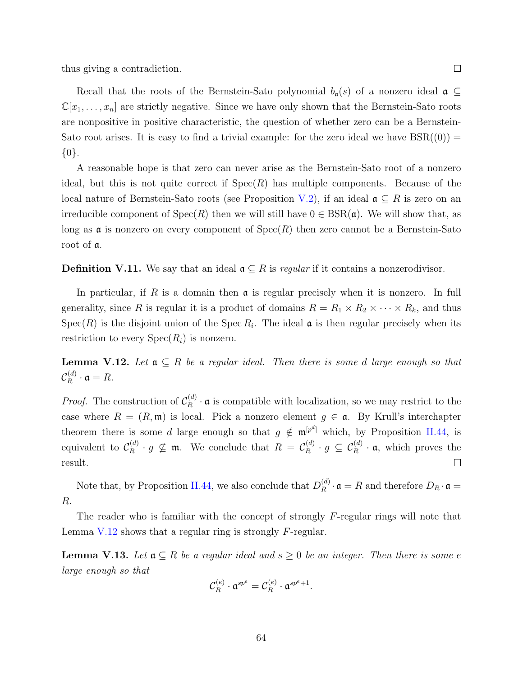thus giving a contradiction.

Recall that the roots of the Bernstein-Sato polynomial  $b_{\mathfrak{a}}(s)$  of a nonzero ideal  $\mathfrak{a} \subseteq$  $\mathbb{C}[x_1,\ldots,x_n]$  are strictly negative. Since we have only shown that the Bernstein-Sato roots are nonpositive in positive characteristic, the question of whether zero can be a Bernstein-Sato root arises. It is easy to find a trivial example: for the zero ideal we have  $BSR((0)) =$ *{*0*}*.

A reasonable hope is that zero can never arise as the Bernstein-Sato root of a nonzero ideal, but this is not quite correct if  $Spec(R)$  has multiple components. Because of the local nature of Bernstein-Sato roots (see Proposition [V.2](#page-66-0)), if an ideal a *⊆ R* is zero on an irreducible component of  $Spec(R)$  then we will still have  $0 \in BSR(\mathfrak{a})$ . We will show that, as long as  $\mathfrak a$  is nonzero on every component of  $Spec(R)$  then zero cannot be a Bernstein-Sato root of a.

**Definition V.11.** We say that an ideal  $\mathfrak{a} \subseteq R$  is *regular* if it contains a nonzerodivisor.

In particular, if *R* is a domain then a is regular precisely when it is nonzero. In full generality, since *R* is regular it is a product of domains  $R = R_1 \times R_2 \times \cdots \times R_k$ , and thus  $Spec(R)$  is the disjoint union of the Spec  $R_i$ . The ideal  $\mathfrak a$  is then regular precisely when its restriction to every  $Spec(R_i)$  is nonzero.

<span id="page-71-0"></span>**Lemma V.12.** Let  $a \subseteq R$  be a regular ideal. Then there is some *d* large enough so that  ${\cal C}^{(d)}_R$  $R^{(a)}_R \cdot \mathfrak{a} = R.$ 

*Proof.* The construction of  $\mathcal{C}_R^{(d)}$  $R^{(a)}$  **a** is compatible with localization, so we may restrict to the case where  $R = (R, \mathfrak{m})$  is local. Pick a nonzero element  $g \in \mathfrak{a}$ . By Krull's interchapter theorem there is some *d* large enough so that  $g \notin \mathfrak{m}^{[p^d]}$  which, by Proposition [II.44,](#page-33-1) is equivalent to  $\mathcal{C}_R^{(d)}$  $R_R^{(d)} \cdot g \nsubseteq \mathfrak{m}$ . We conclude that  $R = C_R^{(d)}$  $P_R^{(d)} \cdot g \subseteq C_R^{(d)} \cdot \mathfrak{a}$ , which proves the result.  $\Box$ 

Note that, by Proposition [II.44](#page-33-1), we also conclude that  $D_R^{(d)}$  $R_R^{(a)} \cdot \mathfrak{a} = R$  and therefore  $D_R \cdot \mathfrak{a} =$ *R*.

The reader who is familiar with the concept of strongly *F*-regular rings will note that Lemma [V.12](#page-71-0) shows that a regular ring is strongly *F*-regular.

**Lemma V.13.** Let  $a \subseteq R$  be a regular ideal and  $s \geq 0$  be an integer. Then there is some  $e$ *large enough so that*

$$
\mathcal{C}_R^{(e)} \cdot \mathfrak{a}^{sp^e} = \mathcal{C}_R^{(e)} \cdot \mathfrak{a}^{sp^e+1}.
$$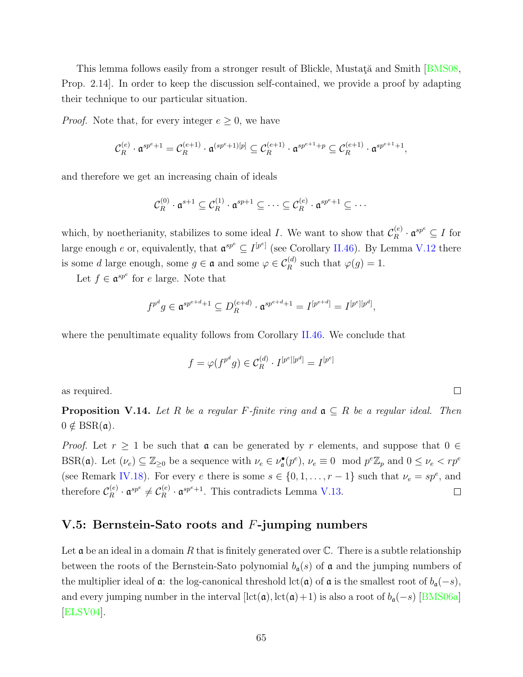Thislemma follows easily from a stronger result of Blickle, Mustata and Smith [[BMS08,](#page-87-0) Prop. 2.14]. In order to keep the discussion self-contained, we provide a proof by adapting their technique to our particular situation.

*Proof.* Note that, for every integer  $e \geq 0$ , we have

$$
\mathcal{C}_R^{(e)} \cdot \mathfrak{a}^{sp^e+1} = \mathcal{C}_R^{(e+1)} \cdot \mathfrak{a}^{(sp^e+1)[p]} \subseteq \mathcal{C}_R^{(e+1)} \cdot \mathfrak{a}^{sp^{e+1}+p} \subseteq \mathcal{C}_R^{(e+1)} \cdot \mathfrak{a}^{sp^{e+1}+1},
$$

and therefore we get an increasing chain of ideals

$$
\mathcal{C}_R^{(0)} \cdot \mathfrak{a}^{s+1} \subseteq \mathcal{C}_R^{(1)} \cdot \mathfrak{a}^{sp+1} \subseteq \cdots \subseteq \mathcal{C}_R^{(e)} \cdot \mathfrak{a}^{sp^e+1} \subseteq \cdots
$$

which, by noetherianity, stabilizes to some ideal *I*. We want to show that  $\mathcal{C}_R^{(e)}$  $R^{(e)} \cdot \mathfrak{a}^{sp^e} \subseteq I$  for large enough *e* or, equivalently, that  $\mathfrak{a}^{sp^e} \subseteq I^{[p^e]}$  (see Corollary [II.46](#page-33-0)). By Lemma [V.12](#page-71-0) there is some *d* large enough, some  $g \in \mathfrak{a}$  and some  $\varphi \in C_R^{(d)}$  such that  $\varphi(g) = 1$ .

Let  $f \in \mathfrak{a}^{sp^e}$  for *e* large. Note that

$$
f^{p^d}g \in \mathfrak{a}^{sp^{e+d}+1} \subseteq D_R^{(e+d)} \cdot \mathfrak{a}^{sp^{e+d}+1} = I^{[p^{e+d}]} = I^{[p^e][p^d]},
$$

where the penultimate equality follows from Corollary [II.46](#page-33-0). We conclude that

$$
f = \varphi(f^{p^d}g) \in \mathcal{C}_R^{(d)} \cdot I^{[p^e][p^d]} = I^{[p^e]}
$$

as required.

<span id="page-72-0"></span>**Proposition V.14.** Let R be a regular F-finite ring and  $a \subseteq R$  be a regular ideal. Then  $0 \notin \text{BSR}(\mathfrak{a})$ .

*Proof.* Let  $r \geq 1$  be such that  $\mathfrak{a}$  can be generated by  $r$  elements, and suppose that  $0 \in$ BSR(a). Let  $(\nu_e) \subseteq \mathbb{Z}_{\geq 0}$  be a sequence with  $\nu_e \in \nu_a^{\bullet}(p^e)$ ,  $\nu_e \equiv 0 \mod p^e \mathbb{Z}_p$  and  $0 \leq \nu_e < rp^e$ (see Remark [IV.18\)](#page-61-0). For every *e* there is some  $s \in \{0, 1, \ldots, r-1\}$  such that  $\nu_e = sp^e$ , and therefore  $\mathcal{C}_R^{(e)}$  $\mathfrak{C}_R^{(e)} \cdot \mathfrak{a}^{sp^e} \neq \mathcal{C}_R^{(e)}$  $R_R^{(e)} \cdot \mathfrak{a}^{sp^e+1}$ . This contradicts Lemma [V.13](#page-71-1).  $\Box$ 

# **V.5: Bernstein-Sato roots and** *F***-jumping numbers**

Let  $\mathfrak a$  be an ideal in a domain R that is finitely generated over  $\mathbb C$ . There is a subtle relationship between the roots of the Bernstein-Sato polynomial  $b_{\mathfrak{a}}(s)$  of  $\mathfrak{a}$  and the jumping numbers of the multiplier ideal of  $\alpha$ : the log-canonical threshold lct( $\alpha$ ) of  $\alpha$  is the smallest root of  $b_{\alpha}(-s)$ , andevery jumping number in the interval  $[\text{lct}(\mathfrak{a}), \text{lct}(\mathfrak{a})+1)$  is also a root of  $b_{\mathfrak{a}}(-s)$  [[BMS06a\]](#page-87-1) [\[ELSV04\]](#page-88-0).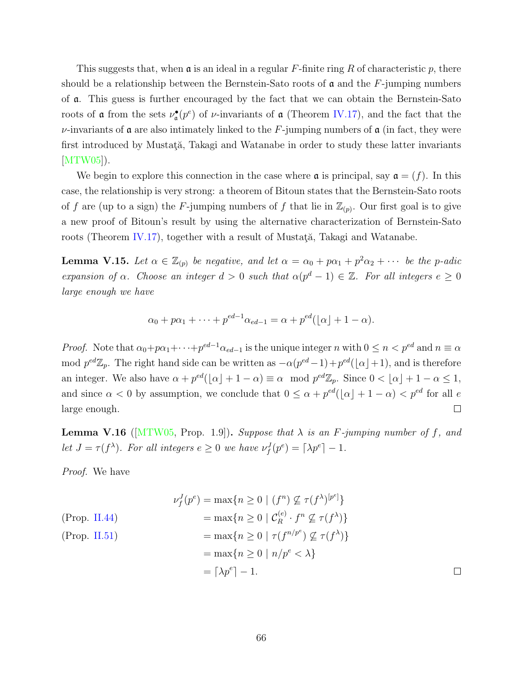This suggests that, when a is an ideal in a regular *F*-finite ring *R* of characteristic *p*, there should be a relationship between the Bernstein-Sato roots of  $\alpha$  and the  $F$ -jumping numbers of a. This guess is further encouraged by the fact that we can obtain the Bernstein-Sato roots of **a** from the sets  $\nu^{\bullet}_{\mathfrak{a}}(p^e)$  of *ν*-invariants of **a** (Theorem [IV.17](#page-60-0)), and the fact that the  $\nu$ -invariants of **a** are also intimately linked to the *F*-jumping numbers of **a** (in fact, they were first introduced by Mustată, Takagi and Watanabe in order to study these latter invariants [\[MTW05](#page-89-0)]).

We begin to explore this connection in the case where  $\alpha$  is principal, say  $\alpha = (f)$ . In this case, the relationship is very strong: a theorem of Bitoun states that the Bernstein-Sato roots of f are (up to a sign) the F-jumping numbers of f that lie in  $\mathbb{Z}_{(p)}$ . Our first goal is to give a new proof of Bitoun's result by using the alternative characterization of Bernstein-Sato roots (Theorem [IV.17\)](#page-60-0), together with a result of Mustat $\ddot{\alpha}$ , Takagi and Watanabe.

<span id="page-73-0"></span>**Lemma V.15.** Let  $\alpha \in \mathbb{Z}_{(p)}$  be negative, and let  $\alpha = \alpha_0 + p\alpha_1 + p^2\alpha_2 + \cdots$  be the p-adic *expansion of*  $\alpha$ *. Choose an integer*  $d > 0$  *such that*  $\alpha(p^d - 1) \in \mathbb{Z}$ *. For all integers*  $e \geq 0$ *large enough we have*

$$
\alpha_0 + p\alpha_1 + \dots + p^{ed-1}\alpha_{ed-1} = \alpha + p^{ed}(\lfloor \alpha \rfloor + 1 - \alpha).
$$

*Proof.* Note that  $\alpha_0 + p\alpha_1 + \cdots + p^{ed-1}\alpha_{ed-1}$  is the unique integer *n* with  $0 \le n < p^{ed}$  and  $n \equiv \alpha$ mod  $p^{ed}\mathbb{Z}_p$ . The right hand side can be written as  $-\alpha(p^{ed}-1)+p^{ed}(\lfloor \alpha \rfloor+1)$ , and is therefore an integer. We also have  $\alpha + p^{ed}(\lfloor \alpha \rfloor + 1 - \alpha) \equiv \alpha \mod p^{ed} \mathbb{Z}_p$ . Since  $0 < \lfloor \alpha \rfloor + 1 - \alpha \le 1$ , and since  $\alpha < 0$  by assumption, we conclude that  $0 \leq \alpha + p^{ed}(\lfloor \alpha \rfloor + 1 - \alpha) < p^{ed}$  for all *e* large enough.  $\Box$ 

<span id="page-73-1"></span>**Lemma V.16** ( $[MTW05, Prop. 1.9]$  $[MTW05, Prop. 1.9]$  $[MTW05, Prop. 1.9]$ ). *Suppose that*  $\lambda$  *is an F-jumping number of f, and let*  $J = \tau(f^{\lambda})$ *. For all integers*  $e \geq 0$  *we have*  $\nu_f^J(p^e) = \lceil \lambda p^e \rceil - 1$ *.* 

*Proof.* We have

$$
\nu_f^J(p^e) = \max\{n \ge 0 \mid (f^n) \not\subseteq \tau(f^\lambda)^{[p^e]}\}
$$
  
\n(Prop. II.44)  
\n
$$
= \max\{n \ge 0 \mid C_R^{(e)} \cdot f^n \not\subseteq \tau(f^\lambda)\}
$$
  
\n
$$
= \max\{n \ge 0 \mid \tau(f^{n/p^e}) \not\subseteq \tau(f^\lambda)\}
$$
  
\n
$$
= \max\{n \ge 0 \mid n/p^e < \lambda\}
$$
  
\n
$$
= \lceil \lambda p^e \rceil - 1.
$$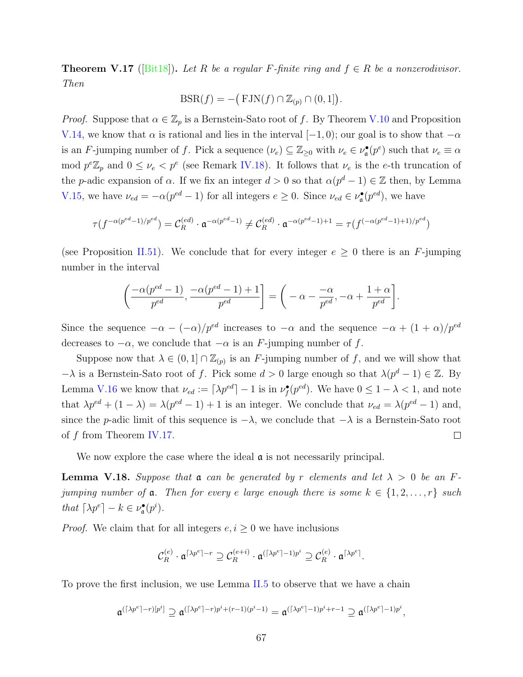**Theorem V.17** ([\[Bit18\]](#page-87-2)). Let R be a regular F-finite ring and  $f \in R$  be a nonzerodivisor. *Then*  $gular \ F\text{-}finite \ ring \ and \ F\text{-}IN(f) \cap \mathbb{Z}_{(p)} \cap (0,1])$ 

$$
\text{BSR}(f) = -\big(\text{FJN}(f) \cap \mathbb{Z}_{(p)} \cap (0,1]\big).
$$

*Proof.* Suppose that  $\alpha \in \mathbb{Z}_p$  is a Bernstein-Sato root of *f*. By Theorem [V.10](#page-70-0) and Proposition [V.14,](#page-72-0) we know that  $\alpha$  is rational and lies in the interval [−1, 0); our goal is to show that  $-\alpha$ is an *F*-jumping number of *f*. Pick a sequence  $(\nu_e) \subseteq \mathbb{Z}_{\geq 0}$  with  $\nu_e \in \nu_{\mathfrak{a}}^{\bullet}(p^e)$  such that  $\nu_e \equiv \alpha$ mod  $p^e \mathbb{Z}_p$  and  $0 \leq \nu_e < p^e$  (see Remark [IV.18\)](#page-61-0). It follows that  $\nu_e$  is the *e*-th truncation of the *p*-adic expansion of *α*. If we fix an integer  $d > 0$  so that  $\alpha(p^d - 1) \in \mathbb{Z}$  then, by Lemma [V.15,](#page-73-0) we have  $\nu_{ed} = -\alpha(p^{ed} - 1)$  for all integers  $e \geq 0$ . Since  $\nu_{ed} \in \nu_{\mathfrak{a}}^{\bullet}(p^{ed})$ , we have

$$
\tau(f^{-\alpha(p^{ed}-1)/p^{ed}})=\mathcal{C}^{(ed)}_R\cdot \mathfrak{a}^{-\alpha(p^{ed}-1)}\neq \mathcal{C}^{(ed)}_R\cdot \mathfrak{a}^{-\alpha(p^{ed}-1)+1}=\tau(f^{(-\alpha(p^{ed}-1)+1)/p^{ed}})
$$

(see Proposition [II.51](#page-35-0)). We conclude that for every integer  $e \geq 0$  there is an *F*-jumping number in the interval e that for every integer  $e \ge 0$  there is<br>  $\left[\frac{-1+1}{ed}\right] = \left(-\alpha - \frac{-\alpha}{red}, -\alpha + \frac{1+\alpha}{red}\right]$ 

$$
\left(\frac{-\alpha(p^{ed}-1)}{p^{ed}}, \frac{-\alpha(p^{ed}-1)+1}{p^{ed}}\right] = \left(-\alpha - \frac{-\alpha}{p^{ed}}, -\alpha + \frac{1+\alpha}{p^{ed}}\right].
$$

Since the sequence  $-\alpha - (-\alpha)/p^{ed}$  increases to  $-\alpha$  and the sequence  $-\alpha + (1 + \alpha)/p^{ed}$ decreases to  $-\alpha$ , we conclude that  $-\alpha$  is an *F*-jumping number of *f*.

Suppose now that  $\lambda \in (0,1] \cap \mathbb{Z}_{(p)}$  is an *F*-jumping number of *f*, and we will show that *−λ* is a Bernstein-Sato root of *f*. Pick some *d* > 0 large enough so that  $\lambda(p^d - 1) \in \mathbb{Z}$ . By Lemma [V.16](#page-73-1) we know that  $\nu_{ed} := \lceil \lambda p^{ed} \rceil - 1$  is in  $\nu_f^{\bullet}(p^{ed})$ . We have  $0 \leq 1 - \lambda < 1$ , and note that  $\lambda p^{ed} + (1 - \lambda) = \lambda (p^{ed} - 1) + 1$  is an integer. We conclude that  $\nu_{ed} = \lambda (p^{ed} - 1)$  and, since the *p*-adic limit of this sequence is  $-\lambda$ , we conclude that  $-\lambda$  is a Bernstein-Sato root of *f* from Theorem [IV.17](#page-60-0).  $\Box$ 

We now explore the case where the ideal  $\alpha$  is not necessarily principal.

<span id="page-74-0"></span>**Lemma V.18.** *Suppose that*  $\mathfrak{a}$  *can be generated by*  $r$  *elements and let*  $\lambda > 0$  *be an*  $F$ *jumping number of*  $\alpha$ *. Then for every e large enough there is some*  $k \in \{1, 2, \ldots, r\}$  *such that*  $\lceil \lambda p^e \rceil - k \in \nu_{\mathfrak{a}}^{\bullet}(p^i)$ *.* 

*Proof.* We claim that for all integers  $e, i \geq 0$  we have inclusions

$$
\mathcal{C}_R^{(e)} \cdot \mathfrak{a}^{\lceil \lambda p^e \rceil - r} \supseteq \mathcal{C}_R^{(e+i)} \cdot \mathfrak{a}^{(\lceil \lambda p^e \rceil - 1)p^i} \supseteq \mathcal{C}_R^{(e)} \cdot \mathfrak{a}^{\lceil \lambda p^e \rceil}.
$$

To prove the first inclusion, we use Lemma [II.5](#page-16-0) to observe that we have a chain

$$
\mathfrak{a}^{(\lceil \lambda p^e\rceil -r)[p^i]} \supseteq \mathfrak{a}^{(\lceil \lambda p^e\rceil -r)p^i + (r-1)(p^i-1)} = \mathfrak{a}^{(\lceil \lambda p^e\rceil -1)p^i + r-1} \supseteq \mathfrak{a}^{(\lceil \lambda p^e\rceil -1)p^i},
$$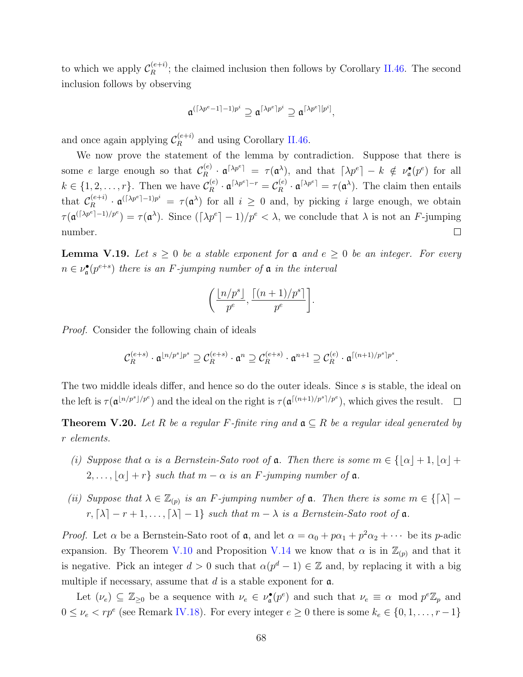to which we apply  $\mathcal{C}_R^{(e+i)}$  $R_R^{(e+i)}$ ; the claimed inclusion then follows by Corollary [II.46](#page-33-0). The second inclusion follows by observing

$$
\mathfrak{a}^{(\lceil \lambda p^e - 1 \rceil - 1) p^i} \supseteq \mathfrak{a}^{\lceil \lambda p^e \rceil p^i} \supseteq \mathfrak{a}^{\lceil \lambda p^e \rceil [p^i]},
$$

and once again applying  $\mathcal{C}_R^{(e+i)}$  $R_R^{(e+i)}$  and using Corollary [II.46.](#page-33-0)

We now prove the statement of the lemma by contradiction. Suppose that there is some *e* large enough so that  $\mathcal{C}_R^{(e)}$  $\int_R$ <sup>(*e*</sup>)  $\cdot$  **a** $\lceil \lambda p^e \rceil - k \nmid \neq \nu_a^{\bullet}(p^e)$  for all  $k \in \{1, 2, \ldots, r\}$ . Then we have  $\mathcal{C}_{R}^{(e)}$  $\mathfrak{C}_R^{(e)} \cdot \mathfrak{a}^{\lceil \lambda p^e \rceil - r} = \mathcal{C}_R^{(e)}$  $R_R^{(e)} \cdot \mathfrak{a}^{\lceil \lambda p^e \rceil} = \tau(\mathfrak{a}^{\lambda}).$  The claim then entails that  $\mathcal{C}_R^{(e+i)}$  $R_R^{(e+i)} \cdot \mathfrak{a}^{(\lceil \lambda p^e \rceil - 1)p^i} = \tau(\mathfrak{a}^{\lambda})$  for all  $i \geq 0$  and, by picking *i* large enough, we obtain  $\tau(\mathfrak{a}^{(\lceil \lambda p^e \rceil - 1)/p^e}) = \tau(\mathfrak{a}^{\lambda})$ . Since  $(\lceil \lambda p^e \rceil - 1)/p^e < \lambda$ , we conclude that  $\lambda$  is not an *F*-jumping  $\Box$ number.

<span id="page-75-0"></span>**Lemma V.19.** Let  $s \geq 0$  be a stable exponent for  $\mathfrak{a}$  and  $e \geq 0$  be an integer. For every  $n \in \nu_{\mathfrak{a}}^{\bullet}(p^{e+s})$  *there is an F-jumping number of*  $\mathfrak{a}$  *in the interval* 

$$
\left(\frac{\lfloor n/p^s\rfloor}{p^e}, \frac{\lceil (n+1)/p^s\rceil}{p^e}\right].
$$

*Proof.* Consider the following chain of ideals

$$
\mathcal{C}_R^{(e+s)} \cdot \mathfrak{a}^{\lfloor n/p^s \rfloor p^s} \supseteq \mathcal{C}_R^{(e+s)} \cdot \mathfrak{a}^n \supseteq \mathcal{C}_R^{(e+s)} \cdot \mathfrak{a}^{n+1} \supseteq \mathcal{C}_R^{(e)} \cdot \mathfrak{a}^{\lceil (n+1)/p^s \rceil p^s}
$$

*.*

The two middle ideals differ, and hence so do the outer ideals. Since *s* is stable, the ideal on the left is  $\tau(\mathfrak{a}^{\lfloor n/p^s \rfloor/p^e})$  and the ideal on the right is  $\tau(\mathfrak{a}^{\lceil (n+1)/p^s \rceil/p^e})$ , which gives the result.

**Theorem V.20.** Let R be a regular F-finite ring and  $a \subseteq R$  be a regular ideal generated by *r elements.*

- *(i) Suppose that*  $\alpha$  *is a Bernstein-Sato root of*  $\alpha$ *. Then there is some*  $m \in \{[\alpha] + 1, [\alpha] + \alpha\}$  $2, \ldots, |\alpha| + r$  *such that*  $m - \alpha$  *is an F*-jumping number of  $\alpha$ .
- *(ii) Suppose that*  $\lambda \in \mathbb{Z}_{(p)}$  *is an F*-jumping number of **a**. Then there is some  $m \in \{[\lambda] \lambda\}$  $r, \lceil \lambda \rceil - r + 1, \ldots, \lceil \lambda \rceil - 1$ } such that  $m - \lambda$  is a Bernstein-Sato root of  $\mathfrak a$ .

*Proof.* Let  $\alpha$  be a Bernstein-Sato root of  $\alpha$ , and let  $\alpha = \alpha_0 + p\alpha_1 + p^2\alpha_2 + \cdots$  be its *p*-adic expansion. By Theorem [V.10](#page-70-0) and Proposition [V.14](#page-72-0) we know that  $\alpha$  is in  $\mathbb{Z}_{(p)}$  and that it is negative. Pick an integer  $d > 0$  such that  $\alpha(p^d - 1) \in \mathbb{Z}$  and, by replacing it with a big multiple if necessary, assume that *d* is a stable exponent for a.

Let  $(\nu_e) \subseteq \mathbb{Z}_{\geq 0}$  be a sequence with  $\nu_e \in \nu_{\mathfrak{a}}^{\bullet}(p^e)$  and such that  $\nu_e \equiv \alpha \mod p^e \mathbb{Z}_p$  and  $0 \leq \nu_e < rp^e$  (see Remark [IV.18\)](#page-61-0). For every integer  $e \geq 0$  there is some  $k_e \in \{0, 1, \ldots, r-1\}$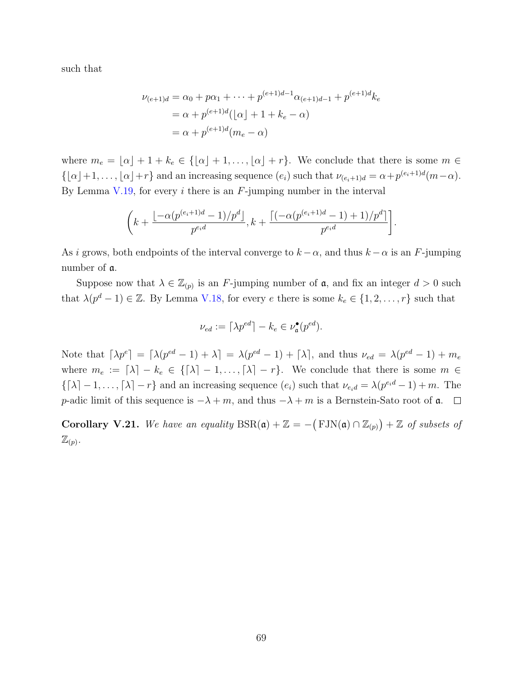such that

$$
\nu_{(e+1)d} = \alpha_0 + p\alpha_1 + \dots + p^{(e+1)d-1}\alpha_{(e+1)d-1} + p^{(e+1)d}k_e
$$
  
=  $\alpha + p^{(e+1)d}(\lfloor \alpha \rfloor + 1 + k_e - \alpha)$   
=  $\alpha + p^{(e+1)d}(m_e - \alpha)$ 

where  $m_e = \lfloor \alpha \rfloor + 1 + k_e \in \{\lfloor \alpha \rfloor + 1, \ldots, \lfloor \alpha \rfloor + r\}.$  We conclude that there is some  $m \in$  $\{\lfloor \alpha \rfloor + 1, \ldots, \lfloor \alpha \rfloor + r\}$  and an increasing sequence  $(e_i)$  such that  $\nu_{(e_i+1)d} = \alpha + p^{(e_i+1)d}(m-\alpha)$ . By Lemma [V.19,](#page-75-0) for every *i* there is an *F*-jumping number in the interval

$$
\left(k+\frac{\lfloor-\alpha(p^{(e_i+1)d}-1)/p^d\rfloor}{p^{e_id}},k+\frac{\lceil(-\alpha(p^{(e_i+1)d}-1)+1)/p^d\rceil}{p^{e_id}}\right].
$$

As *i* grows, both endpoints of the interval converge to  $k - \alpha$ , and thus  $k - \alpha$  is an *F*-jumping number of a.

Suppose now that  $\lambda \in \mathbb{Z}_{(p)}$  is an *F*-jumping number of  $\mathfrak{a}$ , and fix an integer  $d > 0$  such that  $\lambda(p^d - 1) \in \mathbb{Z}$ . By Lemma [V.18](#page-74-0), for every *e* there is some  $k_e \in \{1, 2, \ldots, r\}$  such that

$$
\nu_{ed} := \lceil \lambda p^{ed} \rceil - k_e \in \nu_{\mathfrak{a}}^{\bullet}(p^{ed}).
$$

Note that  $\lceil \lambda p^e \rceil = \lceil \lambda (p^{ed} - 1) + \lambda \rceil = \lambda (p^{ed} - 1) + \lceil \lambda \rceil$ , and thus  $\nu_{ed} = \lambda (p^{ed} - 1) + m_e$ where  $m_e := [\lambda] - k_e \in {\{\lambda] - 1, ..., \lambda\} - r}$ . We conclude that there is some  $m \in$  $\{[\lambda] - 1, \ldots, [\lambda] - r\}$  and an increasing sequence  $(e_i)$  such that  $\nu_{e_i} = \lambda(p^{e_i d} - 1) + m$ . The *p*-adic limit of this sequence is  $-\lambda + m$ , and thus  $-\lambda + m$  is a Bernstein-Sato root of  $\mathfrak{a}$ .  $\Box$ 

**Corollary V.21.** We have an equality  $BSR(\mathfrak{a}) + \mathbb{Z} = -\left( FJN(\mathfrak{a}) \cap \mathbb{Z}_{(p)} \right) + \mathbb{Z}$  of subsets of  $\mathbb{Z}_{(p)}$ .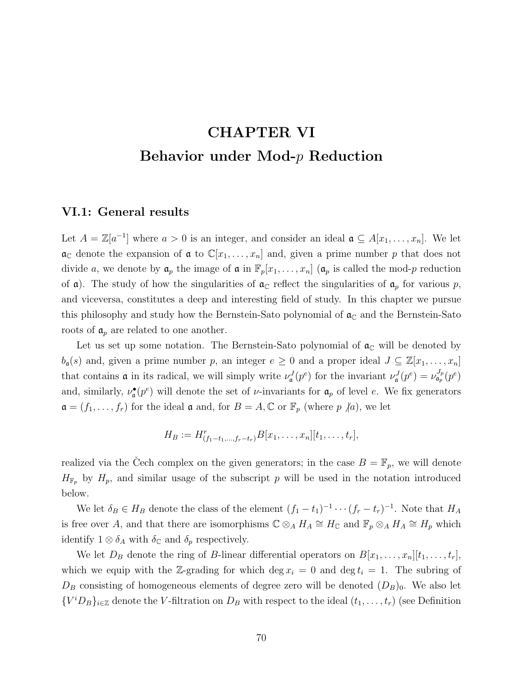# **CHAPTER VI Behavior under Mod-***p* **Reduction**

# **VI.1: General results**

Let  $A = \mathbb{Z}[a^{-1}]$  where  $a > 0$  is an integer, and consider an ideal  $a \subseteq A[x_1, \ldots, x_n]$ . We let  $\mathfrak{a}_{\mathbb{C}}$  denote the expansion of  $\mathfrak{a}$  to  $\mathbb{C}[x_1,\ldots,x_n]$  and, given a prime number p that does not divide *a*, we denote by  $a_p$  the image of  $a$  in  $\mathbb{F}_p[x_1, \ldots, x_n]$  ( $a_p$  is called the mod-*p* reduction of **a**). The study of how the singularities of  $a_{\mathbb{C}}$  reflect the singularities of  $a_p$  for various p, and viceversa, constitutes a deep and interesting field of study. In this chapter we pursue this philosophy and study how the Bernstein-Sato polynomial of  $\mathfrak{a}_{\mathbb{C}}$  and the Bernstein-Sato roots of  $a_p$  are related to one another.

Let us set up some notation. The Bernstein-Sato polynomial of  $a_{\mathbb{C}}$  will be denoted by  $b_{\mathfrak{a}}(s)$  and, given a prime number *p*, an integer  $e \geq 0$  and a proper ideal  $J \subseteq \mathbb{Z}[x_1, \ldots, x_n]$ that contains **a** in its radical, we will simply write  $\nu^J_{\mathfrak{a}}(p^e)$  for the invariant  $\nu^J_{\mathfrak{a}}(p^e) = \nu^{J_p}_{\mathfrak{a}_p}(p^e)$ and, similarly,  $\nu_a^{\bullet}(\rho^e)$  will denote the set of *v*-invariants for  $\mathfrak{a}_p$  of level *e*. We fix generators  $\mathfrak{a} = (f_1, \ldots, f_r)$  for the ideal  $\mathfrak{a}$  and, for  $B = A, \mathbb{C}$  or  $\mathbb{F}_p$  (where  $p \nmid a$ ), we let

$$
H_B := H^r_{(f_1-t_1,\ldots,f_r-t_r)} B[x_1,\ldots,x_n][t_1,\ldots,t_r],
$$

realized via the Cech complex on the given generators; in the case  $B = \mathbb{F}_p$ , we will denote  $H_{\mathbb{F}_p}$  by  $H_p$ , and similar usage of the subscript p will be used in the notation introduced below.

We let  $\delta_B \in H_B$  denote the class of the element  $(f_1 - t_1)^{-1} \cdots (f_r - t_r)^{-1}$ . Note that  $H_A$ is free over *A*, and that there are isomorphisms  $\mathbb{C} \otimes_A H_A \cong H_{\mathbb{C}}$  and  $\mathbb{F}_p \otimes_A H_A \cong H_p$  which identify  $1 \otimes \delta_A$  with  $\delta_{\mathbb{C}}$  and  $\delta_p$  respectively.

We let  $D_B$  denote the ring of *B*-linear differential operators on  $B[x_1, \ldots, x_n][t_1, \ldots, t_r]$ , which we equip with the Z-grading for which deg  $x_i = 0$  and deg  $t_i = 1$ . The subring of  $D_B$  consisting of homogeneous elements of degree zero will be denoted  $(D_B)_0$ . We also let  ${V^iD_B}_{i \in \mathbb{Z}}$  denote the *V*-filtration on  $D_B$  with respect to the ideal  $(t_1, \ldots, t_r)$  (see Definition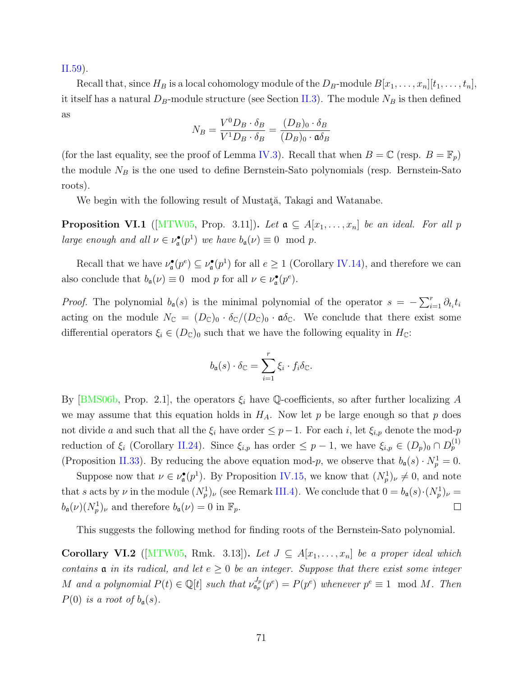[II.59\)](#page-40-0).

Recall that, since  $H_B$  is a local cohomology module of the  $D_B$ -module  $B[x_1, \ldots, x_n][t_1, \ldots, t_n],$ it itself has a natural  $D_B$ -module structure (see Section [II.3\)](#page-27-0). The module  $N_B$  is then defined as

$$
N_B = \frac{V^0 D_B \cdot \delta_B}{V^1 D_B \cdot \delta_B} = \frac{(D_B)_0 \cdot \delta_B}{(D_B)_0 \cdot \mathfrak{a} \delta_B}
$$

(for the last equality, see the proof of Lemma [IV.3](#page-53-0)). Recall that when  $B = \mathbb{C}$  (resp.  $B = \mathbb{F}_p$ ) the module *N<sup>B</sup>* is the one used to define Bernstein-Sato polynomials (resp. Bernstein-Sato roots).

We begin with the following result of Mustata, Takagi and Watanabe.

<span id="page-78-0"></span>**Proposition VI.1** ([[MTW05,](#page-89-0) Prop. 3.11]). Let  $a \subseteq A[x_1, \ldots, x_n]$  be an ideal. For all p *large enough and all*  $\nu \in \nu_{\mathfrak{a}}^{\bullet}(p^{1})$  *we have*  $b_{\mathfrak{a}}(\nu) \equiv 0 \mod p$ *.* 

Recall that we have  $\nu_{\mathfrak{a}}^{\bullet}(p^e) \subseteq \nu_{\mathfrak{a}}^{\bullet}(p^1)$  for all  $e \geq 1$  (Corollary [IV.14\)](#page-59-0), and therefore we can also conclude that  $b_{\mathfrak{a}}(\nu) \equiv 0 \mod p$  for all  $\nu \in \nu_{\mathfrak{a}}^{\bullet}(p^e)$ .

*Proof.* The polynomial  $b_q(s)$  is the minimal polynomial of the operator  $s = -\sum_{i=1}^r \partial_{t_i} t_i$ acting on the module  $N_{\mathbb{C}} = (D_{\mathbb{C}})_0 \cdot \delta_{\mathbb{C}}/(D_{\mathbb{C}})_0 \cdot \mathfrak{a} \delta_{\mathbb{C}}$ . We conclude that there exist some differential operators  $\xi_i \in (D_{\mathbb{C}})_0$  such that we have the following equality in  $H_{\mathbb{C}}$ :

$$
b_{\mathfrak{a}}(s) \cdot \delta_{\mathbb{C}} = \sum_{i=1}^r \xi_i \cdot f_i \delta_{\mathbb{C}}.
$$

By  $[BMS06b,$  Prop. 2.1, the operators  $\xi_i$  have Q-coefficients, so after further localizing A we may assume that this equation holds in  $H_A$ . Now let p be large enough so that p does not divide *a* and such that all the  $\xi_i$  have order  $\leq p-1$ . For each *i*, let  $\xi_{i,p}$  denote the mod-*p* reduction of  $\xi_i$  (Corollary [II.24](#page-24-0)). Since  $\xi_{i,p}$  has order  $\leq p-1$ , we have  $\xi_{i,p} \in (D_p)_0 \cap D_p^{(1)}$ (Proposition [II.33](#page-27-1)). By reducing the above equation mod-*p*, we observe that  $b_{\mathfrak{a}}(s) \cdot N_p^1 = 0$ .

Suppose now that  $\nu \in \nu_{\mathfrak{a}}^{\bullet}(p^{1})$ . By Proposition [IV.15,](#page-60-1) we know that  $(N_{p}^{1})_{\nu} \neq 0$ , and note that *s* acts by *ν* in the module  $(N_p^1)$ , (see Remark [III.4\)](#page-44-0). We conclude that  $0 = b_a(s) \cdot (N_p^1)$ , =  $b_{\mathfrak{a}}(\nu)(N_p^1)_{\nu}$  and therefore  $b_{\mathfrak{a}}(\nu) = 0$  in  $\mathbb{F}_p$ .  $\Box$ 

This suggests the following method for finding roots of the Bernstein-Sato polynomial.

<span id="page-78-1"></span>**Corollary VI.2** ([[MTW05,](#page-89-0) Rmk. 3.13]). Let  $J \subseteq A[x_1, \ldots, x_n]$  be a proper ideal which *contains*  $\mathfrak a$  *in its radical, and let*  $e \geq 0$  *be an integer. Suppose that there exist some integer* M and a polynomial  $P(t) \in \mathbb{Q}[t]$  such that  $\nu_{\mathfrak{a}_p}^{J_p}(p^e) = P(p^e)$  whenever  $p^e \equiv 1 \mod M$ . Then *P*(0) *is a root of*  $b_a(s)$ *.*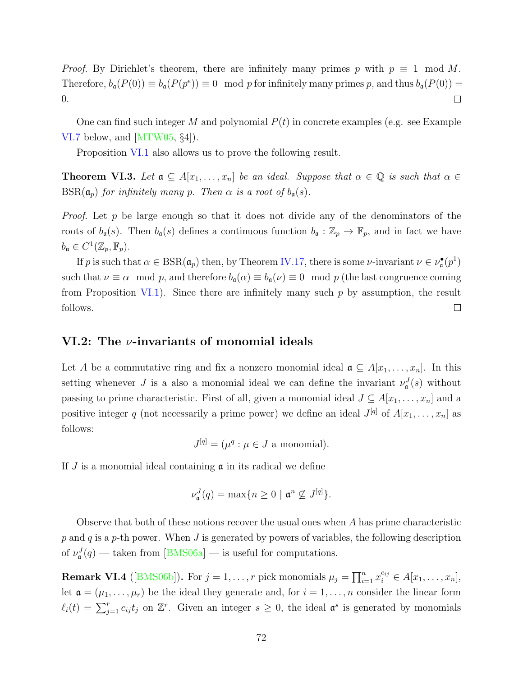*Proof.* By Dirichlet's theorem, there are infinitely many primes p with  $p \equiv 1 \mod M$ . Therefore,  $b_{\mathfrak{a}}(P(0)) \equiv b_{\mathfrak{a}}(P(p^e)) \equiv 0 \mod p$  for infinitely many primes p, and thus  $b_{\mathfrak{a}}(P(0)) =$ 0.  $\Box$ 

One can find such integer *M* and polynomial *P*(*t*) in concrete examples (e.g. see Example [VI.7](#page-80-0) below, and [\[MTW05](#page-89-0), *§*4]).

Proposition [VI.1](#page-78-0) also allows us to prove the following result.

**Theorem VI.3.** Let  $a \subseteq A[x_1, \ldots, x_n]$  be an ideal. Suppose that  $\alpha \in \mathbb{Q}$  is such that  $\alpha \in \mathbb{Q}$  $BSR(\mathfrak{a}_p)$  *for infinitely many p. Then*  $\alpha$  *is a root of*  $b_{\mathfrak{a}}(s)$ *.* 

*Proof.* Let *p* be large enough so that it does not divide any of the denominators of the roots of  $b_{\mathfrak{a}}(s)$ . Then  $b_{\mathfrak{a}}(s)$  defines a continuous function  $b_{\mathfrak{a}} : \mathbb{Z}_p \to \mathbb{F}_p$ , and in fact we have  $b_{\mathfrak{a}} \in C^1(\mathbb{Z}_p, \mathbb{F}_p).$ 

If *p* is such that  $\alpha \in \text{BSR}(\mathfrak{a}_p)$  then, by Theorem [IV.17](#page-60-0), there is some *ν*-invariant  $\nu \in \nu_{\mathfrak{a}}^{\bullet}(p^1)$ such that  $\nu \equiv \alpha \mod p$ , and therefore  $b_{\mathfrak{a}}(\alpha) \equiv b_{\mathfrak{a}}(\nu) \equiv 0 \mod p$  (the last congruence coming from Proposition [VI.1\)](#page-78-0). Since there are infinitely many such *p* by assumption, the result follows.  $\Box$ 

### **VI.2: The** *ν***-invariants of monomial ideals**

Let *A* be a commutative ring and fix a nonzero monomial ideal  $\mathfrak{a} \subseteq A[x_1, \ldots, x_n]$ . In this setting whenever *J* is a also a monomial ideal we can define the invariant  $\nu_{\mathfrak{a}}^J(s)$  without passing to prime characteristic. First of all, given a monomial ideal  $J \subseteq A[x_1, \ldots, x_n]$  and a positive integer *q* (not necessarily a prime power) we define an ideal  $J^{[q]}$  of  $A[x_1, \ldots, x_n]$  as follows:

$$
J^{[q]} = (\mu^q : \mu \in J \text{ a monomial}).
$$

If *J* is a monomial ideal containing a in its radical we define

$$
\nu_{\mathfrak{a}}^J(q) = \max\{n \geq 0 \mid \mathfrak{a}^n \not\subseteq J^{[q]}\}.
$$

Observe that both of these notions recover the usual ones when *A* has prime characteristic *p* and *q* is a *p*-th power. When *J* is generated by powers of variables, the following description of $\nu_{\mathfrak{a}}^{J}(q)$  — taken from [[BMS06a\]](#page-87-1) — is useful for computations.

<span id="page-79-0"></span>**Remark VI.4** ([[BMS06b\]](#page-87-3)). For  $j = 1, \ldots, r$  pick monomials  $\mu_j = \prod_{i=1}^n x_i^{c_{ij}} \in A[x_1, \ldots, x_n],$ let  $\mathfrak{a} = (\mu_1, \ldots, \mu_r)$  be the ideal they generate and, for  $i = 1, \ldots, n$  consider the linear form  ${\rm \bf element}\ \mathbf{V}_{\mathfrak{a}}^{\prime\prime}(q) = \ {\rm \bf Remark}\ \mathbf{V} \nonumber \ \det\ \mathfrak{a} = (\mu_1) \ \ell_i(t) = \sum_{j}^r \mathfrak{p}_j$  $\int_{j=1}^{r} c_{ij} t_j$  on  $\mathbb{Z}^r$ . Given an integer  $s \geq 0$ , the ideal  $\mathfrak{a}^s$  is generated by monomials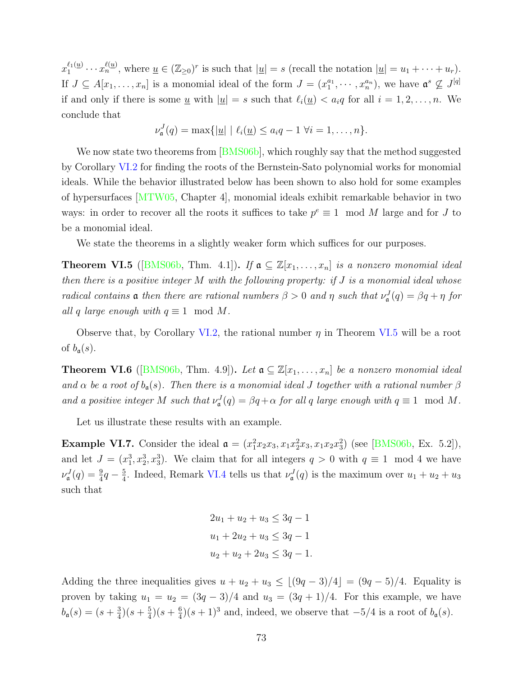$x_1^{\ell_1(\underline{u})}$  $u_1^{\ell_1(\underline{u})}\cdots u_n^{\ell(\underline{u})}$ , where  $\underline{u} \in (\mathbb{Z}_{\geq 0})^r$  is such that  $|\underline{u}| = s$  (recall the notation  $|\underline{u}| = u_1 + \cdots + u_r$ ). If  $J \subseteq A[x_1,\ldots,x_n]$  is a monomial ideal of the form  $J = (x_1^{a_1}, \cdots, x_n^{a_n})$ , we have  $\mathfrak{a}^s \nsubseteq J^{[q]}$ if and only if there is some <u>*u*</u> with  $|\underline{u}| = s$  such that  $\ell_i(\underline{u}) < a_i q$  for all  $i = 1, 2, \ldots, n$ . We conclude that

$$
\nu_{\mathfrak{a}}^J(q) = \max\{|\underline{u}| \mid \ell_i(\underline{u}) \leq a_i q - 1 \ \forall i = 1,\ldots, n\}.
$$

Wenow state two theorems from [[BMS06b](#page-87-3)], which roughly say that the method suggested by Corollary [VI.2](#page-78-1) for finding the roots of the Bernstein-Sato polynomial works for monomial ideals. While the behavior illustrated below has been shown to also hold for some examples of hypersurfaces[[MTW05,](#page-89-0) Chapter 4], monomial ideals exhibit remarkable behavior in two ways: in order to recover all the roots it suffices to take  $p^e \equiv 1 \mod M$  large and for *J* to be a monomial ideal.

We state the theorems in a slightly weaker form which suffices for our purposes.

<span id="page-80-1"></span>**Theorem VI.5** ([\[BMS06b](#page-87-3), Thm. 4.1]). If  $a \subseteq \mathbb{Z}[x_1, \ldots, x_n]$  is a nonzero monomial ideal *then there is a positive integer M with the following property: if J is a monomial ideal whose radical contains* **a** *then there are rational numbers*  $\beta > 0$  *and*  $\eta$  *such that*  $\nu_{\mathfrak{a}}^J(q) = \beta q + \eta$  *for all q large enough with*  $q \equiv 1 \mod M$ .

Observe that, by Corollary [VI.2,](#page-78-1) the rational number  $\eta$  in Theorem [VI.5](#page-80-1) will be a root of  $b_{\mathfrak{a}}(s)$ .

<span id="page-80-2"></span>**Theorem VI.6** ([\[BMS06b,](#page-87-3) Thm. 4.9]). Let  $a \subseteq \mathbb{Z}[x_1, \ldots, x_n]$  be a nonzero monomial ideal *and*  $\alpha$  *be a root of*  $b_{\mathfrak{a}}(s)$ *. Then there is a monomial ideal J together with a rational number*  $\beta$ *and a positive integer M such that*  $\nu^J_{\mathfrak{a}}(q) = \beta q + \alpha$  *for all q large enough with*  $q \equiv 1 \mod M$ *.* 

Let us illustrate these results with an example.

<span id="page-80-0"></span>**Example VI.7.** Consider the ideal  $\mathfrak{a} = (x_1^2 x_2 x_3, x_1 x_2^2 x_3, x_1 x_2 x_3^2)$  (see [\[BMS06b](#page-87-3), Ex. 5.2]), and let  $J = (x_1^3, x_2^3, x_3^3)$ . We claim that for all integers  $q > 0$  with  $q \equiv 1 \mod 4$  we have  $\nu^J_{\mathfrak{a}}(q) = \frac{9}{4}q - \frac{5}{4}$  $\frac{5}{4}$ . Indeed, Remark [VI.4](#page-79-0) tells us that  $\nu_{\mathfrak{a}}^{J}(q)$  is the maximum over  $u_1 + u_2 + u_3$ such that

$$
2u_1 + u_2 + u_3 \le 3q - 1
$$
  

$$
u_1 + 2u_2 + u_3 \le 3q - 1
$$
  

$$
u_2 + u_2 + 2u_3 \le 3q - 1.
$$

Adding the three inequalities gives  $u + u_2 + u_3 \leq \lfloor (9q - 3)/4 \rfloor = (9q - 5)/4$ . Equality is proven by taking  $u_1 = u_2 = (3q - 3)/4$  and  $u_3 = (3q + 1)/4$ . For this example, we have  $b_{\mathfrak{a}}(s) = (s + \frac{3}{4})$  $\frac{3}{4}$ )(s+ $\frac{5}{4}$  $(\frac{5}{4})(s+\frac{6}{4})$  $\frac{6}{4}$ ( $s + 1$ )<sup>3</sup> and, indeed, we observe that  $-5/4$  is a root of  $b<sub>a</sub>(s)$ .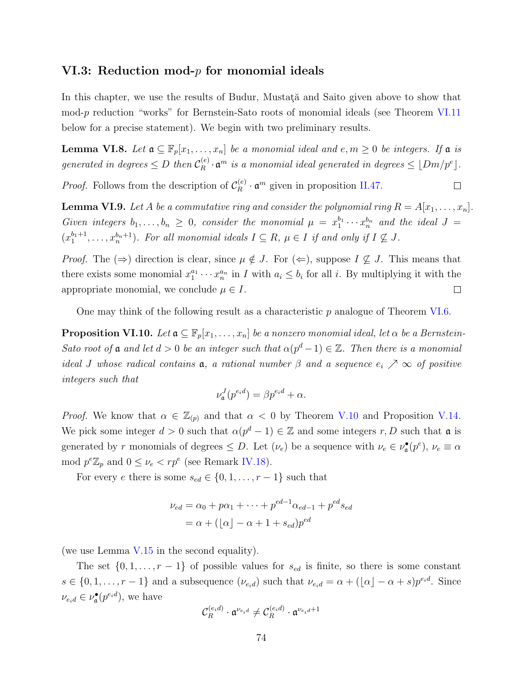# **VI.3: Reduction mod-***p* **for monomial ideals**

In this chapter, we use the results of Budur, Mustata and Saito given above to show that mod-p reduction "works" for Bernstein-Sato roots of monomial ideals (see Theorem [VI.11](#page-82-0) below for a precise statement). We begin with two preliminary results.

<span id="page-81-0"></span>**Lemma VI.8.** *Let*  $\mathfrak{a} \subseteq \mathbb{F}_p[x_1,\ldots,x_n]$  *be a monomial ideal and*  $e, m \geq 0$  *be integers. If*  $\mathfrak{a}$  *is generated in degrees*  $\leq D$  *then*  $\mathcal{C}_R^{(e)}$  $\int_{R}^{(e)} \cdot \mathfrak{a}^m$  *is a monomial ideal generated in degrees*  $\leq \lfloor Dm/p^e \rfloor$ .

*Proof.* Follows from the description of  $C_R^{(e)}$  $R_R^{(e)} \cdot \mathfrak{a}^m$  given in proposition [II.47](#page-34-0).  $\Box$ 

<span id="page-81-1"></span>**Lemma VI.9.** Let A be a commutative ring and consider the polynomial ring  $R = A[x_1, \ldots, x_n]$ . *Given integers*  $b_1, \ldots, b_n \geq 0$ , consider the monomial  $\mu = x_1^{b_1} \cdots x_n^{b_n}$  and the ideal  $J =$  $(x_1^{b_1+1}, \ldots, x_n^{b_n+1})$ . For all monomial ideals  $I \subseteq R$ ,  $\mu \in I$  if and only if  $I \nsubseteq J$ .

*Proof.* The  $(\Rightarrow)$  direction is clear, since  $\mu \notin J$ . For  $(\Leftarrow)$ , suppose  $I \nsubseteq J$ . This means that there exists some monomial  $x_1^{a_1} \cdots x_n^{a_n}$  in *I* with  $a_i \leq b_i$  for all *i*. By multiplying it with the appropriate monomial, we conclude  $\mu \in I$ .  $\Box$ 

One may think of the following result as a characteristic *p* analogue of Theorem [VI.6](#page-80-2).

<span id="page-81-2"></span>**Proposition VI.10.** *Let*  $\mathfrak{a} \subseteq \mathbb{F}_p[x_1,\ldots,x_n]$  *be a nonzero monomial ideal, let*  $\alpha$  *be a Bernstein-Sato root of*  $\mathfrak a$  *and let*  $d > 0$  *be an integer such that*  $\alpha(p^d - 1) \in \mathbb{Z}$ *. Then there is a monomial ideal J* whose radical contains **a**, a rational number  $\beta$  and a sequence  $e_i \nearrow \infty$  of positive *integers such that*

$$
\nu_{\mathfrak{a}}^J(p^{e_i d}) = \beta p^{e_i d} + \alpha.
$$

*Proof.* We know that  $\alpha \in \mathbb{Z}_{(p)}$  and that  $\alpha < 0$  by Theorem [V.10](#page-70-0) and Proposition [V.14.](#page-72-0) We pick some integer  $d > 0$  such that  $\alpha(p^d - 1) \in \mathbb{Z}$  and some integers  $r, D$  such that  $\mathfrak{a}$  is generated by *r* monomials of degrees  $\leq D$ . Let  $(\nu_e)$  be a sequence with  $\nu_e \in \nu_{\mathfrak{a}}^{\bullet}(p^e)$ ,  $\nu_e \equiv \alpha$ mod  $p^e \mathbb{Z}_p$  and  $0 \leq \nu_e < rp^e$  (see Remark [IV.18](#page-61-0)).

For every *e* there is some  $s_{ed} \in \{0, 1, \ldots, r-1\}$  such that

$$
\nu_{ed} = \alpha_0 + p\alpha_1 + \dots + p^{ed-1}\alpha_{ed-1} + p^{ed}s_{ed}
$$

$$
= \alpha + (\lfloor \alpha \rfloor - \alpha + 1 + s_{ed})p^{ed}
$$

(we use Lemma [V.15](#page-73-0) in the second equality).

The set  $\{0, 1, \ldots, r-1\}$  of possible values for  $s_{ed}$  is finite, so there is some constant  $s \in \{0, 1, \ldots, r-1\}$  and a subsequence  $(\nu_{e_i d})$  such that  $\nu_{e_i d} = \alpha + (\lfloor \alpha \rfloor - \alpha + s)p^{e_i d}$ . Since  $\nu_{e_i d} \in \nu_{\mathfrak{a}}^{\bullet}(p^{e_i d}),$  we have

$$
\mathcal{C}_R^{(e_i d)} \cdot \mathfrak{a}^{\nu_{e_i d}} \neq \mathcal{C}_R^{(e_i d)} \cdot \mathfrak{a}^{\nu_{e_i d} + 1}
$$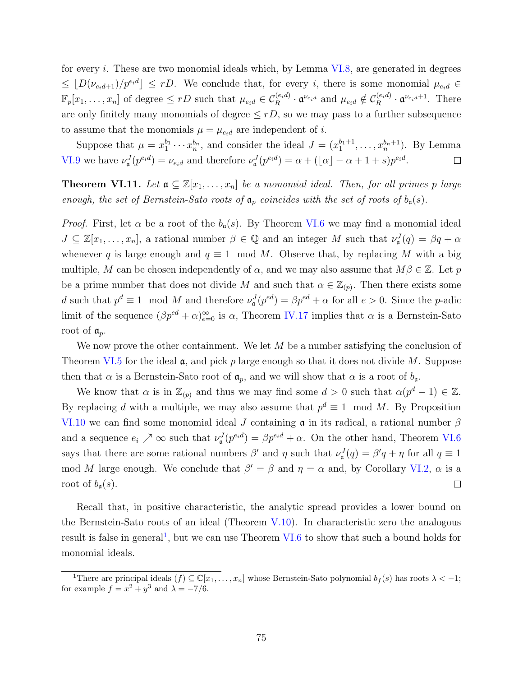for every *i*. These are two monomial ideals which, by Lemma [VI.8](#page-81-0), are generated in degrees  $\leq$   $[D(\nu_{e_i d+1})/p^{e_i d}] \leq rD$ . We conclude that, for every *i*, there is some monomial  $\mu_{e_i d} \in$  $\mathbb{F}_p[x_1,\ldots,x_n]$  of degree  $\leq rD$  such that  $\mu_{e_id} \in \mathcal{C}_R^{(e_id)} \cdot \mathfrak{a}^{\nu_{e_id}}$  and  $\mu_{e_id} \notin \mathcal{C}_R^{(e_id)}$  $\mathfrak{a}^{\nu_{e_i d}+1}$ . There are only finitely many monomials of degree  $\leq rD$ , so we may pass to a further subsequence to assume that the monomials  $\mu = \mu_{e_i d}$  are independent of *i*.

Suppose that  $\mu = x_1^{b_1} \cdots x_n^{b_n}$ , and consider the ideal  $J = (x_1^{b_1+1}, \ldots, x_n^{b_n+1})$ . By Lemma [VI.9](#page-81-1) we have  $\nu^J_{\mathfrak{a}}(p^{e_i d}) = \nu_{e_i d}$  and therefore  $\nu^J_{\mathfrak{a}}(p^{e_i d}) = \alpha + (\lfloor \alpha \rfloor - \alpha + 1 + s)p^{e_i d}$ .  $\Box$ 

<span id="page-82-0"></span>**Theorem VI.11.** Let  $a \subseteq \mathbb{Z}[x_1, \ldots, x_n]$  be a monomial ideal. Then, for all primes p large *enough, the set of Bernstein-Sato roots of*  $a_p$  *coincides with the set of roots of*  $b_q(s)$ *.* 

*Proof.* First, let  $\alpha$  be a root of the  $b_{\alpha}(s)$ . By Theorem [VI.6](#page-80-2) we may find a monomial ideal  $J \subseteq \mathbb{Z}[x_1,\ldots,x_n],$  a rational number  $\beta \in \mathbb{Q}$  and an integer *M* such that  $\nu^J_\mathfrak{a}(q) = \beta q + \alpha$ whenever *q* is large enough and  $q \equiv 1 \mod M$ . Observe that, by replacing *M* with a big multiple, *M* can be chosen independently of  $\alpha$ , and we may also assume that  $M\beta \in \mathbb{Z}$ . Let *p* be a prime number that does not divide *M* and such that  $\alpha \in \mathbb{Z}_{(p)}$ . Then there exists some d such that  $p^d \equiv 1 \mod M$  and therefore  $\nu^J_\mathfrak{a}(p^{ed}) = \beta p^{ed} + \alpha$  for all  $e > 0$ . Since the *p*-adic limit of the sequence  $(\beta p^{ed} + \alpha)_{e=0}^{\infty}$  is  $\alpha$ , Theorem [IV.17](#page-60-0) implies that  $\alpha$  is a Bernstein-Sato root of a*p*.

We now prove the other containment. We let *M* be a number satisfying the conclusion of Theorem [VI.5](#page-80-1) for the ideal a, and pick *p* large enough so that it does not divide *M*. Suppose then that  $\alpha$  is a Bernstein-Sato root of  $\mathfrak{a}_p$ , and we will show that  $\alpha$  is a root of  $b_{\mathfrak{a}}$ .

We know that  $\alpha$  is in  $\mathbb{Z}_{(p)}$  and thus we may find some  $d > 0$  such that  $\alpha(p^d - 1) \in \mathbb{Z}$ . By replacing *d* with a multiple, we may also assume that  $p^d \equiv 1 \mod M$ . By Proposition [VI.10](#page-81-2) we can find some monomial ideal *J* containing a in its radical, a rational number *β* and a sequence  $e_i \nearrow \infty$  such that  $\nu^J_\mathfrak{a}(p^{e_i d}) = \beta p^{e_i d} + \alpha$ . On the other hand, Theorem [VI.6](#page-80-2) says that there are some rational numbers  $\beta'$  and  $\eta$  such that  $\nu_{\mathfrak{a}}^J(q) = \beta'q + \eta$  for all  $q \equiv 1$ mod *M* large enough. We conclude that  $\beta' = \beta$  and  $\eta = \alpha$  and, by Corollary [VI.2](#page-78-1),  $\alpha$  is a root of  $b_{\mathfrak{a}}(s)$ .  $\Box$ 

Recall that, in positive characteristic, the analytic spread provides a lower bound on the Bernstein-Sato roots of an ideal (Theorem  $V.10$ ). In characteristic zero the analogous result is false in general<sup>1</sup>, but we can use Theorem [VI.6](#page-80-2) to show that such a bound holds for monomial ideals.

<sup>&</sup>lt;sup>1</sup>There are principal ideals  $(f) \subseteq \mathbb{C}[x_1, \ldots, x_n]$  whose Bernstein-Sato polynomial  $b_f(s)$  has roots  $\lambda < -1$ ; for example  $f = x^2 + y^3$  and  $\lambda = -7/6$ .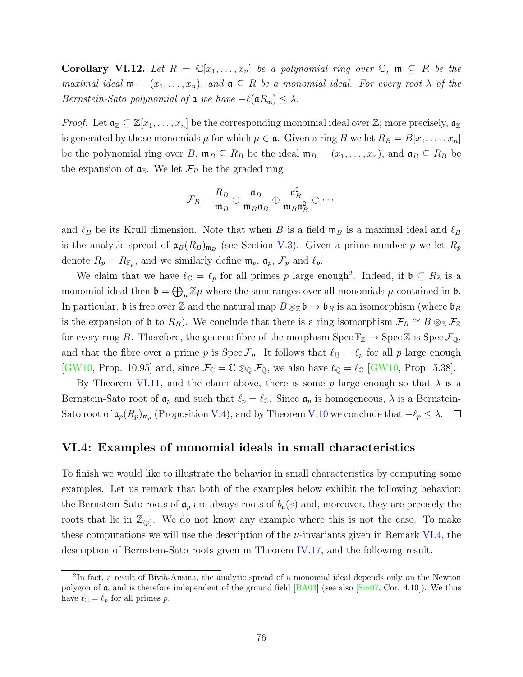**Corollary VI.12.** Let  $R = \mathbb{C}[x_1, \ldots, x_n]$  be a polynomial ring over  $\mathbb{C}$ ,  $\mathfrak{m} \subseteq R$  be the *maximal ideal*  $\mathfrak{m} = (x_1, \ldots, x_n)$ *, and*  $\mathfrak{a} \subseteq R$  *be a monomial ideal. For every root*  $\lambda$  *of the Bernstein-Sato polynomial of*  $\mathfrak{a}$  *we have*  $-\ell(\mathfrak{a}R_{\mathfrak{m}}) \leq \lambda$ *.* 

*Proof.* Let  $a_{\mathbb{Z}} \subseteq \mathbb{Z}[x_1,\ldots,x_n]$  be the corresponding monomial ideal over  $\mathbb{Z}$ ; more precisely,  $a_{\mathbb{Z}}$ is generated by those monomials  $\mu$  for which  $\mu \in \mathfrak{a}$ . Given a ring B we let  $R_B = B[x_1, \ldots, x_n]$ be the polynomial ring over *B*,  $\mathfrak{m}_B \subseteq R_B$  be the ideal  $\mathfrak{m}_B = (x_1, \ldots, x_n)$ , and  $\mathfrak{a}_B \subseteq R_B$  be the expansion of  $a_{\mathbb{Z}}$ . We let  $\mathcal{F}_B$  be the graded ring

$$
\mathcal{F}_B = \frac{R_B}{\mathfrak{m}_B} \oplus \frac{\mathfrak{a}_B}{\mathfrak{m}_B \mathfrak{a}_B} \oplus \frac{\mathfrak{a}_B^2}{\mathfrak{m}_B \mathfrak{a}_B^2} \oplus \cdots
$$

and  $\ell_B$  be its Krull dimension. Note that when *B* is a field  $\mathfrak{m}_B$  is a maximal ideal and  $\ell_B$ is the analytic spread of  $\mathfrak{a}_B(R_B)_{\mathfrak{m}_B}$  (see Section [V.3\)](#page-67-0). Given a prime number *p* we let  $R_p$ denote  $R_p = R_{\mathbb{F}_p}$ , and we similarly define  $\mathfrak{m}_p$ ,  $\mathfrak{a}_p$ ,  $\mathcal{F}_p$  and  $\ell_p$ .

We claim that we have  $\ell_{\mathbb{C}} = \ell_p$  for all primes p large enough<sup>2</sup>. Indeed, if  $\mathfrak{b} \subseteq R_{\mathbb{Z}}$  is a monomial ideal then  $\mathfrak{b} = \bigoplus_{\mu} \mathbb{Z} \mu$  where the sum ranges over all monomials  $\mu$  contained in  $\mathfrak{b}$ . In particular,  $\mathfrak{b}$  is free over Z and the natural map  $B \otimes_{\mathbb{Z}} \mathfrak{b} \to \mathfrak{b}_B$  is an isomorphism (where  $\mathfrak{b}_B$ is the expansion of  $\mathfrak{b}$  to  $R_B$ ). We conclude that there is a ring isomorphism  $\mathcal{F}_B \cong B \otimes_{\mathbb{Z}} \mathcal{F}_{\mathbb{Z}}$ for every ring *B*. Therefore, the generic fibre of the morphism  $\text{Spec } \mathbb{F}_\mathbb{Z} \to \text{Spec } \mathbb{Z}$  is  $\text{Spec } \mathcal{F}_{\mathbb{Q}}$ , and that the fibre over a prime *p* is  $\text{Spec } \mathcal{F}_p$ . It follows that  $\ell_{\mathbb{Q}} = \ell_p$  for all *p* large enough [\[GW10](#page-88-1), Prop. 10.95] and, since  $\mathcal{F}_{\mathbb{C}} = \mathbb{C} \otimes_{\mathbb{Q}} \mathcal{F}_{\mathbb{Q}}$ , we also have  $\ell_{\mathbb{Q}} = \ell_{\mathbb{C}}$  [[GW10](#page-88-1), Prop. 5.38].

By Theorem [VI.11,](#page-82-0) and the claim above, there is some  $p$  large enough so that  $\lambda$  is a Bernstein-Sato root of  $\mathfrak{a}_p$  and such that  $\ell_p = \ell_{\mathbb{C}}$ . Since  $\mathfrak{a}_p$  is homogeneous,  $\lambda$  is a Bernstein-Sato root of  $\mathfrak{a}_p(R_p)_{\mathfrak{m}_p}$  (Proposition [V.4\)](#page-66-0), and by Theorem [V.10](#page-70-0) we conclude that  $-\ell_p \leq \lambda$ .

### **VI.4: Examples of monomial ideals in small characteristics**

To finish we would like to illustrate the behavior in small characteristics by computing some examples. Let us remark that both of the examples below exhibit the following behavior: the Bernstein-Sato roots of  $a_p$  are always roots of  $b_q(s)$  and, moreover, they are precisely the roots that lie in  $\mathbb{Z}_{(p)}$ . We do not know any example where this is not the case. To make these computations we will use the description of the *ν*-invariants given in Remark [VI.4,](#page-79-0) the description of Bernstein-Sato roots given in Theorem [IV.17,](#page-60-0) and the following result.

 ${}^{2}$ In fact, a result of Bivià-Ausina, the analytic spread of a monomial ideal depends only on the Newton polygon of  $\alpha$ , and is therefore independent of the ground field  $\left[\frac{BAO3}{BAO3}\right]$  (see also  $\left[\frac{\sin 07}{\cos 07}, \frac{\cos 0.4}{\cos 0.4}\right]$ ). We thus have  $\ell_{\mathbb{C}} = \ell_p$  for all primes *p*.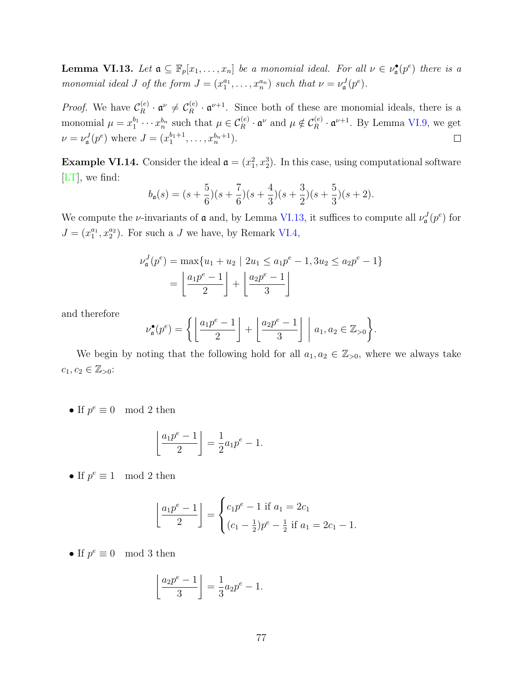<span id="page-84-0"></span>**Lemma VI.13.** Let  $\mathfrak{a} \subseteq \mathbb{F}_p[x_1,\ldots,x_n]$  be a monomial ideal. For all  $\nu \in \nu_{\mathfrak{a}}^{\bullet}(p^e)$  there is a *monomial ideal J of the form*  $J = (x_1^{a_1}, \ldots, x_n^{a_n})$  *such that*  $\nu = \nu_a^J(p^e)$ *.* 

*Proof.* We have  $\mathcal{C}_R^{(e)}$  $\mathfrak{C}_R^{(e)} \cdot \mathfrak{a}^{\nu} \neq \mathcal{C}_R^{(e)}$  $R_R^{(e)} \cdot \mathfrak{a}^{\nu+1}$ . Since both of these are monomial ideals, there is a monomial  $\mu = x_1^{b_1} \cdots x_n^{b_n}$  such that  $\mu \in C_R^{(e)} \cdot \mathfrak{a}^{\nu}$  and  $\mu \notin C_R^{(e)} \cdot \mathfrak{a}^{\nu+1}$ . By Lemma [VI.9](#page-81-1), we get  $\nu = \nu_a^J(p^e)$  where  $J = (x_1^{b_1+1}, \dots, x_n^{b_n+1}).$  $\Box$ 

**Example VI.14.** Consider the ideal  $\mathfrak{a} = (x_1^2, x_2^3)$ . In this case, using computational software [\[LT](#page-89-1)], we find:

$$
b_{\mathfrak{a}}(s) = (s + \frac{5}{6})(s + \frac{7}{6})(s + \frac{4}{3})(s + \frac{3}{2})(s + \frac{5}{3})(s + 2).
$$

We compute the *ν*-invariants of **a** and, by Lemma [VI.13](#page-84-0), it suffices to compute all  $\nu_a^J(p^e)$  for  $J = (x_1^{a_1}, x_2^{a_2})$ . For such a *J* we have, by Remark [VI.4](#page-79-0),

$$
\nu_{\mathfrak{a}}^{J}(p^{e}) = \max\{u_{1} + u_{2} \mid 2u_{1} \le a_{1}p^{e} - 1, 3u_{2} \le a_{2}p^{e} - 1\}
$$

$$
= \left\lfloor \frac{a_{1}p^{e} - 1}{2} \right\rfloor + \left\lfloor \frac{a_{2}p^{e} - 1}{3} \right\rfloor
$$

$$
\nu_{\mathfrak{a}}^{\bullet}(p^{e}) = \left\{ \left\lfloor \frac{a_{1}p^{e} - 1}{2} \right\rfloor + \left\lfloor \frac{a_{2}p^{e} - 1}{2} \right\rfloor \mid a_{1}, a_{2} \in \mathbb{Z}_{>0} \right\}.
$$

and therefore

$$
\nu_{\mathfrak{a}}^{\bullet}(p^e) = \left\{ \left\lfloor \frac{a_1 p^e - 1}{2} \right\rfloor + \left\lfloor \frac{a_2 p^e - 1}{3} \right\rfloor \mid a_1, a_2 \in \mathbb{Z}_{>0} \right\}.
$$

We begin by noting that the following hold for all  $a_1, a_2 \in \mathbb{Z}_{>0}$ , where we always take  $c_1, c_2 \in \mathbb{Z}_{>0}$ :

• If  $p^e \equiv 0 \mod 2$  then

$$
\left\lfloor \frac{a_1 p^e - 1}{2} \right\rfloor = \frac{1}{2} a_1 p^e - 1.
$$

• If  $p^e \equiv 1 \mod 2$  then

$$
\left\lfloor \frac{a_1 p^e - 1}{2} \right\rfloor = \begin{cases} c_1 p^e - 1 & \text{if } a_1 = 2c_1 \\ (c_1 - \frac{1}{2})p^e - \frac{1}{2} & \text{if } a_1 = 2c_1 - 1. \end{cases}
$$

• If  $p^e \equiv 0 \mod 3$  then

$$
\left\lfloor \frac{a_2 p^e - 1}{3} \right\rfloor = \frac{1}{3} a_2 p^e - 1.
$$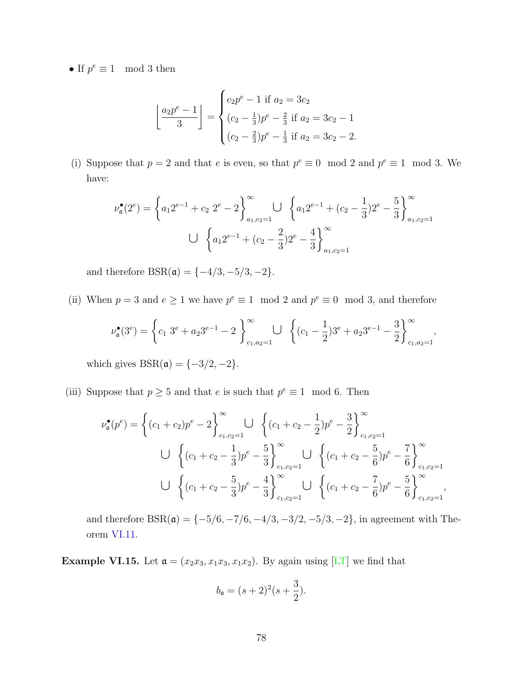• If  $p^e \equiv 1 \mod 3$  then

$$
\left\lfloor \frac{a_2 p^e - 1}{3} \right\rfloor = \begin{cases} c_2 p^e - 1 & \text{if } a_2 = 3c_2 \\ (c_2 - \frac{1}{3}) p^e - \frac{2}{3} & \text{if } a_2 = 3c_2 - 1 \\ (c_2 - \frac{2}{3}) p^e - \frac{1}{3} & \text{if } a_2 = 3c_2 - 2. \end{cases}
$$

(i) Suppose that  $p = 2$  and that *e* is even, so that  $p^e \equiv 0 \mod 2$  and  $p^e \equiv 1 \mod 3$ . We have: at  $p =$ <br>) = {

$$
\nu_{\mathfrak{a}}^{\bullet}(2^{e}) = \left\{ a_1 2^{e-1} + c_2 2^{e} - 2 \right\}_{a_1, c_2 = 1}^{\infty} \cup \left\{ a_1 2^{e-1} + (c_2 - \frac{1}{3}) 2^{e} - \frac{5}{3} \right\}_{a_1, c_2 = 1}^{\infty}
$$

$$
\cup \left\{ a_1 2^{e-1} + (c_2 - \frac{2}{3}) 2^{e} - \frac{4}{3} \right\}_{a_1, c_2 = 1}^{\infty}
$$

(ii) When  $p = 3$  and  $e \ge 1$  we have  $p^e \equiv 1 \mod 2$  and  $p^e \equiv 0 \mod 3$ , and therefore

and therefore 
$$
BSR(\mathfrak{a}) = \{-4/3, -5/3, -2\}.
$$
  
\nWhen  $p = 3$  and  $e \ge 1$  we have  $p^e \equiv 1 \mod 2$  and  $p^e \equiv 0 \mod 3$ , and therefore  
\n
$$
\nu_{\mathfrak{a}}^{\bullet}(3^e) = \left\{c_1 \ 3^e + a_2 3^{e-1} - 2\right\}_{c_1, a_2=1}^{\infty} \bigcup \left\{(c_1 - \frac{1}{2})3^e + a_2 3^{e-1} - \frac{3}{2}\right\}_{c_1, a_2=1}^{\infty},
$$

which gives  $BSR(\mathfrak{a}) = \{-3/2, -2\}.$ 

(iii) Suppose that  $p \geq 5$  and that *e* is such that  $p^e \equiv 1 \mod 6$ . Then and that e is such that  $p^* = 1$  mo

ch gives 
$$
BSR(\mathfrak{a}) = \{-3/2, -2\}.
$$
  
\nspace that  $p \ge 5$  and that  $e$  is such that  $p^e \equiv 1 \mod 6$ . Then  
\n
$$
\nu_{\mathfrak{a}}^{\bullet}(p^e) = \left\{ (c_1 + c_2)p^e - 2 \right\}_{c_1, c_2=1}^{\infty} \bigcup \left\{ (c_1 + c_2 - \frac{1}{2})p^e - \frac{3}{2} \right\}_{c_1, c_2=1}^{\infty}
$$
\n
$$
\bigcup \left\{ (c_1 + c_2 - \frac{1}{3})p^e - \frac{5}{3} \right\}_{c_1, c_2=1}^{\infty} \bigcup \left\{ (c_1 + c_2 - \frac{5}{6})p^e - \frac{7}{6} \right\}_{c_1, c_2=1}^{\infty}
$$
\n
$$
\bigcup \left\{ (c_1 + c_2 - \frac{5}{3})p^e - \frac{4}{3} \right\}_{c_1, c_2=1}^{\infty} \bigcup \left\{ (c_1 + c_2 - \frac{7}{6})p^e - \frac{5}{6} \right\}_{c_1, c_2=1}^{\infty},
$$

and therefore  $BSR(\mathfrak{a}) = \{-5/6, -7/6, -4/3, -3/2, -5/3, -2\}$ , in agreement with Theorem [VI.11](#page-82-0).

**Example VI.15.** Let  $\mathfrak{a} = (x_2x_3, x_1x_3, x_1x_2)$ . By again using [\[LT\]](#page-89-1) we find that

$$
b_{\mathfrak{a}}=(s+2)^2(s+\frac{3}{2}).
$$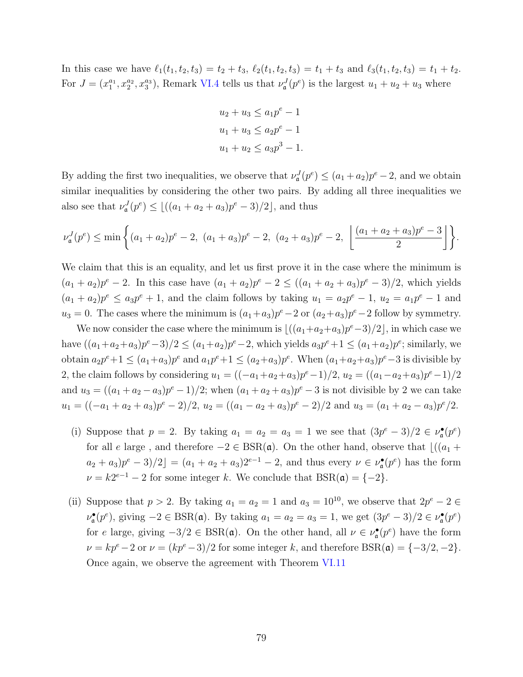In this case we have  $\ell_1(t_1, t_2, t_3) = t_2 + t_3$ ,  $\ell_2(t_1, t_2, t_3) = t_1 + t_3$  and  $\ell_3(t_1, t_2, t_3) = t_1 + t_2$ . For  $J = (x_1^{a_1}, x_2^{a_2}, x_3^{a_3})$ , Remark [VI.4](#page-79-0) tells us that  $\nu^J_{\mathfrak{a}}(p^e)$  is the largest  $u_1 + u_2 + u_3$  where

$$
u_2 + u_3 \le a_1 p^e - 1
$$
  

$$
u_1 + u_3 \le a_2 p^e - 1
$$
  

$$
u_1 + u_2 \le a_3 p^3 - 1.
$$

By adding the first two inequalities, we observe that  $\nu_a^J(p^e) \leq (a_1 + a_2)p^e - 2$ , and we obtain similar inequalities by considering the other two pairs. By adding all three inequalities we also see that  $\nu_{\mathfrak{a}}^{J}(p^e) \leq \lfloor ((a_1 + a_2 + a_3)p^e - 3)/2 \rfloor$ , and thus ding the fi<br> *x* inequality<br>  $e$  that  $\nu_a^J$ <br>  $\geq \min \left\{$ 

$$
\nu_{\mathfrak{a}}^J(p^e) \le \min\left\{ (a_1 + a_2)p^e - 2, \ (a_1 + a_3)p^e - 2, \ (a_2 + a_3)p^e - 2, \ \left\lfloor \frac{(a_1 + a_2 + a_3)p^e - 3}{2} \right\rfloor \right\}.
$$

We claim that this is an equality, and let us first prove it in the case where the minimum is  $(a_1 + a_2)p^e - 2$ . In this case have  $(a_1 + a_2)p^e - 2 \le ((a_1 + a_2 + a_3)p^e - 3)/2$ , which yields  $(a_1 + a_2)p^e \leq a_3p^e + 1$ , and the claim follows by taking  $u_1 = a_2p^e - 1$ ,  $u_2 = a_1p^e - 1$  and  $u_3 = 0$ . The cases where the minimum is  $(a_1 + a_3)p^e - 2$  or  $(a_2 + a_3)p^e - 2$  follow by symmetry.

We now consider the case where the minimum is  $\lfloor ((a_1+a_2+a_3)p^e-3)/2 \rfloor$ , in which case we have  $((a_1+a_2+a_3)p^e-3)/2 \le (a_1+a_2)p^e-2$ , which yields  $a_3p^e+1 \le (a_1+a_2)p^e$ ; similarly, we obtain  $a_2p^e+1 \le (a_1+a_3)p^e$  and  $a_1p^e+1 \le (a_2+a_3)p^e$ . When  $(a_1+a_2+a_3)p^e-3$  is divisible by 2, the claim follows by considering  $u_1 = ((-a_1+a_2+a_3)p^e-1)/2$ ,  $u_2 = ((a_1-a_2+a_3)p^e-1)/2$ and  $u_3 = ((a_1 + a_2 - a_3)p^e - 1)/2$ ; when  $(a_1 + a_2 + a_3)p^e - 3$  is not divisible by 2 we can take  $u_1 = ((-a_1 + a_2 + a_3)p^e - 2)/2, u_2 = ((a_1 - a_2 + a_3)p^e - 2)/2$  and  $u_3 = (a_1 + a_2 - a_3)p^e/2$ .

- (i) Suppose that  $p = 2$ . By taking  $a_1 = a_2 = a_3 = 1$  we see that  $(3p^e 3)/2 \in \nu_{\mathfrak{a}}^{\bullet}(p^e)$ for all *e* large, and therefore  $-2 \in BSR(\mathfrak{a})$ . On the other hand, observe that  $\lfloor (a_1 + b_2) \rfloor$  $a_2 + a_3[p^e - 3)/2$ <sub>*j*</sub> =  $(a_1 + a_2 + a_3)2^{e-1} - 2$ , and thus every  $\nu \in \nu_a^{\bullet}(p^e)$  has the form  $\nu = k2^{e-1} - 2$  for some integer *k*. We conclude that  $BSR(\mathfrak{a}) = \{-2\}.$
- (ii) Suppose that  $p > 2$ . By taking  $a_1 = a_2 = 1$  and  $a_3 = 10^{10}$ , we observe that  $2p^e 2 \in$  $\nu_{\mathfrak{a}}^{\bullet}(p^e)$ , giving  $-2 \in \text{BSR}(\mathfrak{a})$ . By taking  $a_1 = a_2 = a_3 = 1$ , we get  $(3p^e - 3)/2 \in \nu_{\mathfrak{a}}^{\bullet}(p^e)$ for *e* large, giving  $-3/2 \in BSR(\mathfrak{a})$ . On the other hand, all  $\nu \in \nu_{\mathfrak{a}}^{\bullet}(p^e)$  have the form  $\nu = kp^e - 2$  or  $\nu = (kp^e - 3)/2$  for some integer *k*, and therefore BSR( $\mathfrak{a}$ ) = {-3/2*,* -2}. Once again, we observe the agreement with Theorem [VI.11](#page-82-0)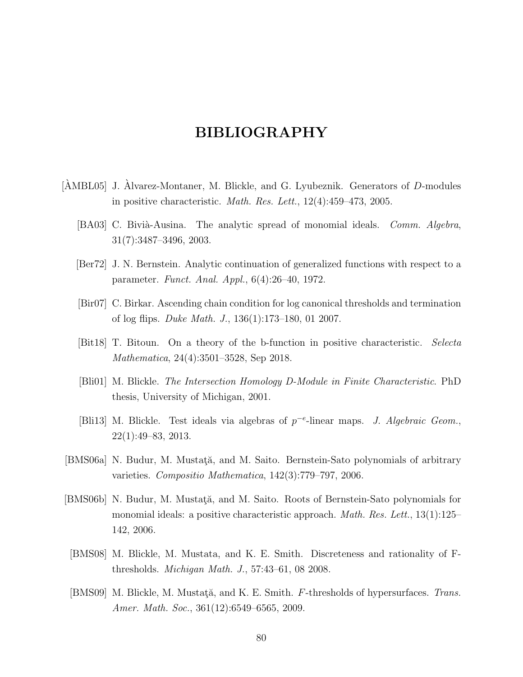# **BIBLIOGRAPHY**

- <span id="page-87-4"></span>[ $\text{AMBL05}$ ] J.  $\text{Alvarez-Montaner}$ , M. Blickle, and G. Lyubeznik. Generators of *D*-modules in positive characteristic. *Math. Res. Lett.*, 12(4):459–473, 2005.
	- [BA03] C. Bivià-Ausina. The analytic spread of monomial ideals. *Comm. Algebra*, 31(7):3487–3496, 2003.
	- [Ber72] J. N. Bernstein. Analytic continuation of generalized functions with respect to a parameter. *Funct. Anal. Appl.*, 6(4):26–40, 1972.
	- [Bir07] C. Birkar. Ascending chain condition for log canonical thresholds and termination of log flips. *Duke Math. J.*, 136(1):173–180, 01 2007.
	- [Bit18] T. Bitoun. On a theory of the b-function in positive characteristic. *Selecta Mathematica*, 24(4):3501–3528, Sep 2018.
	- [Bli01] M. Blickle. *The Intersection Homology D-Module in Finite Characteristic*. PhD thesis, University of Michigan, 2001.
	- [Bli13] M. Blickle. Test ideals via algebras of *p −e* -linear maps. *J. Algebraic Geom.*, 22(1):49–83, 2013.
- <span id="page-87-2"></span><span id="page-87-1"></span>[BMS06a] N. Budur, M. Mustat<sub>i</sub>ă, and M. Saito. Bernstein-Sato polynomials of arbitrary varieties. *Compositio Mathematica*, 142(3):779–797, 2006.
- <span id="page-87-3"></span>[BMS06b] N. Budur, M. Mustată, and M. Saito. Roots of Bernstein-Sato polynomials for monomial ideals: a positive characteristic approach. *Math. Res. Lett.*, 13(1):125– 142, 2006.
- <span id="page-87-0"></span>[BMS08] M. Blickle, M. Mustata, and K. E. Smith. Discreteness and rationality of Fthresholds. *Michigan Math. J.*, 57:43–61, 08 2008.
- [BMS09] M. Blickle, M. Mustată, and K. E. Smith. *F*-thresholds of hypersurfaces. *Trans. Amer. Math. Soc.*, 361(12):6549–6565, 2009.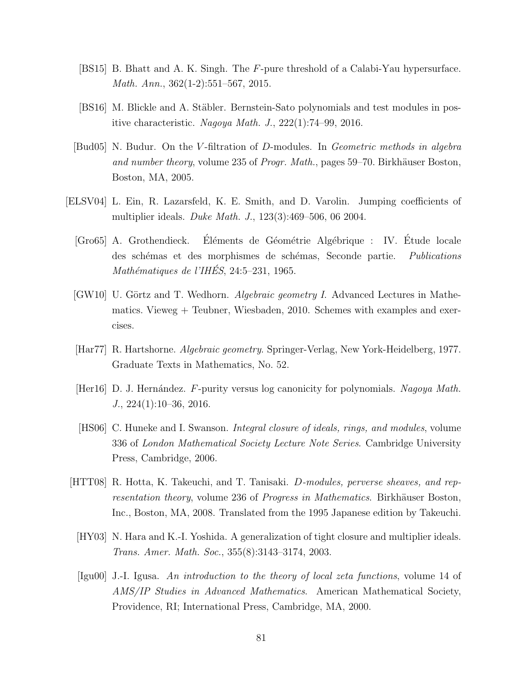- [BS15] B. Bhatt and A. K. Singh. The *F*-pure threshold of a Calabi-Yau hypersurface. *Math. Ann.*, 362(1-2):551–567, 2015.
- [BS16] M. Blickle and A. Stäbler. Bernstein-Sato polynomials and test modules in positive characteristic. *Nagoya Math. J.*, 222(1):74–99, 2016.
- [Bud05] N. Budur. On the *V* -filtration of *D*-modules. In *Geometric methods in algebra and number theory*, volume 235 of *Progr. Math.*, pages 59–70. Birkhäuser Boston, Boston, MA, 2005.
- <span id="page-88-1"></span><span id="page-88-0"></span>[ELSV04] L. Ein, R. Lazarsfeld, K. E. Smith, and D. Varolin. Jumping coefficients of multiplier ideals. *Duke Math. J.*, 123(3):469–506, 06 2004.
	- [Gro65] A. Grothendieck. Eléments de Géométrie Algébrique : IV. Étude locale des schémas et des morphismes de schémas, Seconde partie. *Publications Math´ematiques de l'IHES´* , 24:5–231, 1965.
	- [GW10] U. Görtz and T. Wedhorn. *Algebraic geometry I*. Advanced Lectures in Mathematics. Vieweg + Teubner, Wiesbaden, 2010. Schemes with examples and exercises.
	- [Har77] R. Hartshorne. *Algebraic geometry*. Springer-Verlag, New York-Heidelberg, 1977. Graduate Texts in Mathematics, No. 52.
	- [Her16] D. J. Hern´andez. *F*-purity versus log canonicity for polynomials. *Nagoya Math. J.*, 224(1):10–36, 2016.
	- [HS06] C. Huneke and I. Swanson. *Integral closure of ideals, rings, and modules*, volume 336 of *London Mathematical Society Lecture Note Series*. Cambridge University Press, Cambridge, 2006.
- [HTT08] R. Hotta, K. Takeuchi, and T. Tanisaki. *D-modules, perverse sheaves, and representation theory*, volume 236 of *Progress in Mathematics*. Birkhäuser Boston, Inc., Boston, MA, 2008. Translated from the 1995 Japanese edition by Takeuchi.
	- [HY03] N. Hara and K.-I. Yoshida. A generalization of tight closure and multiplier ideals. *Trans. Amer. Math. Soc.*, 355(8):3143–3174, 2003.
	- [Igu00] J.-I. Igusa. *An introduction to the theory of local zeta functions*, volume 14 of *AMS/IP Studies in Advanced Mathematics*. American Mathematical Society, Providence, RI; International Press, Cambridge, MA, 2000.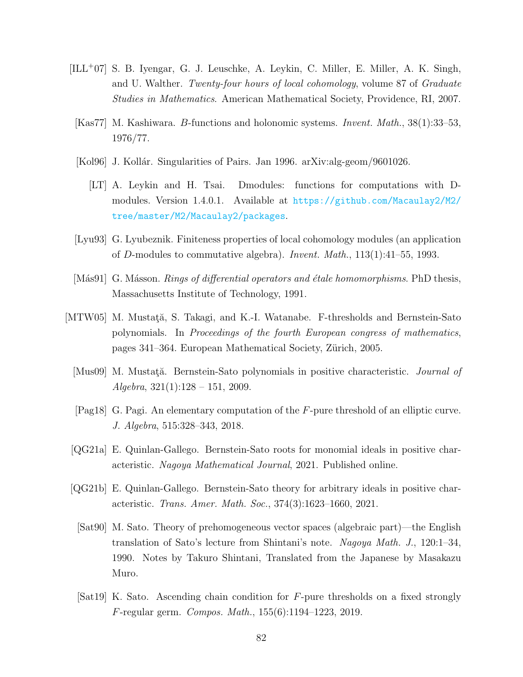- [ILL<sup>+</sup>07] S. B. Iyengar, G. J. Leuschke, A. Leykin, C. Miller, E. Miller, A. K. Singh, and U. Walther. *Twenty-four hours of local cohomology*, volume 87 of *Graduate Studies in Mathematics*. American Mathematical Society, Providence, RI, 2007.
- [Kas77] M. Kashiwara. *B*-functions and holonomic systems. *Invent. Math.*, 38(1):33–53, 1976/77.
- <span id="page-89-1"></span>[Kol96] J. Kollár. Singularities of Pairs. Jan 1996. arXiv:alg-geom/9601026.
	- [LT] A. Leykin and H. Tsai. Dmodules: functions for computations with Dmodules. Version 1.4.0.1. Available at [https://github.com/Macaulay2/M2/](https://github.com/Macaulay2/M2/tree/master/M2/Macaulay2/packages) [tree/master/M2/Macaulay2/packages](https://github.com/Macaulay2/M2/tree/master/M2/Macaulay2/packages).
- [Lyu93] G. Lyubeznik. Finiteness properties of local cohomology modules (an application of *D*-modules to commutative algebra). *Invent. Math.*, 113(1):41–55, 1993.
- [Más91] G. Másson. *Rings of differential operators and étale homomorphisms*. PhD thesis, Massachusetts Institute of Technology, 1991.
- <span id="page-89-0"></span>[MTW05] M. Mustată, S. Takagi, and K.-I. Watanabe. F-thresholds and Bernstein-Sato polynomials. In *Proceedings of the fourth European congress of mathematics*, pages 341–364. European Mathematical Society, Zürich, 2005.
	- [Mus09] M. Mustat<sub>i</sub>ă. Bernstein-Sato polynomials in positive characteristic. *Journal of Algebra*, 321(1):128 – 151, 2009.
	- [Pag18] G. Pagi. An elementary computation of the *F*-pure threshold of an elliptic curve. *J. Algebra*, 515:328–343, 2018.
	- [QG21a] E. Quinlan-Gallego. Bernstein-Sato roots for monomial ideals in positive characteristic. *Nagoya Mathematical Journal*, 2021. Published online.
	- [QG21b] E. Quinlan-Gallego. Bernstein-Sato theory for arbitrary ideals in positive characteristic. *Trans. Amer. Math. Soc.*, 374(3):1623–1660, 2021.
	- [Sat90] M. Sato. Theory of prehomogeneous vector spaces (algebraic part)—the English translation of Sato's lecture from Shintani's note. *Nagoya Math. J.*, 120:1–34, 1990. Notes by Takuro Shintani, Translated from the Japanese by Masakazu Muro.
	- [Sat19] K. Sato. Ascending chain condition for *F*-pure thresholds on a fixed strongly *F*-regular germ. *Compos. Math.*, 155(6):1194–1223, 2019.